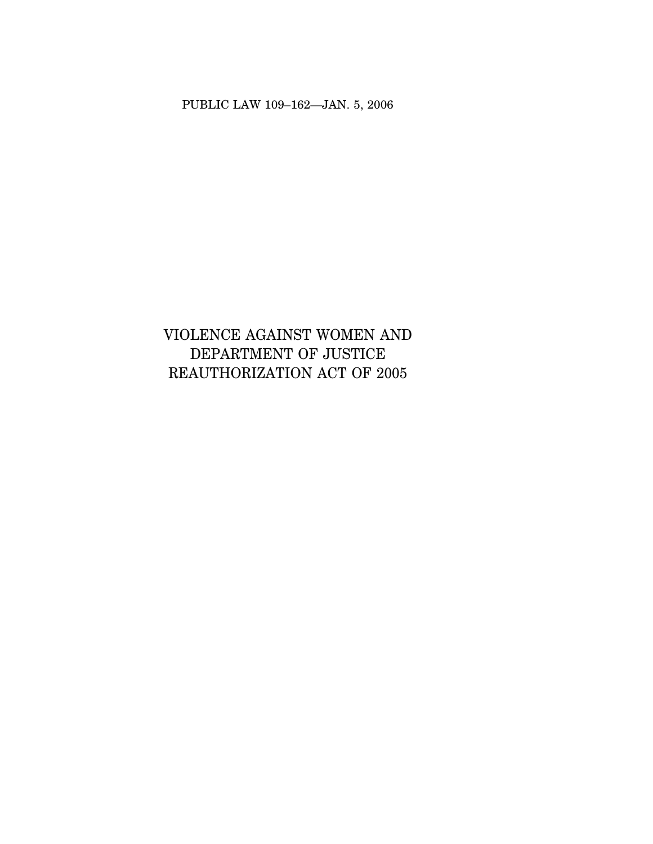PUBLIC LAW 109–162—JAN. 5, 2006

VIOLENCE AGAINST WOMEN AND DEPARTMENT OF JUSTICE REAUTHORIZATION ACT OF 2005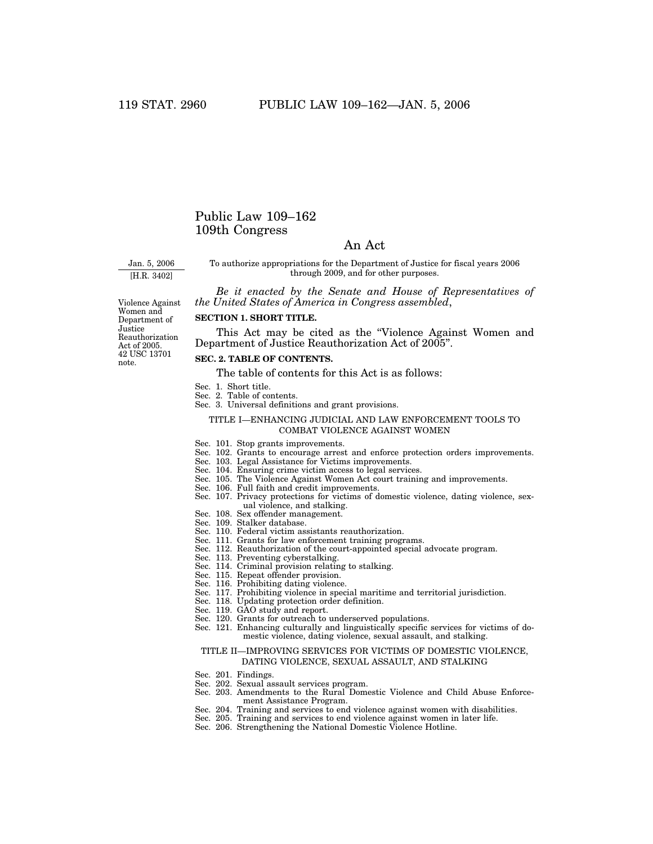# Public Law 109–162 109th Congress

# An Act

Jan. 5, 2006

[H.R. 3402]

To authorize appropriations for the Department of Justice for fiscal years 2006 through 2009, and for other purposes.

*Be it enacted by the Senate and House of Representatives of the United States of America in Congress assembled*,

42 USC 13701 note. Violence Against Women and Department of **Justice** Reauthorization Act of 2005.

#### **SECTION 1. SHORT TITLE.**

This Act may be cited as the ''Violence Against Women and Department of Justice Reauthorization Act of 2005''.

# **SEC. 2. TABLE OF CONTENTS.**

The table of contents for this Act is as follows:

- Sec. 1. Short title.
- Sec. 2. Table of contents.
- Sec. 3. Universal definitions and grant provisions.

#### TITLE I—ENHANCING JUDICIAL AND LAW ENFORCEMENT TOOLS TO COMBAT VIOLENCE AGAINST WOMEN

- Sec. 101. Stop grants improvements.
- Sec. 102. Grants to encourage arrest and enforce protection orders improvements.
- Sec. 103. Legal Assistance for Victims improvements.
- Sec. 104. Ensuring crime victim access to legal services.
- Sec. 105. The Violence Against Women Act court training and improvements.
- Sec. 106. Full faith and credit improvements.
- Sec. 107. Privacy protections for victims of domestic violence, dating violence, sexual violence, and stalking.
- Sec. 108. Sex offender management.
- Sec. 109. Stalker database.
- Sec. 110. Federal victim assistants reauthorization.
- Sec. 111. Grants for law enforcement training programs.
- Sec. 112. Reauthorization of the court-appointed special advocate program.
- Sec. 113. Preventing cyberstalking.
- Sec. 114. Criminal provision relating to stalking.
- Sec. 115. Repeat offender provision.
- Sec. 116. Prohibiting dating violence.
- Sec. 117. Prohibiting violence in special maritime and territorial jurisdiction.
	- Sec. 118. Updating protection order definition.
	- Sec. 119. GAO study and report.
	- Sec. 120. Grants for outreach to underserved populations.
	- Sec. 121. Enhancing culturally and linguistically specific services for victims of domestic violence, dating violence, sexual assault, and stalking.

# TITLE II—IMPROVING SERVICES FOR VICTIMS OF DOMESTIC VIOLENCE, DATING VIOLENCE, SEXUAL ASSAULT, AND STALKING

- Sec. 201. Findings.
- Sec. 202. Sexual assault services program.
- Sec. 203. Amendments to the Rural Domestic Violence and Child Abuse Enforcement Assistance Program.
- Sec. 204. Training and services to end violence against women with disabilities.
- Sec. 205. Training and services to end violence against women in later life.
- Sec. 206. Strengthening the National Domestic Violence Hotline.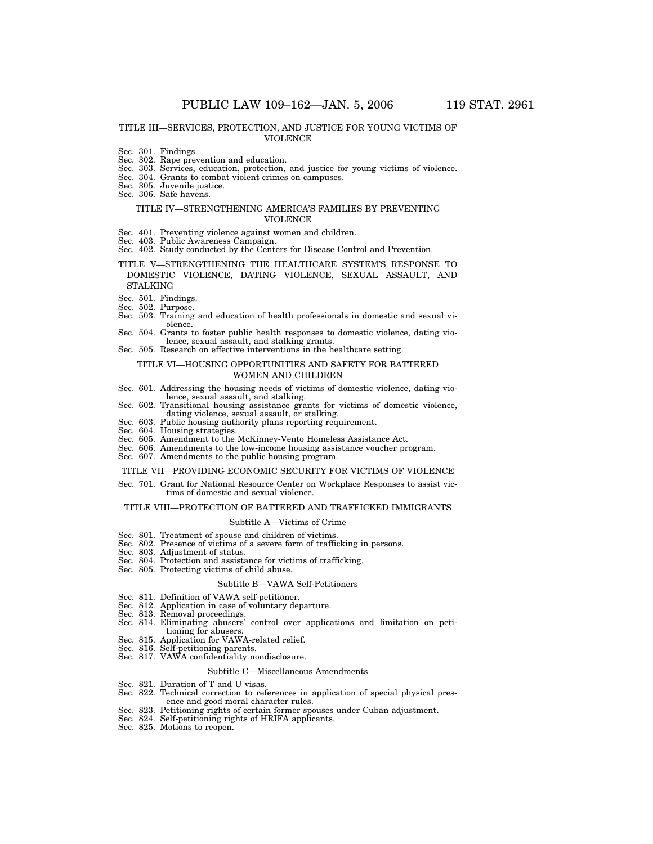#### TITLE III—SERVICES, PROTECTION, AND JUSTICE FOR YOUNG VICTIMS OF **VIOLENCE**

- Sec. 301. Findings.
- Sec. 302. Rape prevention and education.
- Sec. 303. Services, education, protection, and justice for young victims of violence.
- Sec. 304. Grants to combat violent crimes on campuses.
- Sec. 305. Juvenile justice.
- Sec. 306. Safe havens.

#### TITLE IV—STRENGTHENING AMERICA'S FAMILIES BY PREVENTING VIOLENCE

- Sec. 401. Preventing violence against women and children. Sec. 403. Public Awareness Campaign.
- Sec. 402. Study conducted by the Centers for Disease Control and Prevention.
- TITLE V—STRENGTHENING THE HEALTHCARE SYSTEM'S RESPONSE TO DOMESTIC VIOLENCE, DATING VIOLENCE, SEXUAL ASSAULT, AND STALKING
- Sec. 501. Findings.
- Sec. 502. Purpose.
- Sec. 503. Training and education of health professionals in domestic and sexual violence.
- Sec. 504. Grants to foster public health responses to domestic violence, dating violence, sexual assault, and stalking grants.
- Sec. 505. Research on effective interventions in the healthcare setting.

#### TITLE VI—HOUSING OPPORTUNITIES AND SAFETY FOR BATTERED WOMEN AND CHILDREN

- Sec. 601. Addressing the housing needs of victims of domestic violence, dating violence, sexual assault, and stalking.
- Sec. 602. Transitional housing assistance grants for victims of domestic violence, dating violence, sexual assault, or stalking.
- Sec. 603. Public housing authority plans reporting requirement.
- Sec. 604. Housing strategies.
- Sec. 605. Amendment to the McKinney-Vento Homeless Assistance Act.
- Sec. 606. Amendments to the low-income housing assistance voucher program.
- Sec. 607. Amendments to the public housing program.

#### TITLE VII—PROVIDING ECONOMIC SECURITY FOR VICTIMS OF VIOLENCE

Sec. 701. Grant for National Resource Center on Workplace Responses to assist victims of domestic and sexual violence.

#### TITLE VIII—PROTECTION OF BATTERED AND TRAFFICKED IMMIGRANTS

#### Subtitle A—Victims of Crime

- Sec. 801. Treatment of spouse and children of victims.
- Sec. 802. Presence of victims of a severe form of trafficking in persons.
- Sec. 803. Adjustment of status.
- Sec. 804. Protection and assistance for victims of trafficking.
- Sec. 805. Protecting victims of child abuse.

#### Subtitle B—VAWA Self-Petitioners

- Sec. 811. Definition of VAWA self-petitioner.
- Sec. 812. Application in case of voluntary departure.
- Sec. 813. Removal proceedings.
- Sec. 814. Eliminating abusers' control over applications and limitation on petitioning for abusers.
- Sec. 815. Application for VAWA-related relief.
- Sec. 816. Self-petitioning parents.
- Sec. 817. VAWA confidentiality nondisclosure.

#### Subtitle C—Miscellaneous Amendments

- Sec. 821. Duration of T and U visas.
- Sec. 822. Technical correction to references in application of special physical presence and good moral character rules.
- Sec. 823. Petitioning rights of certain former spouses under Cuban adjustment.
- Sec. 824. Self-petitioning rights of HRIFA applicants.
- Sec. 825. Motions to reopen.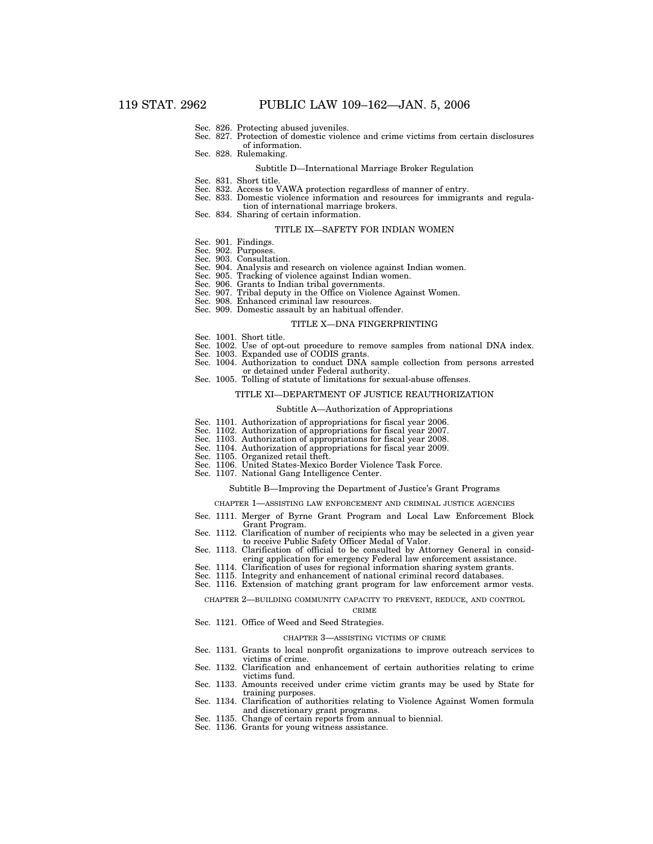- Sec. 826. Protecting abused juveniles.
- Sec. 827. Protection of domestic violence and crime victims from certain disclosures
- of information. Sec. 828. Rulemaking.

#### Subtitle D—International Marriage Broker Regulation

- Sec. 831. Short title.
- Sec. 832. Access to VAWA protection regardless of manner of entry.
- Sec. 833. Domestic violence information and resources for immigrants and regulation of international marriage brokers.
- Sec. 834. Sharing of certain information.

#### TITLE IX—SAFETY FOR INDIAN WOMEN

- Sec. 901. Findings.
- Sec. 902. Purposes.
- Sec. 903. Consultation.
- Sec. 904. Analysis and research on violence against Indian women.
- Sec. 905. Tracking of violence against Indian women. Sec. 906. Grants to Indian tribal governments.
- 
- Sec. 907. Tribal deputy in the Office on Violence Against Women.
- Sec. 908. Enhanced criminal law resources.
- Sec. 909. Domestic assault by an habitual offender.

#### TITLE X—DNA FINGERPRINTING

- Sec. 1001. Short title.
- Sec. 1002. Use of opt-out procedure to remove samples from national DNA index.
- Sec. 1003. Expanded use of CODIS grants.
- Sec. 1004. Authorization to conduct DNA sample collection from persons arrested or detained under Federal authority.
- Sec. 1005. Tolling of statute of limitations for sexual-abuse offenses.

#### TITLE XI—DEPARTMENT OF JUSTICE REAUTHORIZATION

#### Subtitle A—Authorization of Appropriations

- Sec. 1101. Authorization of appropriations for fiscal year 2006.
- Sec. 1102. Authorization of appropriations for fiscal year 2007.
- Sec. 1103. Authorization of appropriations for fiscal year 2008.
- Sec. 1104. Authorization of appropriations for fiscal year 2009.
- Sec. 1105. Organized retail theft.
- Sec. 1106. United States-Mexico Border Violence Task Force.
- Sec. 1107. National Gang Intelligence Center.

#### Subtitle B—Improving the Department of Justice's Grant Programs

#### CHAPTER 1—ASSISTING LAW ENFORCEMENT AND CRIMINAL JUSTICE AGENCIES

- Sec. 1111. Merger of Byrne Grant Program and Local Law Enforcement Block Grant Program.
- Sec. 1112. Clarification of number of recipients who may be selected in a given year to receive Public Safety Officer Medal of Valor.
- Sec. 1113. Clarification of official to be consulted by Attorney General in considering application for emergency Federal law enforcement assistance.
- Sec. 1114. Clarification of uses for regional information sharing system grants.
- Sec. 1115. Integrity and enhancement of national criminal record databases.
- Sec. 1116. Extension of matching grant program for law enforcement armor vests.

CHAPTER 2—BUILDING COMMUNITY CAPACITY TO PREVENT, REDUCE, AND CONTROL

#### CRIME

Sec. 1121. Office of Weed and Seed Strategies.

#### CHAPTER 3—ASSISTING VICTIMS OF CRIME

- Sec. 1131. Grants to local nonprofit organizations to improve outreach services to victims of crime.
- Sec. 1132. Clarification and enhancement of certain authorities relating to crime victims fund.
- Sec. 1133. Amounts received under crime victim grants may be used by State for training purposes.
- Sec. 1134. Clarification of authorities relating to Violence Against Women formula and discretionary grant programs.
- Sec. 1135. Change of certain reports from annual to biennial.
- Sec. 1136. Grants for young witness assistance.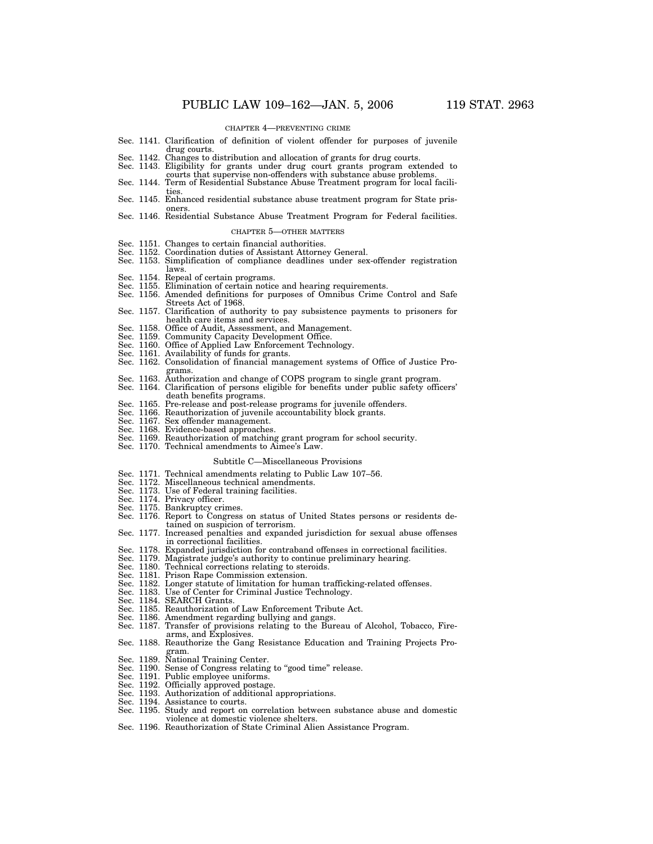#### CHAPTER 4—PREVENTING CRIME

- Sec. 1141. Clarification of definition of violent offender for purposes of juvenile drug courts.
- Sec. 1142. Changes to distribution and allocation of grants for drug courts.
- Sec. 1143. Eligibility for grants under drug court grants program extended to
- courts that supervise non-offenders with substance abuse problems. Sec. 1144. Term of Residential Substance Abuse Treatment program for local facilities.
- Sec. 1145. Enhanced residential substance abuse treatment program for State pris-
- oners. Sec. 1146. Residential Substance Abuse Treatment Program for Federal facilities.

#### CHAPTER 5—OTHER MATTERS

- Sec. 1151. Changes to certain financial authorities.
- Sec. 1152. Coordination duties of Assistant Attorney General.
- Sec. 1153. Simplification of compliance deadlines under sex-offender registration laws.
- Sec. 1154. Repeal of certain programs.
- Sec. 1155. Elimination of certain notice and hearing requirements.
- Sec. 1156. Amended definitions for purposes of Omnibus Crime Control and Safe Streets Act of 1968.
- Sec. 1157. Clarification of authority to pay subsistence payments to prisoners for health care items and services.
- Sec. 1158. Office of Audit, Assessment, and Management.
- Sec. 1159. Community Capacity Development Office.
- Sec. 1160. Office of Applied Law Enforcement Technology.
- Sec. 1161. Availability of funds for grants.
- Sec. 1162. Consolidation of financial management systems of Office of Justice Programs.
- 
- Sec. 1163. Authorization and change of COPS program to single grant program. Sec. 1164. Clarification of persons eligible for benefits under public safety officers' death benefits programs.
- Sec. 1165. Pre-release and post-release programs for juvenile offenders.
- Sec. 1166. Reauthorization of juvenile accountability block grants.
- Sex offender management.
- Sec. 1168. Evidence-based approaches.
- Sec. 1169. Reauthorization of matching grant program for school security.
- Sec. 1170. Technical amendments to Aimee's Law.

#### Subtitle C—Miscellaneous Provisions

- Sec. 1171. Technical amendments relating to Public Law 107–56. Sec. 1172. Miscellaneous technical amendments.
- 
- Sec. 1173. Use of Federal training facilities. Sec. 1174. Privacy officer.
- 
- 
- Sec. 1175. Bankruptcy crimes. Sec. 1176. Report to Congress on status of United States persons or residents detained on suspicion of terrorism.
- Sec. 1177. Increased penalties and expanded jurisdiction for sexual abuse offenses in correctional facilities.
- Sec. 1178. Expanded jurisdiction for contraband offenses in correctional facilities. Sec. 1179. Magistrate judge's authority to continue preliminary hearing.
- 
- Sec. 1180. Technical corrections relating to steroids.
- Sec. 1181. Prison Rape Commission extension.
- Sec. 1182. Longer statute of limitation for human trafficking-related offenses. Sec. 1183. Use of Center for Criminal Justice Technology.
- 
- Sec. 1184. SEARCH Grants.
- Sec. 1185. Reauthorization of Law Enforcement Tribute Act.
- Sec. 1186. Amendment regarding bullying and gangs.
- Sec. 1187. Transfer of provisions relating to the Bureau of Alcohol, Tobacco, Firearms, and Explosives.
- Sec. 1188. Reauthorize the Gang Resistance Education and Training Projects Program.
- Sec. 1189. National Training Center.
- Sec. 1190. Sense of Congress relating to "good time" release.
- Sec. 1191. Public employee uniforms.
- 
- Sec. 1192. Officially approved postage. Sec. 1193. Authorization of additional appropriations.
- 
- Sec. 1194. Assistance to courts. Sec. 1195. Study and report on correlation between substance abuse and domestic violence at domestic violence shelters.
- Sec. 1196. Reauthorization of State Criminal Alien Assistance Program.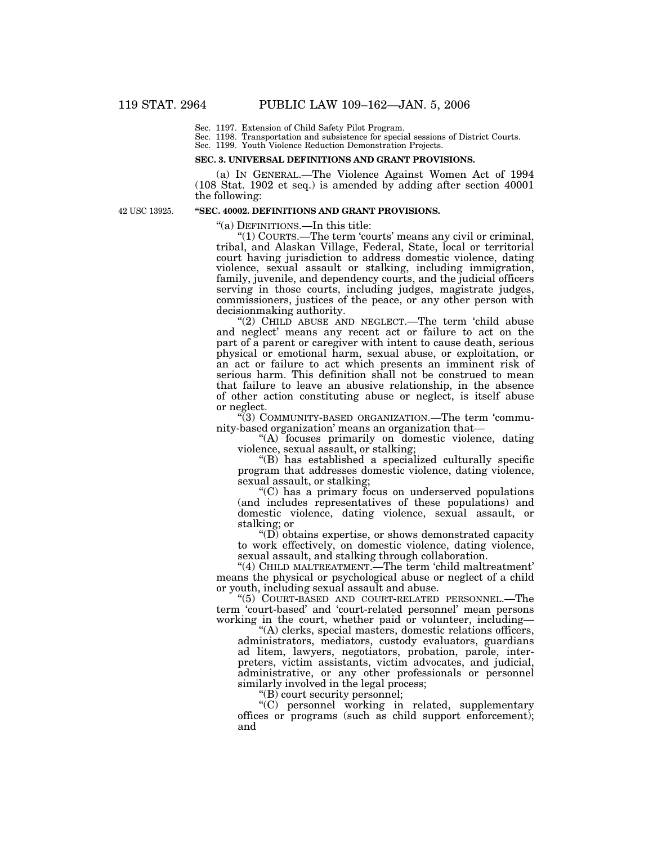Sec. 1197. Extension of Child Safety Pilot Program.

Sec. 1198. Transportation and subsistence for special sessions of District Courts. Sec. 1199. Youth Violence Reduction Demonstration Projects.

# **SEC. 3. UNIVERSAL DEFINITIONS AND GRANT PROVISIONS.**

(a) IN GENERAL.—The Violence Against Women Act of 1994 (108 Stat. 1902 et seq.) is amended by adding after section 40001 the following:

42 USC 13925.

# **''SEC. 40002. DEFINITIONS AND GRANT PROVISIONS.**

''(a) DEFINITIONS.—In this title:

''(1) COURTS.—The term 'courts' means any civil or criminal, tribal, and Alaskan Village, Federal, State, local or territorial court having jurisdiction to address domestic violence, dating violence, sexual assault or stalking, including immigration, family, juvenile, and dependency courts, and the judicial officers serving in those courts, including judges, magistrate judges, commissioners, justices of the peace, or any other person with decisionmaking authority.

"(2) CHILD ABUSE AND NEGLECT.—The term 'child abuse and neglect' means any recent act or failure to act on the part of a parent or caregiver with intent to cause death, serious physical or emotional harm, sexual abuse, or exploitation, or an act or failure to act which presents an imminent risk of serious harm. This definition shall not be construed to mean that failure to leave an abusive relationship, in the absence of other action constituting abuse or neglect, is itself abuse or neglect.

''(3) COMMUNITY-BASED ORGANIZATION.—The term 'community-based organization' means an organization that—

"(A) focuses primarily on domestic violence, dating violence, sexual assault, or stalking;

''(B) has established a specialized culturally specific program that addresses domestic violence, dating violence, sexual assault, or stalking;

''(C) has a primary focus on underserved populations (and includes representatives of these populations) and domestic violence, dating violence, sexual assault, or stalking; or

 $\mathrm{``(D)}$  obtains expertise, or shows demonstrated capacity to work effectively, on domestic violence, dating violence, sexual assault, and stalking through collaboration.

"(4) CHILD MALTREATMENT.—The term 'child maltreatment' means the physical or psychological abuse or neglect of a child or youth, including sexual assault and abuse.

''(5) COURT-BASED AND COURT-RELATED PERSONNEL.—The term 'court-based' and 'court-related personnel' mean persons working in the court, whether paid or volunteer, including—

'(A) clerks, special masters, domestic relations officers, administrators, mediators, custody evaluators, guardians ad litem, lawyers, negotiators, probation, parole, interpreters, victim assistants, victim advocates, and judicial, administrative, or any other professionals or personnel similarly involved in the legal process;

''(B) court security personnel;

''(C) personnel working in related, supplementary offices or programs (such as child support enforcement); and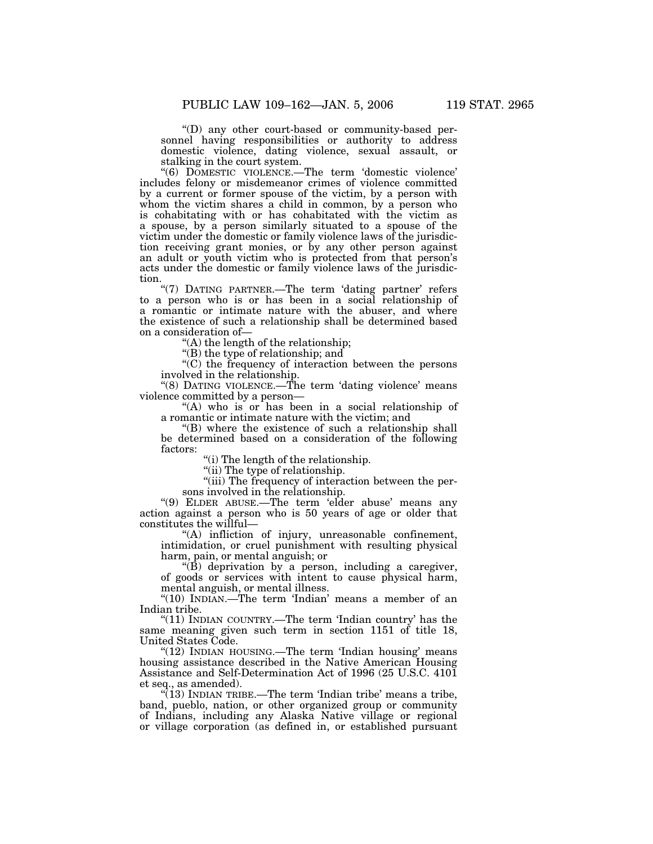''(D) any other court-based or community-based personnel having responsibilities or authority to address domestic violence, dating violence, sexual assault, or stalking in the court system.

''(6) DOMESTIC VIOLENCE.—The term 'domestic violence' includes felony or misdemeanor crimes of violence committed by a current or former spouse of the victim, by a person with whom the victim shares a child in common, by a person who is cohabitating with or has cohabitated with the victim as a spouse, by a person similarly situated to a spouse of the victim under the domestic or family violence laws of the jurisdiction receiving grant monies, or by any other person against an adult or youth victim who is protected from that person's acts under the domestic or family violence laws of the jurisdiction.

"(7) DATING PARTNER.—The term 'dating partner' refers to a person who is or has been in a social relationship of a romantic or intimate nature with the abuser, and where the existence of such a relationship shall be determined based on a consideration of—

''(A) the length of the relationship;

''(B) the type of relationship; and

''(C) the frequency of interaction between the persons involved in the relationship.

"(8) DATING VIOLENCE.—The term 'dating violence' means violence committed by a person—

''(A) who is or has been in a social relationship of a romantic or intimate nature with the victim; and

''(B) where the existence of such a relationship shall be determined based on a consideration of the following factors:

''(i) The length of the relationship.

''(ii) The type of relationship.

"(iii) The frequency of interaction between the persons involved in the relationship.

''(9) ELDER ABUSE.—The term 'elder abuse' means any action against a person who is 50 years of age or older that constitutes the willful—

''(A) infliction of injury, unreasonable confinement, intimidation, or cruel punishment with resulting physical harm, pain, or mental anguish; or

" $(B)$  deprivation by a person, including a caregiver, of goods or services with intent to cause physical harm, mental anguish, or mental illness.

"(10) INDIAN.—The term 'Indian' means a member of an Indian tribe.

"(11) INDIAN COUNTRY.—The term 'Indian country' has the same meaning given such term in section 1151 of title 18, United States Code.

" $(12)$  INDIAN HOUSING.—The term 'Indian housing' means housing assistance described in the Native American Housing Assistance and Self-Determination Act of 1996 (25 U.S.C. 4101 et seq., as amended).

 $\sqrt{13}$ ) INDIAN TRIBE.—The term 'Indian tribe' means a tribe, band, pueblo, nation, or other organized group or community of Indians, including any Alaska Native village or regional or village corporation (as defined in, or established pursuant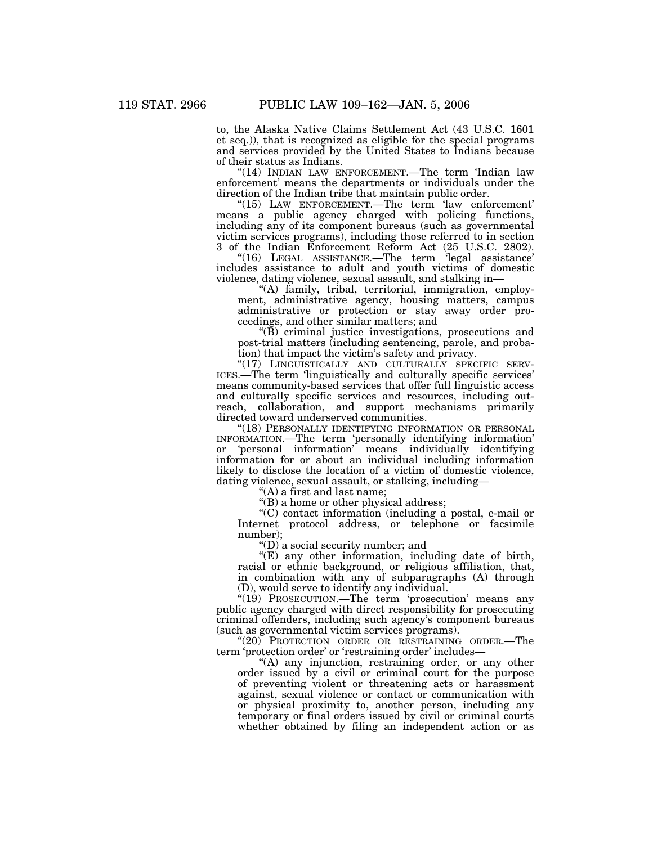to, the Alaska Native Claims Settlement Act (43 U.S.C. 1601 et seq.)), that is recognized as eligible for the special programs and services provided by the United States to Indians because of their status as Indians.

"(14) INDIAN LAW ENFORCEMENT.—The term 'Indian law enforcement' means the departments or individuals under the direction of the Indian tribe that maintain public order.

"(15) LAW ENFORCEMENT.—The term 'law enforcement' means a public agency charged with policing functions, including any of its component bureaus (such as governmental victim services programs), including those referred to in section 3 of the Indian Enforcement Reform Act (25 U.S.C. 2802).

''(16) LEGAL ASSISTANCE.—The term 'legal assistance' includes assistance to adult and youth victims of domestic violence, dating violence, sexual assault, and stalking in—

''(A) family, tribal, territorial, immigration, employment, administrative agency, housing matters, campus administrative or protection or stay away order proceedings, and other similar matters; and

''(B) criminal justice investigations, prosecutions and post-trial matters (including sentencing, parole, and probation) that impact the victim's safety and privacy.

"(17) LINGUISTICALLY AND CULTURALLY SPECIFIC SERV-ICES.—The term 'linguistically and culturally specific services' means community-based services that offer full linguistic access and culturally specific services and resources, including outreach, collaboration, and support mechanisms primarily directed toward underserved communities.

"(18) PERSONALLY IDENTIFYING INFORMATION OR PERSONAL INFORMATION.—The term 'personally identifying information' or 'personal information' means individually identifying information for or about an individual including information likely to disclose the location of a victim of domestic violence, dating violence, sexual assault, or stalking, including—

''(A) a first and last name;

''(B) a home or other physical address;

''(C) contact information (including a postal, e-mail or Internet protocol address, or telephone or facsimile number);

(D) a social security number; and

''(E) any other information, including date of birth, racial or ethnic background, or religious affiliation, that, in combination with any of subparagraphs (A) through (D), would serve to identify any individual.

"(19) PROSECUTION.—The term 'prosecution' means any public agency charged with direct responsibility for prosecuting criminal offenders, including such agency's component bureaus (such as governmental victim services programs).

''(20) PROTECTION ORDER OR RESTRAINING ORDER.—The term 'protection order' or 'restraining order' includes—

"(A) any injunction, restraining order, or any other order issued by a civil or criminal court for the purpose of preventing violent or threatening acts or harassment against, sexual violence or contact or communication with or physical proximity to, another person, including any temporary or final orders issued by civil or criminal courts whether obtained by filing an independent action or as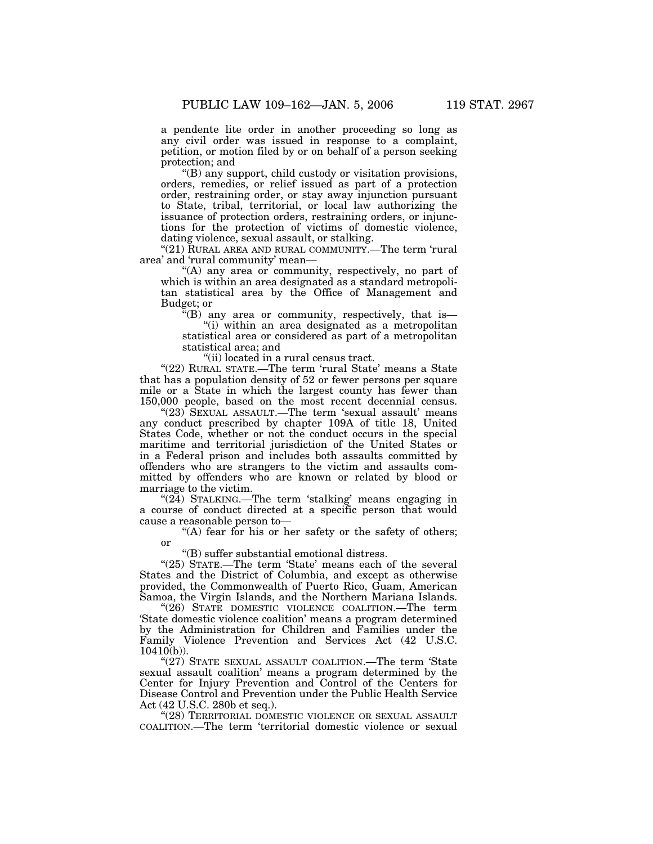a pendente lite order in another proceeding so long as any civil order was issued in response to a complaint, petition, or motion filed by or on behalf of a person seeking protection; and

''(B) any support, child custody or visitation provisions, orders, remedies, or relief issued as part of a protection order, restraining order, or stay away injunction pursuant to State, tribal, territorial, or local law authorizing the issuance of protection orders, restraining orders, or injunctions for the protection of victims of domestic violence, dating violence, sexual assault, or stalking.

"(21) RURAL AREA AND RURAL COMMUNITY.—The term 'rural area' and 'rural community' mean—

"(A) any area or community, respectively, no part of which is within an area designated as a standard metropolitan statistical area by the Office of Management and Budget; or

 $\mathbb{H}(B)$  any area or community, respectively, that is

''(i) within an area designated as a metropolitan statistical area or considered as part of a metropolitan statistical area; and

''(ii) located in a rural census tract.

"(22) RURAL STATE.—The term 'rural State' means a State that has a population density of 52 or fewer persons per square mile or a State in which the largest county has fewer than 150,000 people, based on the most recent decennial census.

"(23) SEXUAL ASSAULT.—The term 'sexual assault' means any conduct prescribed by chapter 109A of title 18, United States Code, whether or not the conduct occurs in the special maritime and territorial jurisdiction of the United States or in a Federal prison and includes both assaults committed by offenders who are strangers to the victim and assaults committed by offenders who are known or related by blood or marriage to the victim.

"(24) STALKING.—The term 'stalking' means engaging in a course of conduct directed at a specific person that would cause a reasonable person to—

"(A) fear for his or her safety or the safety of others; or

''(B) suffer substantial emotional distress.

"(25) STATE.—The term 'State' means each of the several States and the District of Columbia, and except as otherwise provided, the Commonwealth of Puerto Rico, Guam, American Samoa, the Virgin Islands, and the Northern Mariana Islands.

"(26) STATE DOMESTIC VIOLENCE COALITION.—The term 'State domestic violence coalition' means a program determined by the Administration for Children and Families under the Family Violence Prevention and Services Act (42 U.S.C.  $10410(b)$ ).

"(27) STATE SEXUAL ASSAULT COALITION.—The term 'State sexual assault coalition' means a program determined by the Center for Injury Prevention and Control of the Centers for Disease Control and Prevention under the Public Health Service Act (42 U.S.C. 280b et seq.).

'(28) TERRITORIAL DOMESTIC VIOLENCE OR SEXUAL ASSAULT COALITION.—The term 'territorial domestic violence or sexual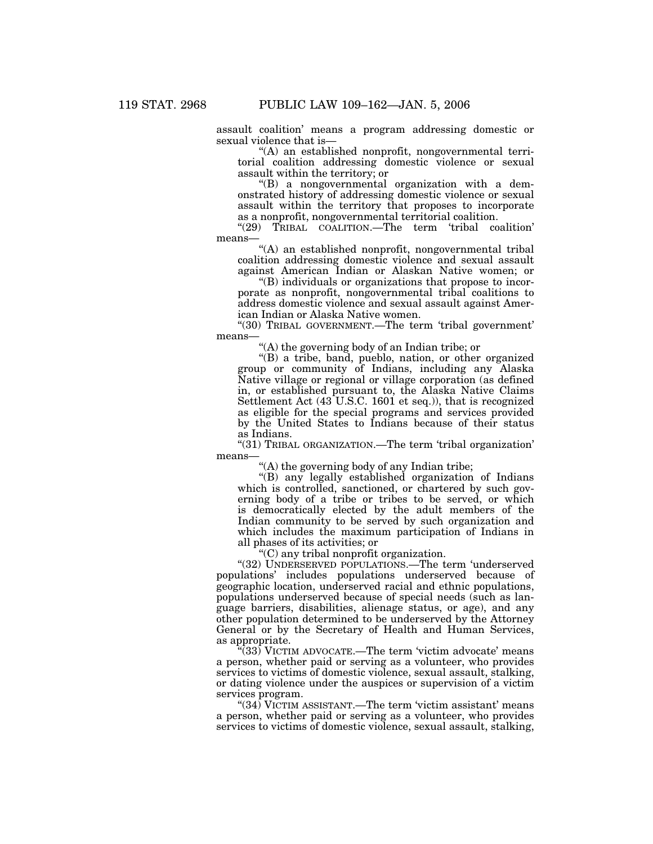assault coalition' means a program addressing domestic or sexual violence that is—

''(A) an established nonprofit, nongovernmental territorial coalition addressing domestic violence or sexual assault within the territory; or

 $'(B)$  a nongovernmental organization with a demonstrated history of addressing domestic violence or sexual assault within the territory that proposes to incorporate as a nonprofit, nongovernmental territorial coalition.

"(29) TRIBAL COALITION.—The term 'tribal coalition' means—

"(A) an established nonprofit, nongovernmental tribal coalition addressing domestic violence and sexual assault against American Indian or Alaskan Native women; or

''(B) individuals or organizations that propose to incorporate as nonprofit, nongovernmental tribal coalitions to address domestic violence and sexual assault against American Indian or Alaska Native women.

''(30) TRIBAL GOVERNMENT.—The term 'tribal government' means—

''(A) the governing body of an Indian tribe; or

"(B) a tribe, band, pueblo, nation, or other organized group or community of Indians, including any Alaska Native village or regional or village corporation (as defined in, or established pursuant to, the Alaska Native Claims Settlement Act (43 U.S.C. 1601 et seq.)), that is recognized as eligible for the special programs and services provided by the United States to Indians because of their status as Indians.

''(31) TRIBAL ORGANIZATION.—The term 'tribal organization' means—

''(A) the governing body of any Indian tribe;

''(B) any legally established organization of Indians which is controlled, sanctioned, or chartered by such governing body of a tribe or tribes to be served, or which is democratically elected by the adult members of the Indian community to be served by such organization and which includes the maximum participation of Indians in all phases of its activities; or

''(C) any tribal nonprofit organization.

"(32) UNDERSERVED POPULATIONS.—The term 'underserved populations' includes populations underserved because of geographic location, underserved racial and ethnic populations, populations underserved because of special needs (such as language barriers, disabilities, alienage status, or age), and any other population determined to be underserved by the Attorney General or by the Secretary of Health and Human Services, as appropriate.

 $\sqrt{33}$  VICTIM ADVOCATE.—The term 'victim advocate' means a person, whether paid or serving as a volunteer, who provides services to victims of domestic violence, sexual assault, stalking, or dating violence under the auspices or supervision of a victim services program.

" $(34)$  VICTIM ASSISTANT.—The term 'victim assistant' means a person, whether paid or serving as a volunteer, who provides services to victims of domestic violence, sexual assault, stalking,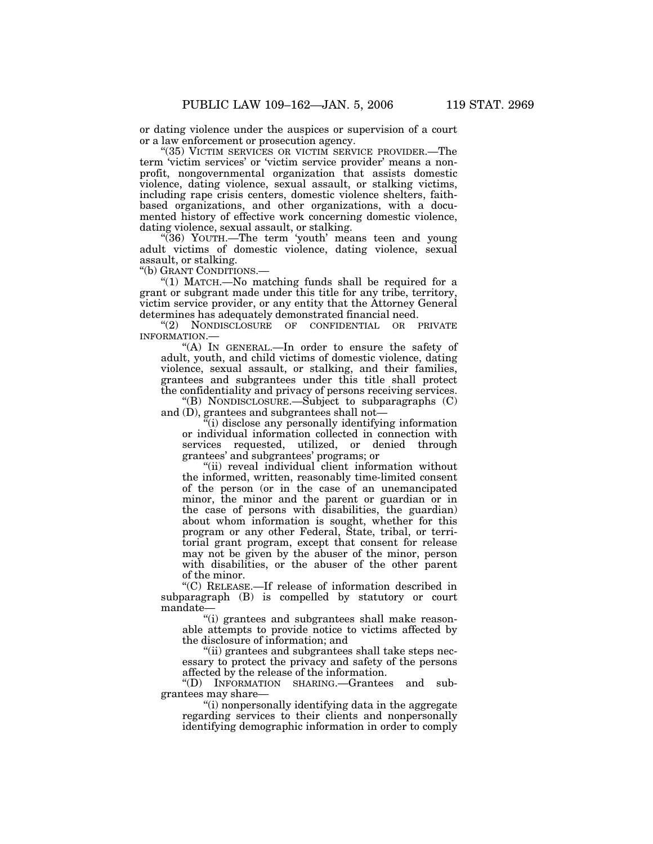or dating violence under the auspices or supervision of a court or a law enforcement or prosecution agency.

"(35) VICTIM SERVICES OR VICTIM SERVICE PROVIDER.—The term 'victim services' or 'victim service provider' means a nonprofit, nongovernmental organization that assists domestic violence, dating violence, sexual assault, or stalking victims, including rape crisis centers, domestic violence shelters, faithbased organizations, and other organizations, with a documented history of effective work concerning domestic violence, dating violence, sexual assault, or stalking.

"(36) YOUTH.—The term 'youth' means teen and young adult victims of domestic violence, dating violence, sexual assault, or stalking.

''(b) GRANT CONDITIONS.—

"(1) MATCH.—No matching funds shall be required for a grant or subgrant made under this title for any tribe, territory, victim service provider, or any entity that the Attorney General determines has adequately demonstrated financial need.

''(2) NONDISCLOSURE OF CONFIDENTIAL OR PRIVATE INFORMATION.—

"(A) IN GENERAL.—In order to ensure the safety of adult, youth, and child victims of domestic violence, dating violence, sexual assault, or stalking, and their families, grantees and subgrantees under this title shall protect the confidentiality and privacy of persons receiving services.

"(B) NONDISCLOSURE.—Subject to subparagraphs  $(C)$ and (D), grantees and subgrantees shall not—

 $\tilde{f}(i)$  disclose any personally identifying information or individual information collected in connection with services requested, utilized, or denied through grantees' and subgrantees' programs; or

''(ii) reveal individual client information without the informed, written, reasonably time-limited consent of the person (or in the case of an unemancipated minor, the minor and the parent or guardian or in the case of persons with disabilities, the guardian) about whom information is sought, whether for this program or any other Federal, State, tribal, or territorial grant program, except that consent for release may not be given by the abuser of the minor, person with disabilities, or the abuser of the other parent of the minor.

''(C) RELEASE.—If release of information described in subparagraph (B) is compelled by statutory or court mandate—

''(i) grantees and subgrantees shall make reasonable attempts to provide notice to victims affected by the disclosure of information; and

"(ii) grantees and subgrantees shall take steps necessary to protect the privacy and safety of the persons affected by the release of the information.

''(D) INFORMATION SHARING.—Grantees and subgrantees may share—

''(i) nonpersonally identifying data in the aggregate regarding services to their clients and nonpersonally identifying demographic information in order to comply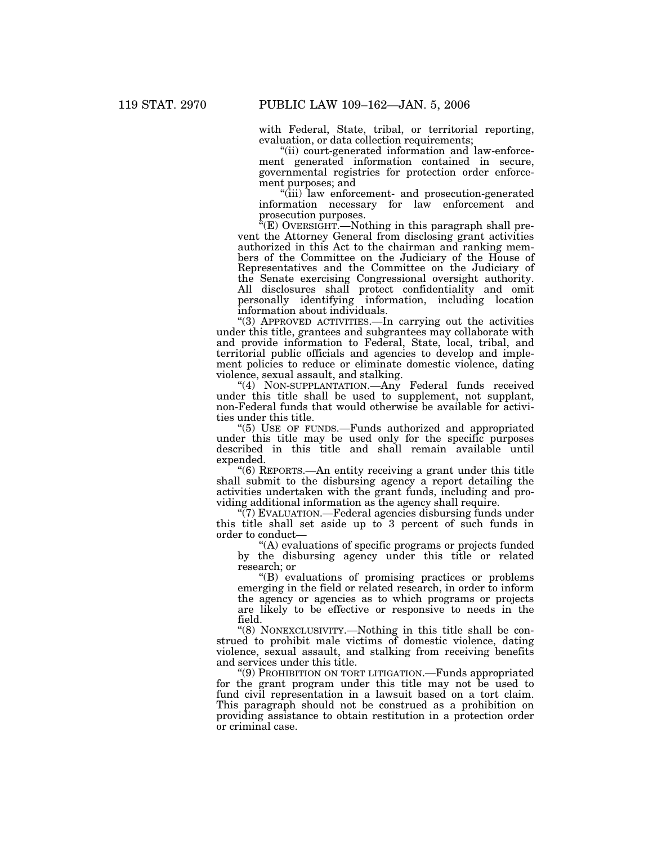with Federal, State, tribal, or territorial reporting, evaluation, or data collection requirements;

"(ii) court-generated information and law-enforcement generated information contained in secure, governmental registries for protection order enforcement purposes; and

''(iii) law enforcement- and prosecution-generated information necessary for law enforcement and prosecution purposes.

''(E) OVERSIGHT.—Nothing in this paragraph shall prevent the Attorney General from disclosing grant activities authorized in this Act to the chairman and ranking members of the Committee on the Judiciary of the House of Representatives and the Committee on the Judiciary of the Senate exercising Congressional oversight authority. All disclosures shall protect confidentiality and omit personally identifying information, including location information about individuals.

''(3) APPROVED ACTIVITIES.—In carrying out the activities under this title, grantees and subgrantees may collaborate with and provide information to Federal, State, local, tribal, and territorial public officials and agencies to develop and implement policies to reduce or eliminate domestic violence, dating violence, sexual assault, and stalking.

"(4) NON-SUPPLANTATION.—Any Federal funds received under this title shall be used to supplement, not supplant, non-Federal funds that would otherwise be available for activities under this title.

''(5) USE OF FUNDS.—Funds authorized and appropriated under this title may be used only for the specific purposes described in this title and shall remain available until expended.

''(6) REPORTS.—An entity receiving a grant under this title shall submit to the disbursing agency a report detailing the activities undertaken with the grant funds, including and providing additional information as the agency shall require.

'(7) EVALUATION.—Federal agencies disbursing funds under this title shall set aside up to 3 percent of such funds in order to conduct—

''(A) evaluations of specific programs or projects funded by the disbursing agency under this title or related research; or

''(B) evaluations of promising practices or problems emerging in the field or related research, in order to inform the agency or agencies as to which programs or projects are likely to be effective or responsive to needs in the field.

''(8) NONEXCLUSIVITY.—Nothing in this title shall be construed to prohibit male victims of domestic violence, dating violence, sexual assault, and stalking from receiving benefits and services under this title.

''(9) PROHIBITION ON TORT LITIGATION.—Funds appropriated for the grant program under this title may not be used to fund civil representation in a lawsuit based on a tort claim. This paragraph should not be construed as a prohibition on providing assistance to obtain restitution in a protection order or criminal case.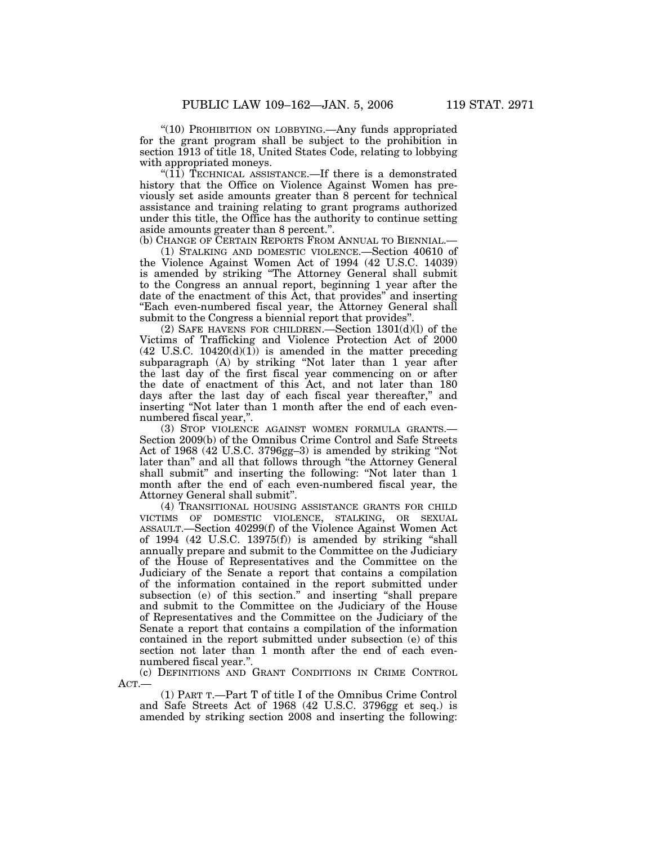"(10) PROHIBITION ON LOBBYING.—Any funds appropriated for the grant program shall be subject to the prohibition in section 1913 of title 18, United States Code, relating to lobbying with appropriated moneys.

" $(11)$  TECHNICAL ASSISTANCE.—If there is a demonstrated history that the Office on Violence Against Women has previously set aside amounts greater than 8 percent for technical assistance and training relating to grant programs authorized under this title, the Office has the authority to continue setting aside amounts greater than 8 percent.''.

(b) CHANGE OF CERTAIN REPORTS FROM ANNUAL TO BIENNIAL.— (1) STALKING AND DOMESTIC VIOLENCE.—Section 40610 of

the Violence Against Women Act of 1994 (42 U.S.C. 14039) is amended by striking ''The Attorney General shall submit to the Congress an annual report, beginning 1 year after the date of the enactment of this Act, that provides'' and inserting ''Each even-numbered fiscal year, the Attorney General shall submit to the Congress a biennial report that provides''.

(2) SAFE HAVENS FOR CHILDREN.—Section 1301(d)(l) of the Victims of Trafficking and Violence Protection Act of 2000  $(42 \text{ U.S.C. } 10420(d)(1))$  is amended in the matter preceding subparagraph (A) by striking ''Not later than 1 year after the last day of the first fiscal year commencing on or after the date of enactment of this Act, and not later than 180 days after the last day of each fiscal year thereafter,'' and inserting "Not later than 1 month after the end of each evennumbered fiscal year,".

(3) STOP VIOLENCE AGAINST WOMEN FORMULA GRANTS.— Section 2009(b) of the Omnibus Crime Control and Safe Streets Act of 1968 (42 U.S.C. 3796gg–3) is amended by striking ''Not later than'' and all that follows through ''the Attorney General shall submit'' and inserting the following: ''Not later than 1 month after the end of each even-numbered fiscal year, the Attorney General shall submit''.

(4) TRANSITIONAL HOUSING ASSISTANCE GRANTS FOR CHILD VICTIMS OF DOMESTIC VIOLENCE, STALKING, OR SEXUAL ASSAULT.—Section 40299(f) of the Violence Against Women Act of  $1994$  (42 U.S.C.  $13975(f)$ ) is amended by striking "shall annually prepare and submit to the Committee on the Judiciary of the House of Representatives and the Committee on the Judiciary of the Senate a report that contains a compilation of the information contained in the report submitted under subsection (e) of this section." and inserting "shall prepare and submit to the Committee on the Judiciary of the House of Representatives and the Committee on the Judiciary of the Senate a report that contains a compilation of the information contained in the report submitted under subsection (e) of this section not later than 1 month after the end of each evennumbered fiscal year.''.

(c) DEFINITIONS AND GRANT CONDITIONS IN CRIME CONTROL ACT.—

(1) PART T.—Part T of title I of the Omnibus Crime Control and Safe Streets Act of 1968 (42 U.S.C. 3796gg et seq.) is amended by striking section 2008 and inserting the following: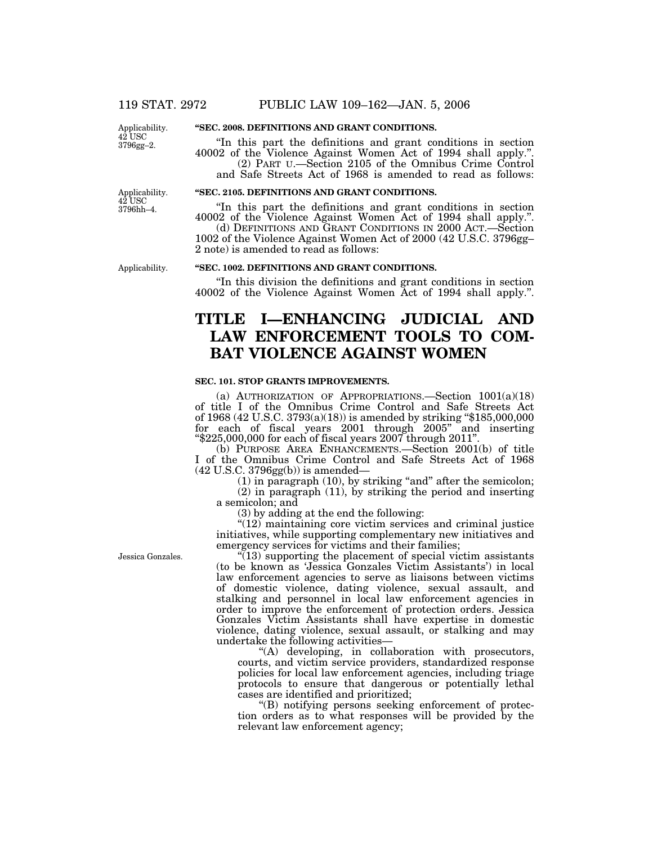Applicability. 42 USC 3796gg–2.

Applicability. 42 USC 3796hh–4.

# **''SEC. 2008. DEFINITIONS AND GRANT CONDITIONS.**

''In this part the definitions and grant conditions in section 40002 of the Violence Against Women Act of 1994 shall apply.''. (2) PART U.—Section 2105 of the Omnibus Crime Control and Safe Streets Act of 1968 is amended to read as follows:

#### **''SEC. 2105. DEFINITIONS AND GRANT CONDITIONS.**

''In this part the definitions and grant conditions in section 40002 of the Violence Against Women Act of 1994 shall apply.''. (d) DEFINITIONS AND GRANT CONDITIONS IN 2000 ACT.—Section 1002 of the Violence Against Women Act of 2000 (42 U.S.C. 3796gg– 2 note) is amended to read as follows:

Applicability.

### **''SEC. 1002. DEFINITIONS AND GRANT CONDITIONS.**

''In this division the definitions and grant conditions in section 40002 of the Violence Against Women Act of 1994 shall apply.''.

# **TITLE I—ENHANCING JUDICIAL AND LAW ENFORCEMENT TOOLS TO COM-BAT VIOLENCE AGAINST WOMEN**

# **SEC. 101. STOP GRANTS IMPROVEMENTS.**

(a) AUTHORIZATION OF APPROPRIATIONS.—Section 1001(a)(18) of title I of the Omnibus Crime Control and Safe Streets Act of 1968 (42 U.S.C. 3793(a)(18)) is amended by striking ''\$185,000,000 for each of fiscal years 2001 through 2005'' and inserting ''\$225,000,000 for each of fiscal years 2007 through 2011''.

(b) PURPOSE AREA ENHANCEMENTS.—Section 2001(b) of title I of the Omnibus Crime Control and Safe Streets Act of 1968 (42 U.S.C. 3796gg(b)) is amended—

 $(1)$  in paragraph  $(10)$ , by striking "and" after the semicolon; (2) in paragraph (11), by striking the period and inserting a semicolon; and

(3) by adding at the end the following:

"(12) maintaining core victim services and criminal justice initiatives, while supporting complementary new initiatives and emergency services for victims and their families;

 $\sqrt{13}$  supporting the placement of special victim assistants (to be known as 'Jessica Gonzales Victim Assistants') in local law enforcement agencies to serve as liaisons between victims of domestic violence, dating violence, sexual assault, and stalking and personnel in local law enforcement agencies in order to improve the enforcement of protection orders. Jessica Gonzales Victim Assistants shall have expertise in domestic violence, dating violence, sexual assault, or stalking and may undertake the following activities—

"(A) developing, in collaboration with prosecutors, courts, and victim service providers, standardized response policies for local law enforcement agencies, including triage protocols to ensure that dangerous or potentially lethal cases are identified and prioritized;

''(B) notifying persons seeking enforcement of protection orders as to what responses will be provided by the relevant law enforcement agency;

Jessica Gonzales.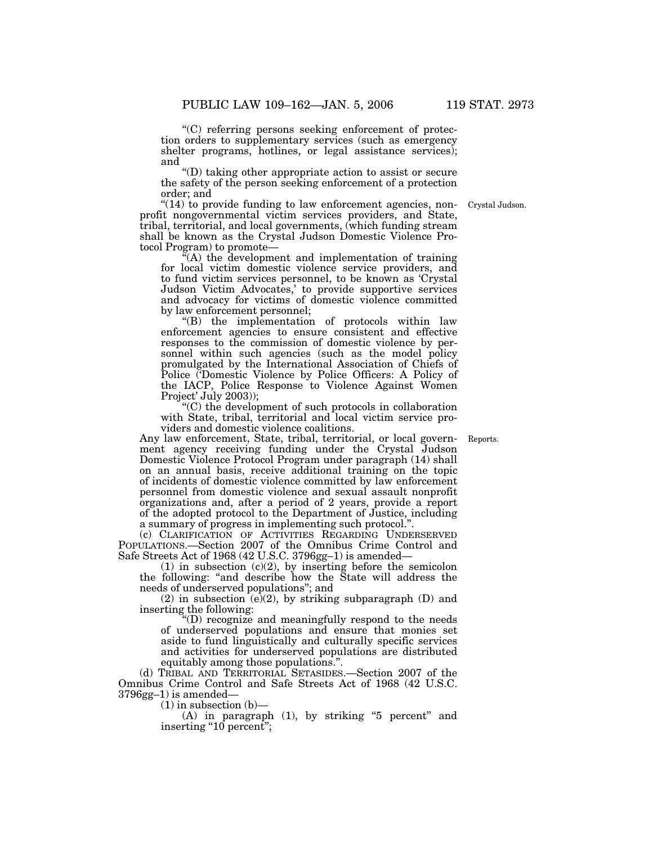''(C) referring persons seeking enforcement of protection orders to supplementary services (such as emergency shelter programs, hotlines, or legal assistance services); and

''(D) taking other appropriate action to assist or secure the safety of the person seeking enforcement of a protection order; and

Crystal Judson.

''(14) to provide funding to law enforcement agencies, nonprofit nongovernmental victim services providers, and State, tribal, territorial, and local governments, (which funding stream shall be known as the Crystal Judson Domestic Violence Protocol Program) to promote—

 $\mathbb{H}(A)$  the development and implementation of training for local victim domestic violence service providers, and to fund victim services personnel, to be known as 'Crystal Judson Victim Advocates,' to provide supportive services and advocacy for victims of domestic violence committed by law enforcement personnel;

''(B) the implementation of protocols within law enforcement agencies to ensure consistent and effective responses to the commission of domestic violence by personnel within such agencies (such as the model policy promulgated by the International Association of Chiefs of Police ('Domestic Violence by Police Officers: A Policy of the IACP, Police Response to Violence Against Women Project' July 2003));

''(C) the development of such protocols in collaboration with State, tribal, territorial and local victim service providers and domestic violence coalitions.

Any law enforcement, State, tribal, territorial, or local government agency receiving funding under the Crystal Judson Domestic Violence Protocol Program under paragraph (14) shall on an annual basis, receive additional training on the topic of incidents of domestic violence committed by law enforcement personnel from domestic violence and sexual assault nonprofit organizations and, after a period of 2 years, provide a report of the adopted protocol to the Department of Justice, including a summary of progress in implementing such protocol.''.

(c) CLARIFICATION OF ACTIVITIES REGARDING UNDERSERVED POPULATIONS.—Section 2007 of the Omnibus Crime Control and Safe Streets Act of 1968 (42 U.S.C. 3796gg–1) is amended—

 $(1)$  in subsection  $(c)(2)$ , by inserting before the semicolon the following: ''and describe how the State will address the needs of underserved populations''; and

(2) in subsection  $(e)(2)$ , by striking subparagraph (D) and inserting the following:

''(D) recognize and meaningfully respond to the needs of underserved populations and ensure that monies set aside to fund linguistically and culturally specific services and activities for underserved populations are distributed equitably among those populations.''.

(d) TRIBAL AND TERRITORIAL SETASIDES.—Section 2007 of the Omnibus Crime Control and Safe Streets Act of 1968 (42 U.S.C. 3796gg–1) is amended—

 $(1)$  in subsection  $(b)$ —

(A) in paragraph (1), by striking "5 percent" and inserting " $10$  percent";

Reports.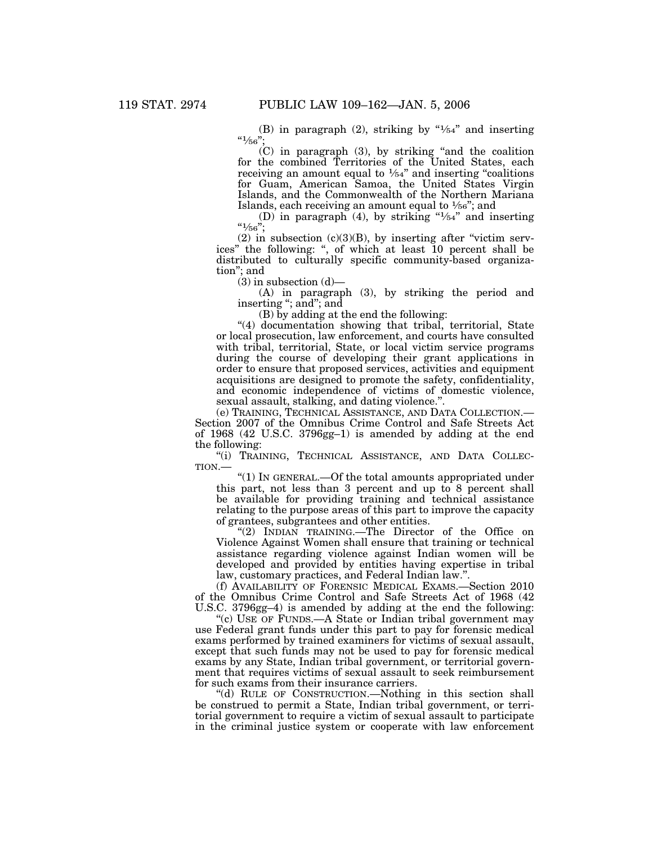(B) in paragraph (2), striking by  $4\frac{1}{54}$ " and inserting  $\frac{1}{56}$ '

(C) in paragraph (3), by striking ''and the coalition for the combined Territories of the United States, each receiving an amount equal to  $\frac{1}{54}$ " and inserting "coalitions" for Guam, American Samoa, the United States Virgin Islands, and the Commonwealth of the Northern Mariana Islands, each receiving an amount equal to 1⁄56''; and

(D) in paragraph  $(4)$ , by striking " $1/54$ " and inserting  $"1/56"$ ;

 $(2)$  in subsection  $(c)(3)(B)$ , by inserting after "victim services'' the following: '', of which at least 10 percent shall be distributed to culturally specific community-based organization''; and

 $(3)$  in subsection  $(d)$ —

(A) in paragraph (3), by striking the period and inserting ''; and''; and

(B) by adding at the end the following:

''(4) documentation showing that tribal, territorial, State or local prosecution, law enforcement, and courts have consulted with tribal, territorial, State, or local victim service programs during the course of developing their grant applications in order to ensure that proposed services, activities and equipment acquisitions are designed to promote the safety, confidentiality, and economic independence of victims of domestic violence, sexual assault, stalking, and dating violence.''.

(e) TRAINING, TECHNICAL ASSISTANCE, AND DATA COLLECTION.— Section 2007 of the Omnibus Crime Control and Safe Streets Act of 1968 (42 U.S.C. 3796gg–1) is amended by adding at the end the following:

"(i) TRAINING, TECHNICAL ASSISTANCE, AND DATA COLLEC-TION.—

''(1) IN GENERAL.—Of the total amounts appropriated under this part, not less than 3 percent and up to 8 percent shall be available for providing training and technical assistance relating to the purpose areas of this part to improve the capacity of grantees, subgrantees and other entities.

''(2) INDIAN TRAINING.—The Director of the Office on Violence Against Women shall ensure that training or technical assistance regarding violence against Indian women will be developed and provided by entities having expertise in tribal law, customary practices, and Federal Indian law.''.

(f) AVAILABILITY OF FORENSIC MEDICAL EXAMS.—Section 2010 of the Omnibus Crime Control and Safe Streets Act of 1968 (42 U.S.C. 3796gg–4) is amended by adding at the end the following:

"(c) USE OF FUNDS.—A State or Indian tribal government may use Federal grant funds under this part to pay for forensic medical exams performed by trained examiners for victims of sexual assault, except that such funds may not be used to pay for forensic medical exams by any State, Indian tribal government, or territorial government that requires victims of sexual assault to seek reimbursement for such exams from their insurance carriers.

''(d) RULE OF CONSTRUCTION.—Nothing in this section shall be construed to permit a State, Indian tribal government, or territorial government to require a victim of sexual assault to participate in the criminal justice system or cooperate with law enforcement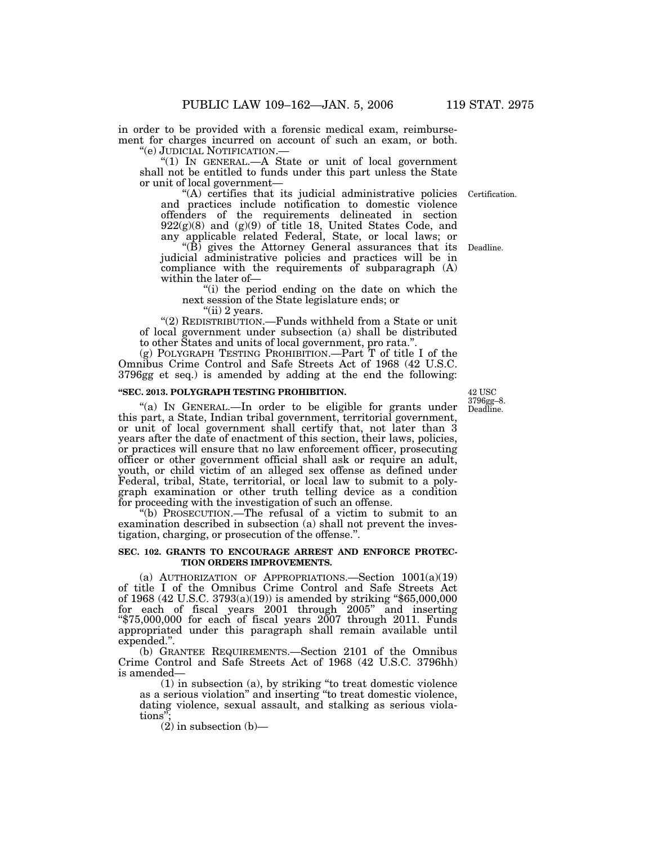in order to be provided with a forensic medical exam, reimbursement for charges incurred on account of such an exam, or both.

''(e) JUDICIAL NOTIFICATION.—

 $(1)$  In GENERAL.—A State or unit of local government shall not be entitled to funds under this part unless the State or unit of local government—

''(A) certifies that its judicial administrative policies and practices include notification to domestic violence offenders of the requirements delineated in section 922(g)(8) and (g)(9) of title 18, United States Code, and any applicable related Federal, State, or local laws; or

 $(\overline{B})$  gives the Attorney General assurances that its judicial administrative policies and practices will be in compliance with the requirements of subparagraph (A) within the later of—

''(i) the period ending on the date on which the next session of the State legislature ends; or

"(ii) 2 years.

"(2) REDISTRIBUTION.—Funds withheld from a State or unit of local government under subsection (a) shall be distributed to other States and units of local government, pro rata.''.

(g) POLYGRAPH TESTING PROHIBITION.—Part T of title I of the Omnibus Crime Control and Safe Streets Act of 1968 (42 U.S.C. 3796gg et seq.) is amended by adding at the end the following:

# **''SEC. 2013. POLYGRAPH TESTING PROHIBITION.**

''(a) IN GENERAL.—In order to be eligible for grants under this part, a State, Indian tribal government, territorial government, or unit of local government shall certify that, not later than 3 years after the date of enactment of this section, their laws, policies, or practices will ensure that no law enforcement officer, prosecuting officer or other government official shall ask or require an adult, youth, or child victim of an alleged sex offense as defined under Federal, tribal, State, territorial, or local law to submit to a polygraph examination or other truth telling device as a condition for proceeding with the investigation of such an offense.

''(b) PROSECUTION.—The refusal of a victim to submit to an examination described in subsection (a) shall not prevent the investigation, charging, or prosecution of the offense.''.

#### **SEC. 102. GRANTS TO ENCOURAGE ARREST AND ENFORCE PROTEC-TION ORDERS IMPROVEMENTS.**

(a) AUTHORIZATION OF APPROPRIATIONS.—Section 1001(a)(19) of title I of the Omnibus Crime Control and Safe Streets Act of 1968 (42 U.S.C. 3793(a)(19)) is amended by striking ''\$65,000,000 for each of fiscal years 2001 through 2005'' and inserting ''\$75,000,000 for each of fiscal years 2007 through 2011. Funds appropriated under this paragraph shall remain available until expended.''.

(b) GRANTEE REQUIREMENTS.—Section 2101 of the Omnibus Crime Control and Safe Streets Act of 1968 (42 U.S.C. 3796hh) is amended—

(1) in subsection (a), by striking ''to treat domestic violence as a serious violation'' and inserting ''to treat domestic violence, dating violence, sexual assault, and stalking as serious violations'

 $(2)$  in subsection  $(b)$ —

Deadline. 42 USC 3796gg–8.

Deadline.

Certification.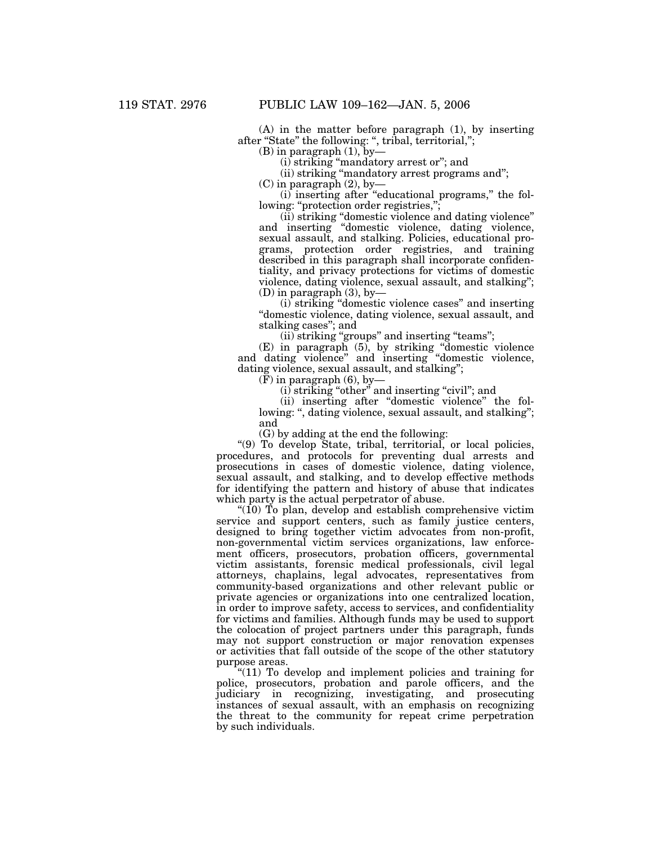(A) in the matter before paragraph (1), by inserting after "State" the following: ", tribal, territorial,";

 $(B)$  in paragraph  $(1)$ , by

(i) striking ''mandatory arrest or''; and

(ii) striking ''mandatory arrest programs and'';

(C) in paragraph (2), by—

(i) inserting after ''educational programs,'' the following: "protection order registries,";

(ii) striking ''domestic violence and dating violence'' and inserting ''domestic violence, dating violence, sexual assault, and stalking. Policies, educational programs, protection order registries, and training described in this paragraph shall incorporate confidentiality, and privacy protections for victims of domestic violence, dating violence, sexual assault, and stalking'';  $(D)$  in paragraph  $(3)$ , by-

(i) striking "domestic violence cases" and inserting ''domestic violence, dating violence, sexual assault, and stalking cases''; and

(ii) striking "groups" and inserting "teams";

(E) in paragraph (5), by striking ''domestic violence and dating violence'' and inserting ''domestic violence, dating violence, sexual assault, and stalking'';

 $(F)$  in paragraph  $(6)$ , by-

 $(i)$  striking "other" and inserting "civil"; and

(ii) inserting after ''domestic violence'' the following: ", dating violence, sexual assault, and stalking"; and

(G) by adding at the end the following:

"(9) To develop State, tribal, territorial, or local policies, procedures, and protocols for preventing dual arrests and prosecutions in cases of domestic violence, dating violence, sexual assault, and stalking, and to develop effective methods for identifying the pattern and history of abuse that indicates which party is the actual perpetrator of abuse.

" $(10)$  To plan, develop and establish comprehensive victim service and support centers, such as family justice centers, designed to bring together victim advocates from non-profit, non-governmental victim services organizations, law enforcement officers, prosecutors, probation officers, governmental victim assistants, forensic medical professionals, civil legal attorneys, chaplains, legal advocates, representatives from community-based organizations and other relevant public or private agencies or organizations into one centralized location, in order to improve safety, access to services, and confidentiality for victims and families. Although funds may be used to support the colocation of project partners under this paragraph, funds may not support construction or major renovation expenses or activities that fall outside of the scope of the other statutory purpose areas.

"(11) To develop and implement policies and training for police, prosecutors, probation and parole officers, and the judiciary in recognizing, investigating, and prosecuting instances of sexual assault, with an emphasis on recognizing the threat to the community for repeat crime perpetration by such individuals.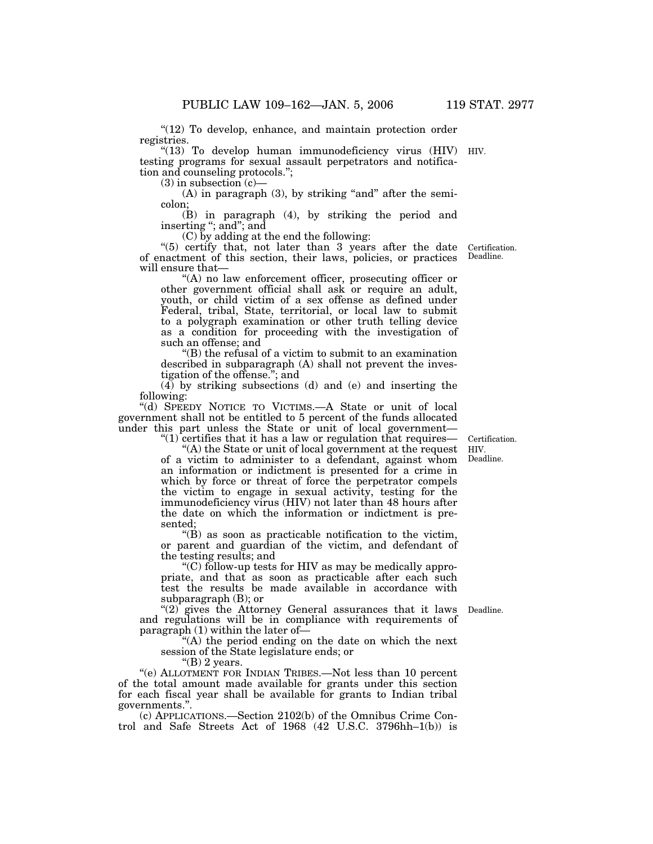"(12) To develop, enhance, and maintain protection order registries.

"(13) To develop human immunodeficiency virus (HIV) HIV. testing programs for sexual assault perpetrators and notification and counseling protocols.'';

 $(3)$  in subsection  $(c)$ —

 $(A)$  in paragraph  $(3)$ , by striking "and" after the semicolon;

(B) in paragraph (4), by striking the period and inserting "; and"; and

(C) by adding at the end the following:

''(5) certify that, not later than 3 years after the date of enactment of this section, their laws, policies, or practices will ensure that—

''(A) no law enforcement officer, prosecuting officer or other government official shall ask or require an adult, youth, or child victim of a sex offense as defined under Federal, tribal, State, territorial, or local law to submit to a polygraph examination or other truth telling device as a condition for proceeding with the investigation of such an offense; and

''(B) the refusal of a victim to submit to an examination described in subparagraph (A) shall not prevent the investigation of the offense.''; and

(4) by striking subsections (d) and (e) and inserting the following:

''(d) SPEEDY NOTICE TO VICTIMS.—A State or unit of local government shall not be entitled to 5 percent of the funds allocated under this part unless the State or unit of local government—

" $(1)$  certifies that it has a law or regulation that requires—

''(A) the State or unit of local government at the request of a victim to administer to a defendant, against whom an information or indictment is presented for a crime in which by force or threat of force the perpetrator compels the victim to engage in sexual activity, testing for the immunodeficiency virus (HIV) not later than 48 hours after the date on which the information or indictment is presented;

 $\rm{``(B)}$  as soon as practicable notification to the victim, or parent and guardian of the victim, and defendant of the testing results; and

''(C) follow-up tests for HIV as may be medically appropriate, and that as soon as practicable after each such test the results be made available in accordance with subparagraph (B); or

Deadline.

" $(2)$  gives the Attorney General assurances that it laws and regulations will be in compliance with requirements of paragraph (1) within the later of—

''(A) the period ending on the date on which the next session of the State legislature ends; or

"(B) 2 years.

''(e) ALLOTMENT FOR INDIAN TRIBES.—Not less than 10 percent of the total amount made available for grants under this section for each fiscal year shall be available for grants to Indian tribal governments.''.

(c) APPLICATIONS.—Section 2102(b) of the Omnibus Crime Control and Safe Streets Act of 1968 (42 U.S.C. 3796hh–1(b)) is

HIV. Deadline. Certification.

Certification. Deadline.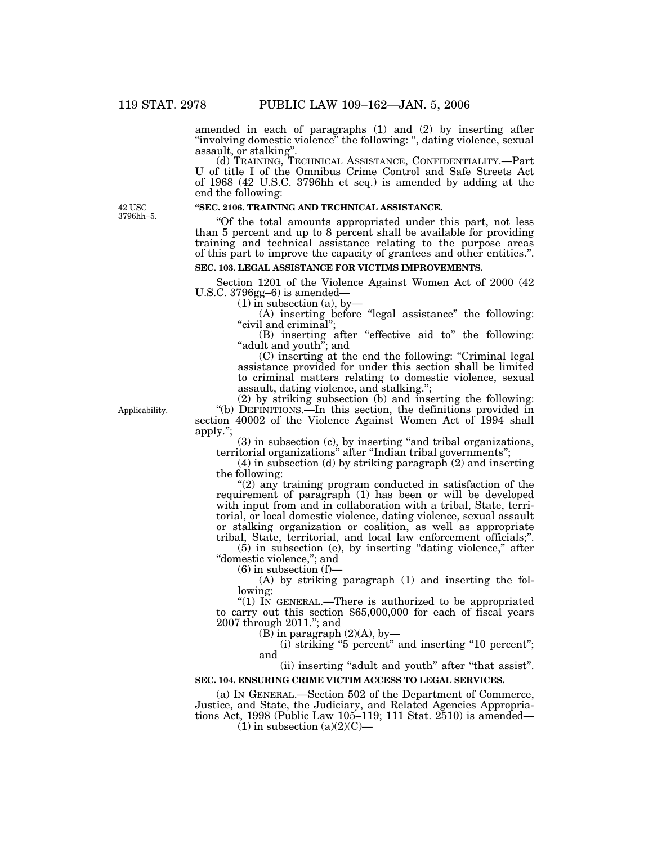42 USC 3796hh–5. amended in each of paragraphs (1) and (2) by inserting after ''involving domestic violence'' the following: '', dating violence, sexual assault, or stalking'

(d) TRAINING, TECHNICAL ASSISTANCE, CONFIDENTIALITY.—Part U of title I of the Omnibus Crime Control and Safe Streets Act of 1968 (42 U.S.C. 3796hh et seq.) is amended by adding at the end the following:

#### **''SEC. 2106. TRAINING AND TECHNICAL ASSISTANCE.**

''Of the total amounts appropriated under this part, not less than 5 percent and up to 8 percent shall be available for providing training and technical assistance relating to the purpose areas of this part to improve the capacity of grantees and other entities.''.

# **SEC. 103. LEGAL ASSISTANCE FOR VICTIMS IMPROVEMENTS.**

Section 1201 of the Violence Against Women Act of 2000 (42 U.S.C. 3796gg–6) is amended—

 $(1)$  in subsection  $(a)$ , by-

 $(A)$  inserting before "legal assistance" the following: "civil and criminal";

(B) inserting after ''effective aid to'' the following: ''adult and youth''; and

(C) inserting at the end the following: ''Criminal legal assistance provided for under this section shall be limited to criminal matters relating to domestic violence, sexual assault, dating violence, and stalking.'';

Applicability.

(2) by striking subsection (b) and inserting the following: ''(b) DEFINITIONS.—In this section, the definitions provided in section 40002 of the Violence Against Women Act of 1994 shall apply.'';

(3) in subsection (c), by inserting ''and tribal organizations, territorial organizations'' after ''Indian tribal governments'';

(4) in subsection (d) by striking paragraph (2) and inserting the following:

''(2) any training program conducted in satisfaction of the requirement of paragraph (1) has been or will be developed with input from and in collaboration with a tribal, State, territorial, or local domestic violence, dating violence, sexual assault or stalking organization or coalition, as well as appropriate tribal, State, territorial, and local law enforcement officials;''.

 $(5)$  in subsection  $(e)$ , by inserting "dating violence," after ''domestic violence,''; and

 $(6)$  in subsection  $(f)$ —

(A) by striking paragraph (1) and inserting the fol-

lowing:<br>"(1) IN GENERAL.—There is authorized to be appropriated to carry out this section \$65,000,000 for each of fiscal years 2007 through 2011.''; and

 $(B)$  in paragraph  $(2)(A)$ , by

 $(i)$  striking "5 percent" and inserting "10 percent"; and

(ii) inserting "adult and youth" after "that assist".

# **SEC. 104. ENSURING CRIME VICTIM ACCESS TO LEGAL SERVICES.**

(a) IN GENERAL.—Section 502 of the Department of Commerce, Justice, and State, the Judiciary, and Related Agencies Appropriations Act, 1998 (Public Law 105–119; 111 Stat. 2510) is amended—

 $(1)$  in subsection  $(a)(2)(C)$ —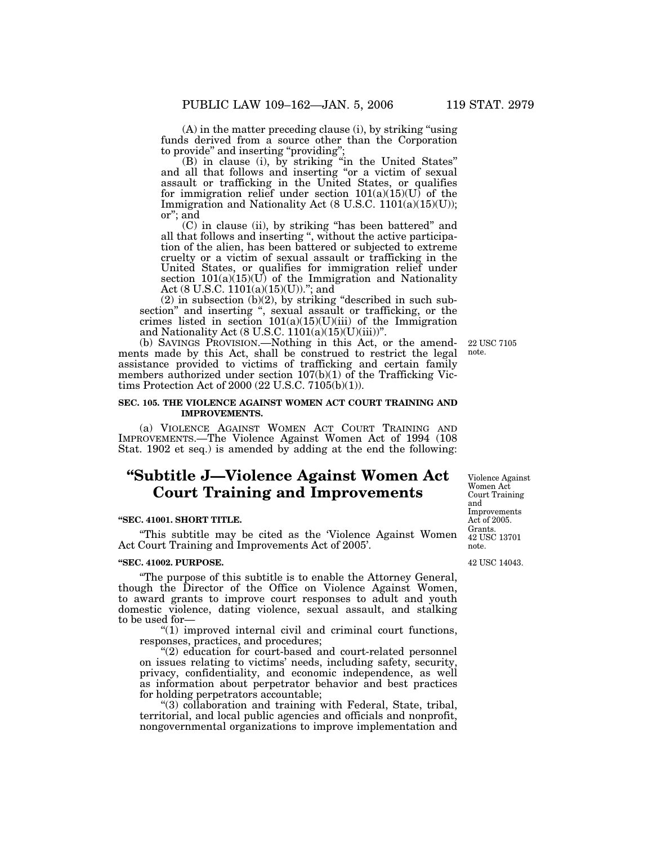(A) in the matter preceding clause (i), by striking ''using funds derived from a source other than the Corporation to provide" and inserting "providing";

(B) in clause (i), by striking ''in the United States'' and all that follows and inserting ''or a victim of sexual assault or trafficking in the United States, or qualifies for immigration relief under section  $101(a)(15)(U)$  of the Immigration and Nationality Act (8 U.S.C. 1101(a)(15)(U)); or''; and

(C) in clause (ii), by striking ''has been battered'' and all that follows and inserting '', without the active participation of the alien, has been battered or subjected to extreme cruelty or a victim of sexual assault or trafficking in the United States, or qualifies for immigration relief under section  $101(a)(15)(U)$  of the Immigration and Nationality Act (8 U.S.C.  $1101(a)(15)(U)$ )."; and

 $(2)$  in subsection  $(b)(2)$ , by striking "described in such subsection" and inserting ", sexual assault or trafficking, or the crimes listed in section  $101(a)(15)(U)(iii)$  of the Immigration and Nationality Act (8 U.S.C. 1101(a)(15)(U)(iii))''.

(b) SAVINGS PROVISION.—Nothing in this Act, or the amendments made by this Act, shall be construed to restrict the legal assistance provided to victims of trafficking and certain family members authorized under section 107(b)(1) of the Trafficking Victims Protection Act of 2000 (22 U.S.C. 7105(b)(1)).

# **SEC. 105. THE VIOLENCE AGAINST WOMEN ACT COURT TRAINING AND IMPROVEMENTS.**

(a) VIOLENCE AGAINST WOMEN ACT COURT TRAINING AND IMPROVEMENTS.—The Violence Against Women Act of 1994 (108 Stat. 1902 et seq.) is amended by adding at the end the following:

# **''Subtitle J—Violence Against Women Act Court Training and Improvements**

#### **''SEC. 41001. SHORT TITLE.**

''This subtitle may be cited as the 'Violence Against Women Act Court Training and Improvements Act of 2005'.

#### **''SEC. 41002. PURPOSE.**

''The purpose of this subtitle is to enable the Attorney General, though the Director of the Office on Violence Against Women, to award grants to improve court responses to adult and youth domestic violence, dating violence, sexual assault, and stalking to be used for—

 $\degree$ (1) improved internal civil and criminal court functions, responses, practices, and procedures;

''(2) education for court-based and court-related personnel on issues relating to victims' needs, including safety, security, privacy, confidentiality, and economic independence, as well as information about perpetrator behavior and best practices for holding perpetrators accountable;

''(3) collaboration and training with Federal, State, tribal, territorial, and local public agencies and officials and nonprofit, nongovernmental organizations to improve implementation and

42 USC 13701 note. Violence Against Women Act Court Training and Improvements Act of 2005. Grants.

42 USC 14043.

22 USC 7105 note.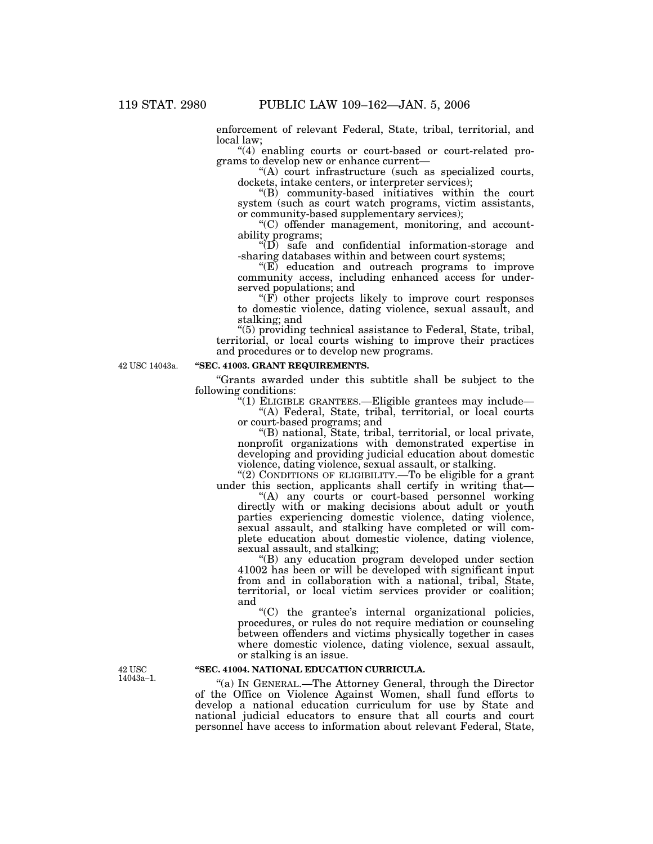enforcement of relevant Federal, State, tribal, territorial, and local law;

"(4) enabling courts or court-based or court-related programs to develop new or enhance current—

"(A) court infrastructure (such as specialized courts, dockets, intake centers, or interpreter services);

''(B) community-based initiatives within the court system (such as court watch programs, victim assistants, or community-based supplementary services);

''(C) offender management, monitoring, and accountability programs;

 $\sqrt{\text{D}}$  safe and confidential information-storage and -sharing databases within and between court systems;

''(E) education and outreach programs to improve community access, including enhanced access for underserved populations; and

"(F) other projects likely to improve court responses to domestic violence, dating violence, sexual assault, and stalking; and

''(5) providing technical assistance to Federal, State, tribal, territorial, or local courts wishing to improve their practices and procedures or to develop new programs.

42 USC 14043a.

#### **''SEC. 41003. GRANT REQUIREMENTS.**

''Grants awarded under this subtitle shall be subject to the following conditions:

''(1) ELIGIBLE GRANTEES.—Eligible grantees may include—

''(A) Federal, State, tribal, territorial, or local courts or court-based programs; and

''(B) national, State, tribal, territorial, or local private, nonprofit organizations with demonstrated expertise in developing and providing judicial education about domestic violence, dating violence, sexual assault, or stalking.

"(2) CONDITIONS OF ELIGIBILITY.—To be eligible for a grant under this section, applicants shall certify in writing that—

''(A) any courts or court-based personnel working directly with or making decisions about adult or youth parties experiencing domestic violence, dating violence, sexual assault, and stalking have completed or will complete education about domestic violence, dating violence, sexual assault, and stalking;

''(B) any education program developed under section 41002 has been or will be developed with significant input from and in collaboration with a national, tribal, State, territorial, or local victim services provider or coalition; and

''(C) the grantee's internal organizational policies, procedures, or rules do not require mediation or counseling between offenders and victims physically together in cases where domestic violence, dating violence, sexual assault, or stalking is an issue.

# **''SEC. 41004. NATIONAL EDUCATION CURRICULA.**

''(a) IN GENERAL.—The Attorney General, through the Director of the Office on Violence Against Women, shall fund efforts to develop a national education curriculum for use by State and national judicial educators to ensure that all courts and court personnel have access to information about relevant Federal, State,

42 USC 14043a–1.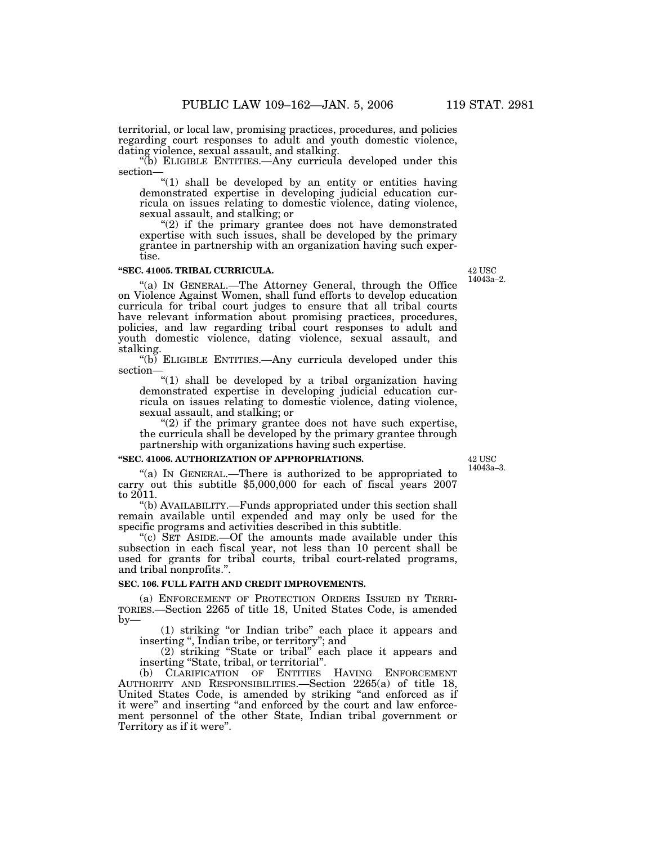territorial, or local law, promising practices, procedures, and policies regarding court responses to adult and youth domestic violence, dating violence, sexual assault, and stalking.

''(b) ELIGIBLE ENTITIES.—Any curricula developed under this section—

"(1) shall be developed by an entity or entities having demonstrated expertise in developing judicial education curricula on issues relating to domestic violence, dating violence, sexual assault, and stalking; or

" $(2)$  if the primary grantee does not have demonstrated expertise with such issues, shall be developed by the primary grantee in partnership with an organization having such expertise.

# **''SEC. 41005. TRIBAL CURRICULA.**

"(a) IN GENERAL.—The Attorney General, through the Office on Violence Against Women, shall fund efforts to develop education curricula for tribal court judges to ensure that all tribal courts have relevant information about promising practices, procedures, policies, and law regarding tribal court responses to adult and youth domestic violence, dating violence, sexual assault, and

stalking. ''(b) ELIGIBLE ENTITIES.—Any curricula developed under this section—

"(1) shall be developed by a tribal organization having demonstrated expertise in developing judicial education curricula on issues relating to domestic violence, dating violence, sexual assault, and stalking; or

" $(2)$  if the primary grantee does not have such expertise, the curricula shall be developed by the primary grantee through partnership with organizations having such expertise.

### **''SEC. 41006. AUTHORIZATION OF APPROPRIATIONS.**

42 USC 14043a–3.

"(a) IN GENERAL.—There is authorized to be appropriated to carry out this subtitle \$5,000,000 for each of fiscal years 2007 to 2011.

''(b) AVAILABILITY.—Funds appropriated under this section shall remain available until expended and may only be used for the specific programs and activities described in this subtitle.

''(c) SET ASIDE.—Of the amounts made available under this subsection in each fiscal year, not less than 10 percent shall be used for grants for tribal courts, tribal court-related programs, and tribal nonprofits.''.

#### **SEC. 106. FULL FAITH AND CREDIT IMPROVEMENTS.**

(a) ENFORCEMENT OF PROTECTION ORDERS ISSUED BY TERRI-TORIES.—Section 2265 of title 18, United States Code, is amended  $by-$ 

(1) striking ''or Indian tribe'' each place it appears and inserting '', Indian tribe, or territory''; and

(2) striking ''State or tribal'' each place it appears and inserting ''State, tribal, or territorial''.

(b) CLARIFICATION OF ENTITIES HAVING ENFORCEMENT AUTHORITY AND RESPONSIBILITIES.—Section 2265(a) of title 18, United States Code, is amended by striking ''and enforced as if it were" and inserting "and enforced by the court and law enforcement personnel of the other State, Indian tribal government or Territory as if it were''.

42 USC 14043a–2.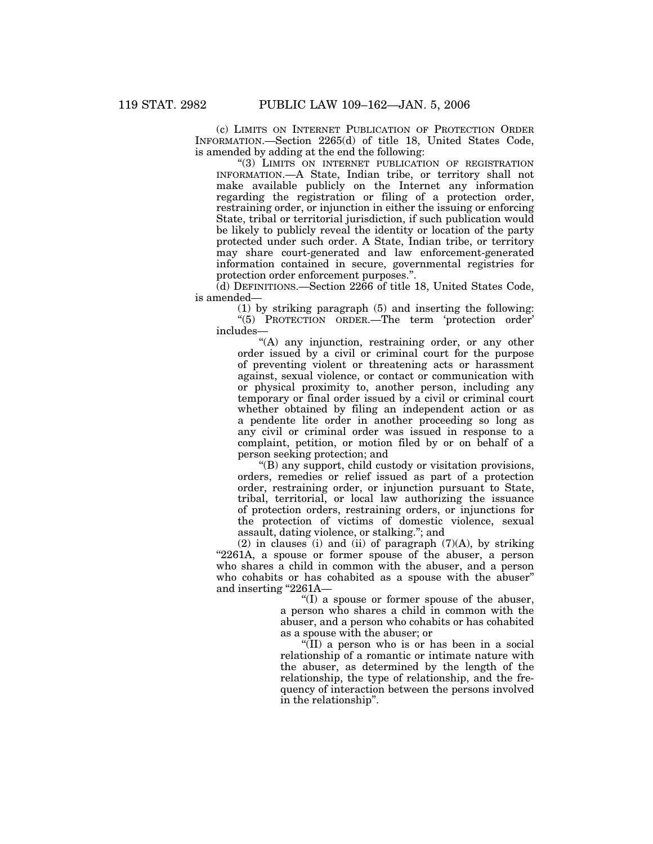(c) LIMITS ON INTERNET PUBLICATION OF PROTECTION ORDER INFORMATION.—Section 2265(d) of title 18, United States Code, is amended by adding at the end the following:

"(3) LIMITS ON INTERNET PUBLICATION OF REGISTRATION INFORMATION.—A State, Indian tribe, or territory shall not make available publicly on the Internet any information regarding the registration or filing of a protection order, restraining order, or injunction in either the issuing or enforcing State, tribal or territorial jurisdiction, if such publication would be likely to publicly reveal the identity or location of the party protected under such order. A State, Indian tribe, or territory may share court-generated and law enforcement-generated information contained in secure, governmental registries for protection order enforcement purposes.''.

(d) DEFINITIONS.—Section 2266 of title 18, United States Code, is amended—

(1) by striking paragraph (5) and inserting the following: ''(5) PROTECTION ORDER.—The term 'protection order' includes—

"(A) any injunction, restraining order, or any other order issued by a civil or criminal court for the purpose of preventing violent or threatening acts or harassment against, sexual violence, or contact or communication with or physical proximity to, another person, including any temporary or final order issued by a civil or criminal court whether obtained by filing an independent action or as a pendente lite order in another proceeding so long as any civil or criminal order was issued in response to a complaint, petition, or motion filed by or on behalf of a person seeking protection; and

''(B) any support, child custody or visitation provisions, orders, remedies or relief issued as part of a protection order, restraining order, or injunction pursuant to State, tribal, territorial, or local law authorizing the issuance of protection orders, restraining orders, or injunctions for the protection of victims of domestic violence, sexual assault, dating violence, or stalking.''; and

 $(2)$  in clauses (i) and (ii) of paragraph  $(7)(A)$ , by striking "2261A, a spouse or former spouse of the abuser, a person who shares a child in common with the abuser, and a person who cohabits or has cohabited as a spouse with the abuser" and inserting "2261A-

> ''(I) a spouse or former spouse of the abuser, a person who shares a child in common with the abuser, and a person who cohabits or has cohabited as a spouse with the abuser; or

> ''(II) a person who is or has been in a social relationship of a romantic or intimate nature with the abuser, as determined by the length of the relationship, the type of relationship, and the frequency of interaction between the persons involved in the relationship''.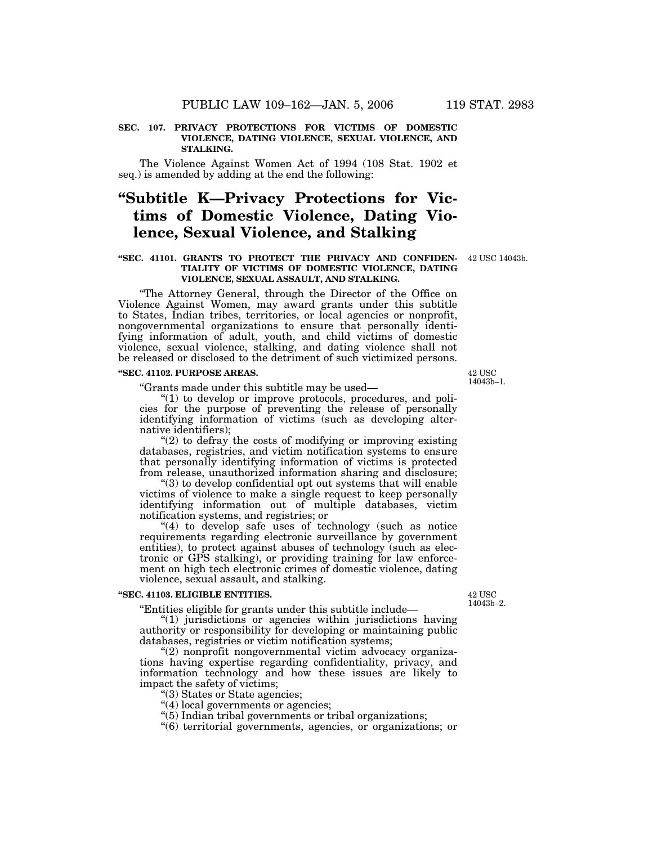# **SEC. 107. PRIVACY PROTECTIONS FOR VICTIMS OF DOMESTIC VIOLENCE, DATING VIOLENCE, SEXUAL VIOLENCE, AND STALKING.**

The Violence Against Women Act of 1994 (108 Stat. 1902 et seq.) is amended by adding at the end the following:

# **''Subtitle K—Privacy Protections for Victims of Domestic Violence, Dating Violence, Sexual Violence, and Stalking**

# **''SEC. 41101. GRANTS TO PROTECT THE PRIVACY AND CONFIDEN-TIALITY OF VICTIMS OF DOMESTIC VIOLENCE, DATING VIOLENCE, SEXUAL ASSAULT, AND STALKING.**

''The Attorney General, through the Director of the Office on Violence Against Women, may award grants under this subtitle to States, Indian tribes, territories, or local agencies or nonprofit, nongovernmental organizations to ensure that personally identifying information of adult, youth, and child victims of domestic violence, sexual violence, stalking, and dating violence shall not be released or disclosed to the detriment of such victimized persons.

#### **''SEC. 41102. PURPOSE AREAS.**

''Grants made under this subtitle may be used—

"(1) to develop or improve protocols, procedures, and policies for the purpose of preventing the release of personally identifying information of victims (such as developing alternative identifiers);

 $(2)$  to defray the costs of modifying or improving existing databases, registries, and victim notification systems to ensure that personally identifying information of victims is protected from release, unauthorized information sharing and disclosure;

''(3) to develop confidential opt out systems that will enable victims of violence to make a single request to keep personally identifying information out of multiple databases, victim notification systems, and registries; or

"(4) to develop safe uses of technology (such as notice requirements regarding electronic surveillance by government entities), to protect against abuses of technology (such as electronic or GPS stalking), or providing training for law enforcement on high tech electronic crimes of domestic violence, dating violence, sexual assault, and stalking.

#### **''SEC. 41103. ELIGIBLE ENTITIES.**

''Entities eligible for grants under this subtitle include—

''(1) jurisdictions or agencies within jurisdictions having authority or responsibility for developing or maintaining public databases, registries or victim notification systems;

''(2) nonprofit nongovernmental victim advocacy organizations having expertise regarding confidentiality, privacy, and information technology and how these issues are likely to impact the safety of victims;

''(3) States or State agencies;

"(4) local governments or agencies;

''(5) Indian tribal governments or tribal organizations;

''(6) territorial governments, agencies, or organizations; or

42 USC 14043b–2.

42 USC 14043b–1.

42 USC 14043b.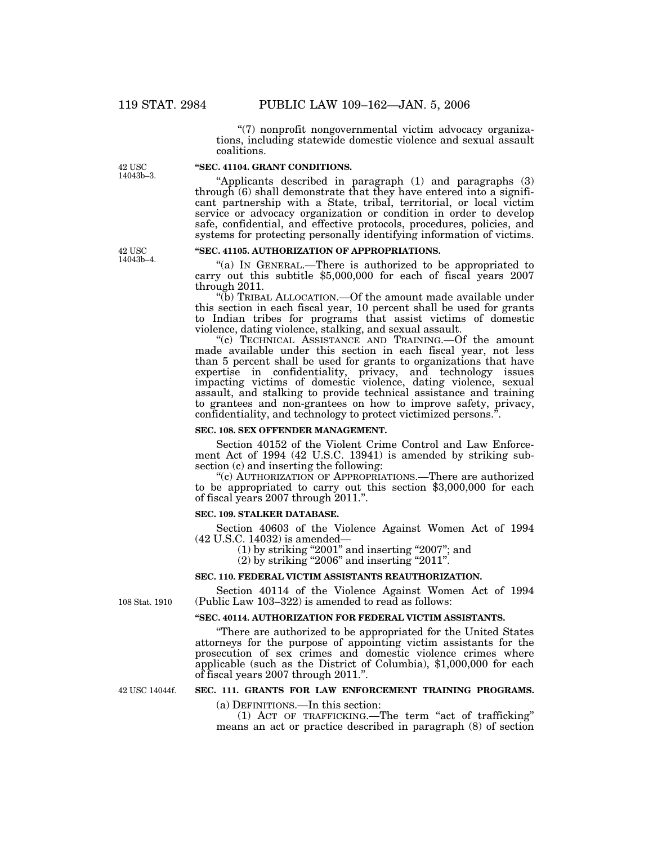''(7) nonprofit nongovernmental victim advocacy organizations, including statewide domestic violence and sexual assault coalitions.

42 USC  $14043b - 3$ .

# **''SEC. 41104. GRANT CONDITIONS.**

''Applicants described in paragraph (1) and paragraphs (3) through (6) shall demonstrate that they have entered into a significant partnership with a State, tribal, territorial, or local victim service or advocacy organization or condition in order to develop safe, confidential, and effective protocols, procedures, policies, and systems for protecting personally identifying information of victims.

42 USC 14043b–4.

# **''SEC. 41105. AUTHORIZATION OF APPROPRIATIONS.**

''(a) IN GENERAL.—There is authorized to be appropriated to carry out this subtitle \$5,000,000 for each of fiscal years 2007 through 2011.

''(b) TRIBAL ALLOCATION.—Of the amount made available under this section in each fiscal year, 10 percent shall be used for grants to Indian tribes for programs that assist victims of domestic violence, dating violence, stalking, and sexual assault.

''(c) TECHNICAL ASSISTANCE AND TRAINING.—Of the amount made available under this section in each fiscal year, not less than 5 percent shall be used for grants to organizations that have expertise in confidentiality, privacy, and technology issues impacting victims of domestic violence, dating violence, sexual assault, and stalking to provide technical assistance and training to grantees and non-grantees on how to improve safety, privacy, confidentiality, and technology to protect victimized persons.

#### **SEC. 108. SEX OFFENDER MANAGEMENT.**

Section 40152 of the Violent Crime Control and Law Enforcement Act of 1994 (42 U.S.C. 13941) is amended by striking subsection (c) and inserting the following:

''(c) AUTHORIZATION OF APPROPRIATIONS.—There are authorized to be appropriated to carry out this section \$3,000,000 for each of fiscal years 2007 through 2011.''.

# **SEC. 109. STALKER DATABASE.**

Section 40603 of the Violence Against Women Act of 1994 (42 U.S.C. 14032) is amended—

 $(1)$  by striking "2001" and inserting "2007"; and

 $(2)$  by striking "2006" and inserting "2011".

### **SEC. 110. FEDERAL VICTIM ASSISTANTS REAUTHORIZATION.**

Section 40114 of the Violence Against Women Act of 1994 (Public Law 103–322) is amended to read as follows:

#### **''SEC. 40114. AUTHORIZATION FOR FEDERAL VICTIM ASSISTANTS.**

''There are authorized to be appropriated for the United States attorneys for the purpose of appointing victim assistants for the prosecution of sex crimes and domestic violence crimes where applicable (such as the District of Columbia), \$1,000,000 for each of fiscal years 2007 through 2011.''.

42 USC 14044f.

108 Stat. 1910

#### **SEC. 111. GRANTS FOR LAW ENFORCEMENT TRAINING PROGRAMS.**

(a) DEFINITIONS.—In this section:

(1) ACT OF TRAFFICKING.—The term ''act of trafficking'' means an act or practice described in paragraph (8) of section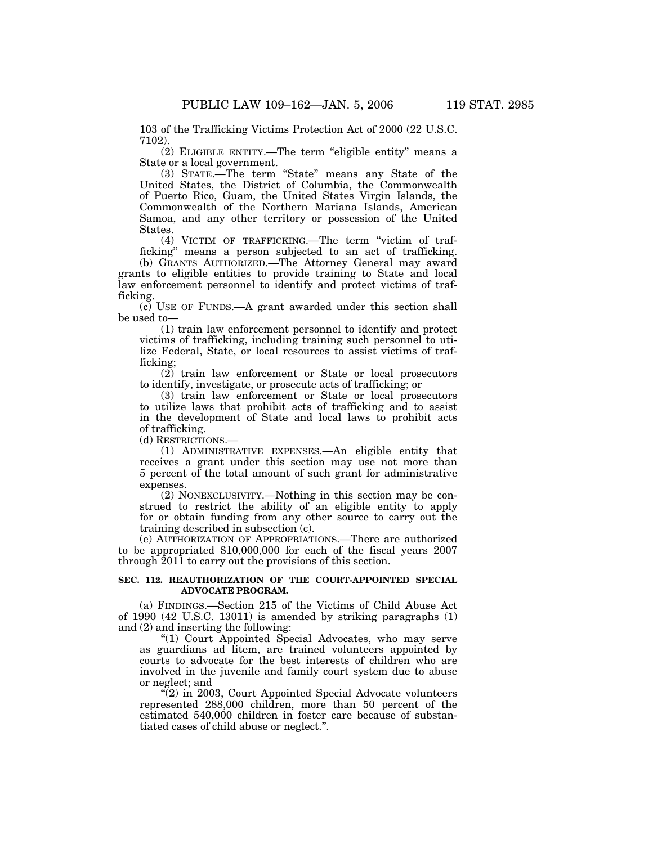103 of the Trafficking Victims Protection Act of 2000 (22 U.S.C. 7102).

(2) ELIGIBLE ENTITY.—The term ''eligible entity'' means a State or a local government.

(3) STATE.—The term ''State'' means any State of the United States, the District of Columbia, the Commonwealth of Puerto Rico, Guam, the United States Virgin Islands, the Commonwealth of the Northern Mariana Islands, American Samoa, and any other territory or possession of the United States.

(4) VICTIM OF TRAFFICKING.—The term ''victim of trafficking'' means a person subjected to an act of trafficking.

(b) GRANTS AUTHORIZED.—The Attorney General may award grants to eligible entities to provide training to State and local law enforcement personnel to identify and protect victims of trafficking.

(c) USE OF FUNDS.—A grant awarded under this section shall be used to—

(1) train law enforcement personnel to identify and protect victims of trafficking, including training such personnel to utilize Federal, State, or local resources to assist victims of trafficking;

(2) train law enforcement or State or local prosecutors to identify, investigate, or prosecute acts of trafficking; or

(3) train law enforcement or State or local prosecutors to utilize laws that prohibit acts of trafficking and to assist in the development of State and local laws to prohibit acts of trafficking.

(d) RESTRICTIONS.—

(1) ADMINISTRATIVE EXPENSES.—An eligible entity that receives a grant under this section may use not more than 5 percent of the total amount of such grant for administrative expenses.

(2) NONEXCLUSIVITY.—Nothing in this section may be construed to restrict the ability of an eligible entity to apply for or obtain funding from any other source to carry out the training described in subsection (c).

(e) AUTHORIZATION OF APPROPRIATIONS.—There are authorized to be appropriated \$10,000,000 for each of the fiscal years 2007 through 2011 to carry out the provisions of this section.

# **SEC. 112. REAUTHORIZATION OF THE COURT-APPOINTED SPECIAL ADVOCATE PROGRAM.**

(a) FINDINGS.—Section 215 of the Victims of Child Abuse Act of 1990 (42 U.S.C. 13011) is amended by striking paragraphs (1) and (2) and inserting the following:

''(1) Court Appointed Special Advocates, who may serve as guardians ad litem, are trained volunteers appointed by courts to advocate for the best interests of children who are involved in the juvenile and family court system due to abuse or neglect; and

 $\sqrt{\left(2\right)}$  in 2003, Court Appointed Special Advocate volunteers represented 288,000 children, more than 50 percent of the estimated 540,000 children in foster care because of substantiated cases of child abuse or neglect.''.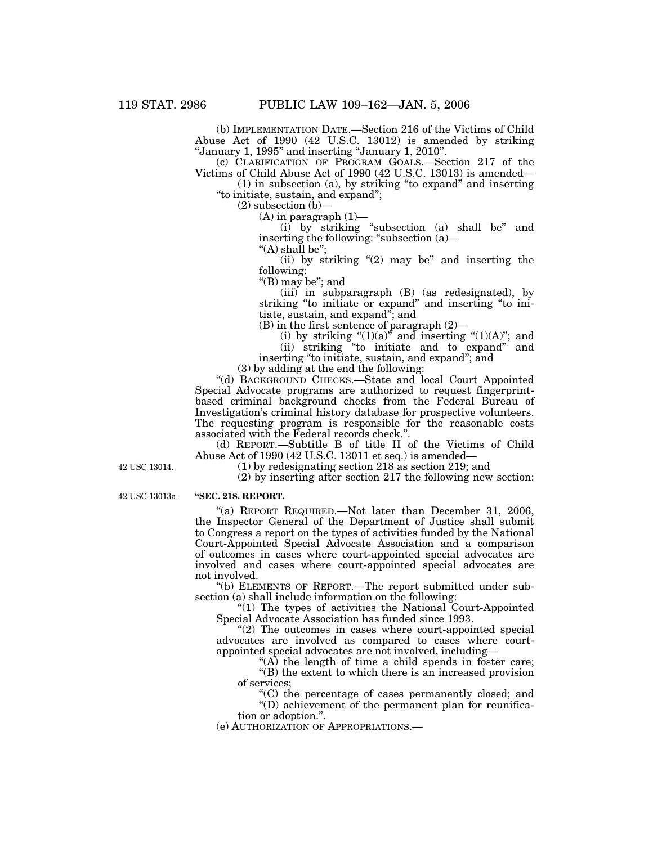(b) IMPLEMENTATION DATE.—Section 216 of the Victims of Child Abuse Act of 1990 (42 U.S.C. 13012) is amended by striking ''January 1, 1995'' and inserting ''January 1, 2010''.

(c) CLARIFICATION OF PROGRAM GOALS.—Section 217 of the Victims of Child Abuse Act of 1990 (42 U.S.C. 13013) is amended—

(1) in subsection (a), by striking ''to expand'' and inserting ''to initiate, sustain, and expand'';

 $(2)$  subsection  $(b)$ –

 $(A)$  in paragraph  $(1)$ —

(i) by striking ''subsection (a) shall be'' and inserting the following: "subsection (a)—

"(A) shall be";

(ii) by striking  $(2)$  may be" and inserting the following:

" $(B)$  may be"; and

(iii) in subparagraph (B) (as redesignated), by striking ''to initiate or expand'' and inserting ''to initiate, sustain, and expand''; and

(B) in the first sentence of paragraph (2)—

(i) by striking " $(1)(a)$ " and inserting " $(1)(A)$ "; and (ii) striking ''to initiate and to expand'' and inserting ''to initiate, sustain, and expand''; and

(3) by adding at the end the following:

''(d) BACKGROUND CHECKS.—State and local Court Appointed Special Advocate programs are authorized to request fingerprintbased criminal background checks from the Federal Bureau of Investigation's criminal history database for prospective volunteers. The requesting program is responsible for the reasonable costs associated with the Federal records check.''.

(d) REPORT.—Subtitle B of title II of the Victims of Child Abuse Act of 1990 (42 U.S.C. 13011 et seq.) is amended—

42 USC 13014.

(1) by redesignating section 218 as section 219; and

(2) by inserting after section 217 the following new section:

42 USC 13013a.

#### **''SEC. 218. REPORT.**

''(a) REPORT REQUIRED.—Not later than December 31, 2006, the Inspector General of the Department of Justice shall submit to Congress a report on the types of activities funded by the National Court-Appointed Special Advocate Association and a comparison of outcomes in cases where court-appointed special advocates are involved and cases where court-appointed special advocates are not involved.

''(b) ELEMENTS OF REPORT.—The report submitted under subsection (a) shall include information on the following:

" $(1)$  The types of activities the National Court-Appointed Special Advocate Association has funded since 1993.

"(2) The outcomes in cases where court-appointed special advocates are involved as compared to cases where courtappointed special advocates are not involved, including—

" $(A)$  the length of time a child spends in foster care; ''(B) the extent to which there is an increased provision of services;

''(C) the percentage of cases permanently closed; and ''(D) achievement of the permanent plan for reunification or adoption.''.

(e) AUTHORIZATION OF APPROPRIATIONS.—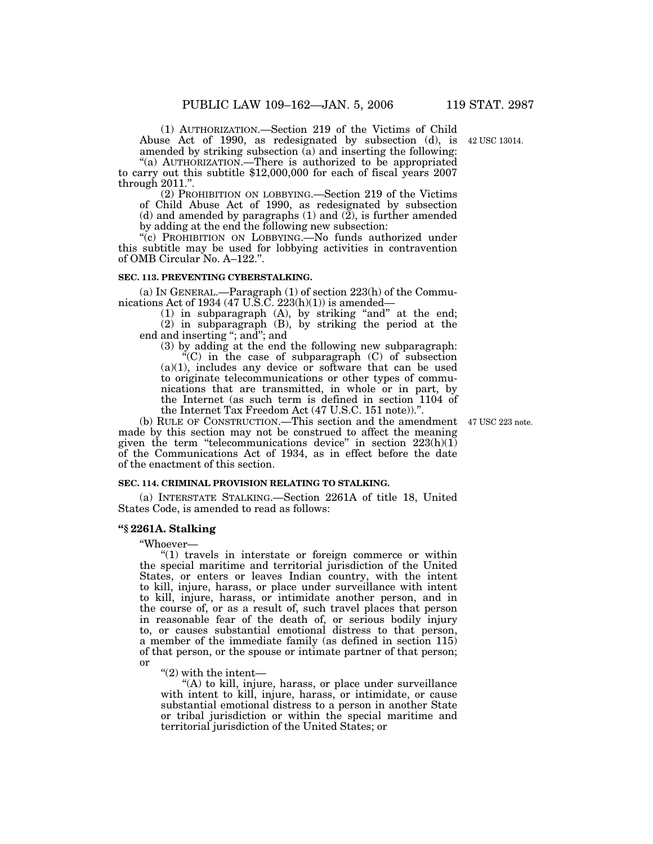(1) AUTHORIZATION.—Section 219 of the Victims of Child Abuse Act of 1990, as redesignated by subsection (d), is amended by striking subsection (a) and inserting the following:

"(a) AUTHORIZATION.—There is authorized to be appropriated to carry out this subtitle \$12,000,000 for each of fiscal years 2007 through 2011.''.

(2) PROHIBITION ON LOBBYING.—Section 219 of the Victims of Child Abuse Act of 1990, as redesignated by subsection (d) and amended by paragraphs  $(1)$  and  $(2)$ , is further amended by adding at the end the following new subsection:

''(c) PROHIBITION ON LOBBYING.—No funds authorized under this subtitle may be used for lobbying activities in contravention of OMB Circular No. A–122.''.

#### **SEC. 113. PREVENTING CYBERSTALKING.**

(a) IN GENERAL.—Paragraph (1) of section 223(h) of the Communications Act of 1934 (47 U.S.C.  $223(h)(1)$ ) is amended–

 $(1)$  in subparagraph  $(A)$ , by striking "and" at the end;

(2) in subparagraph (B), by striking the period at the end and inserting ''; and''; and

(3) by adding at the end the following new subparagraph:  $C^{\alpha}(C)$  in the case of subparagraph  $(C)$  of subsection  $(a)(1)$ , includes any device or software that can be used to originate telecommunications or other types of communications that are transmitted, in whole or in part, by the Internet (as such term is defined in section 1104 of the Internet Tax Freedom Act (47 U.S.C. 151 note)).''.

(b) RULE OF CONSTRUCTION.—This section and the amendment 47 USC 223 note. made by this section may not be construed to affect the meaning given the term "telecommunications device" in section  $223(h)(1)$ of the Communications Act of 1934, as in effect before the date of the enactment of this section.

#### **SEC. 114. CRIMINAL PROVISION RELATING TO STALKING.**

(a) INTERSTATE STALKING.—Section 2261A of title 18, United States Code, is amended to read as follows:

# **''§ 2261A. Stalking**

''Whoever—

"(1) travels in interstate or foreign commerce or within the special maritime and territorial jurisdiction of the United States, or enters or leaves Indian country, with the intent to kill, injure, harass, or place under surveillance with intent to kill, injure, harass, or intimidate another person, and in the course of, or as a result of, such travel places that person in reasonable fear of the death of, or serious bodily injury to, or causes substantial emotional distress to that person, a member of the immediate family (as defined in section 115) of that person, or the spouse or intimate partner of that person; or

" $(2)$  with the intent-

"(A) to kill, injure, harass, or place under surveillance with intent to kill, injure, harass, or intimidate, or cause substantial emotional distress to a person in another State or tribal jurisdiction or within the special maritime and territorial jurisdiction of the United States; or

42 USC 13014.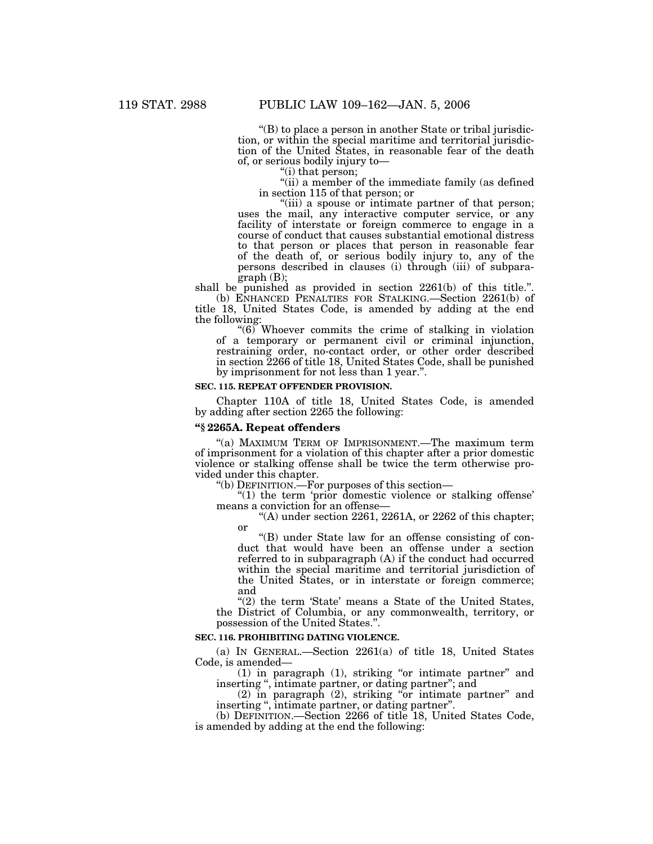''(B) to place a person in another State or tribal jurisdiction, or within the special maritime and territorial jurisdiction of the United States, in reasonable fear of the death of, or serious bodily injury to—

"(i) that person;

"(ii) a member of the immediate family (as defined in section 115 of that person; or

"(iii) a spouse or intimate partner of that person; uses the mail, any interactive computer service, or any facility of interstate or foreign commerce to engage in a course of conduct that causes substantial emotional distress to that person or places that person in reasonable fear of the death of, or serious bodily injury to, any of the persons described in clauses (i) through (iii) of subparagraph (B);

shall be punished as provided in section 2261(b) of this title.''. (b) ENHANCED PENALTIES FOR STALKING.—Section 2261(b) of title 18, United States Code, is amended by adding at the end the following:

''(6) Whoever commits the crime of stalking in violation of a temporary or permanent civil or criminal injunction, restraining order, no-contact order, or other order described in section 2266 of title 18, United States Code, shall be punished by imprisonment for not less than 1 year.''.

### **SEC. 115. REPEAT OFFENDER PROVISION.**

Chapter 110A of title 18, United States Code, is amended by adding after section 2265 the following:

# **''§ 2265A. Repeat offenders**

''(a) MAXIMUM TERM OF IMPRISONMENT.—The maximum term of imprisonment for a violation of this chapter after a prior domestic violence or stalking offense shall be twice the term otherwise provided under this chapter.

''(b) DEFINITION.—For purposes of this section—

''(1) the term 'prior domestic violence or stalking offense' means a conviction for an offense—

"(A) under section 2261, 2261A, or  $2262$  of this chapter; or

''(B) under State law for an offense consisting of conduct that would have been an offense under a section referred to in subparagraph (A) if the conduct had occurred within the special maritime and territorial jurisdiction of the United States, or in interstate or foreign commerce; and

''(2) the term 'State' means a State of the United States, the District of Columbia, or any commonwealth, territory, or possession of the United States.''.

# **SEC. 116. PROHIBITING DATING VIOLENCE.**

(a) IN GENERAL.—Section 2261(a) of title 18, United States Code, is amended—

(1) in paragraph (1), striking "or intimate partner" and inserting ", intimate partner, or dating partner"; and

 $(2)$  in paragraph  $(2)$ , striking "or intimate partner" and inserting '', intimate partner, or dating partner''.

(b) DEFINITION.—Section 2266 of title 18, United States Code, is amended by adding at the end the following: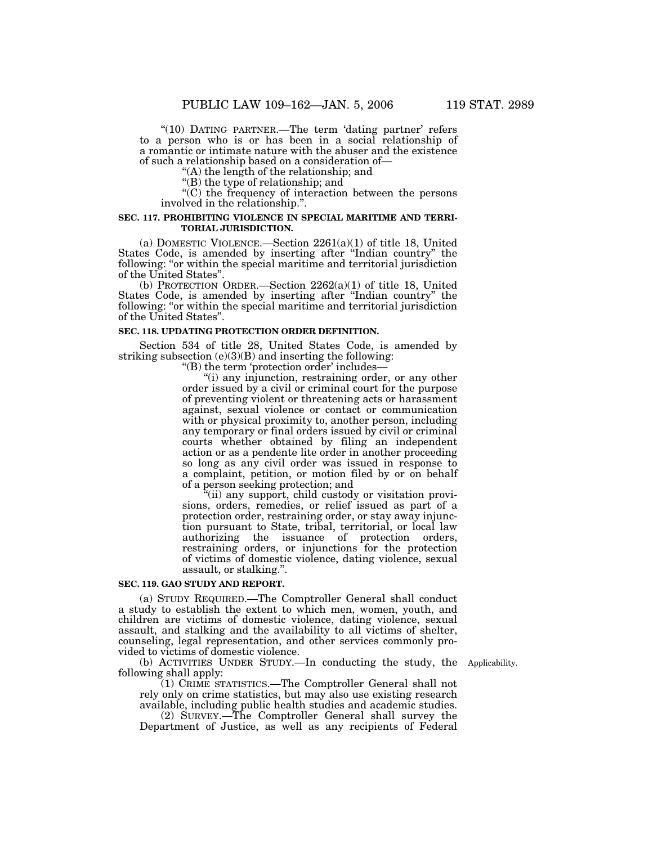"(10) DATING PARTNER.—The term 'dating partner' refers to a person who is or has been in a social relationship of a romantic or intimate nature with the abuser and the existence of such a relationship based on a consideration of—

''(A) the length of the relationship; and

''(B) the type of relationship; and

''(C) the frequency of interaction between the persons involved in the relationship.''.

### **SEC. 117. PROHIBITING VIOLENCE IN SPECIAL MARITIME AND TERRI-TORIAL JURISDICTION.**

(a) DOMESTIC VIOLENCE.—Section 2261(a)(1) of title 18, United States Code, is amended by inserting after ''Indian country'' the following: "or within the special maritime and territorial jurisdiction of the United States''.

(b) PROTECTION ORDER.—Section 2262(a)(1) of title 18, United States Code, is amended by inserting after ''Indian country'' the following: "or within the special maritime and territorial jurisdiction of the United States''.

#### **SEC. 118. UPDATING PROTECTION ORDER DEFINITION.**

Section 534 of title 28, United States Code, is amended by striking subsection  $(e)(3)(B)$  and inserting the following:

''(B) the term 'protection order' includes—

"(i) any injunction, restraining order, or any other order issued by a civil or criminal court for the purpose of preventing violent or threatening acts or harassment against, sexual violence or contact or communication with or physical proximity to, another person, including any temporary or final orders issued by civil or criminal courts whether obtained by filing an independent action or as a pendente lite order in another proceeding so long as any civil order was issued in response to a complaint, petition, or motion filed by or on behalf of a person seeking protection; and

"(ii) any support, child custody or visitation provisions, orders, remedies, or relief issued as part of a protection order, restraining order, or stay away injunction pursuant to State, tribal, territorial, or local law authorizing the issuance of protection orders, restraining orders, or injunctions for the protection of victims of domestic violence, dating violence, sexual assault, or stalking.''.

#### **SEC. 119. GAO STUDY AND REPORT.**

(a) STUDY REQUIRED.—The Comptroller General shall conduct a study to establish the extent to which men, women, youth, and children are victims of domestic violence, dating violence, sexual assault, and stalking and the availability to all victims of shelter, counseling, legal representation, and other services commonly provided to victims of domestic violence.

(b) ACTIVITIES UNDER STUDY.—In conducting the study, the Applicability. following shall apply:

(1) CRIME STATISTICS.—The Comptroller General shall not rely only on crime statistics, but may also use existing research available, including public health studies and academic studies.

(2) SURVEY.—The Comptroller General shall survey the Department of Justice, as well as any recipients of Federal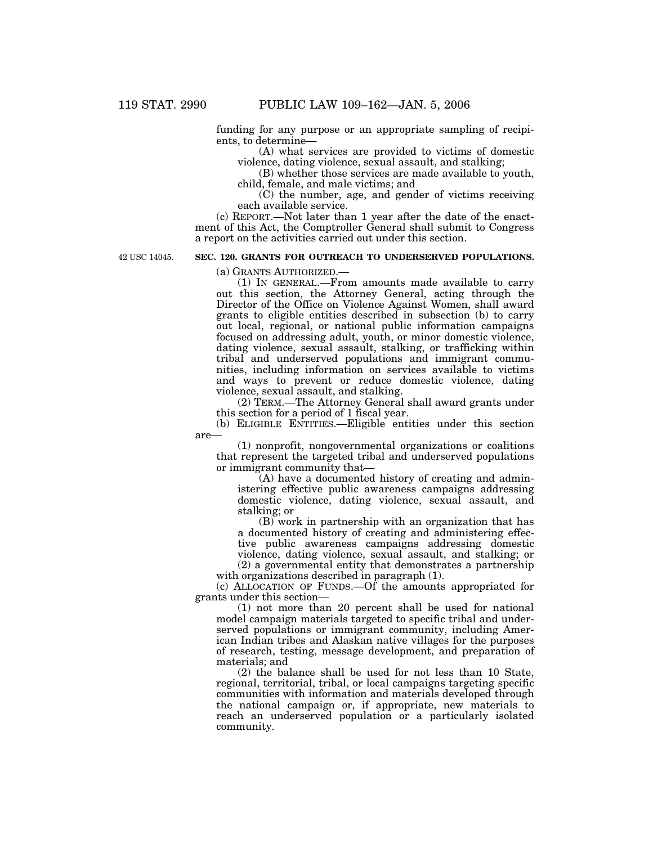funding for any purpose or an appropriate sampling of recipients, to determine—

(A) what services are provided to victims of domestic violence, dating violence, sexual assault, and stalking;

(B) whether those services are made available to youth, child, female, and male victims; and

(C) the number, age, and gender of victims receiving each available service.

(c) REPORT.—Not later than 1 year after the date of the enactment of this Act, the Comptroller General shall submit to Congress a report on the activities carried out under this section.

42 USC 14045.

# **SEC. 120. GRANTS FOR OUTREACH TO UNDERSERVED POPULATIONS.**

(a) GRANTS AUTHORIZED.—

(1) IN GENERAL.—From amounts made available to carry out this section, the Attorney General, acting through the Director of the Office on Violence Against Women, shall award grants to eligible entities described in subsection (b) to carry out local, regional, or national public information campaigns focused on addressing adult, youth, or minor domestic violence, dating violence, sexual assault, stalking, or trafficking within tribal and underserved populations and immigrant communities, including information on services available to victims and ways to prevent or reduce domestic violence, dating violence, sexual assault, and stalking.

(2) TERM.—The Attorney General shall award grants under this section for a period of 1 fiscal year.

(b) ELIGIBLE ENTITIES.—Eligible entities under this section are—

(1) nonprofit, nongovernmental organizations or coalitions that represent the targeted tribal and underserved populations or immigrant community that—

(A) have a documented history of creating and administering effective public awareness campaigns addressing domestic violence, dating violence, sexual assault, and stalking; or

(B) work in partnership with an organization that has a documented history of creating and administering effective public awareness campaigns addressing domestic violence, dating violence, sexual assault, and stalking; or (2) a governmental entity that demonstrates a partnership

with organizations described in paragraph (1). (c) ALLOCATION OF FUNDS.—Of the amounts appropriated for

grants under this section—

(1) not more than 20 percent shall be used for national model campaign materials targeted to specific tribal and underserved populations or immigrant community, including American Indian tribes and Alaskan native villages for the purposes of research, testing, message development, and preparation of materials; and

(2) the balance shall be used for not less than 10 State, regional, territorial, tribal, or local campaigns targeting specific communities with information and materials developed through the national campaign or, if appropriate, new materials to reach an underserved population or a particularly isolated community.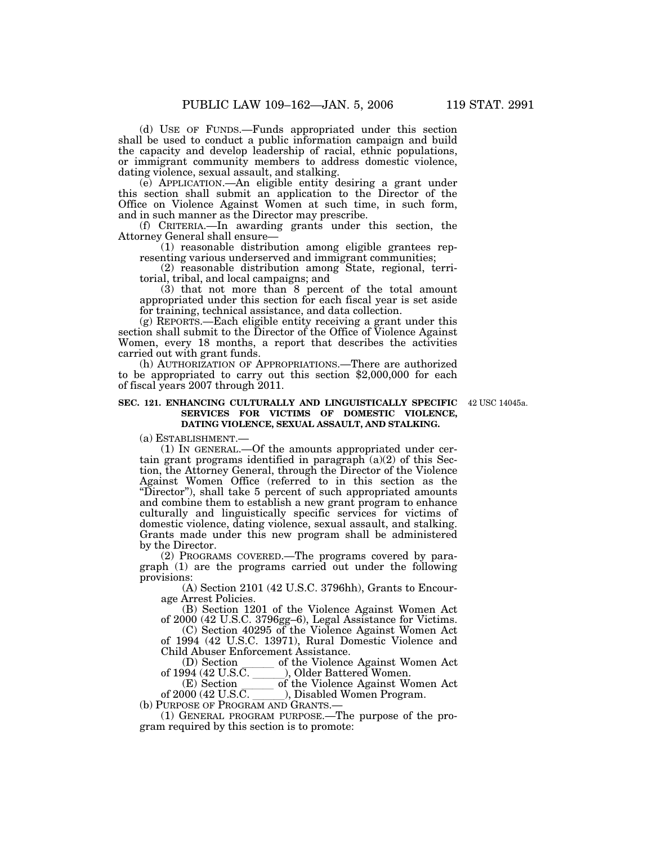(d) USE OF FUNDS.—Funds appropriated under this section shall be used to conduct a public information campaign and build the capacity and develop leadership of racial, ethnic populations, or immigrant community members to address domestic violence, dating violence, sexual assault, and stalking.

(e) APPLICATION.—An eligible entity desiring a grant under this section shall submit an application to the Director of the Office on Violence Against Women at such time, in such form, and in such manner as the Director may prescribe.

(f) CRITERIA.—In awarding grants under this section, the Attorney General shall ensure—

(1) reasonable distribution among eligible grantees representing various underserved and immigrant communities;

(2) reasonable distribution among State, regional, territorial, tribal, and local campaigns; and

(3) that not more than 8 percent of the total amount appropriated under this section for each fiscal year is set aside for training, technical assistance, and data collection.

(g) REPORTS.—Each eligible entity receiving a grant under this section shall submit to the Director of the Office of Violence Against Women, every 18 months, a report that describes the activities carried out with grant funds.

(h) AUTHORIZATION OF APPROPRIATIONS.—There are authorized to be appropriated to carry out this section \$2,000,000 for each of fiscal years 2007 through 2011.

#### **SEC. 121. ENHANCING CULTURALLY AND LINGUISTICALLY SPECIFIC** 42 USC 14045a. **SERVICES FOR VICTIMS OF DOMESTIC VIOLENCE, DATING VIOLENCE, SEXUAL ASSAULT, AND STALKING.**

(a) ESTABLISHMENT.—

(1) IN GENERAL.—Of the amounts appropriated under certain grant programs identified in paragraph (a)(2) of this Section, the Attorney General, through the Director of the Violence Against Women Office (referred to in this section as the "Director"), shall take 5 percent of such appropriated amounts and combine them to establish a new grant program to enhance culturally and linguistically specific services for victims of domestic violence, dating violence, sexual assault, and stalking. Grants made under this new program shall be administered by the Director.

(2) PROGRAMS COVERED.—The programs covered by paragraph (1) are the programs carried out under the following provisions:

(A) Section 2101 (42 U.S.C. 3796hh), Grants to Encourage Arrest Policies.

(B) Section 1201 of the Violence Against Women Act of 2000 (42 U.S.C. 3796gg–6), Legal Assistance for Victims.

(C) Section 40295 of the Violence Against Women Act of 1994 (42 U.S.C. 13971), Rural Domestic Violence and

Child Abuser Enforcement Assistance.<br>
(D) Section of the Violence (D) Section of the Violence Against Women Act of 1994 (42 U.S.C. ), Older Battered Women. of 1994 (42 U.S.C.  $\qquad$ ), Older Battered Women.<br>(E) Section of the Violence Against W

(E) Section  $\qquad$  of the Violence Against Women Act (000 (42 U.S.C.) Disabled Women Program. of 2000 (42 U.S.C. ), Disabled Women Program.<br>(b) PURPOSE OF PROGRAM AND GRANTS.—

 $(1)$  GENERAL PROGRAM PURPOSE.—The purpose of the program required by this section is to promote: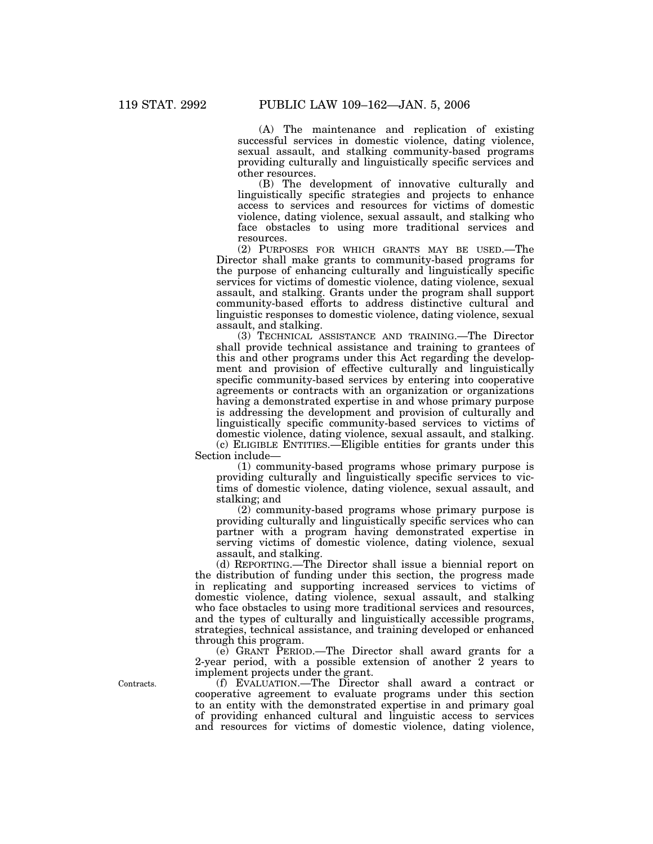(A) The maintenance and replication of existing successful services in domestic violence, dating violence, sexual assault, and stalking community-based programs providing culturally and linguistically specific services and other resources.

(B) The development of innovative culturally and linguistically specific strategies and projects to enhance access to services and resources for victims of domestic violence, dating violence, sexual assault, and stalking who face obstacles to using more traditional services and resources.

(2) PURPOSES FOR WHICH GRANTS MAY BE USED.—The Director shall make grants to community-based programs for the purpose of enhancing culturally and linguistically specific services for victims of domestic violence, dating violence, sexual assault, and stalking. Grants under the program shall support community-based efforts to address distinctive cultural and linguistic responses to domestic violence, dating violence, sexual assault, and stalking.

(3) TECHNICAL ASSISTANCE AND TRAINING.—The Director shall provide technical assistance and training to grantees of this and other programs under this Act regarding the development and provision of effective culturally and linguistically specific community-based services by entering into cooperative agreements or contracts with an organization or organizations having a demonstrated expertise in and whose primary purpose is addressing the development and provision of culturally and linguistically specific community-based services to victims of domestic violence, dating violence, sexual assault, and stalking.

(c) ELIGIBLE ENTITIES.—Eligible entities for grants under this Section include—

(1) community-based programs whose primary purpose is providing culturally and linguistically specific services to victims of domestic violence, dating violence, sexual assault, and stalking; and

(2) community-based programs whose primary purpose is providing culturally and linguistically specific services who can partner with a program having demonstrated expertise in serving victims of domestic violence, dating violence, sexual assault, and stalking.

(d) REPORTING.—The Director shall issue a biennial report on the distribution of funding under this section, the progress made in replicating and supporting increased services to victims of domestic violence, dating violence, sexual assault, and stalking who face obstacles to using more traditional services and resources, and the types of culturally and linguistically accessible programs, strategies, technical assistance, and training developed or enhanced through this program.

(e) GRANT PERIOD.—The Director shall award grants for a 2-year period, with a possible extension of another 2 years to implement projects under the grant.

(f) EVALUATION.—The Director shall award a contract or cooperative agreement to evaluate programs under this section to an entity with the demonstrated expertise in and primary goal of providing enhanced cultural and linguistic access to services and resources for victims of domestic violence, dating violence,

Contracts.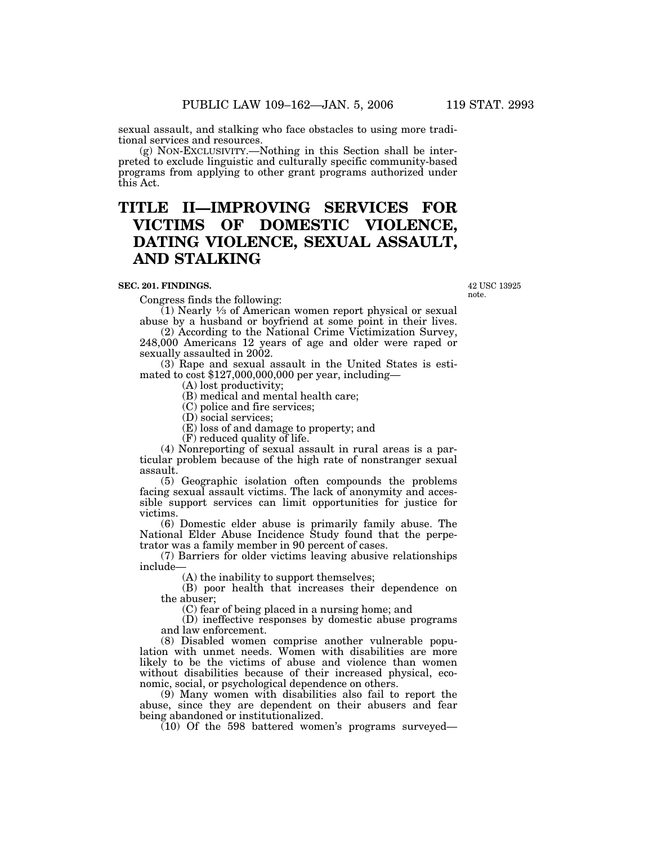sexual assault, and stalking who face obstacles to using more traditional services and resources.

(g) NON-EXCLUSIVITY.—Nothing in this Section shall be interpreted to exclude linguistic and culturally specific community-based programs from applying to other grant programs authorized under this Act.

# **TITLE II—IMPROVING SERVICES FOR VICTIMS OF DOMESTIC VIOLENCE, DATING VIOLENCE, SEXUAL ASSAULT, AND STALKING**

# **SEC. 201. FINDINGS.**

Congress finds the following:

 $(1)$  Nearly  $\frac{1}{3}$  of American women report physical or sexual abuse by a husband or boyfriend at some point in their lives.

(2) According to the National Crime Victimization Survey, 248,000 Americans 12 years of age and older were raped or sexually assaulted in 2002.

(3) Rape and sexual assault in the United States is estimated to cost \$127,000,000,000 per year, including—

(A) lost productivity;

(B) medical and mental health care;

(C) police and fire services;

(D) social services;

(E) loss of and damage to property; and

(F) reduced quality of life.

(4) Nonreporting of sexual assault in rural areas is a particular problem because of the high rate of nonstranger sexual assault.

(5) Geographic isolation often compounds the problems facing sexual assault victims. The lack of anonymity and accessible support services can limit opportunities for justice for victims.

(6) Domestic elder abuse is primarily family abuse. The National Elder Abuse Incidence Study found that the perpetrator was a family member in 90 percent of cases.

(7) Barriers for older victims leaving abusive relationships include—

(A) the inability to support themselves;

(B) poor health that increases their dependence on the abuser;

(C) fear of being placed in a nursing home; and

(D) ineffective responses by domestic abuse programs and law enforcement.

(8) Disabled women comprise another vulnerable population with unmet needs. Women with disabilities are more likely to be the victims of abuse and violence than women without disabilities because of their increased physical, economic, social, or psychological dependence on others.

(9) Many women with disabilities also fail to report the abuse, since they are dependent on their abusers and fear being abandoned or institutionalized.

 $(10)$  Of the 598 battered women's programs surveyed—

42 USC 13925 note.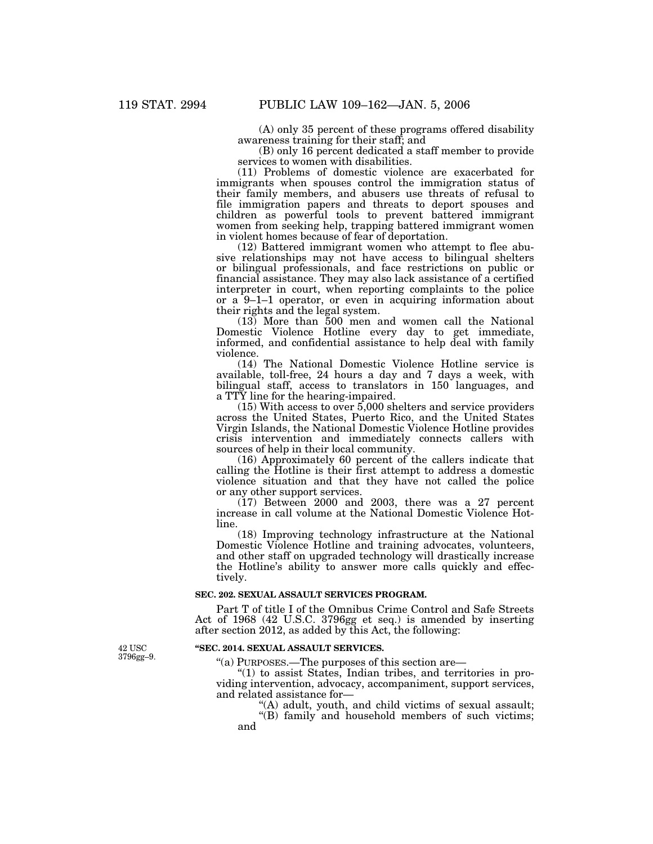(A) only 35 percent of these programs offered disability awareness training for their staff; and

(B) only 16 percent dedicated a staff member to provide services to women with disabilities.

(11) Problems of domestic violence are exacerbated for immigrants when spouses control the immigration status of their family members, and abusers use threats of refusal to file immigration papers and threats to deport spouses and children as powerful tools to prevent battered immigrant women from seeking help, trapping battered immigrant women in violent homes because of fear of deportation.

(12) Battered immigrant women who attempt to flee abusive relationships may not have access to bilingual shelters or bilingual professionals, and face restrictions on public or financial assistance. They may also lack assistance of a certified interpreter in court, when reporting complaints to the police or a 9–1–1 operator, or even in acquiring information about their rights and the legal system.

(13) More than 500 men and women call the National Domestic Violence Hotline every day to get immediate, informed, and confidential assistance to help deal with family violence.

(14) The National Domestic Violence Hotline service is available, toll-free, 24 hours a day and 7 days a week, with bilingual staff, access to translators in 150 languages, and a TTY line for the hearing-impaired.

(15) With access to over 5,000 shelters and service providers across the United States, Puerto Rico, and the United States Virgin Islands, the National Domestic Violence Hotline provides crisis intervention and immediately connects callers with sources of help in their local community.

(16) Approximately 60 percent of the callers indicate that calling the Hotline is their first attempt to address a domestic violence situation and that they have not called the police or any other support services.

(17) Between 2000 and 2003, there was a 27 percent increase in call volume at the National Domestic Violence Hotline.

(18) Improving technology infrastructure at the National Domestic Violence Hotline and training advocates, volunteers, and other staff on upgraded technology will drastically increase the Hotline's ability to answer more calls quickly and effectively.

# **SEC. 202. SEXUAL ASSAULT SERVICES PROGRAM.**

Part T of title I of the Omnibus Crime Control and Safe Streets Act of 1968 (42 U.S.C. 3796gg et seq.) is amended by inserting after section 2012, as added by this Act, the following:

42 USC 3796gg–9.

#### **''SEC. 2014. SEXUAL ASSAULT SERVICES.**

''(a) PURPOSES.—The purposes of this section are—

"(1) to assist States, Indian tribes, and territories in providing intervention, advocacy, accompaniment, support services, and related assistance for—

"(A) adult, youth, and child victims of sexual assault;

- "(B) family and household members of such victims;
- and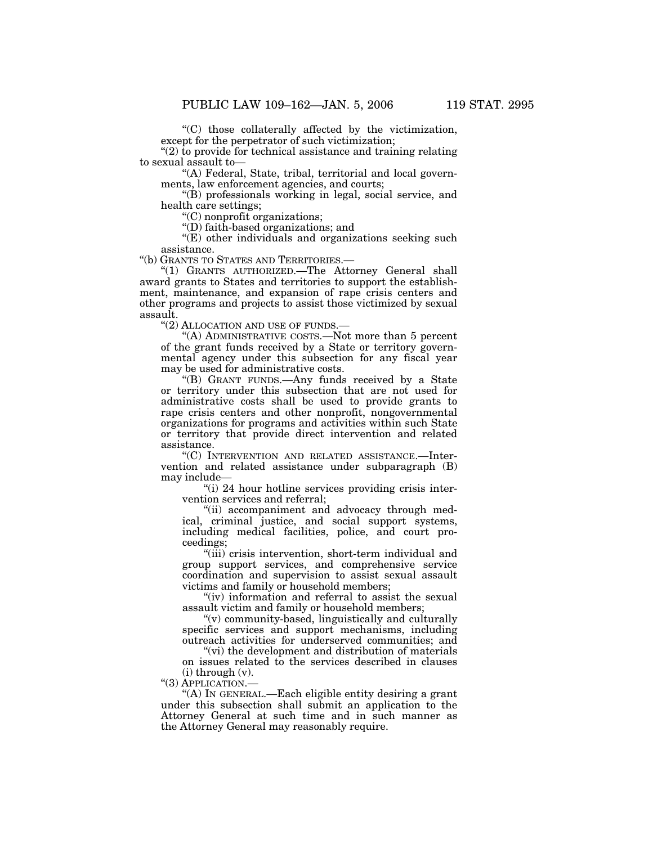''(C) those collaterally affected by the victimization, except for the perpetrator of such victimization;

" $(2)$  to provide for technical assistance and training relating to sexual assault to—

''(A) Federal, State, tribal, territorial and local governments, law enforcement agencies, and courts;

''(B) professionals working in legal, social service, and health care settings;

''(C) nonprofit organizations;

''(D) faith-based organizations; and

 $E$ ) other individuals and organizations seeking such assistance.

''(b) GRANTS TO STATES AND TERRITORIES.—

''(1) GRANTS AUTHORIZED.—The Attorney General shall award grants to States and territories to support the establishment, maintenance, and expansion of rape crisis centers and other programs and projects to assist those victimized by sexual assault.

''(2) ALLOCATION AND USE OF FUNDS.—

''(A) ADMINISTRATIVE COSTS.—Not more than 5 percent of the grant funds received by a State or territory governmental agency under this subsection for any fiscal year may be used for administrative costs.

''(B) GRANT FUNDS.—Any funds received by a State or territory under this subsection that are not used for administrative costs shall be used to provide grants to rape crisis centers and other nonprofit, nongovernmental organizations for programs and activities within such State or territory that provide direct intervention and related assistance.

''(C) INTERVENTION AND RELATED ASSISTANCE.—Intervention and related assistance under subparagraph (B) may include—

''(i) 24 hour hotline services providing crisis intervention services and referral;

''(ii) accompaniment and advocacy through medical, criminal justice, and social support systems, including medical facilities, police, and court proceedings;

''(iii) crisis intervention, short-term individual and group support services, and comprehensive service coordination and supervision to assist sexual assault victims and family or household members;

"(iv) information and referral to assist the sexual assault victim and family or household members;

''(v) community-based, linguistically and culturally specific services and support mechanisms, including outreach activities for underserved communities; and

"(vi) the development and distribution of materials on issues related to the services described in clauses (i) through (v).

''(3) APPLICATION.—

''(A) IN GENERAL.—Each eligible entity desiring a grant under this subsection shall submit an application to the Attorney General at such time and in such manner as the Attorney General may reasonably require.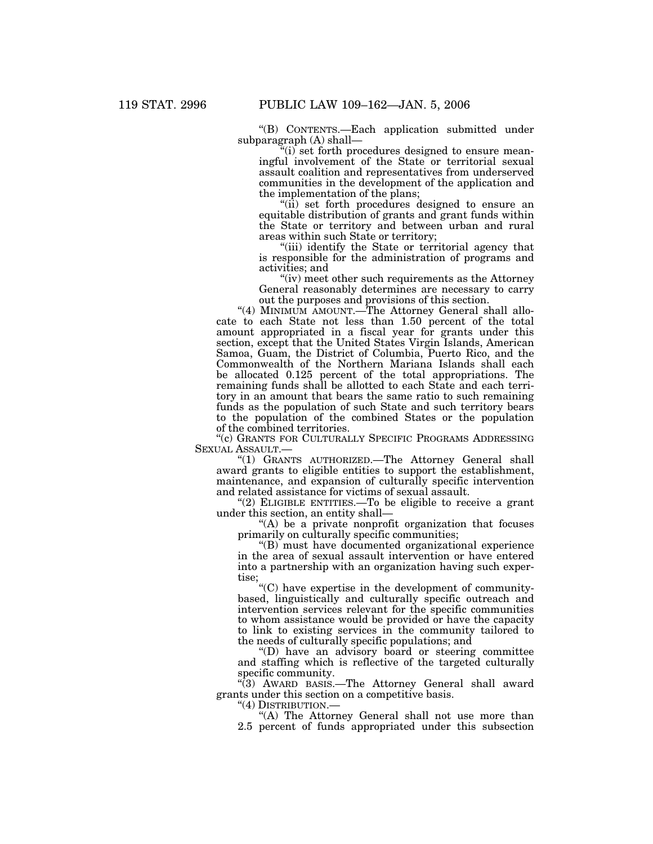''(B) CONTENTS.—Each application submitted under subparagraph (A) shall—

''(i) set forth procedures designed to ensure meaningful involvement of the State or territorial sexual assault coalition and representatives from underserved communities in the development of the application and the implementation of the plans;

''(ii) set forth procedures designed to ensure an equitable distribution of grants and grant funds within the State or territory and between urban and rural areas within such State or territory;

"(iii) identify the State or territorial agency that is responsible for the administration of programs and activities; and

"(iv) meet other such requirements as the Attorney" General reasonably determines are necessary to carry out the purposes and provisions of this section.

"(4) MINIMUM AMOUNT.—The Attorney General shall allocate to each State not less than 1.50 percent of the total amount appropriated in a fiscal year for grants under this section, except that the United States Virgin Islands, American Samoa, Guam, the District of Columbia, Puerto Rico, and the Commonwealth of the Northern Mariana Islands shall each be allocated 0.125 percent of the total appropriations. The remaining funds shall be allotted to each State and each territory in an amount that bears the same ratio to such remaining funds as the population of such State and such territory bears to the population of the combined States or the population of the combined territories.

''(c) GRANTS FOR CULTURALLY SPECIFIC PROGRAMS ADDRESSING SEXUAL ASSAULT.—

''(1) GRANTS AUTHORIZED.—The Attorney General shall award grants to eligible entities to support the establishment, maintenance, and expansion of culturally specific intervention and related assistance for victims of sexual assault.

" $(2)$  ELIGIBLE ENTITIES.—To be eligible to receive a grant under this section, an entity shall—

"(A) be a private nonprofit organization that focuses primarily on culturally specific communities;

''(B) must have documented organizational experience in the area of sexual assault intervention or have entered into a partnership with an organization having such expertise;

''(C) have expertise in the development of communitybased, linguistically and culturally specific outreach and intervention services relevant for the specific communities to whom assistance would be provided or have the capacity to link to existing services in the community tailored to the needs of culturally specific populations; and

''(D) have an advisory board or steering committee and staffing which is reflective of the targeted culturally specific community.

''(3) AWARD BASIS.—The Attorney General shall award grants under this section on a competitive basis.

''(4) DISTRIBUTION.— ''(A) The Attorney General shall not use more than 2.5 percent of funds appropriated under this subsection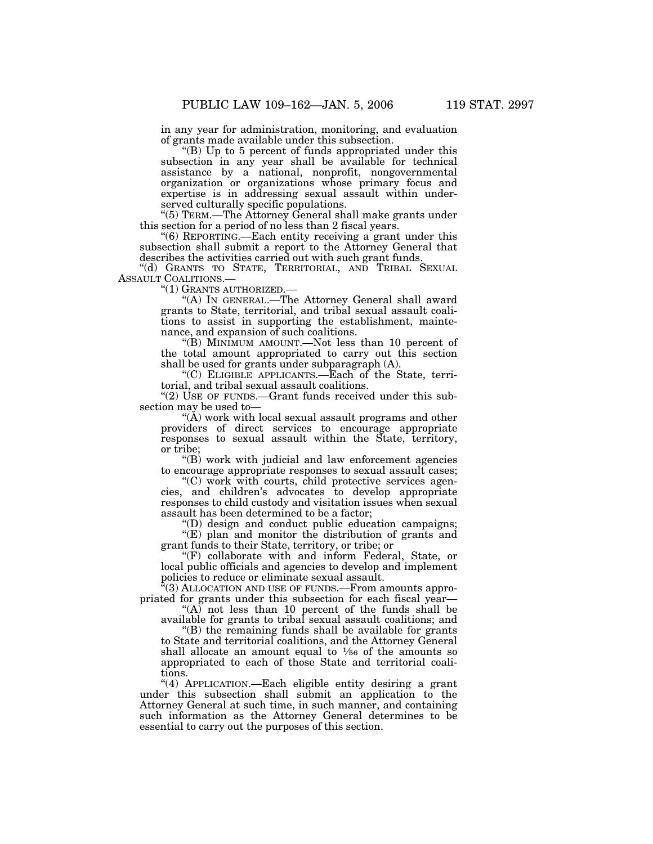in any year for administration, monitoring, and evaluation of grants made available under this subsection.

''(B) Up to 5 percent of funds appropriated under this subsection in any year shall be available for technical assistance by a national, nonprofit, nongovernmental organization or organizations whose primary focus and expertise is in addressing sexual assault within underserved culturally specific populations.

"(5) TERM.—The Attorney General shall make grants under this section for a period of no less than 2 fiscal years.

''(6) REPORTING.—Each entity receiving a grant under this subsection shall submit a report to the Attorney General that describes the activities carried out with such grant funds.

"(d) GRANTS TO STATE, TERRITORIAL, AND TRIBAL SEXUAL ASSAULT COALITIONS.—

ASSAULT COALITIONS.— ''(1) GRANTS AUTHORIZED.— ''(A) IN GENERAL.—The Attorney General shall award grants to State, territorial, and tribal sexual assault coalitions to assist in supporting the establishment, maintenance, and expansion of such coalitions.

"(B) MINIMUM AMOUNT.—Not less than 10 percent of the total amount appropriated to carry out this section shall be used for grants under subparagraph (A).

''(C) ELIGIBLE APPLICANTS.—Each of the State, territorial, and tribal sexual assault coalitions.

"(2) USE OF FUNDS.—Grant funds received under this subsection may be used to—

" $(A)$  work with local sexual assault programs and other providers of direct services to encourage appropriate responses to sexual assault within the State, territory, or tribe;

''(B) work with judicial and law enforcement agencies to encourage appropriate responses to sexual assault cases;

''(C) work with courts, child protective services agencies, and children's advocates to develop appropriate responses to child custody and visitation issues when sexual assault has been determined to be a factor;

''(D) design and conduct public education campaigns; ''(E) plan and monitor the distribution of grants and

grant funds to their State, territory, or tribe; or ''(F) collaborate with and inform Federal, State, or

local public officials and agencies to develop and implement policies to reduce or eliminate sexual assault.

''(3) ALLOCATION AND USE OF FUNDS.—From amounts appropriated for grants under this subsection for each fiscal year—

" $(A)$  not less than 10 percent of the funds shall be available for grants to tribal sexual assault coalitions; and

''(B) the remaining funds shall be available for grants to State and territorial coalitions, and the Attorney General shall allocate an amount equal to 1⁄56 of the amounts so appropriated to each of those State and territorial coalitions.

''(4) APPLICATION.—Each eligible entity desiring a grant under this subsection shall submit an application to the Attorney General at such time, in such manner, and containing such information as the Attorney General determines to be essential to carry out the purposes of this section.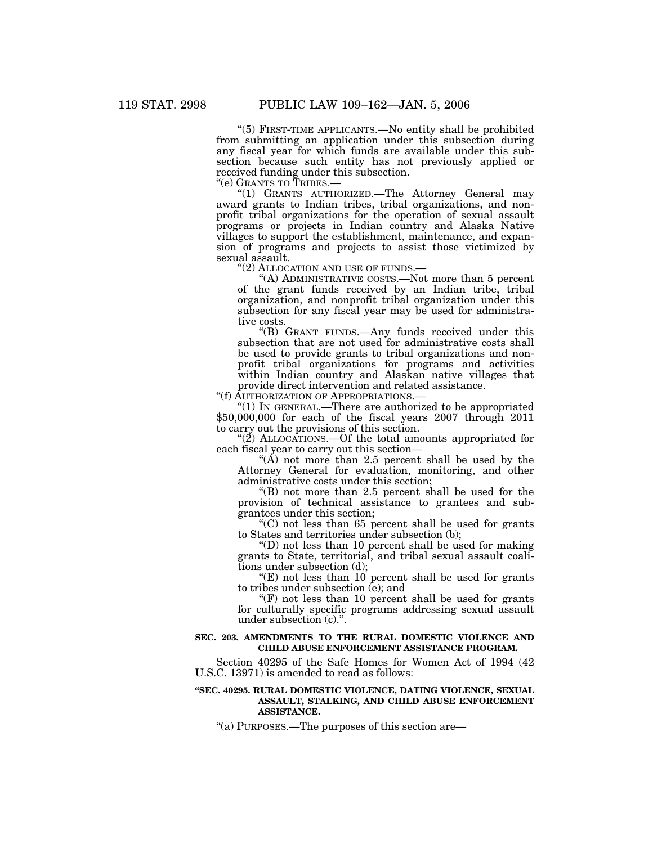''(5) FIRST-TIME APPLICANTS.—No entity shall be prohibited from submitting an application under this subsection during any fiscal year for which funds are available under this subsection because such entity has not previously applied or received funding under this subsection.<br>"(e) GRANTS TO TRIBES.—

"(1) GRANTS AUTHORIZED.— The Attorney General may award grants to Indian tribes, tribal organizations, and nonprofit tribal organizations for the operation of sexual assault programs or projects in Indian country and Alaska Native villages to support the establishment, maintenance, and expansion of programs and projects to assist those victimized by sexual assault.<br>"(2) ALLOCATION AND USE OF FUNDS.—

"(A) ADMINISTRATIVE COSTS.—Not more than 5 percent of the grant funds received by an Indian tribe, tribal organization, and nonprofit tribal organization under this subsection for any fiscal year may be used for administrative costs.

''(B) GRANT FUNDS.—Any funds received under this subsection that are not used for administrative costs shall be used to provide grants to tribal organizations and nonprofit tribal organizations for programs and activities within Indian country and Alaskan native villages that provide direct intervention and related assistance.

''(f) AUTHORIZATION OF APPROPRIATIONS.—

" $(1)$  In GENERAL.—There are authorized to be appropriated \$50,000,000 for each of the fiscal years 2007 through 2011 to carry out the provisions of this section.

" $(2)$  ALLOCATIONS.—Of the total amounts appropriated for each fiscal year to carry out this section—

" $(\tilde{A})$  not more than 2.5 percent shall be used by the Attorney General for evaluation, monitoring, and other administrative costs under this section;

''(B) not more than 2.5 percent shall be used for the provision of technical assistance to grantees and subgrantees under this section;

''(C) not less than 65 percent shall be used for grants to States and territories under subsection (b);

''(D) not less than 10 percent shall be used for making grants to State, territorial, and tribal sexual assault coalitions under subsection (d);

"(E) not less than 10 percent shall be used for grants to tribes under subsection (e); and

 $f(F)$  not less than 10 percent shall be used for grants for culturally specific programs addressing sexual assault under subsection (c).''.

## **SEC. 203. AMENDMENTS TO THE RURAL DOMESTIC VIOLENCE AND CHILD ABUSE ENFORCEMENT ASSISTANCE PROGRAM.**

Section 40295 of the Safe Homes for Women Act of 1994 (42 U.S.C. 13971) is amended to read as follows:

## **''SEC. 40295. RURAL DOMESTIC VIOLENCE, DATING VIOLENCE, SEXUAL ASSAULT, STALKING, AND CHILD ABUSE ENFORCEMENT ASSISTANCE.**

''(a) PURPOSES.—The purposes of this section are—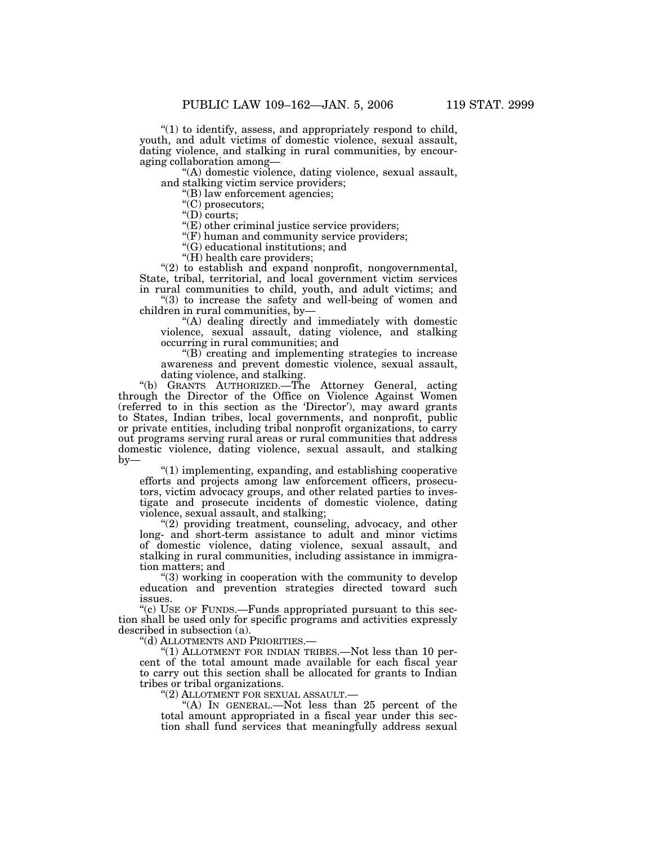"(1) to identify, assess, and appropriately respond to child, youth, and adult victims of domestic violence, sexual assault, dating violence, and stalking in rural communities, by encouraging collaboration among—

''(A) domestic violence, dating violence, sexual assault, and stalking victim service providers;

''(B) law enforcement agencies;

"(C) prosecutors;

''(D) courts;

''(E) other criminal justice service providers;

"(F) human and community service providers;

''(G) educational institutions; and

"(H) health care providers;

 $''(2)$  to establish and expand nonprofit, nongovernmental, State, tribal, territorial, and local government victim services in rural communities to child, youth, and adult victims; and

"(3) to increase the safety and well-being of women and children in rural communities, by—

''(A) dealing directly and immediately with domestic violence, sexual assault, dating violence, and stalking occurring in rural communities; and

''(B) creating and implementing strategies to increase awareness and prevent domestic violence, sexual assault, dating violence, and stalking.

''(b) GRANTS AUTHORIZED.—The Attorney General, acting through the Director of the Office on Violence Against Women (referred to in this section as the 'Director'), may award grants to States, Indian tribes, local governments, and nonprofit, public or private entities, including tribal nonprofit organizations, to carry out programs serving rural areas or rural communities that address domestic violence, dating violence, sexual assault, and stalking by—

 $(1)$  implementing, expanding, and establishing cooperative efforts and projects among law enforcement officers, prosecutors, victim advocacy groups, and other related parties to investigate and prosecute incidents of domestic violence, dating violence, sexual assault, and stalking;

"(2) providing treatment, counseling, advocacy, and other long- and short-term assistance to adult and minor victims of domestic violence, dating violence, sexual assault, and stalking in rural communities, including assistance in immigration matters; and

''(3) working in cooperation with the community to develop education and prevention strategies directed toward such issues.

"(c) USE OF FUNDS.—Funds appropriated pursuant to this section shall be used only for specific programs and activities expressly described in subsection (a).

''(d) ALLOTMENTS AND PRIORITIES.—

 $(1)$  ALLOTMENT FOR INDIAN TRIBES.—Not less than 10 percent of the total amount made available for each fiscal year to carry out this section shall be allocated for grants to Indian tribes or tribal organizations.

''(2) ALLOTMENT FOR SEXUAL ASSAULT.—

''(A) IN GENERAL.—Not less than 25 percent of the total amount appropriated in a fiscal year under this section shall fund services that meaningfully address sexual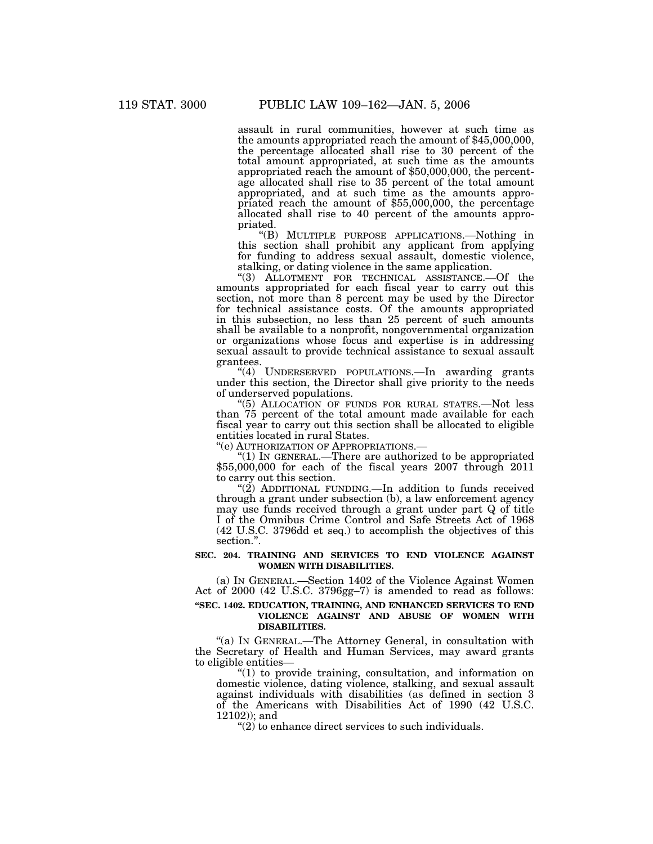assault in rural communities, however at such time as the amounts appropriated reach the amount of \$45,000,000, the percentage allocated shall rise to 30 percent of the total amount appropriated, at such time as the amounts appropriated reach the amount of \$50,000,000, the percentage allocated shall rise to 35 percent of the total amount appropriated, and at such time as the amounts appropriated reach the amount of \$55,000,000, the percentage allocated shall rise to 40 percent of the amounts appropriated.

''(B) MULTIPLE PURPOSE APPLICATIONS.—Nothing in this section shall prohibit any applicant from applying for funding to address sexual assault, domestic violence, stalking, or dating violence in the same application.

''(3) ALLOTMENT FOR TECHNICAL ASSISTANCE.—Of the amounts appropriated for each fiscal year to carry out this section, not more than 8 percent may be used by the Director for technical assistance costs. Of the amounts appropriated in this subsection, no less than 25 percent of such amounts shall be available to a nonprofit, nongovernmental organization or organizations whose focus and expertise is in addressing sexual assault to provide technical assistance to sexual assault grantees.

"(4) UNDERSERVED POPULATIONS.—In awarding grants under this section, the Director shall give priority to the needs of underserved populations.

''(5) ALLOCATION OF FUNDS FOR RURAL STATES.—Not less than 75 percent of the total amount made available for each fiscal year to carry out this section shall be allocated to eligible entities located in rural States.

''(e) AUTHORIZATION OF APPROPRIATIONS.— ''(1) IN GENERAL.—There are authorized to be appropriated \$55,000,000 for each of the fiscal years 2007 through 2011 to carry out this section.

" $(2)$  ADDITIONAL FUNDING.—In addition to funds received through a grant under subsection (b), a law enforcement agency may use funds received through a grant under part Q of title I of the Omnibus Crime Control and Safe Streets Act of 1968 (42 U.S.C. 3796dd et seq.) to accomplish the objectives of this section."

#### **SEC. 204. TRAINING AND SERVICES TO END VIOLENCE AGAINST WOMEN WITH DISABILITIES.**

(a) IN GENERAL.—Section 1402 of the Violence Against Women Act of 2000 (42 U.S.C. 3796gg–7) is amended to read as follows:

## **''SEC. 1402. EDUCATION, TRAINING, AND ENHANCED SERVICES TO END VIOLENCE AGAINST AND ABUSE OF WOMEN WITH DISABILITIES.**

''(a) IN GENERAL.—The Attorney General, in consultation with the Secretary of Health and Human Services, may award grants to eligible entities—

''(1) to provide training, consultation, and information on domestic violence, dating violence, stalking, and sexual assault against individuals with disabilities (as defined in section 3 of the Americans with Disabilities Act of 1990 (42 U.S.C. 12102)); and

 $''(2)$  to enhance direct services to such individuals.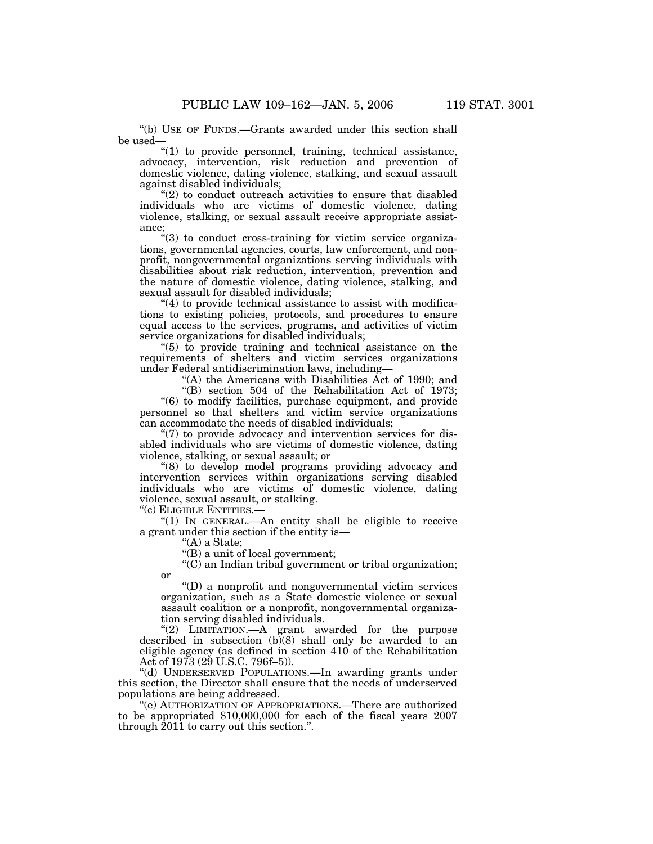''(b) USE OF FUNDS.—Grants awarded under this section shall be used—

''(1) to provide personnel, training, technical assistance, advocacy, intervention, risk reduction and prevention of domestic violence, dating violence, stalking, and sexual assault against disabled individuals;

 $(2)$  to conduct outreach activities to ensure that disabled individuals who are victims of domestic violence, dating violence, stalking, or sexual assault receive appropriate assistance;

"(3) to conduct cross-training for victim service organizations, governmental agencies, courts, law enforcement, and nonprofit, nongovernmental organizations serving individuals with disabilities about risk reduction, intervention, prevention and the nature of domestic violence, dating violence, stalking, and sexual assault for disabled individuals;

 $''(4)$  to provide technical assistance to assist with modifications to existing policies, protocols, and procedures to ensure equal access to the services, programs, and activities of victim service organizations for disabled individuals;

 $(5)$  to provide training and technical assistance on the requirements of shelters and victim services organizations under Federal antidiscrimination laws, including—

''(A) the Americans with Disabilities Act of 1990; and

''(B) section 504 of the Rehabilitation Act of 1973;

''(6) to modify facilities, purchase equipment, and provide personnel so that shelters and victim service organizations can accommodate the needs of disabled individuals;

''(7) to provide advocacy and intervention services for disabled individuals who are victims of domestic violence, dating violence, stalking, or sexual assault; or

''(8) to develop model programs providing advocacy and intervention services within organizations serving disabled individuals who are victims of domestic violence, dating violence, sexual assault, or stalking.

''(c) ELIGIBLE ENTITIES.—

''(1) IN GENERAL.—An entity shall be eligible to receive a grant under this section if the entity is—

''(A) a State;

''(B) a unit of local government;

''(C) an Indian tribal government or tribal organization; or

''(D) a nonprofit and nongovernmental victim services organization, such as a State domestic violence or sexual assault coalition or a nonprofit, nongovernmental organization serving disabled individuals.

"(2) LIMITATION.—A grant awarded for the purpose described in subsection (b)(8) shall only be awarded to an eligible agency (as defined in section 410 of the Rehabilitation Act of 1973 (29 U.S.C. 796f–5)).

''(d) UNDERSERVED POPULATIONS.—In awarding grants under this section, the Director shall ensure that the needs of underserved populations are being addressed.

''(e) AUTHORIZATION OF APPROPRIATIONS.—There are authorized to be appropriated \$10,000,000 for each of the fiscal years 2007 through 2011 to carry out this section.''.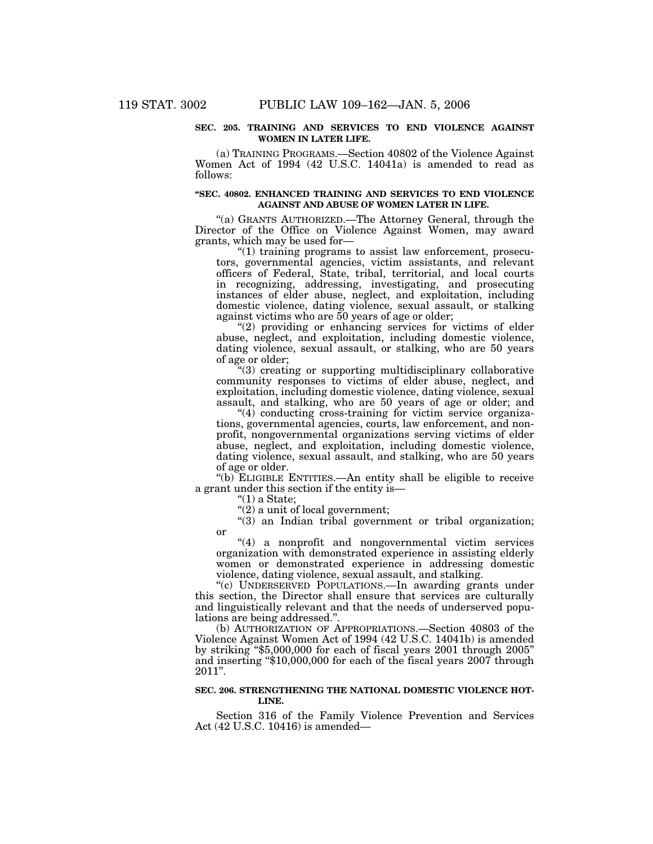#### **SEC. 205. TRAINING AND SERVICES TO END VIOLENCE AGAINST WOMEN IN LATER LIFE.**

(a) TRAINING PROGRAMS.—Section 40802 of the Violence Against Women Act of 1994 (42 U.S.C. 14041a) is amended to read as follows:

#### **''SEC. 40802. ENHANCED TRAINING AND SERVICES TO END VIOLENCE AGAINST AND ABUSE OF WOMEN LATER IN LIFE.**

''(a) GRANTS AUTHORIZED.—The Attorney General, through the Director of the Office on Violence Against Women, may award grants, which may be used for—

 $"(1)$  training programs to assist law enforcement, prosecutors, governmental agencies, victim assistants, and relevant officers of Federal, State, tribal, territorial, and local courts in recognizing, addressing, investigating, and prosecuting instances of elder abuse, neglect, and exploitation, including domestic violence, dating violence, sexual assault, or stalking against victims who are 50 years of age or older;

"(2) providing or enhancing services for victims of elder abuse, neglect, and exploitation, including domestic violence, dating violence, sexual assault, or stalking, who are 50 years of age or older;

''(3) creating or supporting multidisciplinary collaborative community responses to victims of elder abuse, neglect, and exploitation, including domestic violence, dating violence, sexual assault, and stalking, who are 50 years of age or older; and

 $''(4)$  conducting cross-training for victim service organizations, governmental agencies, courts, law enforcement, and nonprofit, nongovernmental organizations serving victims of elder abuse, neglect, and exploitation, including domestic violence, dating violence, sexual assault, and stalking, who are 50 years of age or older.

''(b) ELIGIBLE ENTITIES.—An entity shall be eligible to receive a grant under this section if the entity is—

''(1) a State;

''(2) a unit of local government;

"(3) an Indian tribal government or tribal organization; or

 $''(4)$  a nonprofit and nongovernmental victim services organization with demonstrated experience in assisting elderly women or demonstrated experience in addressing domestic violence, dating violence, sexual assault, and stalking.

''(c) UNDERSERVED POPULATIONS.—In awarding grants under this section, the Director shall ensure that services are culturally and linguistically relevant and that the needs of underserved populations are being addressed.''.

(b) AUTHORIZATION OF APPROPRIATIONS.—Section 40803 of the Violence Against Women Act of 1994 (42 U.S.C. 14041b) is amended by striking ''\$5,000,000 for each of fiscal years 2001 through 2005'' and inserting ''\$10,000,000 for each of the fiscal years 2007 through 2011''.

## **SEC. 206. STRENGTHENING THE NATIONAL DOMESTIC VIOLENCE HOT-LINE.**

Section 316 of the Family Violence Prevention and Services Act (42 U.S.C. 10416) is amended—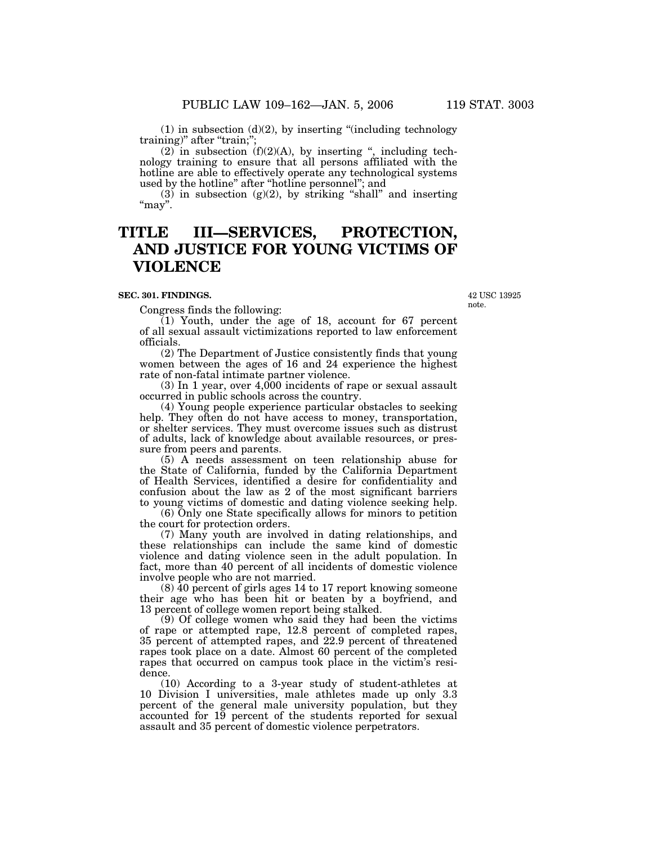$(1)$  in subsection  $(d)(2)$ , by inserting "(including technology training)'' after ''train;'';

(2) in subsection  $(f)(2)(A)$ , by inserting ", including technology training to ensure that all persons affiliated with the hotline are able to effectively operate any technological systems used by the hotline'' after ''hotline personnel''; and

 $(3)$  in subsection  $(g)(2)$ , by striking "shall" and inserting "may".

## **TITLE III—SERVICES, PROTECTION, AND JUSTICE FOR YOUNG VICTIMS OF VIOLENCE**

#### **SEC. 301. FINDINGS.**

Congress finds the following:

42 USC 13925 note.

(1) Youth, under the age of 18, account for 67 percent of all sexual assault victimizations reported to law enforcement officials.

(2) The Department of Justice consistently finds that young women between the ages of 16 and 24 experience the highest rate of non-fatal intimate partner violence.

 $(3)$  In 1 year, over  $4,000$  incidents of rape or sexual assault occurred in public schools across the country.

(4) Young people experience particular obstacles to seeking help. They often do not have access to money, transportation, or shelter services. They must overcome issues such as distrust of adults, lack of knowledge about available resources, or pressure from peers and parents.

(5) A needs assessment on teen relationship abuse for the State of California, funded by the California Department of Health Services, identified a desire for confidentiality and confusion about the law as 2 of the most significant barriers to young victims of domestic and dating violence seeking help.

(6) Only one State specifically allows for minors to petition the court for protection orders.

(7) Many youth are involved in dating relationships, and these relationships can include the same kind of domestic violence and dating violence seen in the adult population. In fact, more than 40 percent of all incidents of domestic violence involve people who are not married.

(8) 40 percent of girls ages 14 to 17 report knowing someone their age who has been hit or beaten by a boyfriend, and 13 percent of college women report being stalked.

(9) Of college women who said they had been the victims of rape or attempted rape, 12.8 percent of completed rapes, 35 percent of attempted rapes, and 22.9 percent of threatened rapes took place on a date. Almost 60 percent of the completed rapes that occurred on campus took place in the victim's residence.

(10) According to a 3-year study of student-athletes at 10 Division I universities, male athletes made up only 3.3 percent of the general male university population, but they accounted for 19 percent of the students reported for sexual assault and 35 percent of domestic violence perpetrators.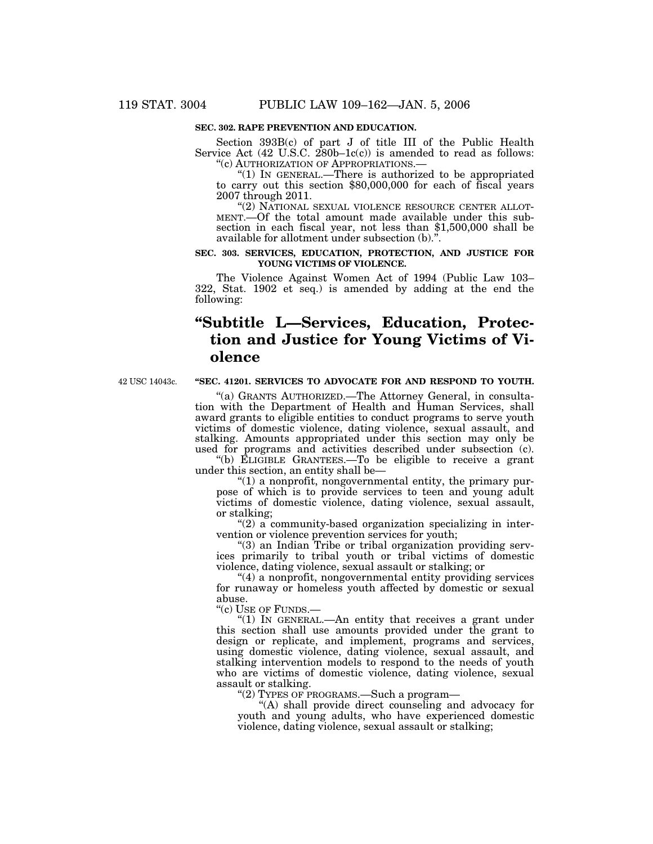## **SEC. 302. RAPE PREVENTION AND EDUCATION.**

Section 393B(c) of part J of title III of the Public Health Service Act (42 U.S.C. 280b–1c(c)) is amended to read as follows: ''(c) AUTHORIZATION OF APPROPRIATIONS.—

''(1) IN GENERAL.—There is authorized to be appropriated to carry out this section \$80,000,000 for each of fiscal years 2007 through 2011.

''(2) NATIONAL SEXUAL VIOLENCE RESOURCE CENTER ALLOT-MENT.—Of the total amount made available under this subsection in each fiscal year, not less than \$1,500,000 shall be available for allotment under subsection (b).''.

## **SEC. 303. SERVICES, EDUCATION, PROTECTION, AND JUSTICE FOR YOUNG VICTIMS OF VIOLENCE.**

The Violence Against Women Act of 1994 (Public Law 103– 322, Stat. 1902 et seq.) is amended by adding at the end the following:

# **''Subtitle L—Services, Education, Protection and Justice for Young Victims of Violence**

42 USC 14043c.

## **''SEC. 41201. SERVICES TO ADVOCATE FOR AND RESPOND TO YOUTH.**

''(a) GRANTS AUTHORIZED.—The Attorney General, in consultation with the Department of Health and Human Services, shall award grants to eligible entities to conduct programs to serve youth victims of domestic violence, dating violence, sexual assault, and stalking. Amounts appropriated under this section may only be used for programs and activities described under subsection (c). ''(b) ELIGIBLE GRANTEES.—To be eligible to receive a grant

under this section, an entity shall be—

 $(1)$  a nonprofit, nongovernmental entity, the primary purpose of which is to provide services to teen and young adult victims of domestic violence, dating violence, sexual assault, or stalking;

 $(2)$  a community-based organization specializing in intervention or violence prevention services for youth;

''(3) an Indian Tribe or tribal organization providing services primarily to tribal youth or tribal victims of domestic violence, dating violence, sexual assault or stalking; or

''(4) a nonprofit, nongovernmental entity providing services for runaway or homeless youth affected by domestic or sexual abuse.

''(c) USE OF FUNDS.—

"(1) In GENERAL.—An entity that receives a grant under this section shall use amounts provided under the grant to design or replicate, and implement, programs and services, using domestic violence, dating violence, sexual assault, and stalking intervention models to respond to the needs of youth who are victims of domestic violence, dating violence, sexual assault or stalking.

''(2) TYPES OF PROGRAMS.—Such a program—

''(A) shall provide direct counseling and advocacy for youth and young adults, who have experienced domestic violence, dating violence, sexual assault or stalking;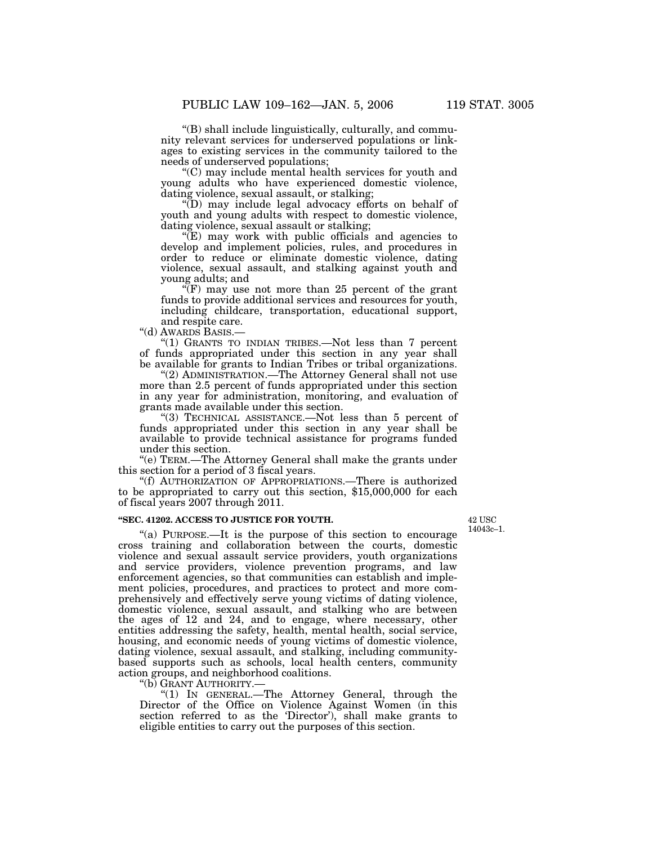''(B) shall include linguistically, culturally, and community relevant services for underserved populations or linkages to existing services in the community tailored to the needs of underserved populations;

''(C) may include mental health services for youth and young adults who have experienced domestic violence, dating violence, sexual assault, or stalking;

 $\sqrt{\text{D}}$  may include legal advocacy efforts on behalf of youth and young adults with respect to domestic violence, dating violence, sexual assault or stalking;

''(E) may work with public officials and agencies to develop and implement policies, rules, and procedures in order to reduce or eliminate domestic violence, dating violence, sexual assault, and stalking against youth and young adults; and

 $(F)$  may use not more than 25 percent of the grant funds to provide additional services and resources for youth, including childcare, transportation, educational support, and respite care.

''(d) AWARDS BASIS.—

''(1) GRANTS TO INDIAN TRIBES.—Not less than 7 percent of funds appropriated under this section in any year shall be available for grants to Indian Tribes or tribal organizations.

"(2) ADMINISTRATION.—The Attorney General shall not use more than 2.5 percent of funds appropriated under this section in any year for administration, monitoring, and evaluation of grants made available under this section.

''(3) TECHNICAL ASSISTANCE.—Not less than 5 percent of funds appropriated under this section in any year shall be available to provide technical assistance for programs funded under this section.

''(e) TERM.—The Attorney General shall make the grants under this section for a period of 3 fiscal years.

''(f) AUTHORIZATION OF APPROPRIATIONS.—There is authorized to be appropriated to carry out this section, \$15,000,000 for each of fiscal years 2007 through 2011.

## **''SEC. 41202. ACCESS TO JUSTICE FOR YOUTH.**

 $(a)$  PURPOSE.—It is the purpose of this section to encourage cross training and collaboration between the courts, domestic violence and sexual assault service providers, youth organizations and service providers, violence prevention programs, and law enforcement agencies, so that communities can establish and implement policies, procedures, and practices to protect and more comprehensively and effectively serve young victims of dating violence, domestic violence, sexual assault, and stalking who are between the ages of 12 and 24, and to engage, where necessary, other entities addressing the safety, health, mental health, social service, housing, and economic needs of young victims of domestic violence, dating violence, sexual assault, and stalking, including communitybased supports such as schools, local health centers, community action groups, and neighborhood coalitions.

''(b) GRANT AUTHORITY.—

''(1) IN GENERAL.—The Attorney General, through the Director of the Office on Violence Against Women (in this section referred to as the 'Director'), shall make grants to eligible entities to carry out the purposes of this section.

42 USC 14043c–1.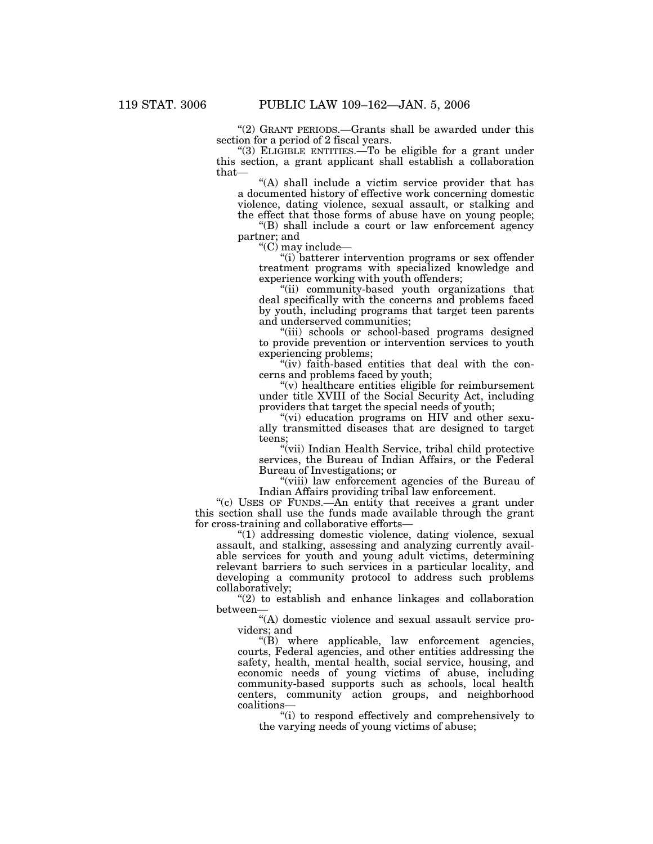"(2) GRANT PERIODS.—Grants shall be awarded under this section for a period of 2 fiscal years.

"(3) ELIGIBLE ENTITIES.—To be eligible for a grant under this section, a grant applicant shall establish a collaboration that—

"(A) shall include a victim service provider that has a documented history of effective work concerning domestic violence, dating violence, sexual assault, or stalking and the effect that those forms of abuse have on young people;

''(B) shall include a court or law enforcement agency partner; and

''(C) may include—

''(i) batterer intervention programs or sex offender treatment programs with specialized knowledge and experience working with youth offenders;

''(ii) community-based youth organizations that deal specifically with the concerns and problems faced by youth, including programs that target teen parents and underserved communities;

''(iii) schools or school-based programs designed to provide prevention or intervention services to youth experiencing problems;

"(iv) faith-based entities that deal with the concerns and problems faced by youth;

''(v) healthcare entities eligible for reimbursement under title XVIII of the Social Security Act, including providers that target the special needs of youth;

"(vi) education programs on HIV and other sexually transmitted diseases that are designed to target teens;

''(vii) Indian Health Service, tribal child protective services, the Bureau of Indian Affairs, or the Federal Bureau of Investigations; or

"(viii) law enforcement agencies of the Bureau of Indian Affairs providing tribal law enforcement.

''(c) USES OF FUNDS.—An entity that receives a grant under this section shall use the funds made available through the grant for cross-training and collaborative efforts—

''(1) addressing domestic violence, dating violence, sexual assault, and stalking, assessing and analyzing currently available services for youth and young adult victims, determining relevant barriers to such services in a particular locality, and developing a community protocol to address such problems collaboratively;

 $''(2)$  to establish and enhance linkages and collaboration between—

''(A) domestic violence and sexual assault service providers; and

''(B) where applicable, law enforcement agencies, courts, Federal agencies, and other entities addressing the safety, health, mental health, social service, housing, and economic needs of young victims of abuse, including community-based supports such as schools, local health centers, community action groups, and neighborhood coalitions—

''(i) to respond effectively and comprehensively to the varying needs of young victims of abuse;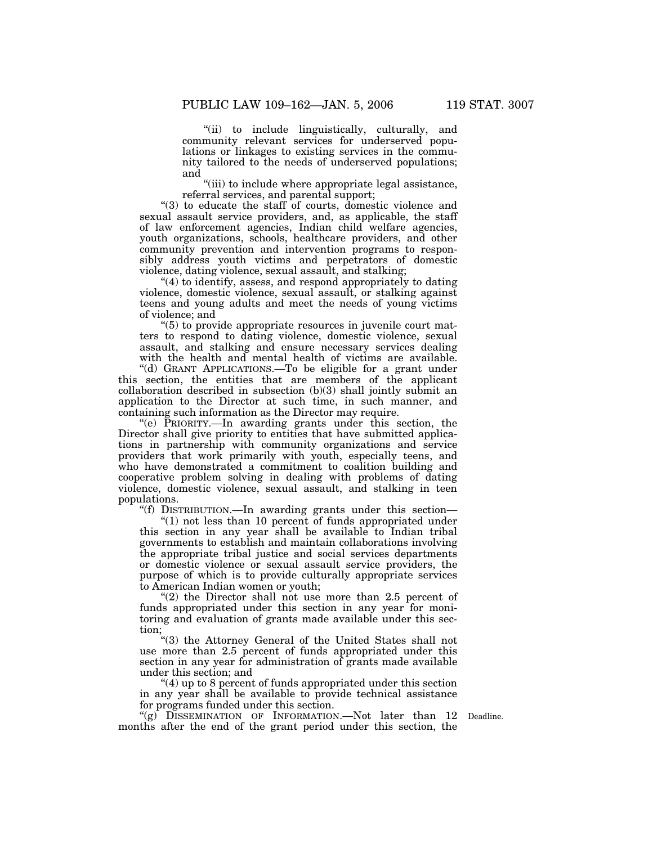"(ii) to include linguistically, culturally, and community relevant services for underserved populations or linkages to existing services in the community tailored to the needs of underserved populations; and

''(iii) to include where appropriate legal assistance, referral services, and parental support;

''(3) to educate the staff of courts, domestic violence and sexual assault service providers, and, as applicable, the staff of law enforcement agencies, Indian child welfare agencies, youth organizations, schools, healthcare providers, and other community prevention and intervention programs to responsibly address youth victims and perpetrators of domestic violence, dating violence, sexual assault, and stalking;

"(4) to identify, assess, and respond appropriately to dating violence, domestic violence, sexual assault, or stalking against teens and young adults and meet the needs of young victims of violence; and

''(5) to provide appropriate resources in juvenile court matters to respond to dating violence, domestic violence, sexual assault, and stalking and ensure necessary services dealing with the health and mental health of victims are available.

''(d) GRANT APPLICATIONS.—To be eligible for a grant under this section, the entities that are members of the applicant collaboration described in subsection  $(b)(3)$  shall jointly submit an application to the Director at such time, in such manner, and containing such information as the Director may require.

''(e) PRIORITY.—In awarding grants under this section, the Director shall give priority to entities that have submitted applications in partnership with community organizations and service providers that work primarily with youth, especially teens, and who have demonstrated a commitment to coalition building and cooperative problem solving in dealing with problems of dating violence, domestic violence, sexual assault, and stalking in teen populations.

''(f) DISTRIBUTION.—In awarding grants under this section—

" $(1)$  not less than 10 percent of funds appropriated under this section in any year shall be available to Indian tribal governments to establish and maintain collaborations involving the appropriate tribal justice and social services departments or domestic violence or sexual assault service providers, the purpose of which is to provide culturally appropriate services to American Indian women or youth;

"(2) the Director shall not use more than 2.5 percent of funds appropriated under this section in any year for monitoring and evaluation of grants made available under this section;

''(3) the Attorney General of the United States shall not use more than 2.5 percent of funds appropriated under this section in any year for administration of grants made available under this section; and

 $''(4)$  up to 8 percent of funds appropriated under this section in any year shall be available to provide technical assistance for programs funded under this section.

"(g) DISSEMINATION OF INFORMATION.—Not later than 12 Deadline. months after the end of the grant period under this section, the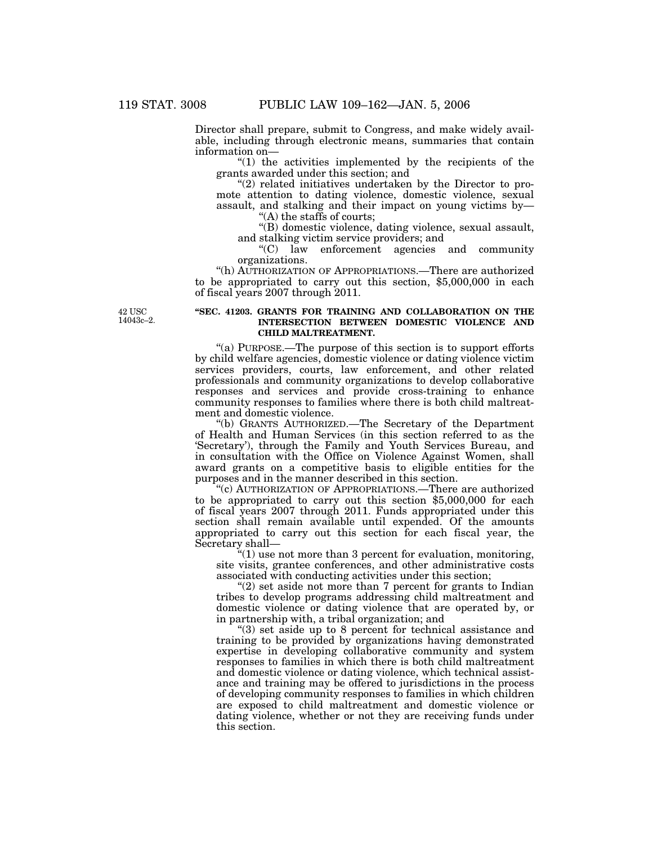Director shall prepare, submit to Congress, and make widely available, including through electronic means, summaries that contain information on—

" $(1)$  the activities implemented by the recipients of the grants awarded under this section; and

" $(2)$  related initiatives undertaken by the Director to promote attention to dating violence, domestic violence, sexual assault, and stalking and their impact on young victims by— ''(A) the staffs of courts;

''(B) domestic violence, dating violence, sexual assault, and stalking victim service providers; and

''(C) law enforcement agencies and community organizations.

''(h) AUTHORIZATION OF APPROPRIATIONS.—There are authorized to be appropriated to carry out this section, \$5,000,000 in each of fiscal years 2007 through 2011.

42 USC 14043c–2.

#### **''SEC. 41203. GRANTS FOR TRAINING AND COLLABORATION ON THE INTERSECTION BETWEEN DOMESTIC VIOLENCE AND CHILD MALTREATMENT.**

''(a) PURPOSE.—The purpose of this section is to support efforts by child welfare agencies, domestic violence or dating violence victim services providers, courts, law enforcement, and other related professionals and community organizations to develop collaborative responses and services and provide cross-training to enhance community responses to families where there is both child maltreatment and domestic violence.

''(b) GRANTS AUTHORIZED.—The Secretary of the Department of Health and Human Services (in this section referred to as the 'Secretary'), through the Family and Youth Services Bureau, and in consultation with the Office on Violence Against Women, shall award grants on a competitive basis to eligible entities for the purposes and in the manner described in this section.

''(c) AUTHORIZATION OF APPROPRIATIONS.—There are authorized to be appropriated to carry out this section \$5,000,000 for each of fiscal years 2007 through 2011. Funds appropriated under this section shall remain available until expended. Of the amounts appropriated to carry out this section for each fiscal year, the Secretary shall—

 $(1)$  use not more than 3 percent for evaluation, monitoring, site visits, grantee conferences, and other administrative costs associated with conducting activities under this section;

" $(2)$  set aside not more than 7 percent for grants to Indian tribes to develop programs addressing child maltreatment and domestic violence or dating violence that are operated by, or in partnership with, a tribal organization; and

''(3) set aside up to 8 percent for technical assistance and training to be provided by organizations having demonstrated expertise in developing collaborative community and system responses to families in which there is both child maltreatment and domestic violence or dating violence, which technical assistance and training may be offered to jurisdictions in the process of developing community responses to families in which children are exposed to child maltreatment and domestic violence or dating violence, whether or not they are receiving funds under this section.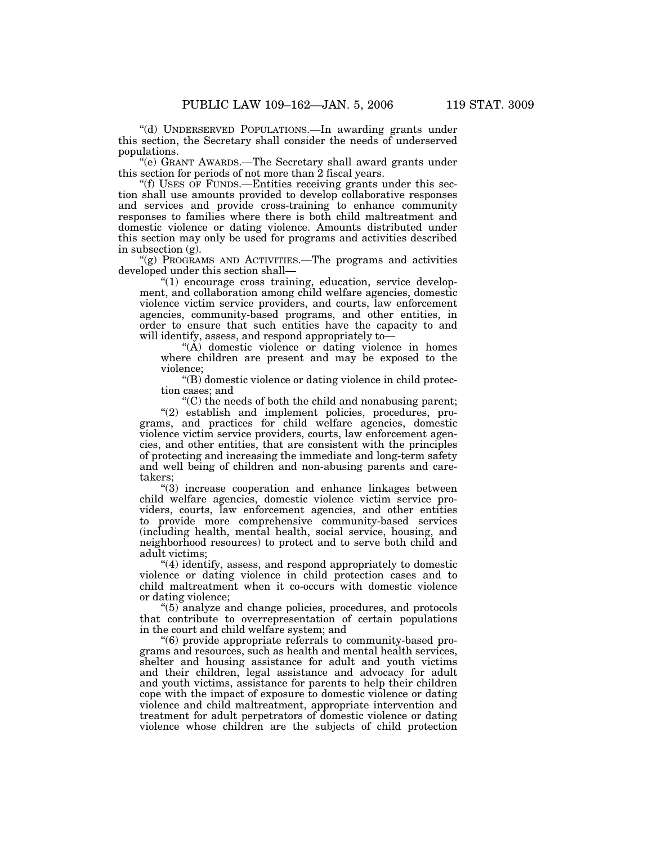''(d) UNDERSERVED POPULATIONS.—In awarding grants under this section, the Secretary shall consider the needs of underserved populations.

''(e) GRANT AWARDS.—The Secretary shall award grants under this section for periods of not more than 2 fiscal years.

''(f) USES OF FUNDS.—Entities receiving grants under this section shall use amounts provided to develop collaborative responses and services and provide cross-training to enhance community responses to families where there is both child maltreatment and domestic violence or dating violence. Amounts distributed under this section may only be used for programs and activities described in subsection (g).

''(g) PROGRAMS AND ACTIVITIES.—The programs and activities developed under this section shall—

''(1) encourage cross training, education, service development, and collaboration among child welfare agencies, domestic violence victim service providers, and courts, law enforcement agencies, community-based programs, and other entities, in order to ensure that such entities have the capacity to and will identify, assess, and respond appropriately to—

"(A) domestic violence or dating violence in homes where children are present and may be exposed to the violence;

''(B) domestic violence or dating violence in child protection cases; and

''(C) the needs of both the child and nonabusing parent;

''(2) establish and implement policies, procedures, programs, and practices for child welfare agencies, domestic violence victim service providers, courts, law enforcement agencies, and other entities, that are consistent with the principles of protecting and increasing the immediate and long-term safety and well being of children and non-abusing parents and caretakers;

 $\degree$ (3) increase cooperation and enhance linkages between child welfare agencies, domestic violence victim service providers, courts, law enforcement agencies, and other entities to provide more comprehensive community-based services (including health, mental health, social service, housing, and neighborhood resources) to protect and to serve both child and adult victims;

''(4) identify, assess, and respond appropriately to domestic violence or dating violence in child protection cases and to child maltreatment when it co-occurs with domestic violence or dating violence;

''(5) analyze and change policies, procedures, and protocols that contribute to overrepresentation of certain populations in the court and child welfare system; and

''(6) provide appropriate referrals to community-based programs and resources, such as health and mental health services, shelter and housing assistance for adult and youth victims and their children, legal assistance and advocacy for adult and youth victims, assistance for parents to help their children cope with the impact of exposure to domestic violence or dating violence and child maltreatment, appropriate intervention and treatment for adult perpetrators of domestic violence or dating violence whose children are the subjects of child protection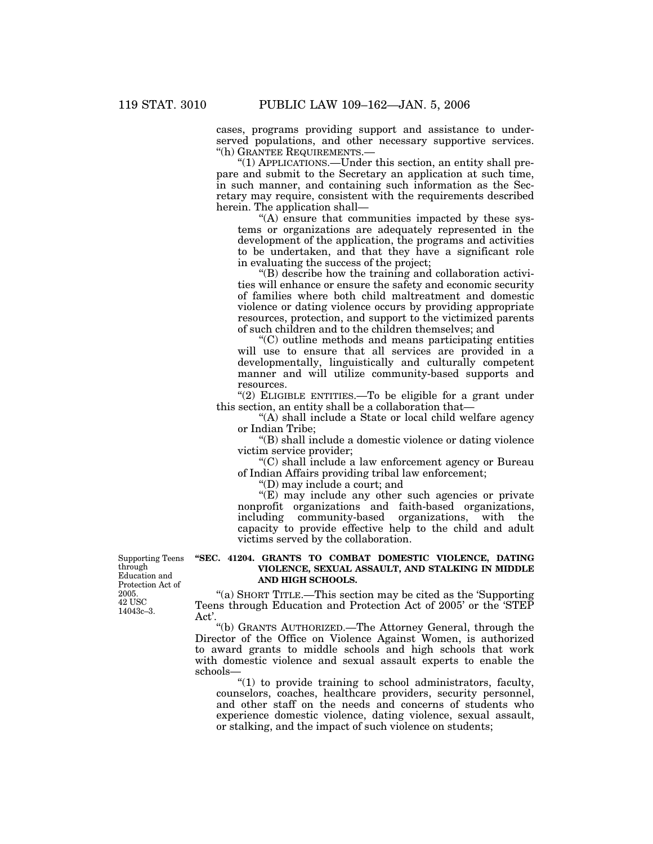cases, programs providing support and assistance to underserved populations, and other necessary supportive services. ''(h) GRANTEE REQUIREMENTS.—

''(1) APPLICATIONS.—Under this section, an entity shall prepare and submit to the Secretary an application at such time, in such manner, and containing such information as the Secretary may require, consistent with the requirements described herein. The application shall—

"(A) ensure that communities impacted by these systems or organizations are adequately represented in the development of the application, the programs and activities to be undertaken, and that they have a significant role in evaluating the success of the project;

''(B) describe how the training and collaboration activities will enhance or ensure the safety and economic security of families where both child maltreatment and domestic violence or dating violence occurs by providing appropriate resources, protection, and support to the victimized parents of such children and to the children themselves; and

''(C) outline methods and means participating entities will use to ensure that all services are provided in a developmentally, linguistically and culturally competent manner and will utilize community-based supports and resources.

"(2) ELIGIBLE ENTITIES.—To be eligible for a grant under this section, an entity shall be a collaboration that—

 $(A)$  shall include a State or local child welfare agency or Indian Tribe;

''(B) shall include a domestic violence or dating violence victim service provider;

''(C) shall include a law enforcement agency or Bureau of Indian Affairs providing tribal law enforcement;

''(D) may include a court; and

''(E) may include any other such agencies or private nonprofit organizations and faith-based organizations, including community-based organizations, with the capacity to provide effective help to the child and adult victims served by the collaboration.

## **''SEC. 41204. GRANTS TO COMBAT DOMESTIC VIOLENCE, DATING VIOLENCE, SEXUAL ASSAULT, AND STALKING IN MIDDLE AND HIGH SCHOOLS.**

''(a) SHORT TITLE.—This section may be cited as the 'Supporting Teens through Education and Protection Act of 2005' or the 'STEP Act'.

''(b) GRANTS AUTHORIZED.—The Attorney General, through the Director of the Office on Violence Against Women, is authorized to award grants to middle schools and high schools that work with domestic violence and sexual assault experts to enable the schools—

 $''(1)$  to provide training to school administrators, faculty, counselors, coaches, healthcare providers, security personnel, and other staff on the needs and concerns of students who experience domestic violence, dating violence, sexual assault, or stalking, and the impact of such violence on students;

Supporting Teens through Education and Protection Act of 2005. 42 USC 14043c–3.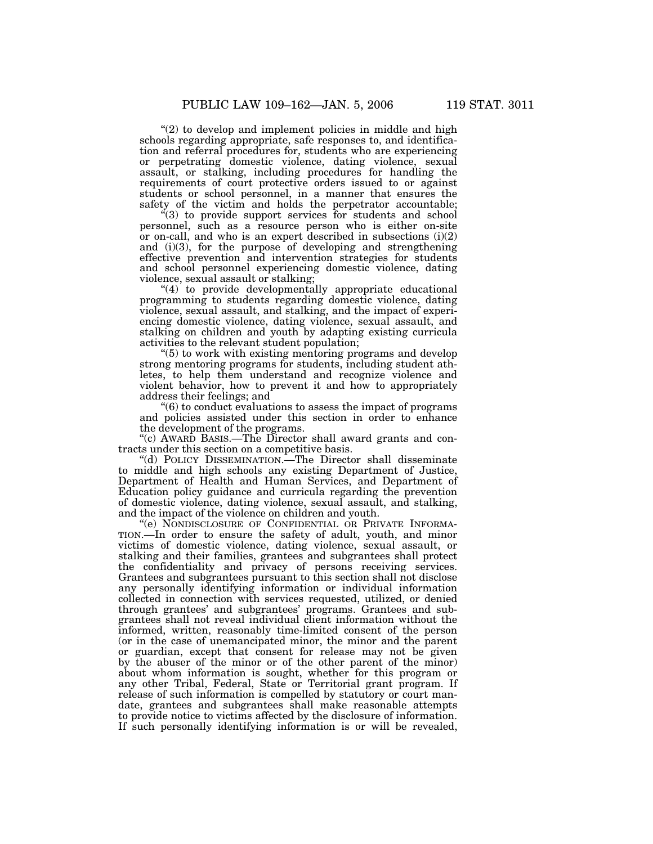"(2) to develop and implement policies in middle and high schools regarding appropriate, safe responses to, and identification and referral procedures for, students who are experiencing or perpetrating domestic violence, dating violence, sexual assault, or stalking, including procedures for handling the requirements of court protective orders issued to or against students or school personnel, in a manner that ensures the safety of the victim and holds the perpetrator accountable;

 $\cdot$ <sup>2</sup>(3) to provide support services for students and school personnel, such as a resource person who is either on-site or on-call, and who is an expert described in subsections (i)(2) and (i)(3), for the purpose of developing and strengthening effective prevention and intervention strategies for students and school personnel experiencing domestic violence, dating violence, sexual assault or stalking;

"(4) to provide developmentally appropriate educational programming to students regarding domestic violence, dating violence, sexual assault, and stalking, and the impact of experiencing domestic violence, dating violence, sexual assault, and stalking on children and youth by adapting existing curricula activities to the relevant student population;

''(5) to work with existing mentoring programs and develop strong mentoring programs for students, including student athletes, to help them understand and recognize violence and violent behavior, how to prevent it and how to appropriately address their feelings; and

''(6) to conduct evaluations to assess the impact of programs and policies assisted under this section in order to enhance the development of the programs.

''(c) AWARD BASIS.—The Director shall award grants and contracts under this section on a competitive basis.

''(d) POLICY DISSEMINATION.—The Director shall disseminate to middle and high schools any existing Department of Justice, Department of Health and Human Services, and Department of Education policy guidance and curricula regarding the prevention of domestic violence, dating violence, sexual assault, and stalking, and the impact of the violence on children and youth.

"(e) NONDISCLOSURE OF CONFIDENTIAL OR PRIVATE INFORMA-TION.—In order to ensure the safety of adult, youth, and minor victims of domestic violence, dating violence, sexual assault, or stalking and their families, grantees and subgrantees shall protect the confidentiality and privacy of persons receiving services. Grantees and subgrantees pursuant to this section shall not disclose any personally identifying information or individual information collected in connection with services requested, utilized, or denied through grantees' and subgrantees' programs. Grantees and subgrantees shall not reveal individual client information without the informed, written, reasonably time-limited consent of the person (or in the case of unemancipated minor, the minor and the parent or guardian, except that consent for release may not be given by the abuser of the minor or of the other parent of the minor) about whom information is sought, whether for this program or any other Tribal, Federal, State or Territorial grant program. If release of such information is compelled by statutory or court mandate, grantees and subgrantees shall make reasonable attempts to provide notice to victims affected by the disclosure of information. If such personally identifying information is or will be revealed,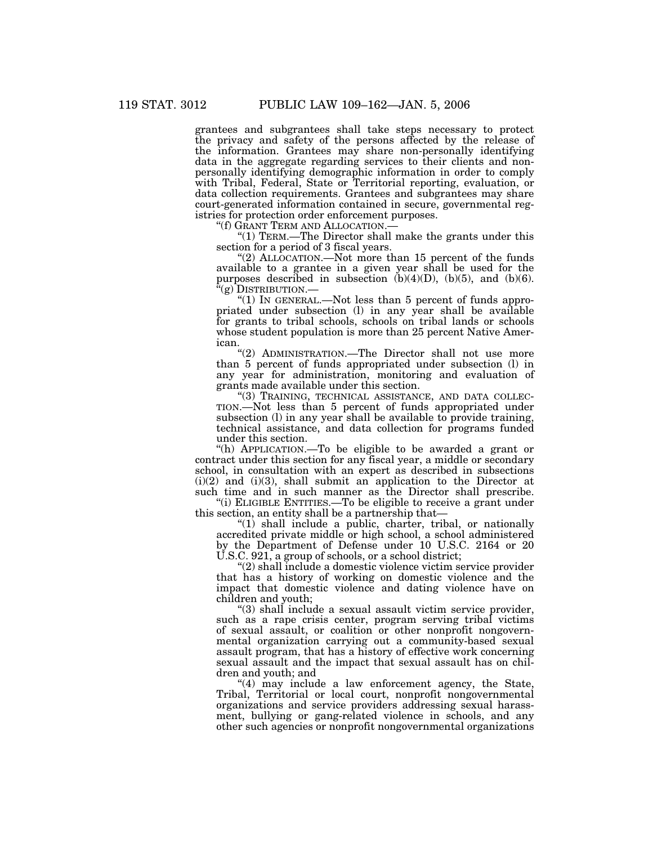grantees and subgrantees shall take steps necessary to protect the privacy and safety of the persons affected by the release of the information. Grantees may share non-personally identifying data in the aggregate regarding services to their clients and nonpersonally identifying demographic information in order to comply with Tribal, Federal, State or Territorial reporting, evaluation, or data collection requirements. Grantees and subgrantees may share court-generated information contained in secure, governmental registries for protection order enforcement purposes.<br>"(f) GRANT TERM AND ALLOCATION.—

"(1) TERM.—The Director shall make the grants under this section for a period of 3 fiscal years.

"(2) ALLOCATION.—Not more than 15 percent of the funds available to a grantee in a given year shall be used for the purposes described in subsection  $(b)(4)(D)$ ,  $(b)(5)$ , and  $(b)(6)$ . ''(g) DISTRIBUTION.— ''(1) IN GENERAL.—Not less than 5 percent of funds appro-

priated under subsection (l) in any year shall be available for grants to tribal schools, schools on tribal lands or schools whose student population is more than 25 percent Native American.

"(2) ADMINISTRATION.—The Director shall not use more than 5 percent of funds appropriated under subsection (l) in any year for administration, monitoring and evaluation of grants made available under this section.

"(3) TRAINING, TECHNICAL ASSISTANCE, AND DATA COLLEC-TION.—Not less than 5 percent of funds appropriated under subsection (l) in any year shall be available to provide training, technical assistance, and data collection for programs funded under this section.

''(h) APPLICATION.—To be eligible to be awarded a grant or contract under this section for any fiscal year, a middle or secondary school, in consultation with an expert as described in subsections (i)(2) and (i)(3), shall submit an application to the Director at such time and in such manner as the Director shall prescribe.

''(i) ELIGIBLE ENTITIES.—To be eligible to receive a grant under this section, an entity shall be a partnership that—

''(1) shall include a public, charter, tribal, or nationally accredited private middle or high school, a school administered by the Department of Defense under 10 U.S.C. 2164 or 20 U.S.C. 921, a group of schools, or a school district;

"(2) shall include a domestic violence victim service provider that has a history of working on domestic violence and the impact that domestic violence and dating violence have on children and youth;

''(3) shall include a sexual assault victim service provider, such as a rape crisis center, program serving tribal victims of sexual assault, or coalition or other nonprofit nongovernmental organization carrying out a community-based sexual assault program, that has a history of effective work concerning sexual assault and the impact that sexual assault has on children and youth; and

"(4) may include a law enforcement agency, the State, Tribal, Territorial or local court, nonprofit nongovernmental organizations and service providers addressing sexual harassment, bullying or gang-related violence in schools, and any other such agencies or nonprofit nongovernmental organizations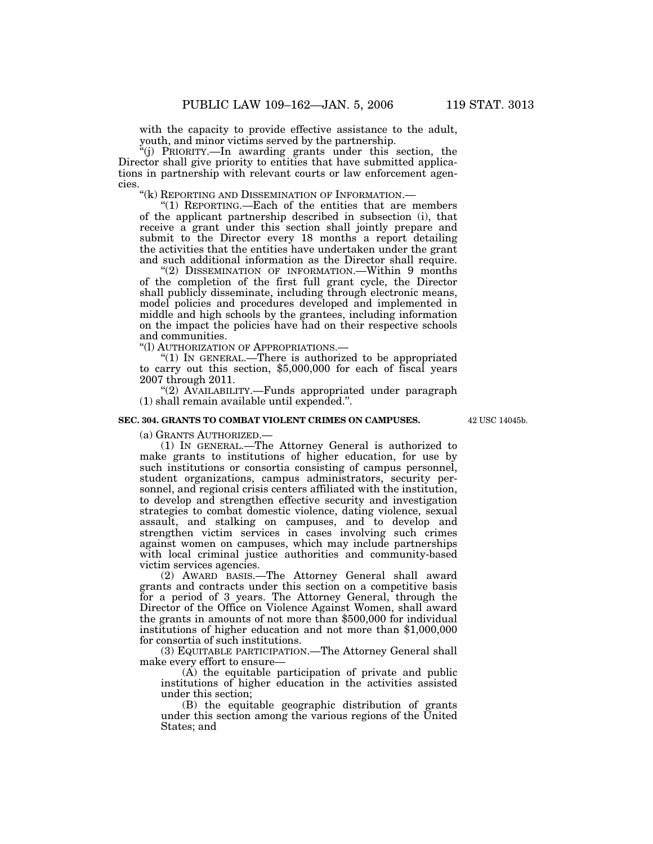with the capacity to provide effective assistance to the adult, youth, and minor victims served by the partnership.

''(j) PRIORITY.—In awarding grants under this section, the Director shall give priority to entities that have submitted applications in partnership with relevant courts or law enforcement agencies.

"(k) REPORTING AND DISSEMINATION OF INFORMATION.-

''(1) REPORTING.—Each of the entities that are members of the applicant partnership described in subsection (i), that receive a grant under this section shall jointly prepare and submit to the Director every 18 months a report detailing the activities that the entities have undertaken under the grant and such additional information as the Director shall require.

''(2) DISSEMINATION OF INFORMATION.—Within 9 months of the completion of the first full grant cycle, the Director shall publicly disseminate, including through electronic means, model policies and procedures developed and implemented in middle and high schools by the grantees, including information on the impact the policies have had on their respective schools and communities.

''(l) AUTHORIZATION OF APPROPRIATIONS.—

" $(1)$  IN GENERAL.—There is authorized to be appropriated to carry out this section, \$5,000,000 for each of fiscal years 2007 through 2011.

''(2) AVAILABILITY.—Funds appropriated under paragraph (1) shall remain available until expended.''.

## **SEC. 304. GRANTS TO COMBAT VIOLENT CRIMES ON CAMPUSES.**

42 USC 14045b.

(a) GRANTS AUTHORIZED.—

(1) IN GENERAL.—The Attorney General is authorized to make grants to institutions of higher education, for use by such institutions or consortia consisting of campus personnel, student organizations, campus administrators, security personnel, and regional crisis centers affiliated with the institution, to develop and strengthen effective security and investigation strategies to combat domestic violence, dating violence, sexual assault, and stalking on campuses, and to develop and strengthen victim services in cases involving such crimes against women on campuses, which may include partnerships with local criminal justice authorities and community-based victim services agencies.

(2) AWARD BASIS.—The Attorney General shall award grants and contracts under this section on a competitive basis for a period of 3 years. The Attorney General, through the Director of the Office on Violence Against Women, shall award the grants in amounts of not more than \$500,000 for individual institutions of higher education and not more than \$1,000,000 for consortia of such institutions.

(3) EQUITABLE PARTICIPATION.—The Attorney General shall make every effort to ensure—

(A) the equitable participation of private and public institutions of higher education in the activities assisted under this section;

(B) the equitable geographic distribution of grants under this section among the various regions of the United States; and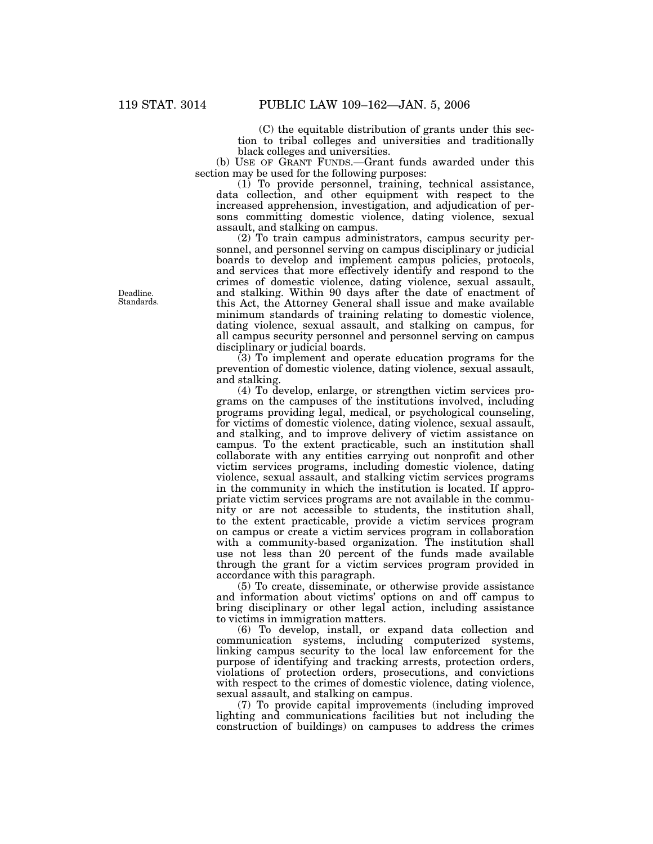(C) the equitable distribution of grants under this section to tribal colleges and universities and traditionally black colleges and universities.

(b) USE OF GRANT FUNDS.—Grant funds awarded under this section may be used for the following purposes:

(1) To provide personnel, training, technical assistance, data collection, and other equipment with respect to the increased apprehension, investigation, and adjudication of persons committing domestic violence, dating violence, sexual assault, and stalking on campus.

(2) To train campus administrators, campus security personnel, and personnel serving on campus disciplinary or judicial boards to develop and implement campus policies, protocols, and services that more effectively identify and respond to the crimes of domestic violence, dating violence, sexual assault, and stalking. Within 90 days after the date of enactment of this Act, the Attorney General shall issue and make available minimum standards of training relating to domestic violence, dating violence, sexual assault, and stalking on campus, for all campus security personnel and personnel serving on campus disciplinary or judicial boards.

(3) To implement and operate education programs for the prevention of domestic violence, dating violence, sexual assault, and stalking.

(4) To develop, enlarge, or strengthen victim services programs on the campuses of the institutions involved, including programs providing legal, medical, or psychological counseling, for victims of domestic violence, dating violence, sexual assault, and stalking, and to improve delivery of victim assistance on campus. To the extent practicable, such an institution shall collaborate with any entities carrying out nonprofit and other victim services programs, including domestic violence, dating violence, sexual assault, and stalking victim services programs in the community in which the institution is located. If appropriate victim services programs are not available in the community or are not accessible to students, the institution shall, to the extent practicable, provide a victim services program on campus or create a victim services program in collaboration with a community-based organization. The institution shall use not less than 20 percent of the funds made available through the grant for a victim services program provided in accordance with this paragraph.

(5) To create, disseminate, or otherwise provide assistance and information about victims' options on and off campus to bring disciplinary or other legal action, including assistance to victims in immigration matters.

(6) To develop, install, or expand data collection and communication systems, including computerized systems, linking campus security to the local law enforcement for the purpose of identifying and tracking arrests, protection orders, violations of protection orders, prosecutions, and convictions with respect to the crimes of domestic violence, dating violence, sexual assault, and stalking on campus.

(7) To provide capital improvements (including improved lighting and communications facilities but not including the construction of buildings) on campuses to address the crimes

Deadline. Standards.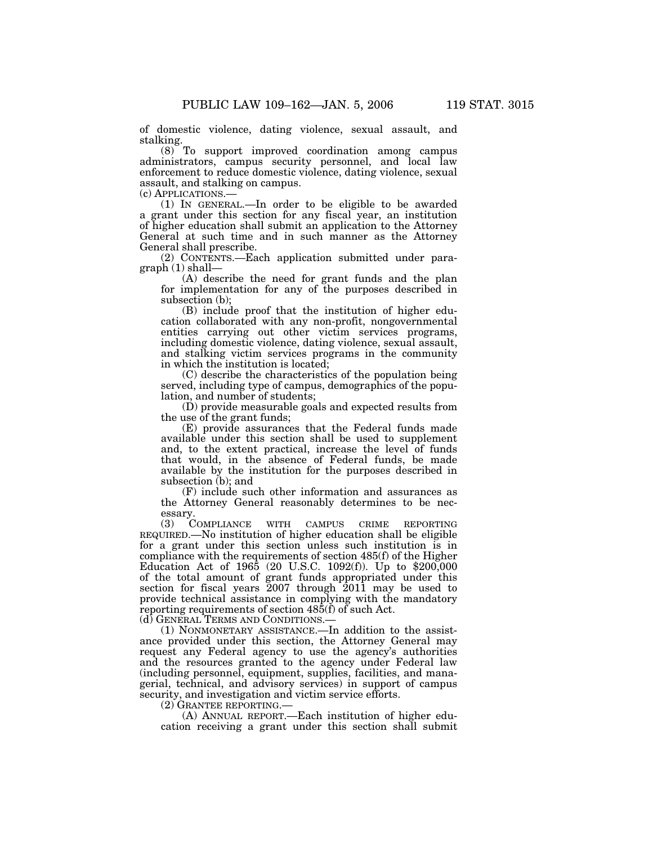of domestic violence, dating violence, sexual assault, and stalking.

(8) To support improved coordination among campus administrators, campus security personnel, and local law administrators, campus security personnel, and local law<br>enforcement to reduce domestic violence, dating violence, sexual assault, and stalking on campus.<br>(c) APPLICATIONS.—

 $(1)$  In GENERAL.—In order to be eligible to be awarded a grant under this section for any fiscal year, an institution of higher education shall submit an application to the Attorney General at such time and in such manner as the Attorney General shall prescribe.

(2) CONTENTS.—Each application submitted under paragraph (1) shall—

(A) describe the need for grant funds and the plan for implementation for any of the purposes described in subsection (b);

(B) include proof that the institution of higher education collaborated with any non-profit, nongovernmental entities carrying out other victim services programs, including domestic violence, dating violence, sexual assault, and stalking victim services programs in the community in which the institution is located;

(C) describe the characteristics of the population being served, including type of campus, demographics of the population, and number of students;

(D) provide measurable goals and expected results from the use of the grant funds;

(E) provide assurances that the Federal funds made available under this section shall be used to supplement and, to the extent practical, increase the level of funds that would, in the absence of Federal funds, be made available by the institution for the purposes described in subsection (b); and

(F) include such other information and assurances as the Attorney General reasonably determines to be necessary.<br> $(3)$  C

(3) COMPLIANCE WITH CAMPUS CRIME REPORTING REQUIRED.—No institution of higher education shall be eligible for a grant under this section unless such institution is in compliance with the requirements of section 485(f) of the Higher Education Act of 1965 (20 U.S.C. 1092(f)). Up to \$200,000 of the total amount of grant funds appropriated under this section for fiscal years  $2007$  through  $2011$  may be used to provide technical assistance in complying with the mandatory reporting requirements of section 485(f) of such Act. (d) GENERAL TERMS AND CONDITIONS.—

(1) NONMONETARY ASSISTANCE.—In addition to the assistance provided under this section, the Attorney General may request any Federal agency to use the agency's authorities and the resources granted to the agency under Federal law (including personnel, equipment, supplies, facilities, and managerial, technical, and advisory services) in support of campus security, and investigation and victim service efforts.

(2) GRANTEE REPORTING.— (A) ANNUAL REPORT.—Each institution of higher education receiving a grant under this section shall submit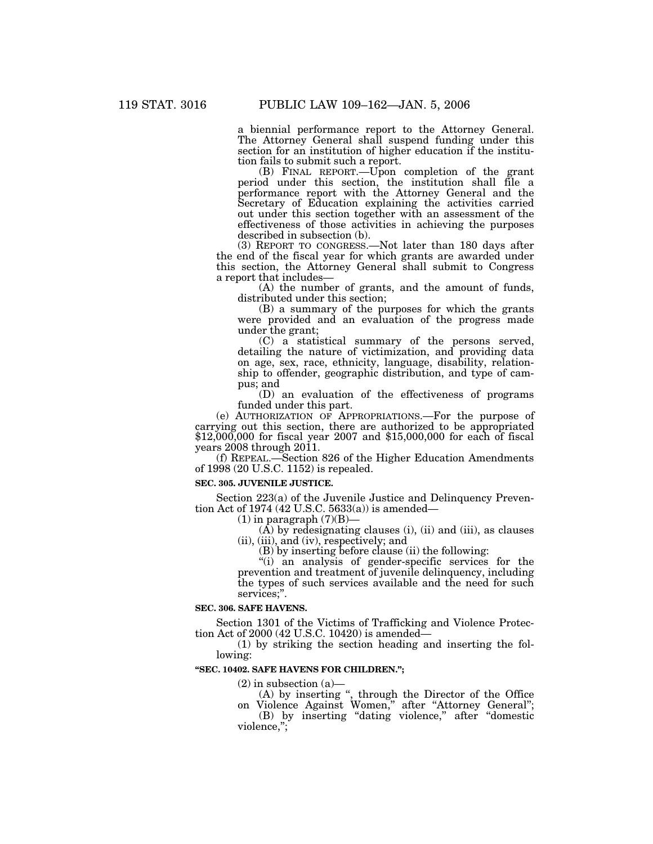a biennial performance report to the Attorney General. The Attorney General shall suspend funding under this section for an institution of higher education if the institution fails to submit such a report.

(B) FINAL REPORT.—Upon completion of the grant period under this section, the institution shall file a performance report with the Attorney General and the Secretary of Education explaining the activities carried out under this section together with an assessment of the effectiveness of those activities in achieving the purposes described in subsection (b).

(3) REPORT TO CONGRESS.—Not later than 180 days after the end of the fiscal year for which grants are awarded under this section, the Attorney General shall submit to Congress a report that includes—

(A) the number of grants, and the amount of funds, distributed under this section;

(B) a summary of the purposes for which the grants were provided and an evaluation of the progress made under the grant;

(C) a statistical summary of the persons served, detailing the nature of victimization, and providing data on age, sex, race, ethnicity, language, disability, relationship to offender, geographic distribution, and type of campus; and

(D) an evaluation of the effectiveness of programs funded under this part.

(e) AUTHORIZATION OF APPROPRIATIONS.—For the purpose of carrying out this section, there are authorized to be appropriated \$12,000,000 for fiscal year 2007 and \$15,000,000 for each of fiscal years 2008 through 2011.

(f) REPEAL.—Section 826 of the Higher Education Amendments of 1998 (20 U.S.C. 1152) is repealed.

#### **SEC. 305. JUVENILE JUSTICE.**

Section 223(a) of the Juvenile Justice and Delinquency Prevention Act of 1974 (42 U.S.C. 5633(a)) is amended—

 $(1)$  in paragraph  $(7)(B)$ —

 $(A)$  by redesignating clauses (i), (ii) and (iii), as clauses (ii), (iii), and (iv), respectively; and

(B) by inserting before clause (ii) the following:

''(i) an analysis of gender-specific services for the prevention and treatment of juvenile delinquency, including the types of such services available and the need for such services;".

### **SEC. 306. SAFE HAVENS.**

Section 1301 of the Victims of Trafficking and Violence Protection Act of 2000 (42 U.S.C. 10420) is amended—

(1) by striking the section heading and inserting the following:

#### **''SEC. 10402. SAFE HAVENS FOR CHILDREN.'';**

 $(2)$  in subsection  $(a)$ —

 $(A)$  by inserting ", through the Director of the Office on Violence Against Women,'' after ''Attorney General''; (B) by inserting ''dating violence,'' after ''domestic violence,";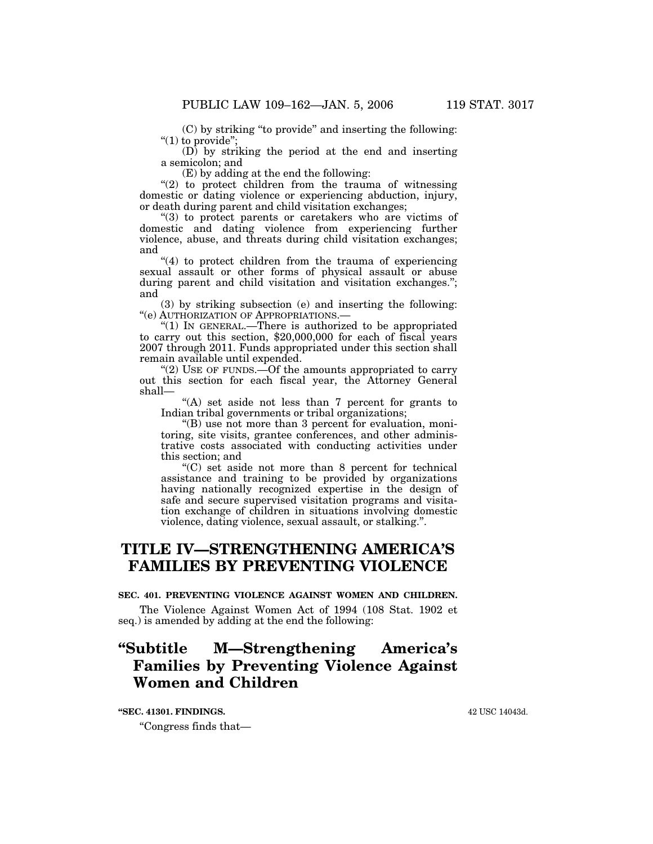(C) by striking ''to provide'' and inserting the following: " $(1)$  to provide";

(D) by striking the period at the end and inserting a semicolon; and

(E) by adding at the end the following:

" $(2)$  to protect children from the trauma of witnessing domestic or dating violence or experiencing abduction, injury, or death during parent and child visitation exchanges;

''(3) to protect parents or caretakers who are victims of domestic and dating violence from experiencing further violence, abuse, and threats during child visitation exchanges; and

 $(4)$  to protect children from the trauma of experiencing sexual assault or other forms of physical assault or abuse during parent and child visitation and visitation exchanges.''; and

(3) by striking subsection (e) and inserting the following: ''(e) AUTHORIZATION OF APPROPRIATIONS.—

" $(1)$  IN GENERAL.—There is authorized to be appropriated to carry out this section, \$20,000,000 for each of fiscal years 2007 through 2011. Funds appropriated under this section shall remain available until expended.

"(2) USE OF FUNDS.—Of the amounts appropriated to carry out this section for each fiscal year, the Attorney General shall—

"(A) set aside not less than 7 percent for grants to Indian tribal governments or tribal organizations;

''(B) use not more than 3 percent for evaluation, monitoring, site visits, grantee conferences, and other administrative costs associated with conducting activities under this section; and

''(C) set aside not more than 8 percent for technical assistance and training to be provided by organizations having nationally recognized expertise in the design of safe and secure supervised visitation programs and visitation exchange of children in situations involving domestic violence, dating violence, sexual assault, or stalking.''.

## **TITLE IV—STRENGTHENING AMERICA'S FAMILIES BY PREVENTING VIOLENCE**

## **SEC. 401. PREVENTING VIOLENCE AGAINST WOMEN AND CHILDREN.**

The Violence Against Women Act of 1994 (108 Stat. 1902 et seq.) is amended by adding at the end the following:

# **''Subtitle M—Strengthening America's Families by Preventing Violence Against Women and Children**

**''SEC. 41301. FINDINGS.**

42 USC 14043d.

''Congress finds that—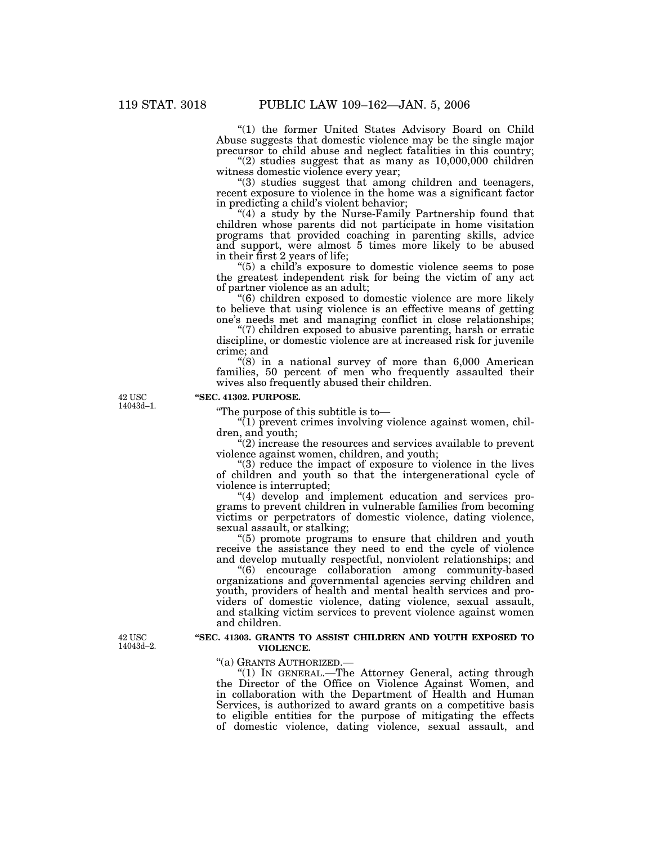''(1) the former United States Advisory Board on Child Abuse suggests that domestic violence may be the single major precursor to child abuse and neglect fatalities in this country;

" $(2)$  studies suggest that as many as  $10,000,000$  children witness domestic violence every year;

''(3) studies suggest that among children and teenagers, recent exposure to violence in the home was a significant factor in predicting a child's violent behavior;

"(4) a study by the Nurse-Family Partnership found that children whose parents did not participate in home visitation programs that provided coaching in parenting skills, advice and support, were almost 5 times more likely to be abused in their first 2 years of life;

''(5) a child's exposure to domestic violence seems to pose the greatest independent risk for being the victim of any act of partner violence as an adult;

''(6) children exposed to domestic violence are more likely to believe that using violence is an effective means of getting one's needs met and managing conflict in close relationships;

''(7) children exposed to abusive parenting, harsh or erratic discipline, or domestic violence are at increased risk for juvenile crime; and

" $(8)$  in a national survey of more than  $6,000$  American families, 50 percent of men who frequently assaulted their wives also frequently abused their children.

42 USC 14043d–1.

## **''SEC. 41302. PURPOSE.**

''The purpose of this subtitle is to—

 $\sqrt{\ }(1)$  prevent crimes involving violence against women, children, and youth;

"(2) increase the resources and services available to prevent violence against women, children, and youth;

''(3) reduce the impact of exposure to violence in the lives of children and youth so that the intergenerational cycle of violence is interrupted;

"(4) develop and implement education and services programs to prevent children in vulnerable families from becoming victims or perpetrators of domestic violence, dating violence, sexual assault, or stalking;

''(5) promote programs to ensure that children and youth receive the assistance they need to end the cycle of violence and develop mutually respectful, nonviolent relationships; and

''(6) encourage collaboration among community-based organizations and governmental agencies serving children and youth, providers of health and mental health services and providers of domestic violence, dating violence, sexual assault, and stalking victim services to prevent violence against women and children.

 $42$  USC 14043d–2.

#### **''SEC. 41303. GRANTS TO ASSIST CHILDREN AND YOUTH EXPOSED TO VIOLENCE.**

''(a) GRANTS AUTHORIZED.—

"(1) IN GENERAL.—The Attorney General, acting through the Director of the Office on Violence Against Women, and in collaboration with the Department of Health and Human Services, is authorized to award grants on a competitive basis to eligible entities for the purpose of mitigating the effects of domestic violence, dating violence, sexual assault, and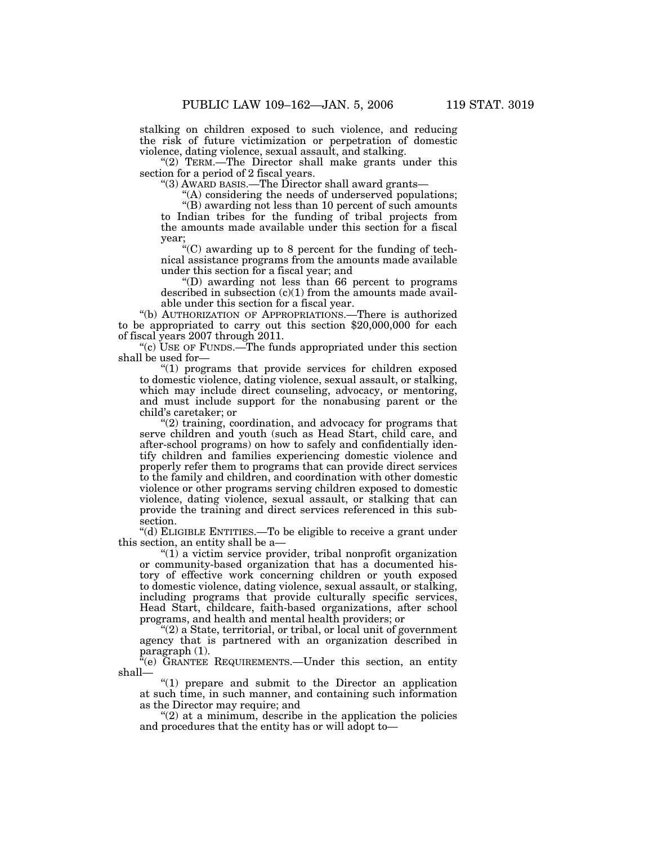stalking on children exposed to such violence, and reducing the risk of future victimization or perpetration of domestic violence, dating violence, sexual assault, and stalking.

"(2) TERM.—The Director shall make grants under this section for a period of 2 fiscal years.

''(3) AWARD BASIS.—The Director shall award grants—

''(A) considering the needs of underserved populations;

''(B) awarding not less than 10 percent of such amounts to Indian tribes for the funding of tribal projects from the amounts made available under this section for a fiscal year;

''(C) awarding up to 8 percent for the funding of technical assistance programs from the amounts made available under this section for a fiscal year; and

''(D) awarding not less than 66 percent to programs described in subsection (c)(1) from the amounts made available under this section for a fiscal year.

''(b) AUTHORIZATION OF APPROPRIATIONS.—There is authorized to be appropriated to carry out this section \$20,000,000 for each of fiscal years 2007 through 2011.

"(c) USE OF FUNDS.—The funds appropriated under this section shall be used for—

''(1) programs that provide services for children exposed to domestic violence, dating violence, sexual assault, or stalking, which may include direct counseling, advocacy, or mentoring, and must include support for the nonabusing parent or the child's caretaker; or

"(2) training, coordination, and advocacy for programs that serve children and youth (such as Head Start, child care, and after-school programs) on how to safely and confidentially identify children and families experiencing domestic violence and properly refer them to programs that can provide direct services to the family and children, and coordination with other domestic violence or other programs serving children exposed to domestic violence, dating violence, sexual assault, or stalking that can provide the training and direct services referenced in this subsection.

''(d) ELIGIBLE ENTITIES.—To be eligible to receive a grant under this section, an entity shall be a—

''(1) a victim service provider, tribal nonprofit organization or community-based organization that has a documented history of effective work concerning children or youth exposed to domestic violence, dating violence, sexual assault, or stalking, including programs that provide culturally specific services, Head Start, childcare, faith-based organizations, after school programs, and health and mental health providers; or

''(2) a State, territorial, or tribal, or local unit of government agency that is partnered with an organization described in paragraph (1).

''(e) GRANTEE REQUIREMENTS.—Under this section, an entity shall—

''(1) prepare and submit to the Director an application at such time, in such manner, and containing such information as the Director may require; and

" $(2)$  at a minimum, describe in the application the policies and procedures that the entity has or will adopt to—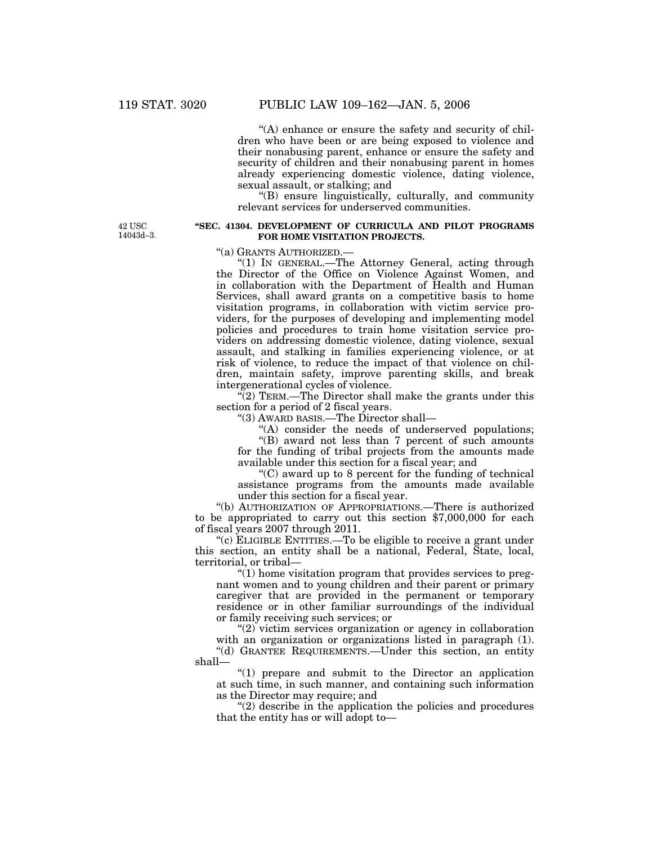"(A) enhance or ensure the safety and security of children who have been or are being exposed to violence and their nonabusing parent, enhance or ensure the safety and security of children and their nonabusing parent in homes already experiencing domestic violence, dating violence, sexual assault, or stalking; and

''(B) ensure linguistically, culturally, and community relevant services for underserved communities.

42 USC 14043d–3.

## **''SEC. 41304. DEVELOPMENT OF CURRICULA AND PILOT PROGRAMS FOR HOME VISITATION PROJECTS.**

''(a) GRANTS AUTHORIZED.—

''(1) IN GENERAL.—The Attorney General, acting through the Director of the Office on Violence Against Women, and in collaboration with the Department of Health and Human Services, shall award grants on a competitive basis to home visitation programs, in collaboration with victim service providers, for the purposes of developing and implementing model policies and procedures to train home visitation service providers on addressing domestic violence, dating violence, sexual assault, and stalking in families experiencing violence, or at risk of violence, to reduce the impact of that violence on children, maintain safety, improve parenting skills, and break intergenerational cycles of violence.

"(2) TERM.—The Director shall make the grants under this section for a period of 2 fiscal years.

''(3) AWARD BASIS.—The Director shall—

''(A) consider the needs of underserved populations;

''(B) award not less than 7 percent of such amounts for the funding of tribal projects from the amounts made available under this section for a fiscal year; and

''(C) award up to 8 percent for the funding of technical assistance programs from the amounts made available under this section for a fiscal year.

''(b) AUTHORIZATION OF APPROPRIATIONS.—There is authorized to be appropriated to carry out this section \$7,000,000 for each of fiscal years 2007 through 2011.

''(c) ELIGIBLE ENTITIES.—To be eligible to receive a grant under this section, an entity shall be a national, Federal, State, local, territorial, or tribal—

''(1) home visitation program that provides services to pregnant women and to young children and their parent or primary caregiver that are provided in the permanent or temporary residence or in other familiar surroundings of the individual or family receiving such services; or

"(2) victim services organization or agency in collaboration with an organization or organizations listed in paragraph (1). ''(d) GRANTEE REQUIREMENTS.—Under this section, an entity shall—

"(1) prepare and submit to the Director an application at such time, in such manner, and containing such information as the Director may require; and

 $''(2)$  describe in the application the policies and procedures that the entity has or will adopt to—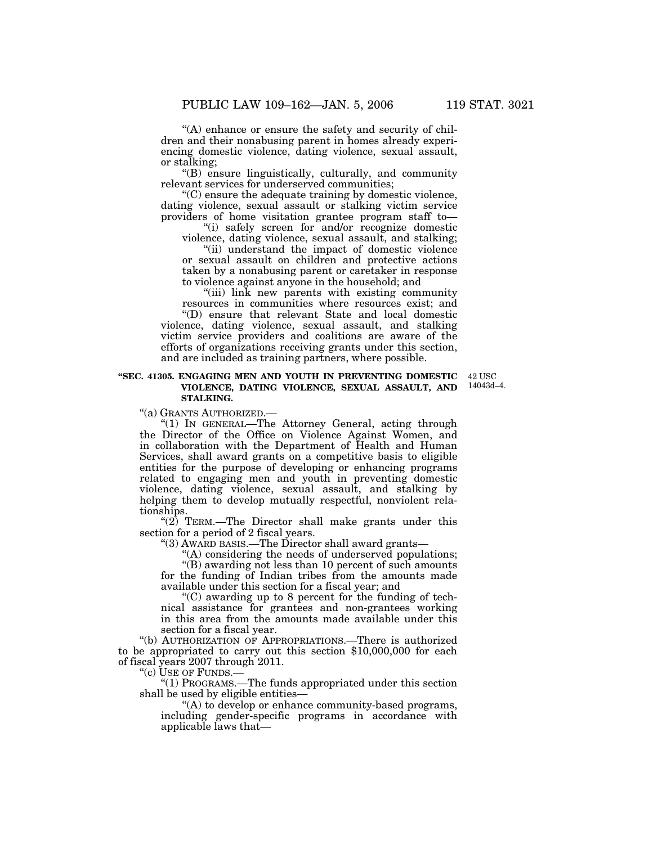"(A) enhance or ensure the safety and security of children and their nonabusing parent in homes already experiencing domestic violence, dating violence, sexual assault, or stalking;

''(B) ensure linguistically, culturally, and community relevant services for underserved communities;

 $C$ ) ensure the adequate training by domestic violence, dating violence, sexual assault or stalking victim service providers of home visitation grantee program staff to—

''(i) safely screen for and/or recognize domestic violence, dating violence, sexual assault, and stalking;

''(ii) understand the impact of domestic violence or sexual assault on children and protective actions taken by a nonabusing parent or caretaker in response to violence against anyone in the household; and

''(iii) link new parents with existing community resources in communities where resources exist; and ''(D) ensure that relevant State and local domestic violence, dating violence, sexual assault, and stalking victim service providers and coalitions are aware of the efforts of organizations receiving grants under this section, and are included as training partners, where possible.

## **''SEC. 41305. ENGAGING MEN AND YOUTH IN PREVENTING DOMESTIC VIOLENCE, DATING VIOLENCE, SEXUAL ASSAULT, AND STALKING.**

42 USC 14043d–4.

''(a) GRANTS AUTHORIZED.—

''(1) IN GENERAL—The Attorney General, acting through the Director of the Office on Violence Against Women, and in collaboration with the Department of Health and Human Services, shall award grants on a competitive basis to eligible entities for the purpose of developing or enhancing programs related to engaging men and youth in preventing domestic violence, dating violence, sexual assault, and stalking by helping them to develop mutually respectful, nonviolent relationships.

" $(2)$  TERM.—The Director shall make grants under this section for a period of 2 fiscal years.

''(3) AWARD BASIS.—The Director shall award grants—

''(A) considering the needs of underserved populations; ''(B) awarding not less than 10 percent of such amounts for the funding of Indian tribes from the amounts made

available under this section for a fiscal year; and ''(C) awarding up to 8 percent for the funding of technical assistance for grantees and non-grantees working

in this area from the amounts made available under this section for a fiscal year.

''(b) AUTHORIZATION OF APPROPRIATIONS.—There is authorized to be appropriated to carry out this section \$10,000,000 for each of fiscal years 2007 through 2011.

''(c) USE OF FUNDS.—

''(1) PROGRAMS.—The funds appropriated under this section shall be used by eligible entities—

''(A) to develop or enhance community-based programs, including gender-specific programs in accordance with applicable laws that—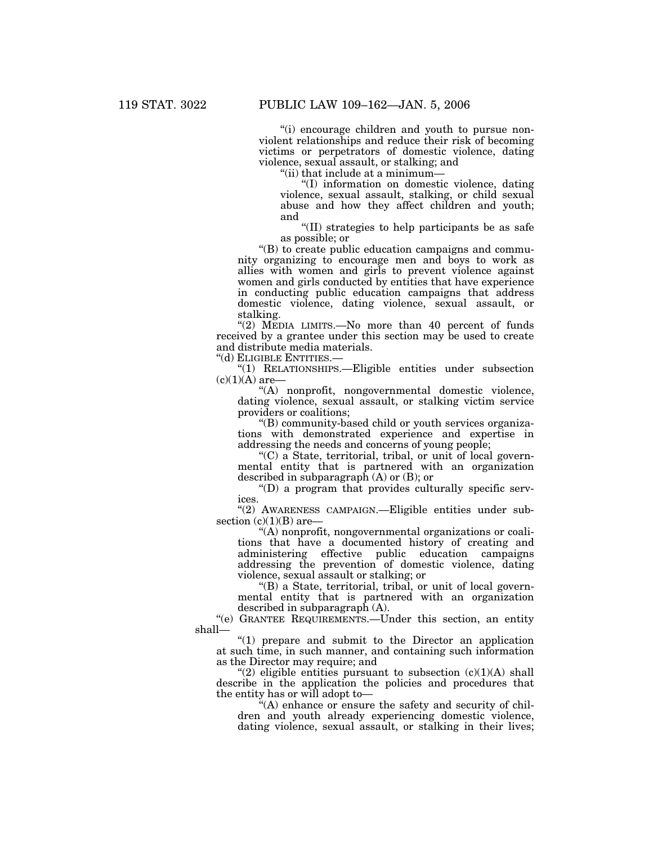''(i) encourage children and youth to pursue nonviolent relationships and reduce their risk of becoming victims or perpetrators of domestic violence, dating violence, sexual assault, or stalking; and

''(ii) that include at a minimum—

''(I) information on domestic violence, dating violence, sexual assault, stalking, or child sexual abuse and how they affect children and youth; and

''(II) strategies to help participants be as safe as possible; or

''(B) to create public education campaigns and community organizing to encourage men and boys to work as allies with women and girls to prevent violence against women and girls conducted by entities that have experience in conducting public education campaigns that address domestic violence, dating violence, sexual assault, or stalking.

"(2) MEDIA LIMITS.—No more than 40 percent of funds received by a grantee under this section may be used to create and distribute media materials.

''(d) ELIGIBLE ENTITIES.—

''(1) RELATIONSHIPS.—Eligible entities under subsection  $(c)(1)(A)$  are-

''(A) nonprofit, nongovernmental domestic violence, dating violence, sexual assault, or stalking victim service providers or coalitions;

''(B) community-based child or youth services organizations with demonstrated experience and expertise in addressing the needs and concerns of young people;

''(C) a State, territorial, tribal, or unit of local governmental entity that is partnered with an organization described in subparagraph (A) or (B); or

''(D) a program that provides culturally specific services.

''(2) AWARENESS CAMPAIGN.—Eligible entities under subsection  $(c)(1)(B)$  are-

''(A) nonprofit, nongovernmental organizations or coalitions that have a documented history of creating and administering effective public education campaigns addressing the prevention of domestic violence, dating violence, sexual assault or stalking; or

"(B) a State, territorial, tribal, or unit of local governmental entity that is partnered with an organization described in subparagraph (A).

''(e) GRANTEE REQUIREMENTS.—Under this section, an entity shall—

"(1) prepare and submit to the Director an application at such time, in such manner, and containing such information as the Director may require; and

"(2) eligible entities pursuant to subsection  $(c)(1)(A)$  shall describe in the application the policies and procedures that the entity has or will adopt to—

 $f''(A)$  enhance or ensure the safety and security of children and youth already experiencing domestic violence, dating violence, sexual assault, or stalking in their lives;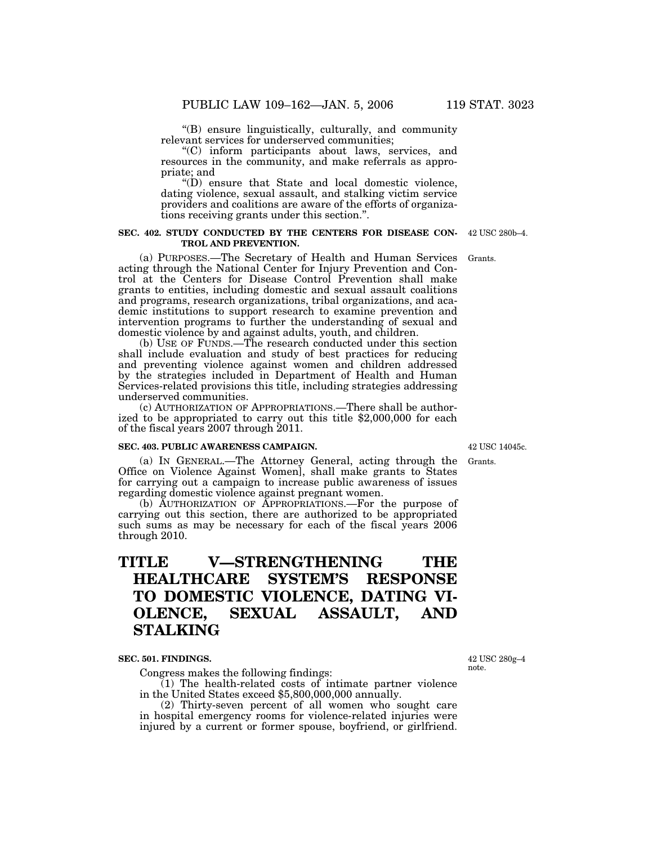''(B) ensure linguistically, culturally, and community relevant services for underserved communities;

''(C) inform participants about laws, services, and resources in the community, and make referrals as appropriate; and

''(D) ensure that State and local domestic violence, dating violence, sexual assault, and stalking victim service providers and coalitions are aware of the efforts of organizations receiving grants under this section.''.

#### **SEC. 402. STUDY CONDUCTED BY THE CENTERS FOR DISEASE CON-TROL AND PREVENTION.**

(a) PURPOSES.—The Secretary of Health and Human Services acting through the National Center for Injury Prevention and Control at the Centers for Disease Control Prevention shall make grants to entities, including domestic and sexual assault coalitions and programs, research organizations, tribal organizations, and academic institutions to support research to examine prevention and intervention programs to further the understanding of sexual and domestic violence by and against adults, youth, and children.

(b) USE OF FUNDS.—The research conducted under this section shall include evaluation and study of best practices for reducing and preventing violence against women and children addressed by the strategies included in Department of Health and Human Services-related provisions this title, including strategies addressing underserved communities.

(c) AUTHORIZATION OF APPROPRIATIONS.—There shall be authorized to be appropriated to carry out this title \$2,000,000 for each of the fiscal years 2007 through 2011.

#### **SEC. 403. PUBLIC AWARENESS CAMPAIGN.**

(a) IN GENERAL.—The Attorney General, acting through the Office on Violence Against Women], shall make grants to States for carrying out a campaign to increase public awareness of issues regarding domestic violence against pregnant women.

(b) AUTHORIZATION OF APPROPRIATIONS.—For the purpose of carrying out this section, there are authorized to be appropriated such sums as may be necessary for each of the fiscal years 2006 through 2010.

# **TITLE V—STRENGTHENING THE HEALTHCARE SYSTEM'S RESPONSE TO DOMESTIC VIOLENCE, DATING VI-OLENCE, SEXUAL ASSAULT, AND STALKING**

### **SEC. 501. FINDINGS.**

Congress makes the following findings:

(1) The health-related costs of intimate partner violence in the United States exceed \$5,800,000,000 annually.

(2) Thirty-seven percent of all women who sought care in hospital emergency rooms for violence-related injuries were injured by a current or former spouse, boyfriend, or girlfriend.

42 USC 14045c.

42 USC 280g–4

note.

Grants.

Grants.

42 USC 280b–4.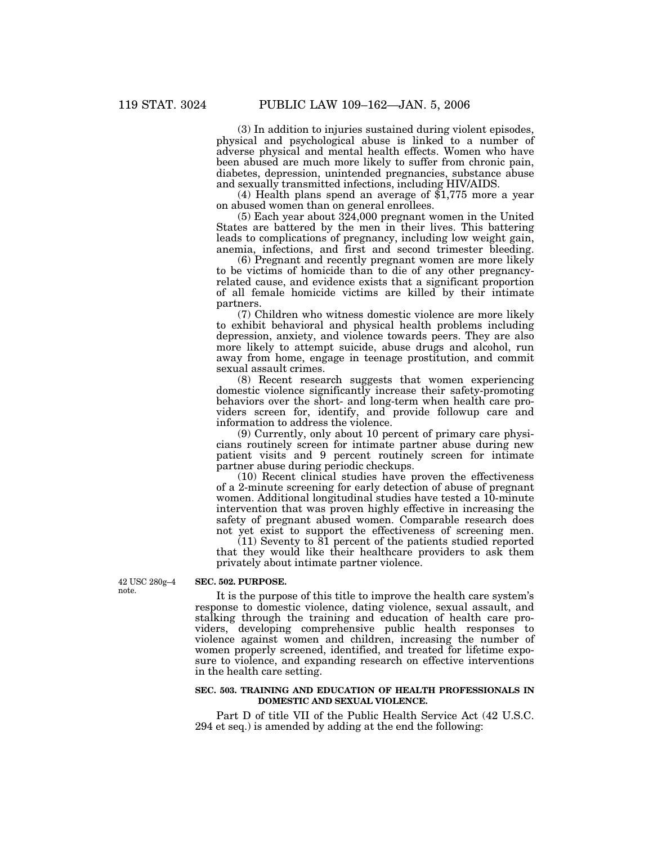(3) In addition to injuries sustained during violent episodes, physical and psychological abuse is linked to a number of adverse physical and mental health effects. Women who have been abused are much more likely to suffer from chronic pain, diabetes, depression, unintended pregnancies, substance abuse and sexually transmitted infections, including HIV/AIDS.

(4) Health plans spend an average of \$1,775 more a year on abused women than on general enrollees.

 $(5)$  Each year about  $324,000$  pregnant women in the United States are battered by the men in their lives. This battering leads to complications of pregnancy, including low weight gain, anemia, infections, and first and second trimester bleeding.

(6) Pregnant and recently pregnant women are more likely to be victims of homicide than to die of any other pregnancyrelated cause, and evidence exists that a significant proportion of all female homicide victims are killed by their intimate partners.

(7) Children who witness domestic violence are more likely to exhibit behavioral and physical health problems including depression, anxiety, and violence towards peers. They are also more likely to attempt suicide, abuse drugs and alcohol, run away from home, engage in teenage prostitution, and commit sexual assault crimes.

(8) Recent research suggests that women experiencing domestic violence significantly increase their safety-promoting behaviors over the short- and long-term when health care providers screen for, identify, and provide followup care and information to address the violence.

(9) Currently, only about 10 percent of primary care physicians routinely screen for intimate partner abuse during new patient visits and 9 percent routinely screen for intimate partner abuse during periodic checkups.

(10) Recent clinical studies have proven the effectiveness of a 2-minute screening for early detection of abuse of pregnant women. Additional longitudinal studies have tested a 10-minute intervention that was proven highly effective in increasing the safety of pregnant abused women. Comparable research does not yet exist to support the effectiveness of screening men.

(11) Seventy to 81 percent of the patients studied reported that they would like their healthcare providers to ask them privately about intimate partner violence.

42 USC 280g–4 note.

#### **SEC. 502. PURPOSE.**

It is the purpose of this title to improve the health care system's response to domestic violence, dating violence, sexual assault, and stalking through the training and education of health care providers, developing comprehensive public health responses to violence against women and children, increasing the number of women properly screened, identified, and treated for lifetime exposure to violence, and expanding research on effective interventions in the health care setting.

### **SEC. 503. TRAINING AND EDUCATION OF HEALTH PROFESSIONALS IN DOMESTIC AND SEXUAL VIOLENCE.**

Part D of title VII of the Public Health Service Act (42 U.S.C. 294 et seq.) is amended by adding at the end the following: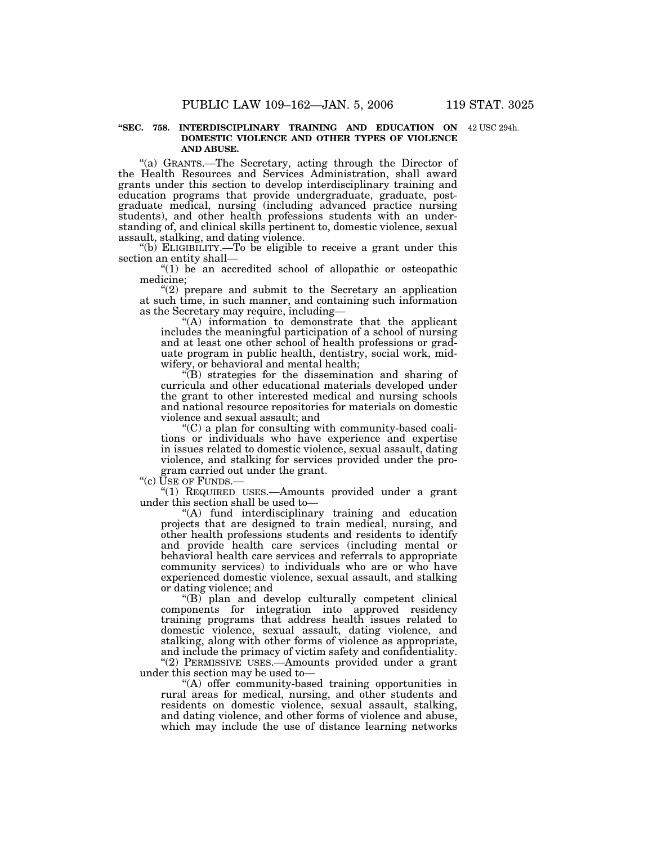#### **''SEC. 758. INTERDISCIPLINARY TRAINING AND EDUCATION ON** 42 USC 294h. **DOMESTIC VIOLENCE AND OTHER TYPES OF VIOLENCE AND ABUSE.**

''(a) GRANTS.—The Secretary, acting through the Director of the Health Resources and Services Administration, shall award grants under this section to develop interdisciplinary training and education programs that provide undergraduate, graduate, postgraduate medical, nursing (including advanced practice nursing students), and other health professions students with an understanding of, and clinical skills pertinent to, domestic violence, sexual assault, stalking, and dating violence.

''(b) ELIGIBILITY.—To be eligible to receive a grant under this section an entity shall—

''(1) be an accredited school of allopathic or osteopathic medicine;

 $''(2)$  prepare and submit to the Secretary an application at such time, in such manner, and containing such information as the Secretary may require, including—

''(A) information to demonstrate that the applicant includes the meaningful participation of a school of nursing and at least one other school of health professions or graduate program in public health, dentistry, social work, midwifery, or behavioral and mental health;

 $\mathcal{L}(\hat{B})$  strategies for the dissemination and sharing of curricula and other educational materials developed under the grant to other interested medical and nursing schools and national resource repositories for materials on domestic violence and sexual assault; and

 $C$ ) a plan for consulting with community-based coalitions or individuals who have experience and expertise in issues related to domestic violence, sexual assault, dating violence, and stalking for services provided under the program carried out under the grant.

"(c) USE OF FUNDS.-

''(1) REQUIRED USES.—Amounts provided under a grant under this section shall be used to—

''(A) fund interdisciplinary training and education projects that are designed to train medical, nursing, and other health professions students and residents to identify and provide health care services (including mental or behavioral health care services and referrals to appropriate community services) to individuals who are or who have experienced domestic violence, sexual assault, and stalking or dating violence; and

''(B) plan and develop culturally competent clinical components for integration into approved residency training programs that address health issues related to domestic violence, sexual assault, dating violence, and stalking, along with other forms of violence as appropriate, and include the primacy of victim safety and confidentiality. ''(2) PERMISSIVE USES.—Amounts provided under a grant

under this section may be used to—

''(A) offer community-based training opportunities in rural areas for medical, nursing, and other students and residents on domestic violence, sexual assault, stalking, and dating violence, and other forms of violence and abuse, which may include the use of distance learning networks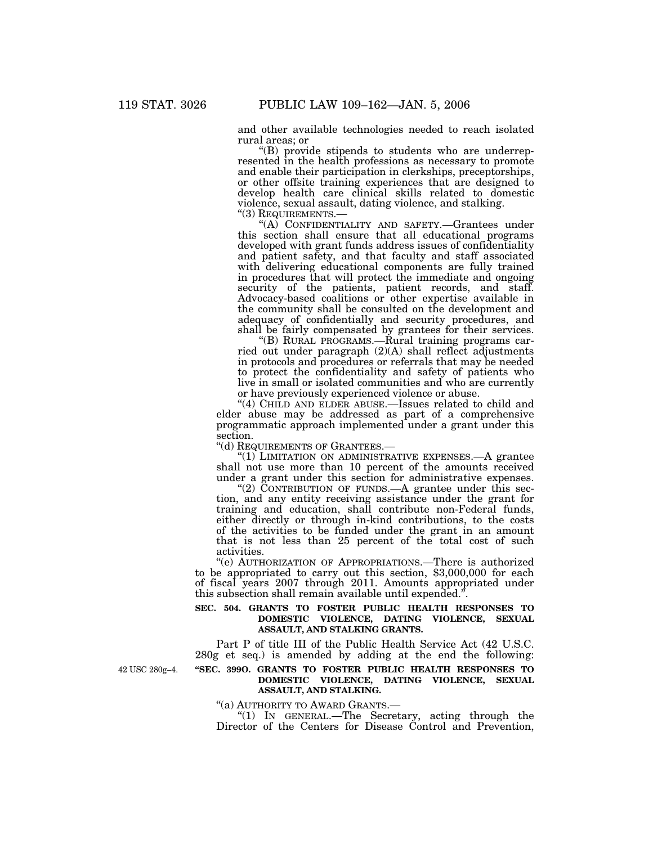and other available technologies needed to reach isolated rural areas; or

''(B) provide stipends to students who are underrepresented in the health professions as necessary to promote and enable their participation in clerkships, preceptorships, or other offsite training experiences that are designed to develop health care clinical skills related to domestic violence, sexual assault, dating violence, and stalking.<br>"(3) REQUIREMENTS.—

"(A) CONFIDENTIALITY AND SAFETY.—Grantees under this section shall ensure that all educational programs developed with grant funds address issues of confidentiality and patient safety, and that faculty and staff associated with delivering educational components are fully trained in procedures that will protect the immediate and ongoing security of the patients, patient records, and staff. Advocacy-based coalitions or other expertise available in the community shall be consulted on the development and adequacy of confidentially and security procedures, and shall be fairly compensated by grantees for their services.

''(B) RURAL PROGRAMS.—Rural training programs carried out under paragraph (2)(A) shall reflect adjustments in protocols and procedures or referrals that may be needed to protect the confidentiality and safety of patients who live in small or isolated communities and who are currently or have previously experienced violence or abuse.

"(4) CHILD AND ELDER ABUSE.—Issues related to child and elder abuse may be addressed as part of a comprehensive programmatic approach implemented under a grant under this section.

"(d) REQUIREMENTS OF GRANTEES.—<br>"(1) LIMITATION ON ADMINISTRATIVE EXPENSES.—A grantee shall not use more than 10 percent of the amounts received under a grant under this section for administrative expenses.

"(2) CONTRIBUTION OF FUNDS.—A grantee under this section, and any entity receiving assistance under the grant for training and education, shall contribute non-Federal funds, either directly or through in-kind contributions, to the costs of the activities to be funded under the grant in an amount that is not less than 25 percent of the total cost of such activities.

''(e) AUTHORIZATION OF APPROPRIATIONS.—There is authorized to be appropriated to carry out this section, \$3,000,000 for each of fiscal years 2007 through 2011. Amounts appropriated under this subsection shall remain available until expended.''.

#### **SEC. 504. GRANTS TO FOSTER PUBLIC HEALTH RESPONSES TO DOMESTIC VIOLENCE, DATING VIOLENCE, SEXUAL ASSAULT, AND STALKING GRANTS.**

Part P of title III of the Public Health Service Act (42 U.S.C. 280g et seq.) is amended by adding at the end the following: **''SEC. 399O. GRANTS TO FOSTER PUBLIC HEALTH RESPONSES TO DOMESTIC VIOLENCE, DATING VIOLENCE, SEXUAL**

**ASSAULT, AND STALKING.** ''(a) AUTHORITY TO AWARD GRANTS.—

 $!(1)$  IN GENERAL.—The Secretary, acting through the Director of the Centers for Disease Control and Prevention,

42 USC 280g–4.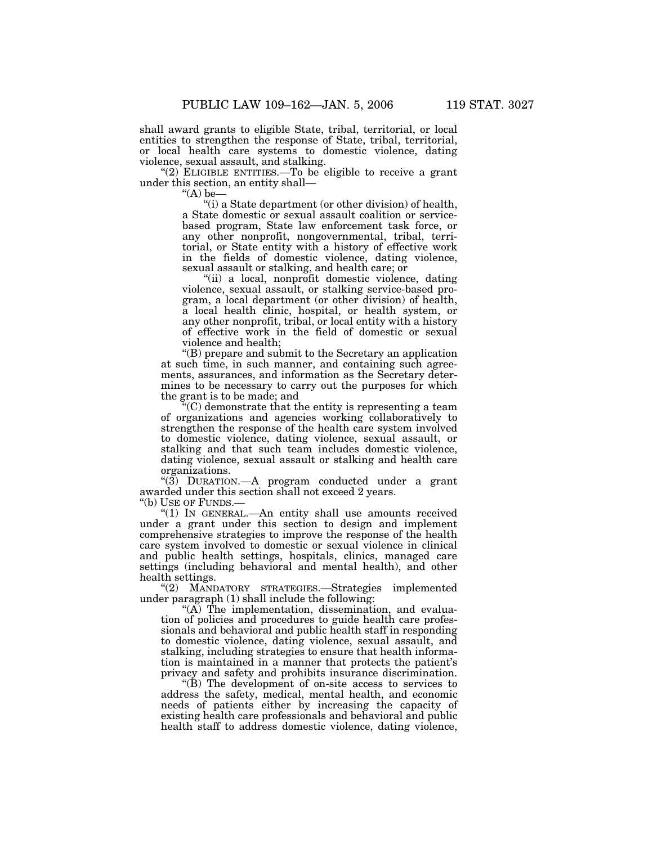shall award grants to eligible State, tribal, territorial, or local entities to strengthen the response of State, tribal, territorial, or local health care systems to domestic violence, dating violence, sexual assault, and stalking.

"(2) ELIGIBLE ENTITIES.—To be eligible to receive a grant under this section, an entity shall—

" $(A)$  be-

''(i) a State department (or other division) of health, a State domestic or sexual assault coalition or servicebased program, State law enforcement task force, or any other nonprofit, nongovernmental, tribal, territorial, or State entity with a history of effective work in the fields of domestic violence, dating violence, sexual assault or stalking, and health care; or

"(ii) a local, nonprofit domestic violence, dating violence, sexual assault, or stalking service-based program, a local department (or other division) of health, a local health clinic, hospital, or health system, or any other nonprofit, tribal, or local entity with a history of effective work in the field of domestic or sexual violence and health;

''(B) prepare and submit to the Secretary an application at such time, in such manner, and containing such agreements, assurances, and information as the Secretary determines to be necessary to carry out the purposes for which the grant is to be made; and

 $(C)$  demonstrate that the entity is representing a team of organizations and agencies working collaboratively to strengthen the response of the health care system involved to domestic violence, dating violence, sexual assault, or stalking and that such team includes domestic violence, dating violence, sexual assault or stalking and health care organizations.

''(3) DURATION.—A program conducted under a grant awarded under this section shall not exceed 2 years.

''(b) USE OF FUNDS.—

''(1) IN GENERAL.—An entity shall use amounts received under a grant under this section to design and implement comprehensive strategies to improve the response of the health care system involved to domestic or sexual violence in clinical and public health settings, hospitals, clinics, managed care settings (including behavioral and mental health), and other health settings.

''(2) MANDATORY STRATEGIES.—Strategies implemented under paragraph (1) shall include the following:

''(A) The implementation, dissemination, and evaluation of policies and procedures to guide health care professionals and behavioral and public health staff in responding to domestic violence, dating violence, sexual assault, and stalking, including strategies to ensure that health information is maintained in a manner that protects the patient's privacy and safety and prohibits insurance discrimination.

''(B) The development of on-site access to services to address the safety, medical, mental health, and economic needs of patients either by increasing the capacity of existing health care professionals and behavioral and public health staff to address domestic violence, dating violence,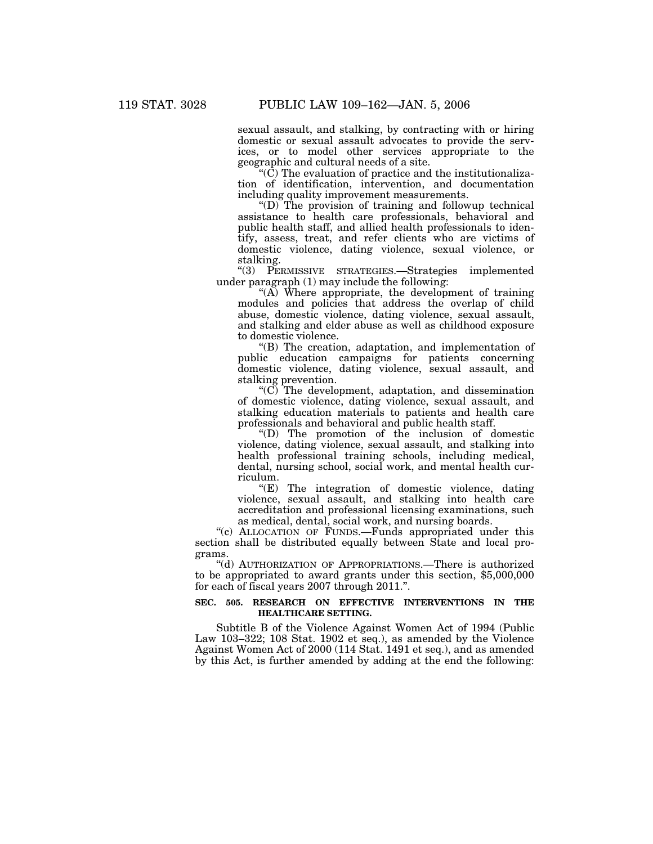sexual assault, and stalking, by contracting with or hiring domestic or sexual assault advocates to provide the services, or to model other services appropriate to the geographic and cultural needs of a site.

" $(\tilde{C})$  The evaluation of practice and the institutionalization of identification, intervention, and documentation including quality improvement measurements.

 $\mathrm{``(D)}$  The provision of training and followup technical assistance to health care professionals, behavioral and public health staff, and allied health professionals to identify, assess, treat, and refer clients who are victims of domestic violence, dating violence, sexual violence, or stalking.

''(3) PERMISSIVE STRATEGIES.—Strategies implemented under paragraph (1) may include the following:

" $(\overrightarrow{A})$  Where appropriate, the development of training modules and policies that address the overlap of child abuse, domestic violence, dating violence, sexual assault, and stalking and elder abuse as well as childhood exposure to domestic violence.

''(B) The creation, adaptation, and implementation of public education campaigns for patients concerning domestic violence, dating violence, sexual assault, and stalking prevention.

 $(C)$  The development, adaptation, and dissemination of domestic violence, dating violence, sexual assault, and stalking education materials to patients and health care professionals and behavioral and public health staff.

''(D) The promotion of the inclusion of domestic violence, dating violence, sexual assault, and stalking into health professional training schools, including medical, dental, nursing school, social work, and mental health curriculum.

"(E) The integration of domestic violence, dating violence, sexual assault, and stalking into health care accreditation and professional licensing examinations, such as medical, dental, social work, and nursing boards.

''(c) ALLOCATION OF FUNDS.—Funds appropriated under this section shall be distributed equally between State and local programs.

''(d) AUTHORIZATION OF APPROPRIATIONS.—There is authorized to be appropriated to award grants under this section, \$5,000,000 for each of fiscal years 2007 through 2011.''.

### **SEC. 505. RESEARCH ON EFFECTIVE INTERVENTIONS IN THE HEALTHCARE SETTING.**

Subtitle B of the Violence Against Women Act of 1994 (Public Law 103–322; 108 Stat. 1902 et seq.), as amended by the Violence Against Women Act of 2000 (114 Stat. 1491 et seq.), and as amended by this Act, is further amended by adding at the end the following: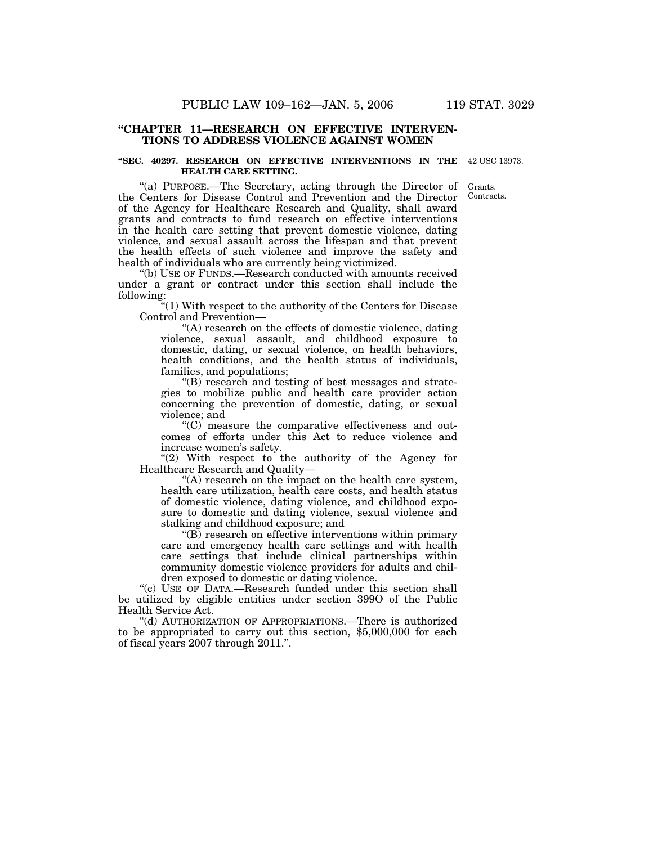## **''CHAPTER 11—RESEARCH ON EFFECTIVE INTERVEN-TIONS TO ADDRESS VIOLENCE AGAINST WOMEN**

#### **''SEC. 40297. RESEARCH ON EFFECTIVE INTERVENTIONS IN THE** 42 USC 13973. **HEALTH CARE SETTING.**

''(a) PURPOSE.—The Secretary, acting through the Director of the Centers for Disease Control and Prevention and the Director of the Agency for Healthcare Research and Quality, shall award grants and contracts to fund research on effective interventions in the health care setting that prevent domestic violence, dating violence, and sexual assault across the lifespan and that prevent the health effects of such violence and improve the safety and health of individuals who are currently being victimized. Grants. Contracts.

''(b) USE OF FUNDS.—Research conducted with amounts received under a grant or contract under this section shall include the following:

"(1) With respect to the authority of the Centers for Disease Control and Prevention—

''(A) research on the effects of domestic violence, dating violence, sexual assault, and childhood exposure to domestic, dating, or sexual violence, on health behaviors, health conditions, and the health status of individuals, families, and populations;

''(B) research and testing of best messages and strategies to mobilize public and health care provider action concerning the prevention of domestic, dating, or sexual violence; and

''(C) measure the comparative effectiveness and outcomes of efforts under this Act to reduce violence and increase women's safety.

"(2) With respect to the authority of the Agency for Healthcare Research and Quality—

''(A) research on the impact on the health care system, health care utilization, health care costs, and health status of domestic violence, dating violence, and childhood exposure to domestic and dating violence, sexual violence and stalking and childhood exposure; and

 $\mathcal{L}(B)$  research on effective interventions within primary care and emergency health care settings and with health care settings that include clinical partnerships within community domestic violence providers for adults and children exposed to domestic or dating violence.

''(c) USE OF DATA.—Research funded under this section shall be utilized by eligible entities under section 399O of the Public Health Service Act.

''(d) AUTHORIZATION OF APPROPRIATIONS.—There is authorized to be appropriated to carry out this section, \$5,000,000 for each of fiscal years 2007 through 2011.''.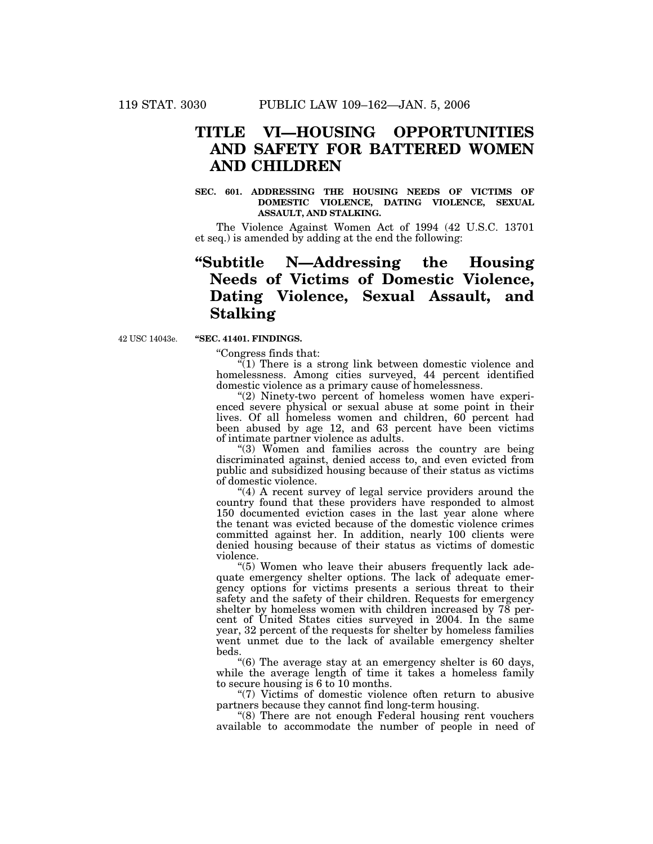## **TITLE VI—HOUSING OPPORTUNITIES AND SAFETY FOR BATTERED WOMEN AND CHILDREN**

#### **SEC. 601. ADDRESSING THE HOUSING NEEDS OF VICTIMS OF DOMESTIC VIOLENCE, DATING VIOLENCE, SEXUAL ASSAULT, AND STALKING.**

The Violence Against Women Act of 1994 (42 U.S.C. 13701 et seq.) is amended by adding at the end the following:

# **''Subtitle N—Addressing the Housing Needs of Victims of Domestic Violence, Dating Violence, Sexual Assault, and Stalking**

42 USC 14043e.

#### **''SEC. 41401. FINDINGS.**

''Congress finds that:

 $\sqrt{\ }$ (1) There is a strong link between domestic violence and homelessness. Among cities surveyed, 44 percent identified domestic violence as a primary cause of homelessness.

"(2) Ninety-two percent of homeless women have experienced severe physical or sexual abuse at some point in their lives. Of all homeless women and children, 60 percent had been abused by age 12, and 63 percent have been victims of intimate partner violence as adults.

"(3) Women and families across the country are being discriminated against, denied access to, and even evicted from public and subsidized housing because of their status as victims of domestic violence.

"(4) A recent survey of legal service providers around the country found that these providers have responded to almost 150 documented eviction cases in the last year alone where the tenant was evicted because of the domestic violence crimes committed against her. In addition, nearly 100 clients were denied housing because of their status as victims of domestic violence.

"(5) Women who leave their abusers frequently lack adequate emergency shelter options. The lack of adequate emergency options for victims presents a serious threat to their safety and the safety of their children. Requests for emergency shelter by homeless women with children increased by 78 percent of United States cities surveyed in 2004. In the same year, 32 percent of the requests for shelter by homeless families went unmet due to the lack of available emergency shelter beds.

''(6) The average stay at an emergency shelter is 60 days, while the average length of time it takes a homeless family to secure housing is 6 to 10 months.

''(7) Victims of domestic violence often return to abusive partners because they cannot find long-term housing.

"(8) There are not enough Federal housing rent vouchers available to accommodate the number of people in need of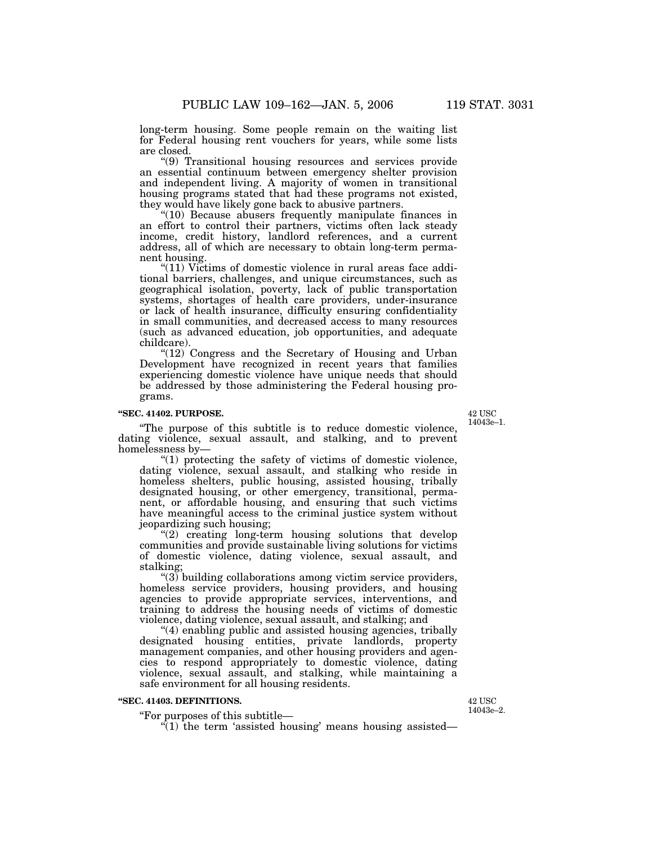long-term housing. Some people remain on the waiting list for Federal housing rent vouchers for years, while some lists are closed.

''(9) Transitional housing resources and services provide an essential continuum between emergency shelter provision and independent living. A majority of women in transitional housing programs stated that had these programs not existed, they would have likely gone back to abusive partners.

''(10) Because abusers frequently manipulate finances in an effort to control their partners, victims often lack steady income, credit history, landlord references, and a current address, all of which are necessary to obtain long-term permanent housing.

"(11) Victims of domestic violence in rural areas face additional barriers, challenges, and unique circumstances, such as geographical isolation, poverty, lack of public transportation systems, shortages of health care providers, under-insurance or lack of health insurance, difficulty ensuring confidentiality in small communities, and decreased access to many resources (such as advanced education, job opportunities, and adequate childcare).

"(12) Congress and the Secretary of Housing and Urban" Development have recognized in recent years that families experiencing domestic violence have unique needs that should be addressed by those administering the Federal housing programs.

#### **''SEC. 41402. PURPOSE.**

''The purpose of this subtitle is to reduce domestic violence, dating violence, sexual assault, and stalking, and to prevent homelessness by—

 $"(1)$  protecting the safety of victims of domestic violence, dating violence, sexual assault, and stalking who reside in homeless shelters, public housing, assisted housing, tribally designated housing, or other emergency, transitional, permanent, or affordable housing, and ensuring that such victims have meaningful access to the criminal justice system without jeopardizing such housing;

"(2) creating long-term housing solutions that develop communities and provide sustainable living solutions for victims of domestic violence, dating violence, sexual assault, and stalking;

"(3) building collaborations among victim service providers, homeless service providers, housing providers, and housing agencies to provide appropriate services, interventions, and training to address the housing needs of victims of domestic violence, dating violence, sexual assault, and stalking; and

''(4) enabling public and assisted housing agencies, tribally designated housing entities, private landlords, property management companies, and other housing providers and agencies to respond appropriately to domestic violence, dating violence, sexual assault, and stalking, while maintaining a safe environment for all housing residents.

#### **''SEC. 41403. DEFINITIONS.**

''For purposes of this subtitle—

 $\sqrt[n]{(1)}$  the term 'assisted housing' means housing assisted—

42 USC 14043e–1.

42 USC 14043e–2.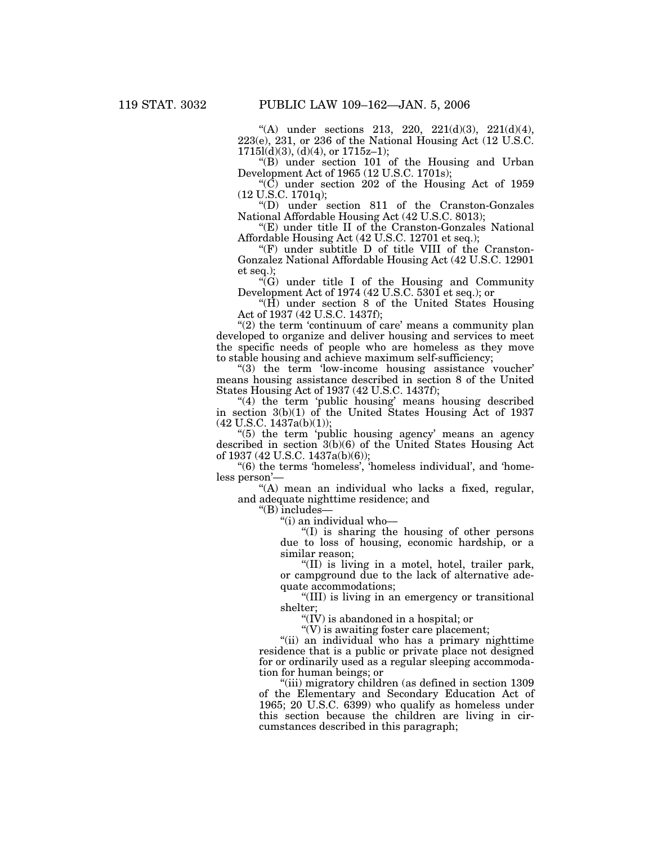"(A) under sections 213, 220, 221(d)(3), 221(d)(4), 223(e), 231, or 236 of the National Housing Act (12 U.S.C.  $1715l(d)(3)$ , (d)(4), or  $1715z-1$ );

''(B) under section 101 of the Housing and Urban Development Act of 1965 (12 U.S.C. 1701s);

 $\degree$ (C) under section 202 of the Housing Act of 1959 (12 U.S.C. 1701q);

''(D) under section 811 of the Cranston-Gonzales National Affordable Housing Act (42 U.S.C. 8013);

''(E) under title II of the Cranston-Gonzales National Affordable Housing Act (42 U.S.C. 12701 et seq.);

" $(F)$  under subtitle D of title VIII of the Cranston-Gonzalez National Affordable Housing Act (42 U.S.C. 12901 et seq.);

 $\sqrt[G]{G}$  under title I of the Housing and Community Development Act of 1974 (42 U.S.C. 5301 et seq.); or

''(H) under section 8 of the United States Housing Act of 1937 (42 U.S.C. 1437f);

"(2) the term 'continuum of care' means a community plan developed to organize and deliver housing and services to meet the specific needs of people who are homeless as they move to stable housing and achieve maximum self-sufficiency;

"(3) the term 'low-income housing assistance voucher' means housing assistance described in section 8 of the United States Housing Act of 1937 (42 U.S.C. 1437f);

"(4) the term 'public housing' means housing described in section 3(b)(1) of the United States Housing Act of 1937 (42 U.S.C. 1437a(b)(1));

"(5) the term 'public housing agency' means an agency described in section 3(b)(6) of the United States Housing Act of 1937 (42 U.S.C. 1437a(b)(6));

''(6) the terms 'homeless', 'homeless individual', and 'homeless person'—

''(A) mean an individual who lacks a fixed, regular, and adequate nighttime residence; and

''(B) includes—

''(i) an individual who—

''(I) is sharing the housing of other persons due to loss of housing, economic hardship, or a similar reason;

''(II) is living in a motel, hotel, trailer park, or campground due to the lack of alternative adequate accommodations;

''(III) is living in an emergency or transitional shelter;

''(IV) is abandoned in a hospital; or

''(V) is awaiting foster care placement;

"(ii) an individual who has a primary nighttime residence that is a public or private place not designed for or ordinarily used as a regular sleeping accommodation for human beings; or

''(iii) migratory children (as defined in section 1309 of the Elementary and Secondary Education Act of 1965; 20 U.S.C. 6399) who qualify as homeless under this section because the children are living in circumstances described in this paragraph;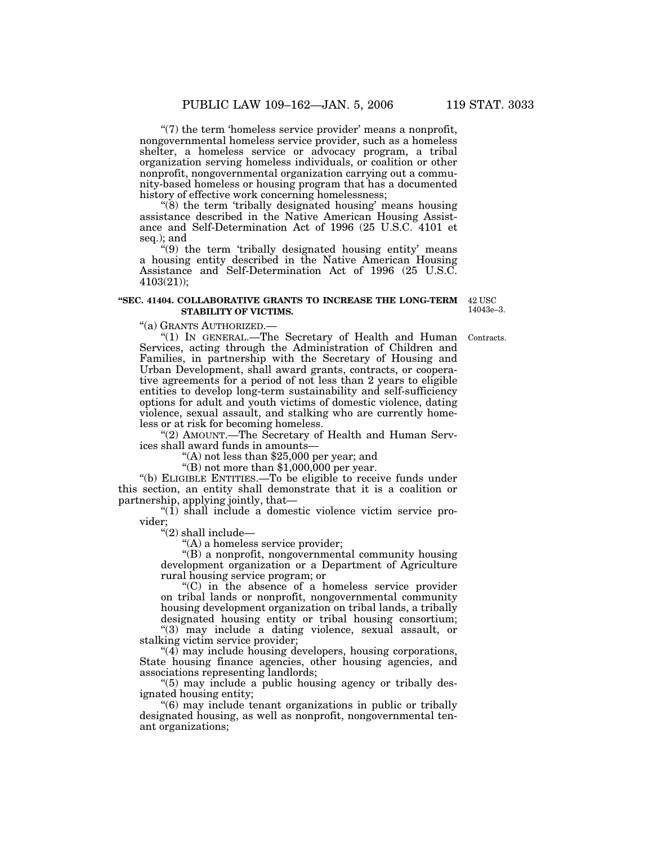"(7) the term 'homeless service provider' means a nonprofit, nongovernmental homeless service provider, such as a homeless shelter, a homeless service or advocacy program, a tribal organization serving homeless individuals, or coalition or other nonprofit, nongovernmental organization carrying out a community-based homeless or housing program that has a documented history of effective work concerning homelessness;

''(8) the term 'tribally designated housing' means housing assistance described in the Native American Housing Assistance and Self-Determination Act of 1996 (25 U.S.C. 4101 et seq.); and

 $(9)$  the term 'tribally designated housing entity' means a housing entity described in the Native American Housing Assistance and Self-Determination Act of 1996 (25 U.S.C. 4103(21));

#### **''SEC. 41404. COLLABORATIVE GRANTS TO INCREASE THE LONG-TERM STABILITY OF VICTIMS.**

14043e–3.

''(a) GRANTS AUTHORIZED.—

"(1) In GENERAL.—The Secretary of Health and Human Services, acting through the Administration of Children and Families, in partnership with the Secretary of Housing and Urban Development, shall award grants, contracts, or cooperative agreements for a period of not less than 2 years to eligible entities to develop long-term sustainability and self-sufficiency options for adult and youth victims of domestic violence, dating violence, sexual assault, and stalking who are currently homeless or at risk for becoming homeless.

''(2) AMOUNT.—The Secretary of Health and Human Services shall award funds in amounts—

''(A) not less than \$25,000 per year; and

"(B) not more than  $$1,000,000$  per year.

''(b) ELIGIBLE ENTITIES.—To be eligible to receive funds under this section, an entity shall demonstrate that it is a coalition or partnership, applying jointly, that—

''(1) shall include a domestic violence victim service provider;

 $\cdot$ (2) shall include—

''(A) a homeless service provider;

''(B) a nonprofit, nongovernmental community housing development organization or a Department of Agriculture rural housing service program; or

 $(C)$  in the absence of a homeless service provider on tribal lands or nonprofit, nongovernmental community housing development organization on tribal lands, a tribally designated housing entity or tribal housing consortium; ''(3) may include a dating violence, sexual assault, or

stalking victim service provider;

 $\mathcal{H}(4)$  may include housing developers, housing corporations, State housing finance agencies, other housing agencies, and associations representing landlords;

"(5) may include a public housing agency or tribally designated housing entity;

''(6) may include tenant organizations in public or tribally designated housing, as well as nonprofit, nongovernmental tenant organizations;

# 42 USC

Contracts.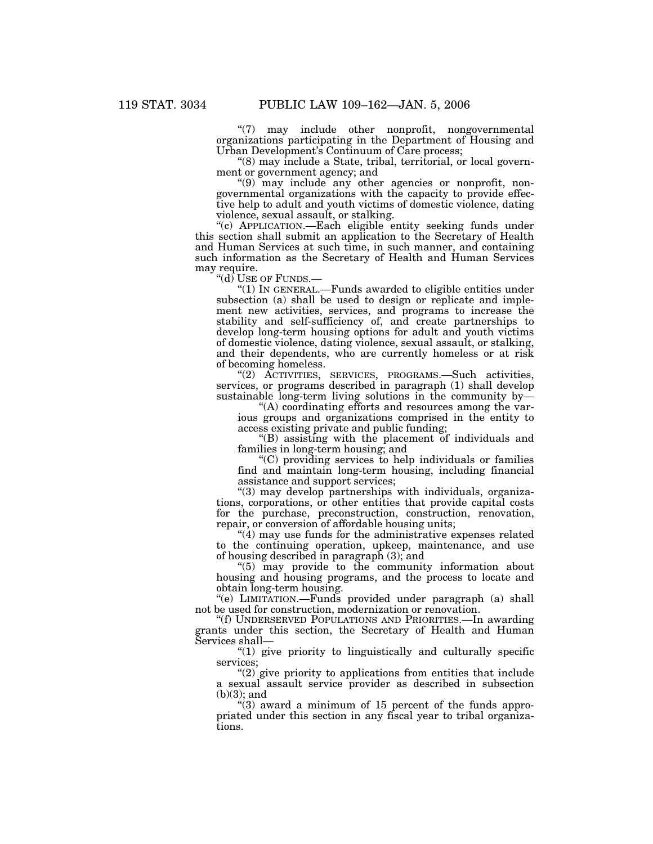"(7) may include other nonprofit, nongovernmental organizations participating in the Department of Housing and Urban Development's Continuum of Care process;

''(8) may include a State, tribal, territorial, or local government or government agency; and

''(9) may include any other agencies or nonprofit, nongovernmental organizations with the capacity to provide effective help to adult and youth victims of domestic violence, dating violence, sexual assault, or stalking.

''(c) APPLICATION.—Each eligible entity seeking funds under this section shall submit an application to the Secretary of Health and Human Services at such time, in such manner, and containing such information as the Secretary of Health and Human Services may require.<br>"(d) USE OF FUNDS.—

" $(1)$  In GENERAL.—Funds awarded to eligible entities under subsection (a) shall be used to design or replicate and implement new activities, services, and programs to increase the stability and self-sufficiency of, and create partnerships to develop long-term housing options for adult and youth victims of domestic violence, dating violence, sexual assault, or stalking, and their dependents, who are currently homeless or at risk of becoming homeless.

''(2) ACTIVITIES, SERVICES, PROGRAMS.—Such activities, services, or programs described in paragraph (1) shall develop sustainable long-term living solutions in the community by—

''(A) coordinating efforts and resources among the various groups and organizations comprised in the entity to access existing private and public funding;

''(B) assisting with the placement of individuals and families in long-term housing; and

''(C) providing services to help individuals or families find and maintain long-term housing, including financial assistance and support services;

''(3) may develop partnerships with individuals, organizations, corporations, or other entities that provide capital costs for the purchase, preconstruction, construction, renovation, repair, or conversion of affordable housing units;

 $(4)$  may use funds for the administrative expenses related to the continuing operation, upkeep, maintenance, and use of housing described in paragraph (3); and

''(5) may provide to the community information about housing and housing programs, and the process to locate and obtain long-term housing.

''(e) LIMITATION.—Funds provided under paragraph (a) shall not be used for construction, modernization or renovation.

''(f) UNDERSERVED POPULATIONS AND PRIORITIES.—In awarding grants under this section, the Secretary of Health and Human Services shall—

" $(1)$  give priority to linguistically and culturally specific services;

" $(2)$  give priority to applications from entities that include a sexual assault service provider as described in subsection  $(b)(3)$ ; and

 $\cdot$ (3) award a minimum of 15 percent of the funds appropriated under this section in any fiscal year to tribal organizations.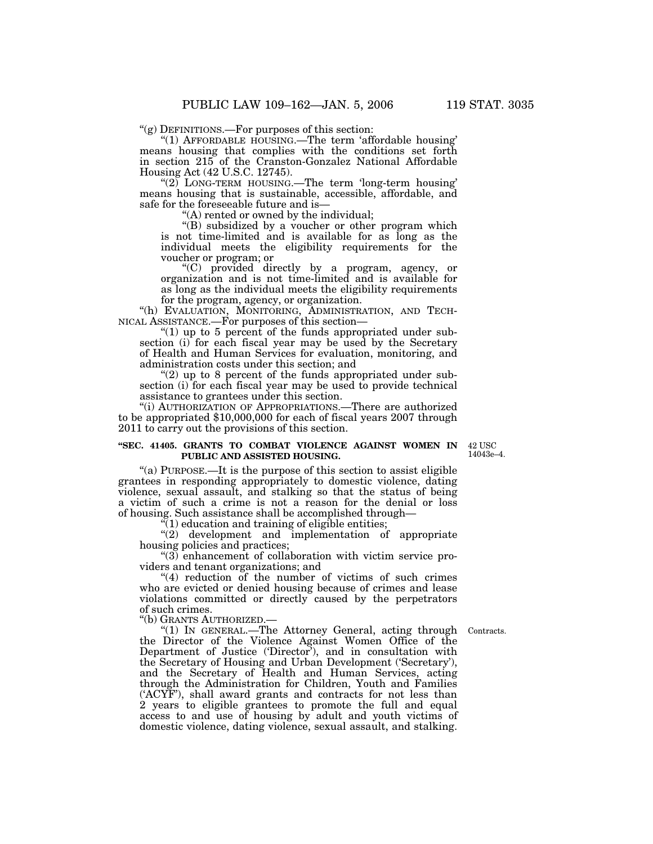''(1) AFFORDABLE HOUSING.—The term 'affordable housing' means housing that complies with the conditions set forth in section 215 of the Cranston-Gonzalez National Affordable Housing Act (42 U.S.C. 12745).

" $(2)$  LONG-TERM HOUSING.—The term 'long-term housing' means housing that is sustainable, accessible, affordable, and safe for the foreseeable future and is—

''(A) rented or owned by the individual;

''(B) subsidized by a voucher or other program which is not time-limited and is available for as long as the individual meets the eligibility requirements for the voucher or program; or

''(C) provided directly by a program, agency, or organization and is not time-limited and is available for as long as the individual meets the eligibility requirements for the program, agency, or organization.

''(h) EVALUATION, MONITORING, ADMINISTRATION, AND TECH-NICAL ASSISTANCE.—For purposes of this section—

" $(1)$  up to 5 percent of the funds appropriated under subsection (i) for each fiscal year may be used by the Secretary of Health and Human Services for evaluation, monitoring, and administration costs under this section; and

" $(2)$  up to 8 percent of the funds appropriated under subsection (i) for each fiscal year may be used to provide technical assistance to grantees under this section.

''(i) AUTHORIZATION OF APPROPRIATIONS.—There are authorized to be appropriated \$10,000,000 for each of fiscal years 2007 through 2011 to carry out the provisions of this section.

#### **''SEC. 41405. GRANTS TO COMBAT VIOLENCE AGAINST WOMEN IN** 42 USC **PUBLIC AND ASSISTED HOUSING.**

14043e–4.

''(a) PURPOSE.—It is the purpose of this section to assist eligible grantees in responding appropriately to domestic violence, dating violence, sexual assault, and stalking so that the status of being a victim of such a crime is not a reason for the denial or loss of housing. Such assistance shall be accomplished through—

 $(1)$  education and training of eligible entities;

"(2) development and implementation of appropriate housing policies and practices;

"(3) enhancement of collaboration with victim service providers and tenant organizations; and

''(4) reduction of the number of victims of such crimes who are evicted or denied housing because of crimes and lease violations committed or directly caused by the perpetrators of such crimes.

''(b) GRANTS AUTHORIZED.—

"(1) IN GENERAL.—The Attorney General, acting through Contracts. the Director of the Violence Against Women Office of the Department of Justice ('Director'), and in consultation with the Secretary of Housing and Urban Development ('Secretary'), and the Secretary of Health and Human Services, acting through the Administration for Children, Youth and Families ('ACYF'), shall award grants and contracts for not less than 2 years to eligible grantees to promote the full and equal access to and use of housing by adult and youth victims of domestic violence, dating violence, sexual assault, and stalking.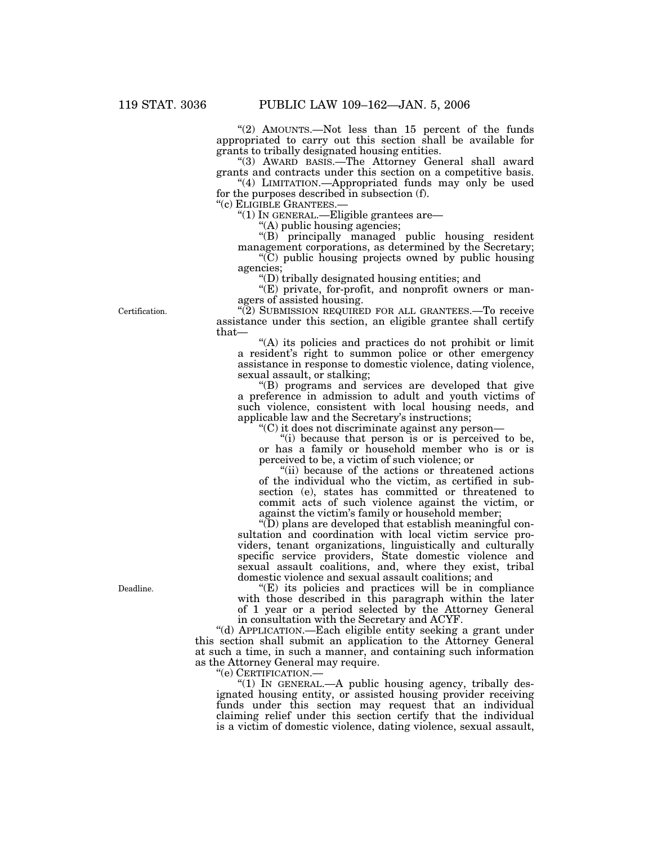"(2) AMOUNTS.—Not less than 15 percent of the funds appropriated to carry out this section shall be available for grants to tribally designated housing entities.

"(3) AWARD BASIS.—The Attorney General shall award grants and contracts under this section on a competitive basis.

"(4) LIMITATION.—Appropriated funds may only be used for the purposes described in subsection (f).<br>"(c) ELIGIBLE GRANTEES.—

" $(1)$  In GENERAL.—Eligible grantees are—

''(A) public housing agencies;

''(B) principally managed public housing resident management corporations, as determined by the Secretary;

''(C) public housing projects owned by public housing agencies;

''(D) tribally designated housing entities; and

''(E) private, for-profit, and nonprofit owners or managers of assisted housing.

''(2) SUBMISSION REQUIRED FOR ALL GRANTEES.—To receive assistance under this section, an eligible grantee shall certify that—

''(A) its policies and practices do not prohibit or limit a resident's right to summon police or other emergency assistance in response to domestic violence, dating violence, sexual assault, or stalking;

''(B) programs and services are developed that give a preference in admission to adult and youth victims of such violence, consistent with local housing needs, and applicable law and the Secretary's instructions;

''(C) it does not discriminate against any person—

"(i) because that person is or is perceived to be, or has a family or household member who is or is perceived to be, a victim of such violence; or

''(ii) because of the actions or threatened actions of the individual who the victim, as certified in subsection (e), states has committed or threatened to commit acts of such violence against the victim, or against the victim's family or household member;

''(D) plans are developed that establish meaningful consultation and coordination with local victim service providers, tenant organizations, linguistically and culturally specific service providers, State domestic violence and sexual assault coalitions, and, where they exist, tribal domestic violence and sexual assault coalitions; and

''(E) its policies and practices will be in compliance with those described in this paragraph within the later of 1 year or a period selected by the Attorney General in consultation with the Secretary and ACYF.

''(d) APPLICATION.—Each eligible entity seeking a grant under this section shall submit an application to the Attorney General at such a time, in such a manner, and containing such information as the Attorney General may require.

''(e) CERTIFICATION.—

"(1) IN GENERAL.—A public housing agency, tribally designated housing entity, or assisted housing provider receiving funds under this section may request that an individual claiming relief under this section certify that the individual is a victim of domestic violence, dating violence, sexual assault,

Certification.

Deadline.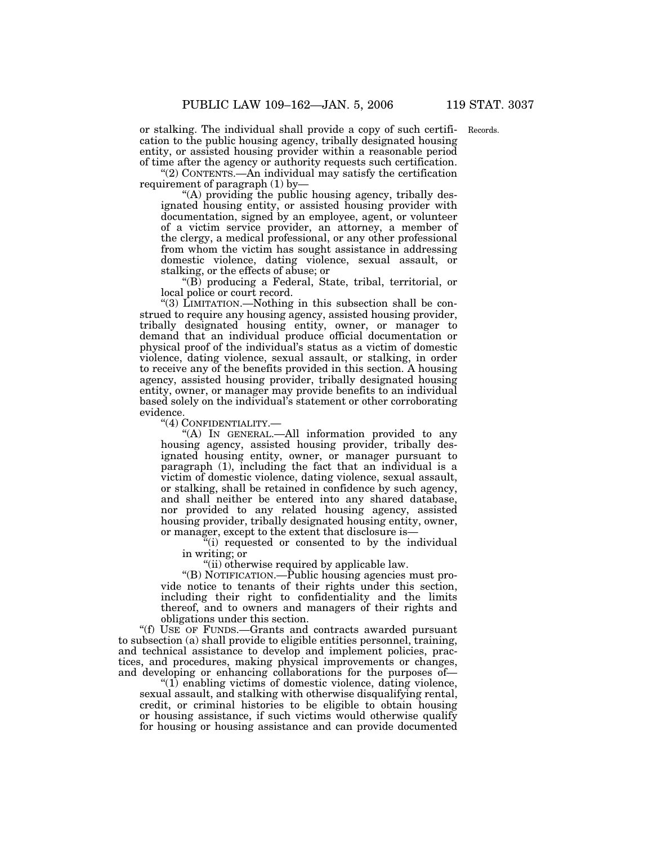or stalking. The individual shall provide a copy of such certifi-Records. cation to the public housing agency, tribally designated housing entity, or assisted housing provider within a reasonable period of time after the agency or authority requests such certification.

''(2) CONTENTS.—An individual may satisfy the certification requirement of paragraph (1) by—

"(A) providing the public housing agency, tribally designated housing entity, or assisted housing provider with documentation, signed by an employee, agent, or volunteer of a victim service provider, an attorney, a member of the clergy, a medical professional, or any other professional from whom the victim has sought assistance in addressing domestic violence, dating violence, sexual assault, or stalking, or the effects of abuse; or

''(B) producing a Federal, State, tribal, territorial, or local police or court record.

''(3) LIMITATION.—Nothing in this subsection shall be construed to require any housing agency, assisted housing provider, tribally designated housing entity, owner, or manager to demand that an individual produce official documentation or physical proof of the individual's status as a victim of domestic violence, dating violence, sexual assault, or stalking, in order to receive any of the benefits provided in this section. A housing agency, assisted housing provider, tribally designated housing entity, owner, or manager may provide benefits to an individual based solely on the individual's statement or other corroborating evidence.

''(4) CONFIDENTIALITY.—

''(A) IN GENERAL.—All information provided to any housing agency, assisted housing provider, tribally designated housing entity, owner, or manager pursuant to paragraph (1), including the fact that an individual is a victim of domestic violence, dating violence, sexual assault, or stalking, shall be retained in confidence by such agency, and shall neither be entered into any shared database, nor provided to any related housing agency, assisted housing provider, tribally designated housing entity, owner, or manager, except to the extent that disclosure is—

"(i) requested or consented to by the individual in writing; or

''(ii) otherwise required by applicable law.

''(B) NOTIFICATION.—Public housing agencies must provide notice to tenants of their rights under this section, including their right to confidentiality and the limits thereof, and to owners and managers of their rights and obligations under this section.

"(f) USE OF FUNDS. - Grants and contracts awarded pursuant to subsection (a) shall provide to eligible entities personnel, training, and technical assistance to develop and implement policies, practices, and procedures, making physical improvements or changes, and developing or enhancing collaborations for the purposes of—

''(1) enabling victims of domestic violence, dating violence, sexual assault, and stalking with otherwise disqualifying rental, credit, or criminal histories to be eligible to obtain housing or housing assistance, if such victims would otherwise qualify for housing or housing assistance and can provide documented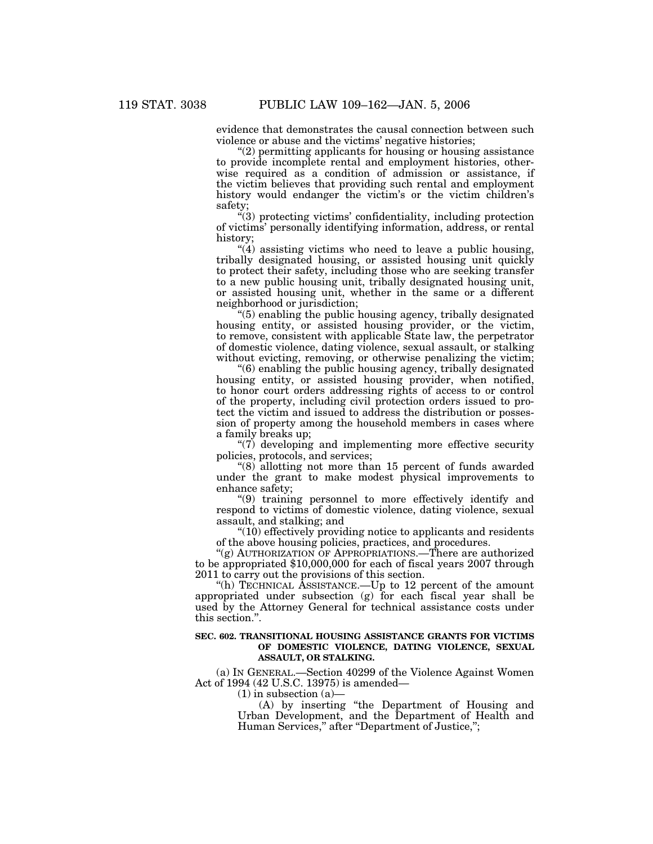evidence that demonstrates the causal connection between such violence or abuse and the victims' negative histories;

 $(2)$  permitting applicants for housing or housing assistance to provide incomplete rental and employment histories, otherwise required as a condition of admission or assistance, if the victim believes that providing such rental and employment history would endanger the victim's or the victim children's safety;

''(3) protecting victims' confidentiality, including protection of victims' personally identifying information, address, or rental history;

 $\mathcal{H}(4)$  assisting victims who need to leave a public housing, tribally designated housing, or assisted housing unit quickly to protect their safety, including those who are seeking transfer to a new public housing unit, tribally designated housing unit, or assisted housing unit, whether in the same or a different neighborhood or jurisdiction;

''(5) enabling the public housing agency, tribally designated housing entity, or assisted housing provider, or the victim, to remove, consistent with applicable State law, the perpetrator of domestic violence, dating violence, sexual assault, or stalking without evicting, removing, or otherwise penalizing the victim;

''(6) enabling the public housing agency, tribally designated housing entity, or assisted housing provider, when notified, to honor court orders addressing rights of access to or control of the property, including civil protection orders issued to protect the victim and issued to address the distribution or possession of property among the household members in cases where a family breaks up;

 $\degree$ (7) developing and implementing more effective security policies, protocols, and services;

''(8) allotting not more than 15 percent of funds awarded under the grant to make modest physical improvements to enhance safety;

''(9) training personnel to more effectively identify and respond to victims of domestic violence, dating violence, sexual assault, and stalking; and

''(10) effectively providing notice to applicants and residents of the above housing policies, practices, and procedures.

"(g) AUTHORIZATION OF APPROPRIATIONS.—There are authorized to be appropriated \$10,000,000 for each of fiscal years 2007 through 2011 to carry out the provisions of this section.

''(h) TECHNICAL ASSISTANCE.—Up to 12 percent of the amount appropriated under subsection (g) for each fiscal year shall be used by the Attorney General for technical assistance costs under this section."

#### **SEC. 602. TRANSITIONAL HOUSING ASSISTANCE GRANTS FOR VICTIMS OF DOMESTIC VIOLENCE, DATING VIOLENCE, SEXUAL ASSAULT, OR STALKING.**

(a) IN GENERAL.—Section 40299 of the Violence Against Women Act of 1994 (42 U.S.C. 13975) is amended—

 $(1)$  in subsection  $(a)$ 

(A) by inserting ''the Department of Housing and Urban Development, and the Department of Health and Human Services," after "Department of Justice,";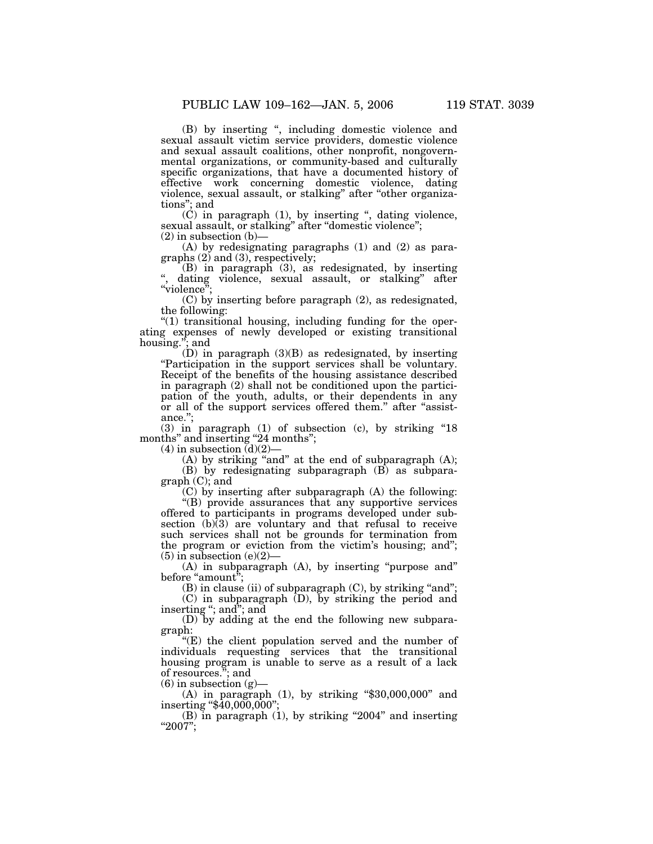(B) by inserting '', including domestic violence and sexual assault victim service providers, domestic violence and sexual assault coalitions, other nonprofit, nongovernmental organizations, or community-based and culturally specific organizations, that have a documented history of effective work concerning domestic violence, dating violence, sexual assault, or stalking'' after ''other organizations''; and

(C) in paragraph (1), by inserting '', dating violence, sexual assault, or stalking" after "domestic violence"; (2) in subsection (b)—

(A) by redesignating paragraphs (1) and (2) as paragraphs (2) and (3), respectively;

(B) in paragraph (3), as redesignated, by inserting dating violence, sexual assault, or stalking" after ''violence'';

(C) by inserting before paragraph (2), as redesignated, the following:

''(1) transitional housing, including funding for the operating expenses of newly developed or existing transitional housing.''; and

(D) in paragraph (3)(B) as redesignated, by inserting ''Participation in the support services shall be voluntary. Receipt of the benefits of the housing assistance described in paragraph (2) shall not be conditioned upon the participation of the youth, adults, or their dependents in any or all of the support services offered them." after "assistance.'';

(3) in paragraph (1) of subsection (c), by striking ''18 months" and inserting "24 months";

 $(4)$  in subsection  $(d)(2)$ 

(A) by striking "and" at the end of subparagraph  $(A)$ ;

(B) by redesignating subparagraph (B) as subparagraph (C); and

(C) by inserting after subparagraph (A) the following:

''(B) provide assurances that any supportive services offered to participants in programs developed under subsection  $(b)(3)$  are voluntary and that refusal to receive such services shall not be grounds for termination from the program or eviction from the victim's housing; and'';  $(5)$  in subsection  $(e)(2)$ —

(A) in subparagraph (A), by inserting ''purpose and'' before "amount";

 $(B)$  in clause (ii) of subparagraph  $(C)$ , by striking "and";

(C) in subparagraph (D), by striking the period and inserting "; and"; and

(D) by adding at the end the following new subparagraph:

 $E(E)$  the client population served and the number of individuals requesting services that the transitional housing program is unable to serve as a result of a lack of resources.''; and

 $(6)$  in subsection  $(g)$ —

(A) in paragraph  $(1)$ , by striking "\$30,000,000" and inserting "\$40,000,000";

 $(B)$  in paragraph  $(1)$ , by striking "2004" and inserting ''2007'';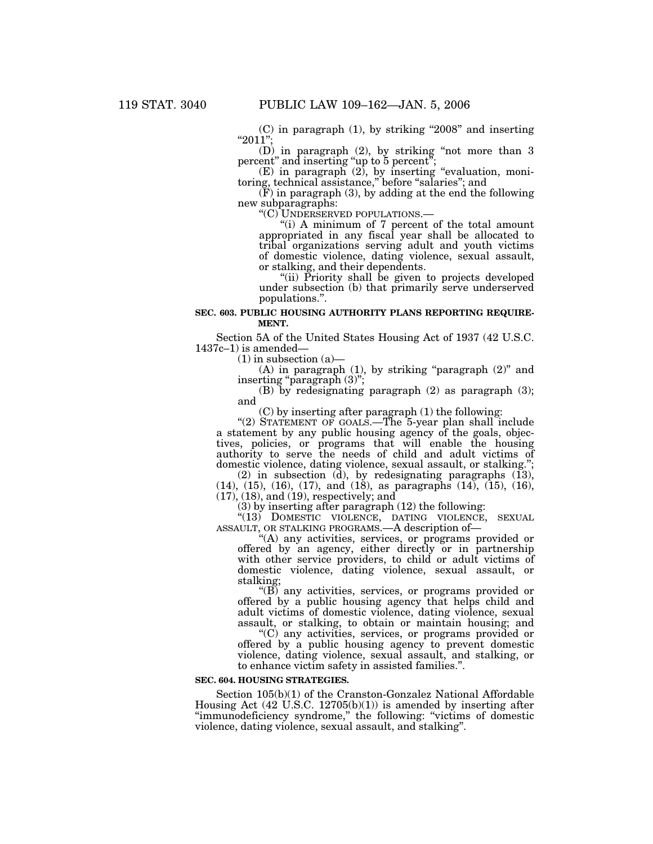(C) in paragraph (1), by striking ''2008'' and inserting  $"2011"$ 

(D) in paragraph (2), by striking ''not more than 3 percent" and inserting "up to 5 percent";

(E) in paragraph (2), by inserting ''evaluation, monitoring, technical assistance,'' before ''salaries''; and

 $(F)$  in paragraph  $(3)$ , by adding at the end the following new subparagraphs:<br>"(C) UNDERSERVED POPULATIONS.-

"(i) A minimum of 7 percent of the total amount appropriated in any fiscal year shall be allocated to tribal organizations serving adult and youth victims of domestic violence, dating violence, sexual assault, or stalking, and their dependents.

''(ii) Priority shall be given to projects developed under subsection (b) that primarily serve underserved populations.''.

#### **SEC. 603. PUBLIC HOUSING AUTHORITY PLANS REPORTING REQUIRE-MENT.**

Section 5A of the United States Housing Act of 1937 (42 U.S.C. 1437c–1) is amended—

 $(1)$  in subsection  $(a)$ 

(A) in paragraph  $(1)$ , by striking "paragraph  $(2)$ " and inserting "paragraph (3)";

(B) by redesignating paragraph (2) as paragraph (3); and

(C) by inserting after paragraph (1) the following:

"(2) STATEMENT OF GOALS.—The 5-year plan shall include a statement by any public housing agency of the goals, objectives, policies, or programs that will enable the housing authority to serve the needs of child and adult victims of domestic violence, dating violence, sexual assault, or stalking.'';

(2) in subsection  $(d)$ , by redesignating paragraphs  $(13)$ , (14), (15), (16), (17), and (18), as paragraphs (14), (15), (16), (17), (18), and (19), respectively; and

(3) by inserting after paragraph (12) the following:

"(13) DOMESTIC VIOLENCE, DATING VIOLENCE, SEXUAL ASSAULT, OR STALKING PROGRAMS.—A description of—

''(A) any activities, services, or programs provided or offered by an agency, either directly or in partnership with other service providers, to child or adult victims of domestic violence, dating violence, sexual assault, or stalking;

''(B) any activities, services, or programs provided or offered by a public housing agency that helps child and adult victims of domestic violence, dating violence, sexual assault, or stalking, to obtain or maintain housing; and

"(C) any activities, services, or programs provided or offered by a public housing agency to prevent domestic violence, dating violence, sexual assault, and stalking, or to enhance victim safety in assisted families.''.

#### **SEC. 604. HOUSING STRATEGIES.**

Section 105(b)(1) of the Cranston-Gonzalez National Affordable Housing Act  $(42 \text{ U.S.C. } 12705(b)(1))$  is amended by inserting after ''immunodeficiency syndrome,'' the following: ''victims of domestic violence, dating violence, sexual assault, and stalking''.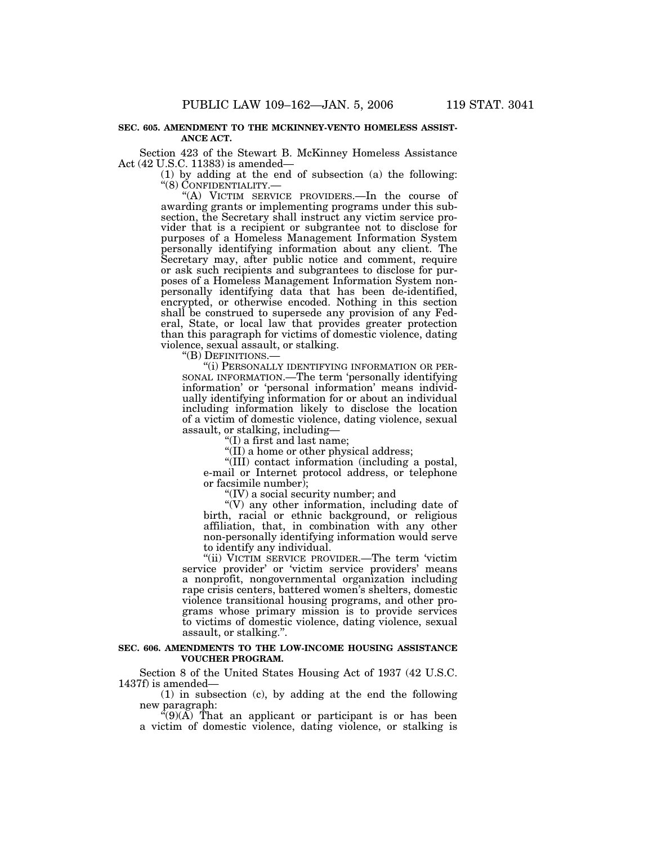#### **SEC. 605. AMENDMENT TO THE MCKINNEY-VENTO HOMELESS ASSIST-ANCE ACT.**

Section 423 of the Stewart B. McKinney Homeless Assistance Act (42 U.S.C. 11383) is amended—

(1) by adding at the end of subsection (a) the following: "(8) CONFIDENTIALITY.-

''(A) VICTIM SERVICE PROVIDERS.—In the course of awarding grants or implementing programs under this subsection, the Secretary shall instruct any victim service provider that is a recipient or subgrantee not to disclose for purposes of a Homeless Management Information System personally identifying information about any client. The Secretary may, after public notice and comment, require or ask such recipients and subgrantees to disclose for purposes of a Homeless Management Information System nonpersonally identifying data that has been de-identified, encrypted, or otherwise encoded. Nothing in this section shall be construed to supersede any provision of any Federal, State, or local law that provides greater protection than this paragraph for victims of domestic violence, dating violence, sexual assault, or stalking.

"(B) DEFINITIONS.—<br>"(i) PERSONALLY IDENTIFYING INFORMATION OR PER-SONAL INFORMATION.—The term 'personally identifying information' or 'personal information' means individually identifying information for or about an individual including information likely to disclose the location of a victim of domestic violence, dating violence, sexual assault, or stalking, including—

''(I) a first and last name;

"(II) a home or other physical address;

''(III) contact information (including a postal, e-mail or Internet protocol address, or telephone or facsimile number);

"(IV) a social security number; and

''(V) any other information, including date of birth, racial or ethnic background, or religious affiliation, that, in combination with any other non-personally identifying information would serve to identify any individual.

''(ii) VICTIM SERVICE PROVIDER.—The term 'victim service provider' or 'victim service providers' means a nonprofit, nongovernmental organization including rape crisis centers, battered women's shelters, domestic violence transitional housing programs, and other programs whose primary mission is to provide services to victims of domestic violence, dating violence, sexual assault, or stalking.''.

#### **SEC. 606. AMENDMENTS TO THE LOW-INCOME HOUSING ASSISTANCE VOUCHER PROGRAM.**

Section 8 of the United States Housing Act of 1937 (42 U.S.C. 1437f) is amended—

(1) in subsection (c), by adding at the end the following new paragraph:

 $\sqrt{f}(9)(\overline{A})$  That an applicant or participant is or has been a victim of domestic violence, dating violence, or stalking is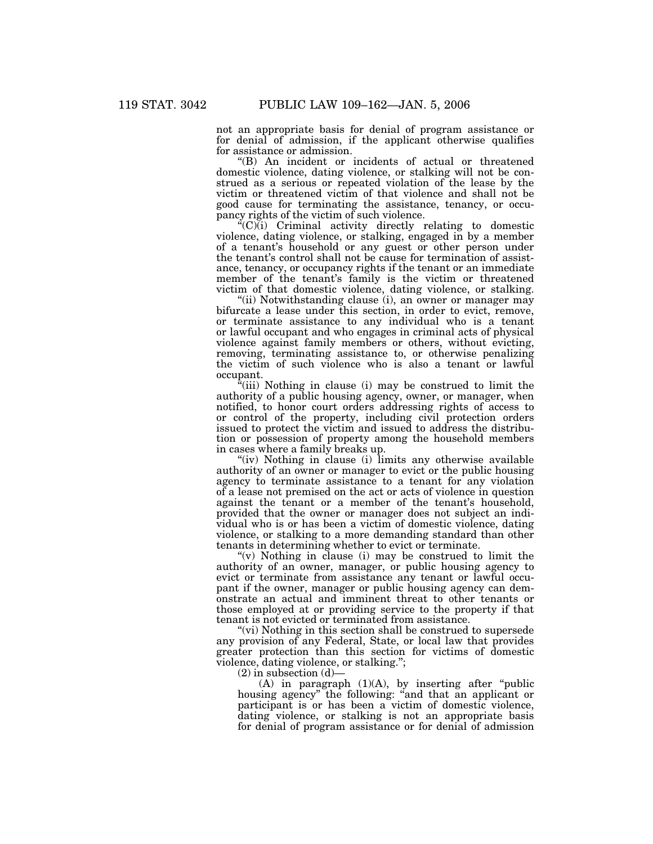not an appropriate basis for denial of program assistance or for denial of admission, if the applicant otherwise qualifies for assistance or admission.

''(B) An incident or incidents of actual or threatened domestic violence, dating violence, or stalking will not be construed as a serious or repeated violation of the lease by the victim or threatened victim of that violence and shall not be good cause for terminating the assistance, tenancy, or occupancy rights of the victim of such violence.

 $C(\tilde{C})$  Criminal activity directly relating to domestic violence, dating violence, or stalking, engaged in by a member of a tenant's household or any guest or other person under the tenant's control shall not be cause for termination of assistance, tenancy, or occupancy rights if the tenant or an immediate member of the tenant's family is the victim or threatened victim of that domestic violence, dating violence, or stalking.

''(ii) Notwithstanding clause (i), an owner or manager may bifurcate a lease under this section, in order to evict, remove, or terminate assistance to any individual who is a tenant or lawful occupant and who engages in criminal acts of physical violence against family members or others, without evicting, removing, terminating assistance to, or otherwise penalizing the victim of such violence who is also a tenant or lawful occupant.

 $\alpha$ <sup>"</sup>(iii) Nothing in clause (i) may be construed to limit the authority of a public housing agency, owner, or manager, when notified, to honor court orders addressing rights of access to or control of the property, including civil protection orders issued to protect the victim and issued to address the distribution or possession of property among the household members in cases where a family breaks up.

"(iv) Nothing in clause (i) limits any otherwise available authority of an owner or manager to evict or the public housing agency to terminate assistance to a tenant for any violation of a lease not premised on the act or acts of violence in question against the tenant or a member of the tenant's household, provided that the owner or manager does not subject an individual who is or has been a victim of domestic violence, dating violence, or stalking to a more demanding standard than other tenants in determining whether to evict or terminate.

" $(v)$  Nothing in clause (i) may be construed to limit the authority of an owner, manager, or public housing agency to evict or terminate from assistance any tenant or lawful occupant if the owner, manager or public housing agency can demonstrate an actual and imminent threat to other tenants or those employed at or providing service to the property if that tenant is not evicted or terminated from assistance.

"(vi) Nothing in this section shall be construed to supersede any provision of any Federal, State, or local law that provides greater protection than this section for victims of domestic violence, dating violence, or stalking.'';

 $(2)$  in subsection  $(d)$ -

 $(A)$  in paragraph  $(1)(A)$ , by inserting after "public" housing agency" the following: "and that an applicant or participant is or has been a victim of domestic violence, dating violence, or stalking is not an appropriate basis for denial of program assistance or for denial of admission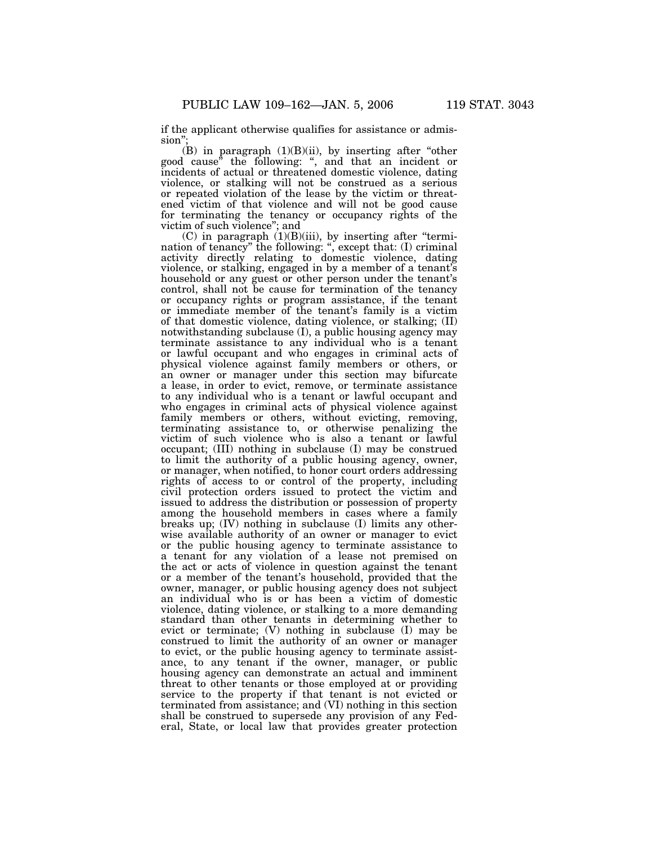if the applicant otherwise qualifies for assistance or admission'';

(B) in paragraph (1)(B)(ii), by inserting after ''other good cause'' the following: '', and that an incident or incidents of actual or threatened domestic violence, dating violence, or stalking will not be construed as a serious or repeated violation of the lease by the victim or threatened victim of that violence and will not be good cause for terminating the tenancy or occupancy rights of the victim of such violence''; and

 $(C)$  in paragraph  $(1)(B)(iii)$ , by inserting after "termination of tenancy'' the following: '', except that: (I) criminal activity directly relating to domestic violence, dating violence, or stalking, engaged in by a member of a tenant's household or any guest or other person under the tenant's control, shall not be cause for termination of the tenancy or occupancy rights or program assistance, if the tenant or immediate member of the tenant's family is a victim of that domestic violence, dating violence, or stalking; (II) notwithstanding subclause (I), a public housing agency may terminate assistance to any individual who is a tenant or lawful occupant and who engages in criminal acts of physical violence against family members or others, or an owner or manager under this section may bifurcate a lease, in order to evict, remove, or terminate assistance to any individual who is a tenant or lawful occupant and who engages in criminal acts of physical violence against family members or others, without evicting, removing, terminating assistance to, or otherwise penalizing the victim of such violence who is also a tenant or lawful occupant; (III) nothing in subclause (I) may be construed to limit the authority of a public housing agency, owner, or manager, when notified, to honor court orders addressing rights of access to or control of the property, including civil protection orders issued to protect the victim and issued to address the distribution or possession of property among the household members in cases where a family breaks up; (IV) nothing in subclause (I) limits any otherwise available authority of an owner or manager to evict or the public housing agency to terminate assistance to a tenant for any violation of a lease not premised on the act or acts of violence in question against the tenant or a member of the tenant's household, provided that the owner, manager, or public housing agency does not subject an individual who is or has been a victim of domestic violence, dating violence, or stalking to a more demanding standard than other tenants in determining whether to evict or terminate; (V) nothing in subclause (I) may be construed to limit the authority of an owner or manager to evict, or the public housing agency to terminate assistance, to any tenant if the owner, manager, or public housing agency can demonstrate an actual and imminent threat to other tenants or those employed at or providing service to the property if that tenant is not evicted or terminated from assistance; and (VI) nothing in this section shall be construed to supersede any provision of any Federal, State, or local law that provides greater protection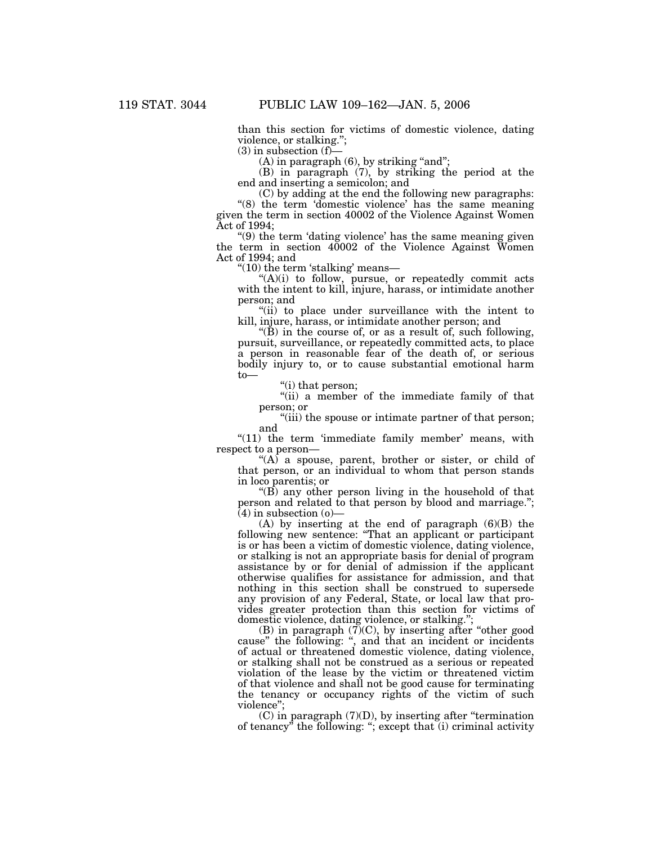than this section for victims of domestic violence, dating violence, or stalking.'';

 $(3)$  in subsection  $(f)$ –

 $(A)$  in paragraph  $(6)$ , by striking "and";

(B) in paragraph (7), by striking the period at the end and inserting a semicolon; and

(C) by adding at the end the following new paragraphs: ''(8) the term 'domestic violence' has the same meaning given the term in section 40002 of the Violence Against Women Act of 1994;

 $(9)$  the term 'dating violence' has the same meaning given the term in section  $40002$  of the Violence Against Women Act of 1994; and

''(10) the term 'stalking' means—

"(A)(i) to follow, pursue, or repeatedly commit acts with the intent to kill, injure, harass, or intimidate another person; and

"(ii) to place under surveillance with the intent to kill, injure, harass, or intimidate another person; and

 $\mathcal{L}(B)$  in the course of, or as a result of, such following, pursuit, surveillance, or repeatedly committed acts, to place a person in reasonable fear of the death of, or serious bodily injury to, or to cause substantial emotional harm to—

''(i) that person;

"(ii) a member of the immediate family of that person; or

"(iii) the spouse or intimate partner of that person; and

" $(11)$  the term 'immediate family member' means, with respect to a person—

"(A) a spouse, parent, brother or sister, or child of that person, or an individual to whom that person stands in loco parentis; or

 $\mathrm{H}(B)$  any other person living in the household of that person and related to that person by blood and marriage.'';  $(4)$  in subsection  $(0)$ —

(A) by inserting at the end of paragraph (6)(B) the following new sentence: "That an applicant or participant is or has been a victim of domestic violence, dating violence, or stalking is not an appropriate basis for denial of program assistance by or for denial of admission if the applicant otherwise qualifies for assistance for admission, and that nothing in this section shall be construed to supersede any provision of any Federal, State, or local law that provides greater protection than this section for victims of domestic violence, dating violence, or stalking.'';

 $(B)$  in paragraph  $(7)(C)$ , by inserting after "other good cause'' the following: '', and that an incident or incidents of actual or threatened domestic violence, dating violence, or stalking shall not be construed as a serious or repeated violation of the lease by the victim or threatened victim of that violence and shall not be good cause for terminating the tenancy or occupancy rights of the victim of such violence'';

 $(C)$  in paragraph  $(7)(D)$ , by inserting after "termination" of tenancy'' the following: ''; except that (i) criminal activity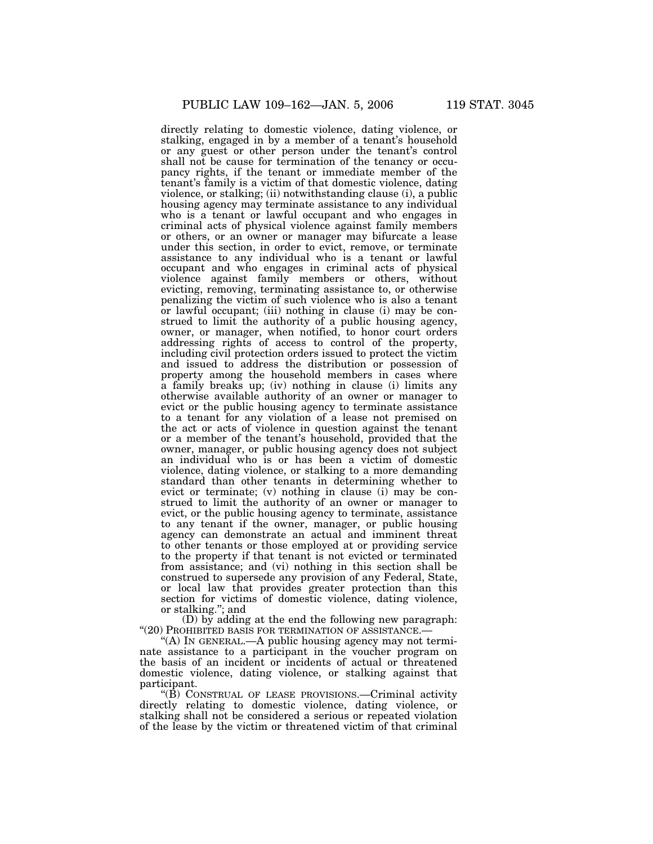directly relating to domestic violence, dating violence, or stalking, engaged in by a member of a tenant's household or any guest or other person under the tenant's control shall not be cause for termination of the tenancy or occupancy rights, if the tenant or immediate member of the tenant's family is a victim of that domestic violence, dating violence, or stalking; (ii) notwithstanding clause (i), a public housing agency may terminate assistance to any individual who is a tenant or lawful occupant and who engages in criminal acts of physical violence against family members or others, or an owner or manager may bifurcate a lease under this section, in order to evict, remove, or terminate assistance to any individual who is a tenant or lawful occupant and who engages in criminal acts of physical violence against family members or others, without evicting, removing, terminating assistance to, or otherwise penalizing the victim of such violence who is also a tenant or lawful occupant; (iii) nothing in clause (i) may be construed to limit the authority of a public housing agency, owner, or manager, when notified, to honor court orders addressing rights of access to control of the property, including civil protection orders issued to protect the victim and issued to address the distribution or possession of property among the household members in cases where a family breaks up; (iv) nothing in clause (i) limits any otherwise available authority of an owner or manager to evict or the public housing agency to terminate assistance to a tenant for any violation of a lease not premised on the act or acts of violence in question against the tenant or a member of the tenant's household, provided that the owner, manager, or public housing agency does not subject an individual who is or has been a victim of domestic violence, dating violence, or stalking to a more demanding standard than other tenants in determining whether to evict or terminate; (v) nothing in clause (i) may be construed to limit the authority of an owner or manager to evict, or the public housing agency to terminate, assistance to any tenant if the owner, manager, or public housing agency can demonstrate an actual and imminent threat to other tenants or those employed at or providing service to the property if that tenant is not evicted or terminated from assistance; and (vi) nothing in this section shall be construed to supersede any provision of any Federal, State, or local law that provides greater protection than this section for victims of domestic violence, dating violence, or stalking.''; and

(D) by adding at the end the following new paragraph: "(20) PROHIBITED BASIS FOR TERMINATION OF ASSISTANCE.-

"(A) In GENERAL.—A public housing agency may not terminate assistance to a participant in the voucher program on the basis of an incident or incidents of actual or threatened domestic violence, dating violence, or stalking against that participant.

''(B) CONSTRUAL OF LEASE PROVISIONS.—Criminal activity directly relating to domestic violence, dating violence, or stalking shall not be considered a serious or repeated violation of the lease by the victim or threatened victim of that criminal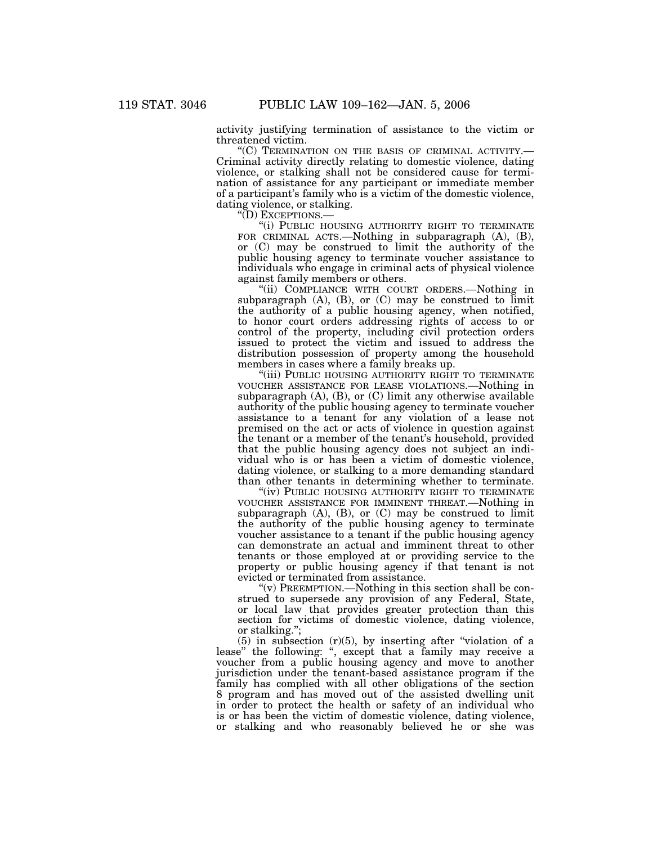activity justifying termination of assistance to the victim or threatened victim.

''(C) TERMINATION ON THE BASIS OF CRIMINAL ACTIVITY.— Criminal activity directly relating to domestic violence, dating violence, or stalking shall not be considered cause for termination of assistance for any participant or immediate member of a participant's family who is a victim of the domestic violence, dating violence, or stalking.<br>"(D) EXCEPTIONS.—

"(i) PUBLIC HOUSING AUTHORITY RIGHT TO TERMINATE FOR CRIMINAL ACTS.—Nothing in subparagraph (A), (B), or (C) may be construed to limit the authority of the public housing agency to terminate voucher assistance to individuals who engage in criminal acts of physical violence against family members or others.

''(ii) COMPLIANCE WITH COURT ORDERS.—Nothing in subparagraph  $(A)$ ,  $(B)$ , or  $(C)$  may be construed to limit the authority of a public housing agency, when notified, to honor court orders addressing rights of access to or control of the property, including civil protection orders issued to protect the victim and issued to address the distribution possession of property among the household members in cases where a family breaks up.

"(iii) PUBLIC HOUSING AUTHORITY RIGHT TO TERMINATE VOUCHER ASSISTANCE FOR LEASE VIOLATIONS.—Nothing in subparagraph  $(A)$ ,  $(B)$ , or  $(C)$  limit any otherwise available authority of the public housing agency to terminate voucher assistance to a tenant for any violation of a lease not premised on the act or acts of violence in question against the tenant or a member of the tenant's household, provided that the public housing agency does not subject an individual who is or has been a victim of domestic violence, dating violence, or stalking to a more demanding standard than other tenants in determining whether to terminate.

"(iv) PUBLIC HOUSING AUTHORITY RIGHT TO TERMINATE VOUCHER ASSISTANCE FOR IMMINENT THREAT.—Nothing in subparagraph  $(A)$ ,  $(B)$ , or  $(C)$  may be construed to limit the authority of the public housing agency to terminate voucher assistance to a tenant if the public housing agency can demonstrate an actual and imminent threat to other tenants or those employed at or providing service to the property or public housing agency if that tenant is not evicted or terminated from assistance.

"(v) PREEMPTION.—Nothing in this section shall be construed to supersede any provision of any Federal, State, or local law that provides greater protection than this section for victims of domestic violence, dating violence, or stalking.'';

 $(5)$  in subsection  $(r)(5)$ , by inserting after "violation of a lease" the following: ", except that a family may receive a voucher from a public housing agency and move to another jurisdiction under the tenant-based assistance program if the family has complied with all other obligations of the section 8 program and has moved out of the assisted dwelling unit in order to protect the health or safety of an individual who is or has been the victim of domestic violence, dating violence, or stalking and who reasonably believed he or she was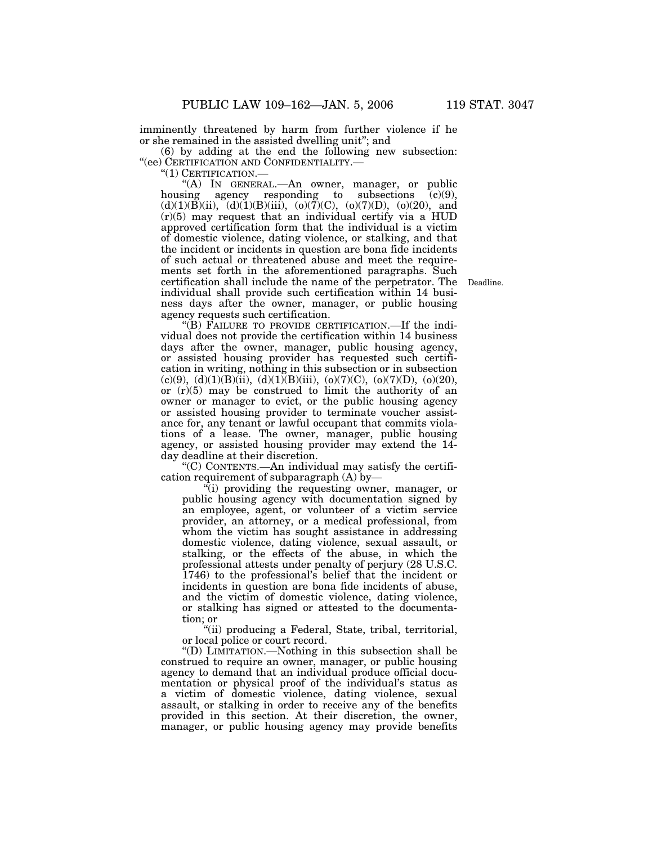imminently threatened by harm from further violence if he or she remained in the assisted dwelling unit''; and

(6) by adding at the end the following new subsection: ''(ee) CERTIFICATION AND CONFIDENTIALITY.—

''(1) CERTIFICATION.—

''(A) IN GENERAL.—An owner, manager, or public housing agency responding to subsections  $(c)(9)$ ,  $(d)(1)(\tilde{B})(ii),$   $(d)(\tilde{1})(B)(iii),$   $(o)(\tilde{7})(C),$   $(o)(7)(D),$   $(o)(20),$  and  $(r)(5)$  may request that an individual certify via a HUD approved certification form that the individual is a victim of domestic violence, dating violence, or stalking, and that the incident or incidents in question are bona fide incidents of such actual or threatened abuse and meet the requirements set forth in the aforementioned paragraphs. Such certification shall include the name of the perpetrator. The individual shall provide such certification within 14 business days after the owner, manager, or public housing agency requests such certification.

''(B) FAILURE TO PROVIDE CERTIFICATION.—If the individual does not provide the certification within 14 business days after the owner, manager, public housing agency, or assisted housing provider has requested such certification in writing, nothing in this subsection or in subsection (c)(9), (d)(1)(B)(ii), (d)(1)(B)(iii), (o)(7)(C), (o)(7)(D), (o)(20), or (r)(5) may be construed to limit the authority of an owner or manager to evict, or the public housing agency or assisted housing provider to terminate voucher assistance for, any tenant or lawful occupant that commits violations of a lease. The owner, manager, public housing agency, or assisted housing provider may extend the 14 day deadline at their discretion.

"(C) CONTENTS.—An individual may satisfy the certification requirement of subparagraph (A) by—

''(i) providing the requesting owner, manager, or public housing agency with documentation signed by an employee, agent, or volunteer of a victim service provider, an attorney, or a medical professional, from whom the victim has sought assistance in addressing domestic violence, dating violence, sexual assault, or stalking, or the effects of the abuse, in which the professional attests under penalty of perjury (28 U.S.C. 1746) to the professional's belief that the incident or incidents in question are bona fide incidents of abuse, and the victim of domestic violence, dating violence, or stalking has signed or attested to the documentation; or

(ii) producing a Federal, State, tribal, territorial, or local police or court record.

''(D) LIMITATION.—Nothing in this subsection shall be construed to require an owner, manager, or public housing agency to demand that an individual produce official documentation or physical proof of the individual's status as a victim of domestic violence, dating violence, sexual assault, or stalking in order to receive any of the benefits provided in this section. At their discretion, the owner, manager, or public housing agency may provide benefits

Deadline.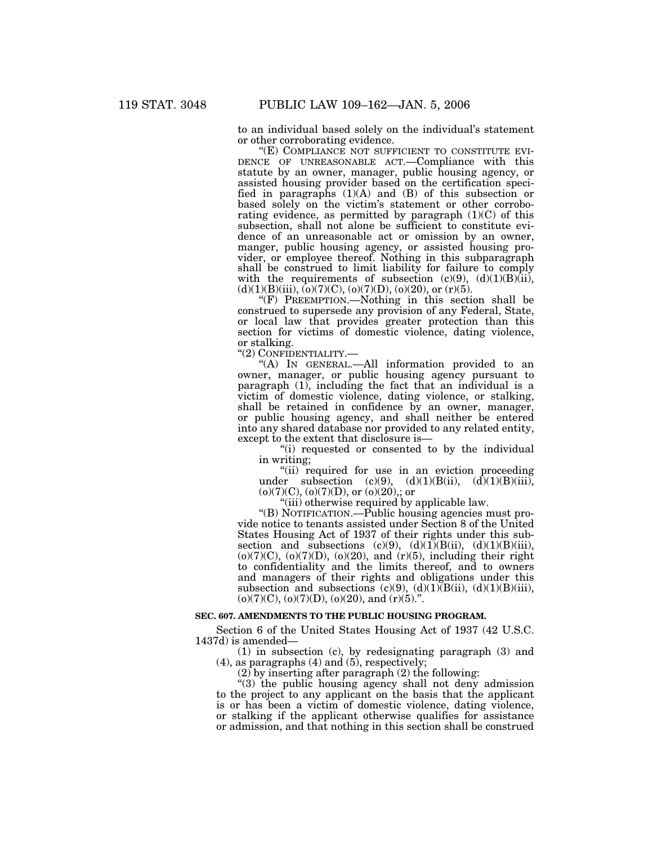to an individual based solely on the individual's statement or other corroborating evidence.

''(E) COMPLIANCE NOT SUFFICIENT TO CONSTITUTE EVI-DENCE OF UNREASONABLE ACT.—Compliance with this statute by an owner, manager, public housing agency, or assisted housing provider based on the certification specified in paragraphs  $(1)(A)$  and  $(B)$  of this subsection or based solely on the victim's statement or other corroborating evidence, as permitted by paragraph  $(1)(C)$  of this subsection, shall not alone be sufficient to constitute evidence of an unreasonable act or omission by an owner, manger, public housing agency, or assisted housing provider, or employee thereof. Nothing in this subparagraph shall be construed to limit liability for failure to comply with the requirements of subsection  $(c)(9)$ ,  $(d)(1)(B)(ii)$ ,  $(d)(1)(B)(iii), (o)(7)(C), (o)(7)(D), (o)(20), or (r)(5).$ 

"(F) PREEMPTION.—Nothing in this section shall be construed to supersede any provision of any Federal, State, or local law that provides greater protection than this section for victims of domestic violence, dating violence, or stalking.

''(2) CONFIDENTIALITY.—

"(A) IN GENERAL.—All information provided to an owner, manager, or public housing agency pursuant to paragraph (1), including the fact that an individual is a victim of domestic violence, dating violence, or stalking, shall be retained in confidence by an owner, manager, or public housing agency, and shall neither be entered into any shared database nor provided to any related entity, except to the extent that disclosure is—

"(i) requested or consented to by the individual in writing;

"(ii) required for use in an eviction proceeding under subsection  $(c)(9)$ ,  $(d)(1)(B(ii)$ ,  $(d)(1)(B(iii)$ ,  $(o)(7)(C)$ ,  $(o)(7)(D)$ , or  $(o)(20)$ ,; or

''(iii) otherwise required by applicable law.

''(B) NOTIFICATION.—Public housing agencies must provide notice to tenants assisted under Section 8 of the United States Housing Act of 1937 of their rights under this subsection and subsections  $(c)(9)$ ,  $(d)(1)(B(ii), (d)(1)(B(iii))$ ,  $(o)(7)(C)$ ,  $(o)(7)(D)$ ,  $(o)(20)$ , and  $(r)(5)$ , including their right to confidentiality and the limits thereof, and to owners and managers of their rights and obligations under this subsection and subsections  $(c)(9)$ ,  $(d)(1)(B(ii), (d)(1)(B(iii))$ ,  $(a)(7)(C), (a)(7)(D), (a)(20),$  and  $(r)(5)$ .".

#### **SEC. 607. AMENDMENTS TO THE PUBLIC HOUSING PROGRAM.**

Section 6 of the United States Housing Act of 1937 (42 U.S.C. 1437d) is amended—

(1) in subsection (c), by redesignating paragraph (3) and  $(4)$ , as paragraphs  $(4)$  and  $(5)$ , respectively;

 $(2)$  by inserting after paragraph  $(2)$  the following:

''(3) the public housing agency shall not deny admission to the project to any applicant on the basis that the applicant is or has been a victim of domestic violence, dating violence, or stalking if the applicant otherwise qualifies for assistance or admission, and that nothing in this section shall be construed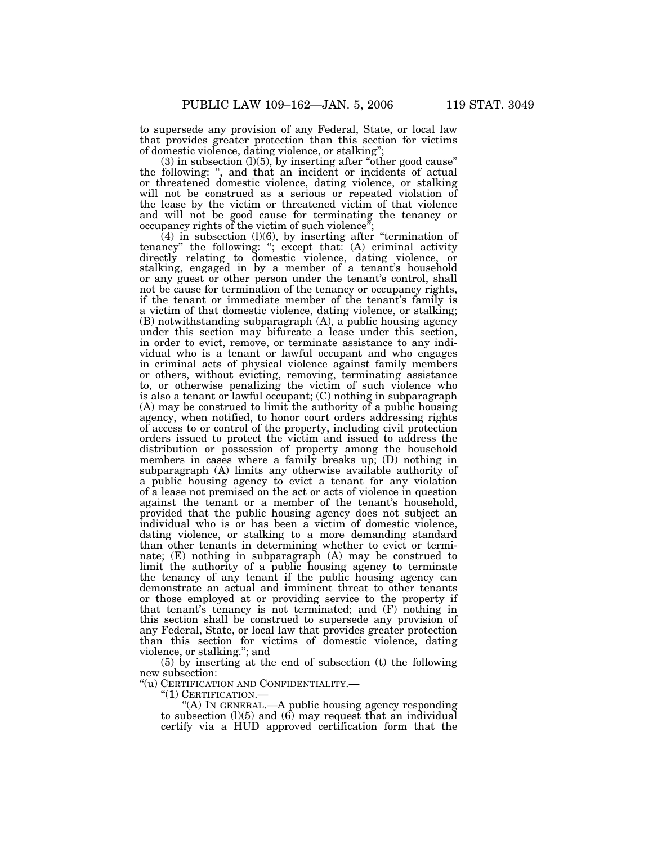to supersede any provision of any Federal, State, or local law that provides greater protection than this section for victims of domestic violence, dating violence, or stalking"

 $(3)$  in subsection  $(l)(5)$ , by inserting after "other good cause" the following: '', and that an incident or incidents of actual or threatened domestic violence, dating violence, or stalking will not be construed as a serious or repeated violation of the lease by the victim or threatened victim of that violence and will not be good cause for terminating the tenancy or occupancy rights of the victim of such violence'';

(4) in subsection (l)(6), by inserting after ''termination of tenancy" the following: "; except that: (A) criminal activity directly relating to domestic violence, dating violence, or stalking, engaged in by a member of a tenant's household or any guest or other person under the tenant's control, shall not be cause for termination of the tenancy or occupancy rights, if the tenant or immediate member of the tenant's family is a victim of that domestic violence, dating violence, or stalking; (B) notwithstanding subparagraph (A), a public housing agency under this section may bifurcate a lease under this section, in order to evict, remove, or terminate assistance to any individual who is a tenant or lawful occupant and who engages in criminal acts of physical violence against family members or others, without evicting, removing, terminating assistance to, or otherwise penalizing the victim of such violence who is also a tenant or lawful occupant; (C) nothing in subparagraph (A) may be construed to limit the authority of a public housing agency, when notified, to honor court orders addressing rights of access to or control of the property, including civil protection orders issued to protect the victim and issued to address the distribution or possession of property among the household members in cases where a family breaks up; (D) nothing in subparagraph (A) limits any otherwise available authority of a public housing agency to evict a tenant for any violation of a lease not premised on the act or acts of violence in question against the tenant or a member of the tenant's household, provided that the public housing agency does not subject an individual who is or has been a victim of domestic violence, dating violence, or stalking to a more demanding standard than other tenants in determining whether to evict or terminate; (E) nothing in subparagraph (A) may be construed to limit the authority of a public housing agency to terminate the tenancy of any tenant if the public housing agency can demonstrate an actual and imminent threat to other tenants or those employed at or providing service to the property if that tenant's tenancy is not terminated; and (F) nothing in this section shall be construed to supersede any provision of any Federal, State, or local law that provides greater protection than this section for victims of domestic violence, dating violence, or stalking.''; and

(5) by inserting at the end of subsection (t) the following new subsection:

''(u) CERTIFICATION AND CONFIDENTIALITY.—

''(1) CERTIFICATION.—

''(A) IN GENERAL.—A public housing agency responding to subsection  $(l)(5)$  and  $(6)$  may request that an individual certify via a HUD approved certification form that the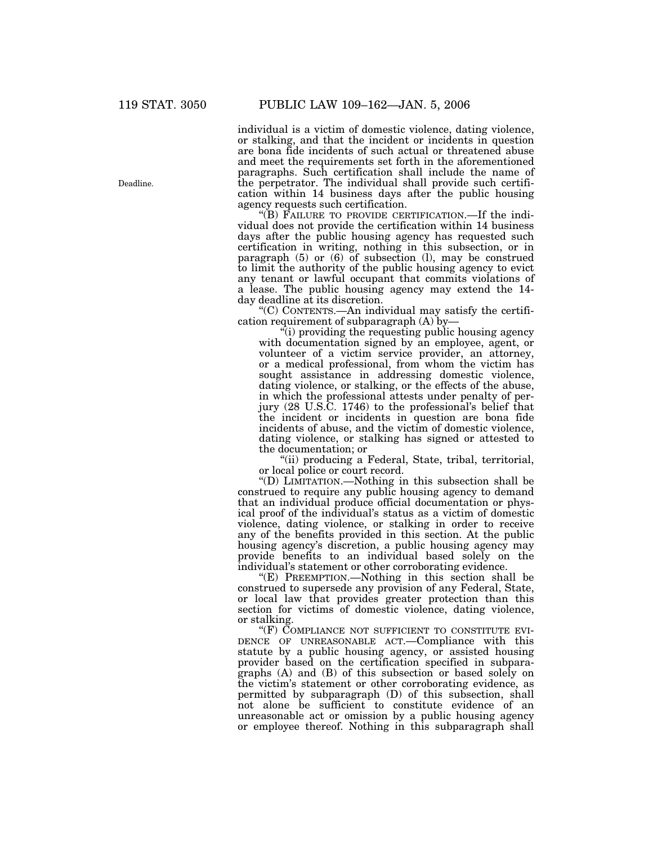individual is a victim of domestic violence, dating violence, or stalking, and that the incident or incidents in question are bona fide incidents of such actual or threatened abuse and meet the requirements set forth in the aforementioned paragraphs. Such certification shall include the name of the perpetrator. The individual shall provide such certification within 14 business days after the public housing agency requests such certification.

''(B) FAILURE TO PROVIDE CERTIFICATION.—If the individual does not provide the certification within 14 business days after the public housing agency has requested such certification in writing, nothing in this subsection, or in paragraph (5) or (6) of subsection (l), may be construed to limit the authority of the public housing agency to evict any tenant or lawful occupant that commits violations of a lease. The public housing agency may extend the 14 day deadline at its discretion.

''(C) CONTENTS.—An individual may satisfy the certification requirement of subparagraph  $(A)$  by-

''(i) providing the requesting public housing agency with documentation signed by an employee, agent, or volunteer of a victim service provider, an attorney, or a medical professional, from whom the victim has sought assistance in addressing domestic violence, dating violence, or stalking, or the effects of the abuse, in which the professional attests under penalty of perjury (28 U.S.C. 1746) to the professional's belief that the incident or incidents in question are bona fide incidents of abuse, and the victim of domestic violence, dating violence, or stalking has signed or attested to the documentation; or

"(ii) producing a Federal, State, tribal, territorial, or local police or court record.

''(D) LIMITATION.—Nothing in this subsection shall be construed to require any public housing agency to demand that an individual produce official documentation or physical proof of the individual's status as a victim of domestic violence, dating violence, or stalking in order to receive any of the benefits provided in this section. At the public housing agency's discretion, a public housing agency may provide benefits to an individual based solely on the individual's statement or other corroborating evidence.

''(E) PREEMPTION.—Nothing in this section shall be construed to supersede any provision of any Federal, State, or local law that provides greater protection than this section for victims of domestic violence, dating violence, or stalking.

"(F) COMPLIANCE NOT SUFFICIENT TO CONSTITUTE EVI-DENCE OF UNREASONABLE ACT.—Compliance with this statute by a public housing agency, or assisted housing provider based on the certification specified in subparagraphs (A) and (B) of this subsection or based solely on the victim's statement or other corroborating evidence, as permitted by subparagraph (D) of this subsection, shall not alone be sufficient to constitute evidence of an unreasonable act or omission by a public housing agency or employee thereof. Nothing in this subparagraph shall

Deadline.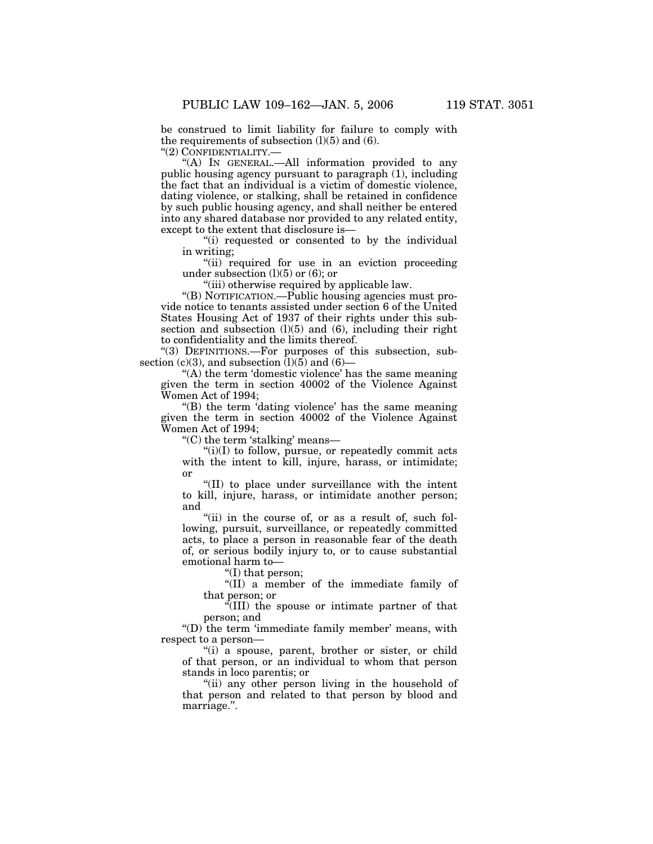be construed to limit liability for failure to comply with the requirements of subsection  $(l)(5)$  and  $(6)$ . ''(2) CONFIDENTIALITY.—

 $(A)$  IN GENERAL.—All information provided to any public housing agency pursuant to paragraph (1), including the fact that an individual is a victim of domestic violence, dating violence, or stalking, shall be retained in confidence by such public housing agency, and shall neither be entered into any shared database nor provided to any related entity, except to the extent that disclosure is—

"(i) requested or consented to by the individual in writing;

"(ii) required for use in an eviction proceeding under subsection  $(l)(5)$  or  $(6)$ ; or

''(iii) otherwise required by applicable law.

''(B) NOTIFICATION.—Public housing agencies must provide notice to tenants assisted under section 6 of the United States Housing Act of 1937 of their rights under this subsection and subsection  $(l)(5)$  and  $(6)$ , including their right to confidentiality and the limits thereof.

''(3) DEFINITIONS.—For purposes of this subsection, subsection (c)(3), and subsection  $(1)(5)$  and (6)-

''(A) the term 'domestic violence' has the same meaning given the term in section 40002 of the Violence Against Women Act of 1994;

''(B) the term 'dating violence' has the same meaning given the term in section 40002 of the Violence Against Women Act of 1994;

''(C) the term 'stalking' means—

"(i)(I) to follow, pursue, or repeatedly commit acts with the intent to kill, injure, harass, or intimidate; or

''(II) to place under surveillance with the intent to kill, injure, harass, or intimidate another person; and

"(ii) in the course of, or as a result of, such following, pursuit, surveillance, or repeatedly committed acts, to place a person in reasonable fear of the death of, or serious bodily injury to, or to cause substantial emotional harm to—

''(I) that person;

''(II) a member of the immediate family of that person; or

''(III) the spouse or intimate partner of that person; and

 $'(D)$  the term 'immediate family member' means, with respect to a person—

"(i) a spouse, parent, brother or sister, or child of that person, or an individual to whom that person stands in loco parentis; or

''(ii) any other person living in the household of that person and related to that person by blood and marriage.''.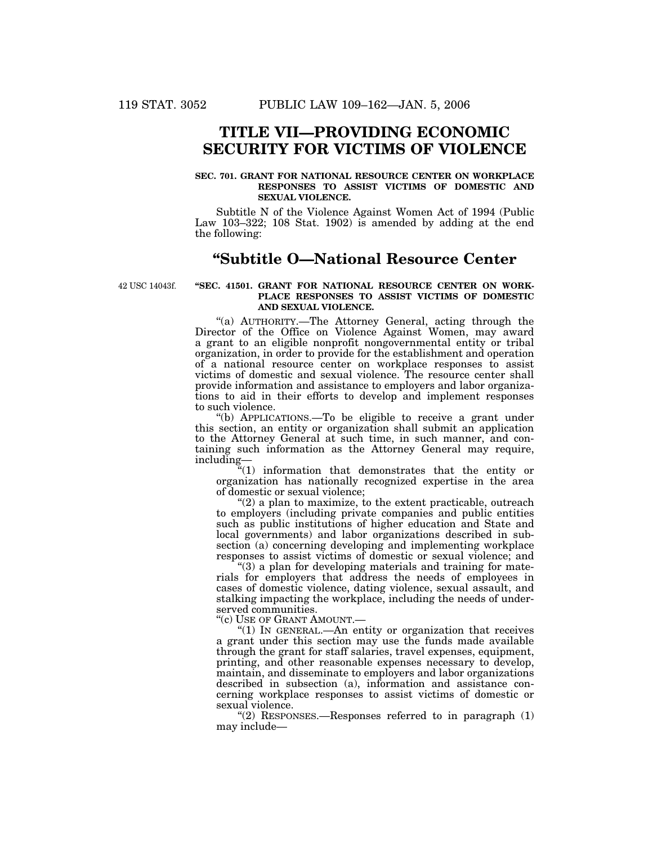## **TITLE VII—PROVIDING ECONOMIC SECURITY FOR VICTIMS OF VIOLENCE**

#### **SEC. 701. GRANT FOR NATIONAL RESOURCE CENTER ON WORKPLACE RESPONSES TO ASSIST VICTIMS OF DOMESTIC AND SEXUAL VIOLENCE.**

Subtitle N of the Violence Against Women Act of 1994 (Public Law 103–322; 108 Stat. 1902) is amended by adding at the end the following:

## **''Subtitle O—National Resource Center**

42 USC 14043f.

#### **''SEC. 41501. GRANT FOR NATIONAL RESOURCE CENTER ON WORK-PLACE RESPONSES TO ASSIST VICTIMS OF DOMESTIC AND SEXUAL VIOLENCE.**

"(a) AUTHORITY.—The Attorney General, acting through the Director of the Office on Violence Against Women, may award a grant to an eligible nonprofit nongovernmental entity or tribal organization, in order to provide for the establishment and operation of a national resource center on workplace responses to assist victims of domestic and sexual violence. The resource center shall provide information and assistance to employers and labor organizations to aid in their efforts to develop and implement responses to such violence.

''(b) APPLICATIONS.—To be eligible to receive a grant under this section, an entity or organization shall submit an application to the Attorney General at such time, in such manner, and containing such information as the Attorney General may require, including—

''(1) information that demonstrates that the entity or organization has nationally recognized expertise in the area of domestic or sexual violence;

 $''(2)$  a plan to maximize, to the extent practicable, outreach to employers (including private companies and public entities such as public institutions of higher education and State and local governments) and labor organizations described in subsection (a) concerning developing and implementing workplace responses to assist victims of domestic or sexual violence; and

''(3) a plan for developing materials and training for materials for employers that address the needs of employees in cases of domestic violence, dating violence, sexual assault, and stalking impacting the workplace, including the needs of underserved communities.

''(c) USE OF GRANT AMOUNT.—

" $(1)$  In GENERAL.—An entity or organization that receives a grant under this section may use the funds made available through the grant for staff salaries, travel expenses, equipment, printing, and other reasonable expenses necessary to develop, maintain, and disseminate to employers and labor organizations described in subsection (a), information and assistance concerning workplace responses to assist victims of domestic or sexual violence.

" $(2)$  RESPONSES.—Responses referred to in paragraph  $(1)$ may include—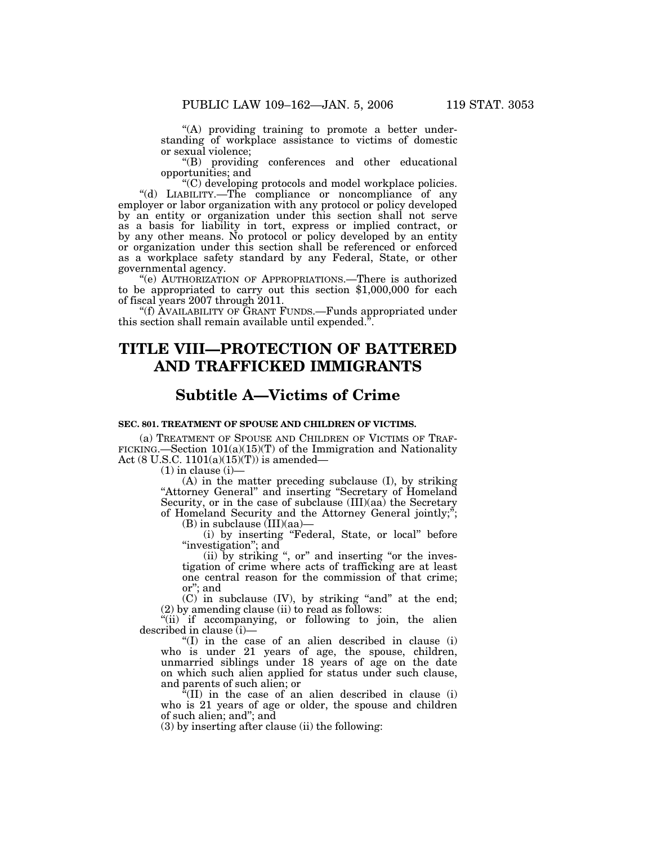"(A) providing training to promote a better understanding of workplace assistance to victims of domestic or sexual violence;

''(B) providing conferences and other educational opportunities; and

''(C) developing protocols and model workplace policies. "(d) LIABILITY.—The compliance or noncompliance of any employer or labor organization with any protocol or policy developed by an entity or organization under this section shall not serve as a basis for liability in tort, express or implied contract, or by any other means. No protocol or policy developed by an entity or organization under this section shall be referenced or enforced as a workplace safety standard by any Federal, State, or other governmental agency.

''(e) AUTHORIZATION OF APPROPRIATIONS.—There is authorized to be appropriated to carry out this section \$1,000,000 for each of fiscal years 2007 through 2011.

''(f) AVAILABILITY OF GRANT FUNDS.—Funds appropriated under this section shall remain available until expended.''.

# **TITLE VIII—PROTECTION OF BATTERED AND TRAFFICKED IMMIGRANTS**

### **Subtitle A—Victims of Crime**

#### **SEC. 801. TREATMENT OF SPOUSE AND CHILDREN OF VICTIMS.**

(a) TREATMENT OF SPOUSE AND CHILDREN OF VICTIMS OF TRAF-FICKING.—Section  $101(a)(15)(T)$  of the Immigration and Nationality Act (8 U.S.C. 1101(a)(15)(T)) is amended—

 $(1)$  in clause  $(i)$ -

(A) in the matter preceding subclause (I), by striking "Attorney General" and inserting "Secretary of Homeland Security, or in the case of subclause (III)(aa) the Secretary of Homeland Security and the Attorney General jointly;'';

(B) in subclause (III)(aa)—

(i) by inserting ''Federal, State, or local'' before ''investigation''; and

(ii) by striking ", or" and inserting "or the investigation of crime where acts of trafficking are at least one central reason for the commission of that crime; or''; and

 $(C)$  in subclause  $(IV)$ , by striking "and" at the end; (2) by amending clause (ii) to read as follows:

"(ii) if accompanying, or following to join, the alien described in clause (i)—

''(I) in the case of an alien described in clause (i) who is under 21 years of age, the spouse, children, unmarried siblings under 18 years of age on the date on which such alien applied for status under such clause, and parents of such alien; or

''(II) in the case of an alien described in clause (i) who is 21 years of age or older, the spouse and children of such alien; and''; and

(3) by inserting after clause (ii) the following: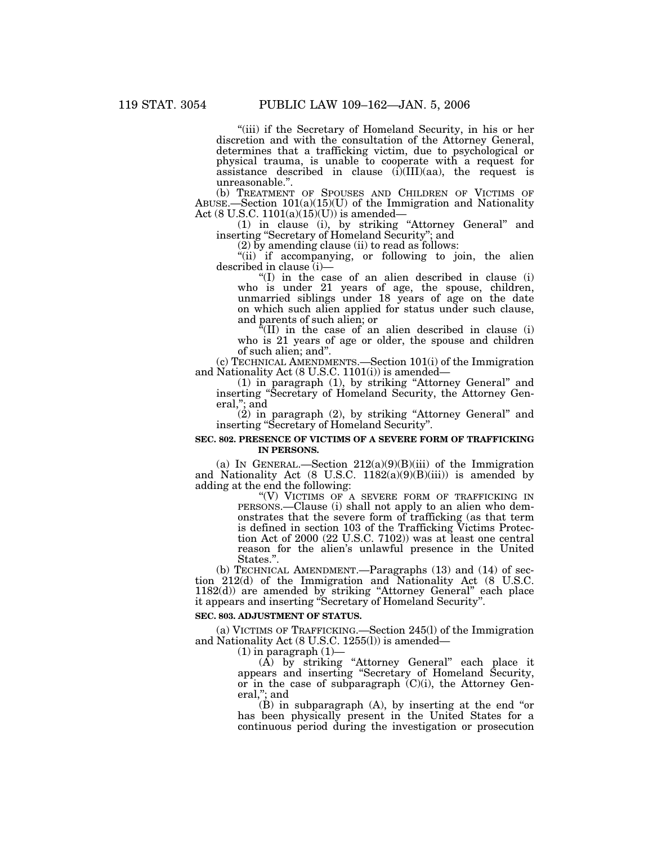"(iii) if the Secretary of Homeland Security, in his or her discretion and with the consultation of the Attorney General, determines that a trafficking victim, due to psychological or physical trauma, is unable to cooperate with a request for assistance described in clause  $(i)(III)(aa)$ , the request is unreasonable.''.

(b) TREATMENT OF SPOUSES AND CHILDREN OF VICTIMS OF ABUSE.—Section  $101(a)(15)(U)$  of the Immigration and Nationality Act (8 U.S.C. 1101(a)(15)(U)) is amended—

(1) in clause (i), by striking "Attorney General" and inserting "Secretary of Homeland Security"; and

(2) by amending clause (ii) to read as follows:

"(ii) if accompanying, or following to join, the alien described in clause (i)—

''(I) in the case of an alien described in clause (i) who is under 21 years of age, the spouse, children, unmarried siblings under 18 years of age on the date on which such alien applied for status under such clause, and parents of such alien; or

 $^{t}(II)$  in the case of an alien described in clause (i) who is 21 years of age or older, the spouse and children of such alien; and''.

(c) TECHNICAL AMENDMENTS.—Section 101(i) of the Immigration and Nationality Act (8 U.S.C. 1101(i)) is amended—

(1) in paragraph (1), by striking ''Attorney General'' and inserting ''Secretary of Homeland Security, the Attorney General,''; and

(2) in paragraph (2), by striking ''Attorney General'' and inserting ''Secretary of Homeland Security''.

#### **SEC. 802. PRESENCE OF VICTIMS OF A SEVERE FORM OF TRAFFICKING IN PERSONS.**

(a) IN GENERAL.—Section  $212(a)(9)(B)(iii)$  of the Immigration and Nationality Act  $(8 \text{ U.S.C. } 1182(a)(9)(B)(iii))$  is amended by adding at the end the following:

"(V) VICTIMS OF A SEVERE FORM OF TRAFFICKING IN PERSONS.—Clause (i) shall not apply to an alien who demonstrates that the severe form of trafficking (as that term is defined in section 103 of the Trafficking Victims Protection Act of 2000 (22 U.S.C. 7102)) was at least one central reason for the alien's unlawful presence in the United States.''.

(b) TECHNICAL AMENDMENT.—Paragraphs (13) and (14) of section 212(d) of the Immigration and Nationality Act (8 U.S.C. 1182(d)) are amended by striking "Attorney General" each place it appears and inserting ''Secretary of Homeland Security''.

#### **SEC. 803. ADJUSTMENT OF STATUS.**

(a) VICTIMS OF TRAFFICKING.—Section 245(l) of the Immigration and Nationality Act (8 U.S.C. 1255(l)) is amended—

 $(1)$  in paragraph  $(1)$ —

(A) by striking "Attorney General" each place it appears and inserting ''Secretary of Homeland Security, or in the case of subparagraph  $(C)(i)$ , the Attorney General,''; and

(B) in subparagraph (A), by inserting at the end ''or has been physically present in the United States for a continuous period during the investigation or prosecution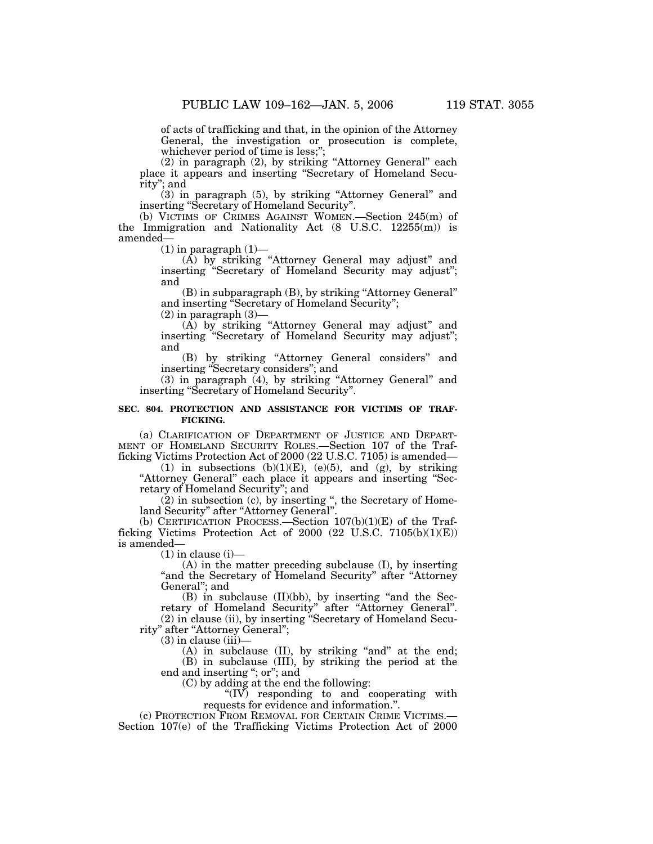of acts of trafficking and that, in the opinion of the Attorney General, the investigation or prosecution is complete, whichever period of time is less;";

(2) in paragraph (2), by striking ''Attorney General'' each place it appears and inserting ''Secretary of Homeland Security''; and

(3) in paragraph (5), by striking ''Attorney General'' and inserting ''Secretary of Homeland Security''.

(b) VICTIMS OF CRIMES AGAINST WOMEN.—Section 245(m) of the Immigration and Nationality Act (8 U.S.C. 12255(m)) is amended—

 $(1)$  in paragraph  $(1)$ —

(A) by striking ''Attorney General may adjust'' and inserting "Secretary of Homeland Security may adjust"; and

(B) in subparagraph (B), by striking ''Attorney General'' and inserting "Secretary of Homeland Security";

 $(2)$  in paragraph  $(3)$ —

(A) by striking ''Attorney General may adjust'' and inserting "Secretary of Homeland Security may adjust"; and

(B) by striking ''Attorney General considers'' and inserting ''Secretary considers''; and

(3) in paragraph (4), by striking ''Attorney General'' and inserting ''Secretary of Homeland Security''.

#### **SEC. 804. PROTECTION AND ASSISTANCE FOR VICTIMS OF TRAF-FICKING.**

(a) CLARIFICATION OF DEPARTMENT OF JUSTICE AND DEPART-MENT OF HOMELAND SECURITY ROLES.—Section 107 of the Trafficking Victims Protection Act of 2000 (22 U.S.C. 7105) is amended—

(1) in subsections  $(b)(1)(E)$ ,  $(e)(5)$ , and  $(g)$ , by striking "Attorney General" each place it appears and inserting "Secretary of Homeland Security''; and

(2) in subsection (c), by inserting '', the Secretary of Homeland Security'' after ''Attorney General''.

(b) CERTIFICATION PROCESS.—Section 107(b)(1)(E) of the Trafficking Victims Protection Act of 2000 (22 U.S.C. 7105(b)(1)(E)) is amended—

 $(1)$  in clause  $(i)$ —

(A) in the matter preceding subclause (I), by inserting "and the Secretary of Homeland Security" after "Attorney General''; and

(B) in subclause (II)(bb), by inserting ''and the Secretary of Homeland Security'' after ''Attorney General''. (2) in clause (ii), by inserting ''Secretary of Homeland Secu-

rity'' after ''Attorney General'';

 $(3)$  in clause  $(iii)$ 

 $(A)$  in subclause  $(II)$ , by striking "and" at the end; (B) in subclause (III), by striking the period at the

end and inserting "; or"; and

(C) by adding at the end the following:

 $\sqrt[4]{\text{IV}}$  responding to and cooperating with requests for evidence and information.''.

(c) PROTECTION FROM REMOVAL FOR CERTAIN CRIME VICTIMS.— Section 107(e) of the Trafficking Victims Protection Act of 2000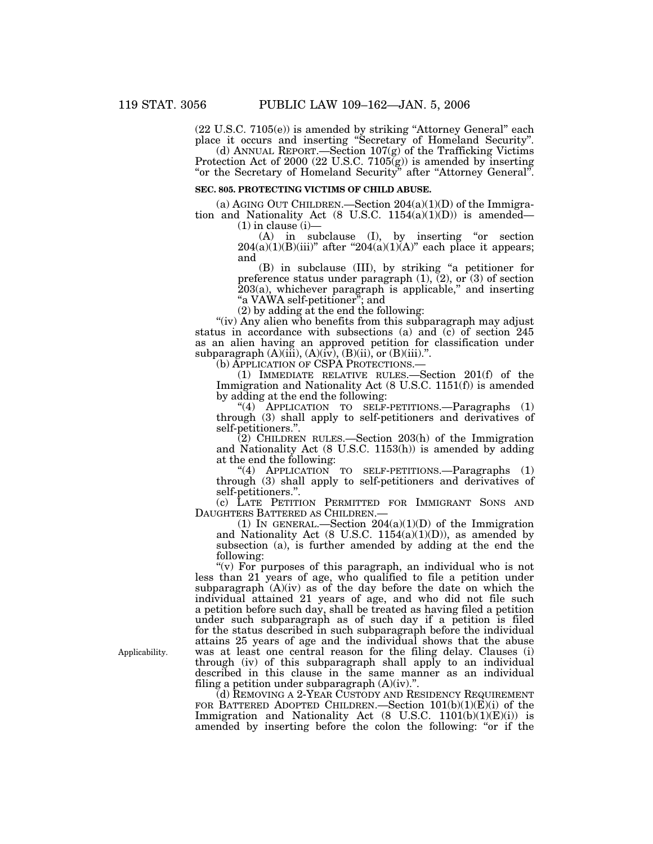(22 U.S.C. 7105(e)) is amended by striking ''Attorney General'' each place it occurs and inserting ''Secretary of Homeland Security''.

(d) ANNUAL REPORT.—Section 107(g) of the Trafficking Victims Protection Act of 2000 (22 U.S.C. 7105(g)) is amended by inserting "or the Secretary of Homeland Security" after "Attorney General".

#### **SEC. 805. PROTECTING VICTIMS OF CHILD ABUSE.**

(a) AGING OUT CHILDREN.—Section  $204(a)(1)(D)$  of the Immigration and Nationality Act (8 U.S.C.  $1154(a)(1)(D)$ ) is amended—  $(1)$  in clause  $(i)$ –

(A) in subclause (I), by inserting "or section  $204(a)(1)(B)(iii)$ " after " $204(a)(1)(A)$ " each place it appears; and

(B) in subclause (III), by striking ''a petitioner for preference status under paragraph (1), (2), or (3) of section  $203(a)$ , whichever paragraph is applicable," and inserting ''a VAWA self-petitioner''; and

(2) by adding at the end the following:

"(iv) Any alien who benefits from this subparagraph may adjust status in accordance with subsections (a) and (c) of section 245 as an alien having an approved petition for classification under subparagraph  $(A)(iii)$ ,  $(A)(iv)$ ,  $(B)(ii)$ , or  $(B)(iii)$ .".

(b) APPLICATION OF CSPA PROTECTIONS.—

(1) IMMEDIATE RELATIVE RULES.—Section 201(f) of the Immigration and Nationality Act (8 U.S.C. 1151(f)) is amended by adding at the end the following:

"(4) APPLICATION TO SELF-PETITIONS.—Paragraphs  $(1)$ through (3) shall apply to self-petitioners and derivatives of self-petitioners.''.

(2) CHILDREN RULES.—Section 203(h) of the Immigration and Nationality Act (8 U.S.C. 1153(h)) is amended by adding at the end the following:

"(4) APPLICATION TO SELF-PETITIONS.—Paragraphs (1) through (3) shall apply to self-petitioners and derivatives of self-petitioners.''.

(c) LATE PETITION PERMITTED FOR IMMIGRANT SONS AND DAUGHTERS BATTERED AS CHILDREN.—

(1) In GENERAL.—Section  $204(a)(1)(D)$  of the Immigration and Nationality Act (8 U.S.C. 1154(a)(1)(D)), as amended by subsection (a), is further amended by adding at the end the following:

" $(v)$  For purposes of this paragraph, an individual who is not less than 21 years of age, who qualified to file a petition under subparagraph (A)(iv) as of the day before the date on which the individual attained 21 years of age, and who did not file such a petition before such day, shall be treated as having filed a petition under such subparagraph as of such day if a petition is filed for the status described in such subparagraph before the individual attains 25 years of age and the individual shows that the abuse was at least one central reason for the filing delay. Clauses (i) through (iv) of this subparagraph shall apply to an individual described in this clause in the same manner as an individual filing a petition under subparagraph (A)(iv).''.

(d) REMOVING A 2-YEAR CUSTODY AND RESIDENCY REQUIREMENT FOR BATTERED ADOPTED CHILDREN.—Section  $101(b)(1)(E)(i)$  of the Immigration and Nationality Act (8 U.S.C. 1101(b)(1)(E)(i)) is amended by inserting before the colon the following: "or if the

Applicability.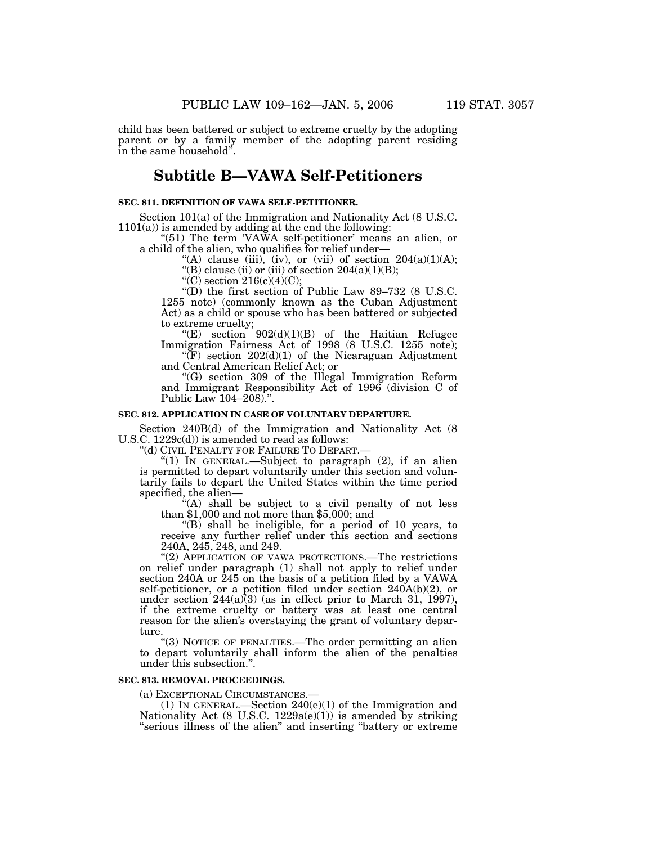child has been battered or subject to extreme cruelty by the adopting parent or by a family member of the adopting parent residing in the same household''.

### **Subtitle B—VAWA Self-Petitioners**

#### **SEC. 811. DEFINITION OF VAWA SELF-PETITIONER.**

Section 101(a) of the Immigration and Nationality Act (8 U.S.C.  $1101(a)$  is amended by adding at the end the following:

"(51) The term 'VAWA self-petitioner' means an alien, or a child of the alien, who qualifies for relief under—

"(A) clause (iii), (iv), or (vii) of section  $204(a)(1)(A);$ 

"(B) clause (ii) or (iii) of section 204(a)(1)(B);

"(C) section 216(c)(4)(C);

''(D) the first section of Public Law 89–732 (8 U.S.C. 1255 note) (commonly known as the Cuban Adjustment Act) as a child or spouse who has been battered or subjected to extreme cruelty;

" $(E)$  section  $902(d)(1)(B)$  of the Haitian Refugee Immigration Fairness Act of 1998 (8 U.S.C. 1255 note);

 $\sqrt{\text{F}}$  section 202(d)(1) of the Nicaraguan Adjustment and Central American Relief Act; or

''(G) section 309 of the Illegal Immigration Reform and Immigrant Responsibility Act of 1996 (division C of Public Law 104–208).''.

#### **SEC. 812. APPLICATION IN CASE OF VOLUNTARY DEPARTURE.**

Section 240B(d) of the Immigration and Nationality Act (8) U.S.C.  $1229c(d)$  is amended to read as follows:

''(d) CIVIL PENALTY FOR FAILURE TO DEPART.—

"(1) In GENERAL.—Subject to paragraph (2), if an alien is permitted to depart voluntarily under this section and voluntarily fails to depart the United States within the time period specified, the alien—

''(A) shall be subject to a civil penalty of not less than \$1,000 and not more than \$5,000; and

''(B) shall be ineligible, for a period of 10 years, to receive any further relief under this section and sections 240A, 245, 248, and 249.

"(2) APPLICATION OF VAWA PROTECTIONS.—The restrictions on relief under paragraph (1) shall not apply to relief under section 240A or 245 on the basis of a petition filed by a VAWA self-petitioner, or a petition filed under section 240A(b)(2), or under section  $244(a)\overline{3}$  (as in effect prior to March 31, 1997), if the extreme cruelty or battery was at least one central reason for the alien's overstaying the grant of voluntary departure

''(3) NOTICE OF PENALTIES.—The order permitting an alien to depart voluntarily shall inform the alien of the penalties under this subsection.''.

#### **SEC. 813. REMOVAL PROCEEDINGS.**

(a) EXCEPTIONAL CIRCUMSTANCES.—

(1) IN GENERAL.—Section  $240(e)(1)$  of the Immigration and Nationality Act  $(8 \text{ U.S.C. } 1229a(e)(1))$  is amended by striking ''serious illness of the alien'' and inserting ''battery or extreme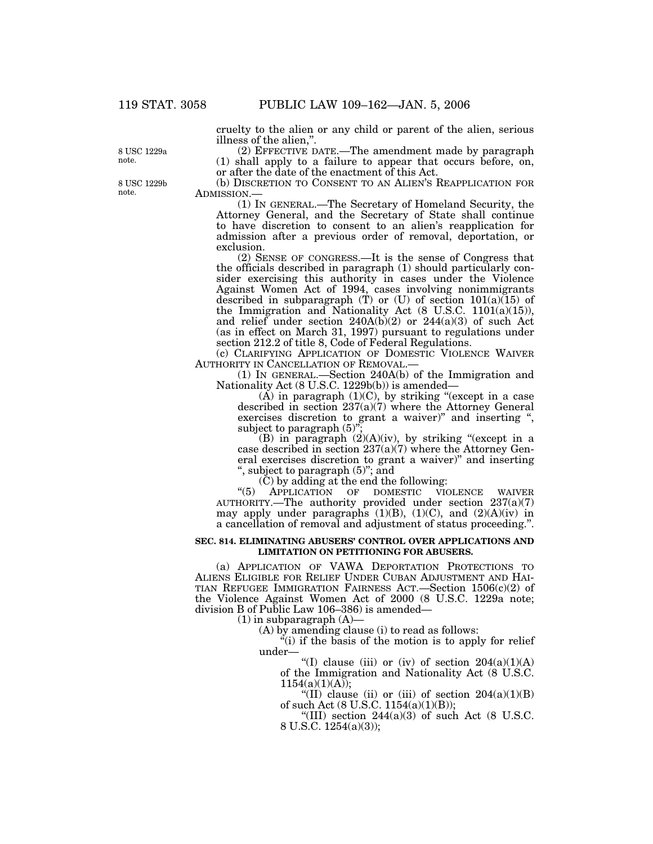cruelty to the alien or any child or parent of the alien, serious illness of the alien,"

(2) EFFECTIVE DATE.—The amendment made by paragraph (1) shall apply to a failure to appear that occurs before, on, or after the date of the enactment of this Act.

(b) DISCRETION TO CONSENT TO AN ALIEN'S REAPPLICATION FOR ADMISSION.—

(1) IN GENERAL.—The Secretary of Homeland Security, the Attorney General, and the Secretary of State shall continue to have discretion to consent to an alien's reapplication for admission after a previous order of removal, deportation, or exclusion.

(2) SENSE OF CONGRESS.—It is the sense of Congress that the officials described in paragraph (1) should particularly consider exercising this authority in cases under the Violence Against Women Act of 1994, cases involving nonimmigrants described in subparagraph  $(T)$  or  $(U)$  of section  $101(a)(15)$  of the Immigration and Nationality Act (8 U.S.C. 1101(a)(15)), and relief under section 240A(b)(2) or 244(a)(3) of such Act (as in effect on March 31, 1997) pursuant to regulations under section 212.2 of title 8, Code of Federal Regulations.

(c) CLARIFYING APPLICATION OF DOMESTIC VIOLENCE WAIVER AUTHORITY IN CANCELLATION OF REMOVAL.—

(1) IN GENERAL.—Section 240A(b) of the Immigration and Nationality Act (8 U.S.C. 1229b(b)) is amended—

 $(A)$  in paragraph  $(1)(C)$ , by striking "(except in a case described in section 237(a)(7) where the Attorney General exercises discretion to grant a waiver)" and inserting ", subject to paragraph  $(5)'$ 

(B) in paragraph  $(2)(A)(iv)$ , by striking "(except in a case described in section 237(a)(7) where the Attorney General exercises discretion to grant a waiver)'' and inserting ', subject to paragraph (5)"; and

 $(C)$  by adding at the end the following:

''(5) APPLICATION OF DOMESTIC VIOLENCE WAIVER AUTHORITY.—The authority provided under section 237(a)(7) may apply under paragraphs  $(1)(B)$ ,  $(1)(C)$ , and  $(2)(A)(iv)$  in a cancellation of removal and adjustment of status proceeding.''.

#### **SEC. 814. ELIMINATING ABUSERS' CONTROL OVER APPLICATIONS AND LIMITATION ON PETITIONING FOR ABUSERS.**

(a) APPLICATION OF VAWA DEPORTATION PROTECTIONS TO ALIENS ELIGIBLE FOR RELIEF UNDER CUBAN ADJUSTMENT AND HAI-TIAN REFUGEE IMMIGRATION FAIRNESS ACT.—Section 1506(c)(2) of the Violence Against Women Act of 2000 (8 U.S.C. 1229a note; division B of Public Law 106–386) is amended—

(1) in subparagraph (A)—

(A) by amending clause (i) to read as follows:

"(i) if the basis of the motion is to apply for relief" under—

"(I) clause (iii) or (iv) of section  $204(a)(1)(A)$ of the Immigration and Nationality Act (8 U.S.C.  $1154(a)(1)(A)$ ;

"(II) clause (ii) or (iii) of section  $204(a)(1)(B)$ of such Act (8 U.S.C.  $1154(a)(1)(B)$ );

"(III) section  $244(a)(3)$  of such Act (8 U.S.C.) 8 U.S.C. 1254(a)(3));

8 USC 1229a note.

8 USC 1229b note.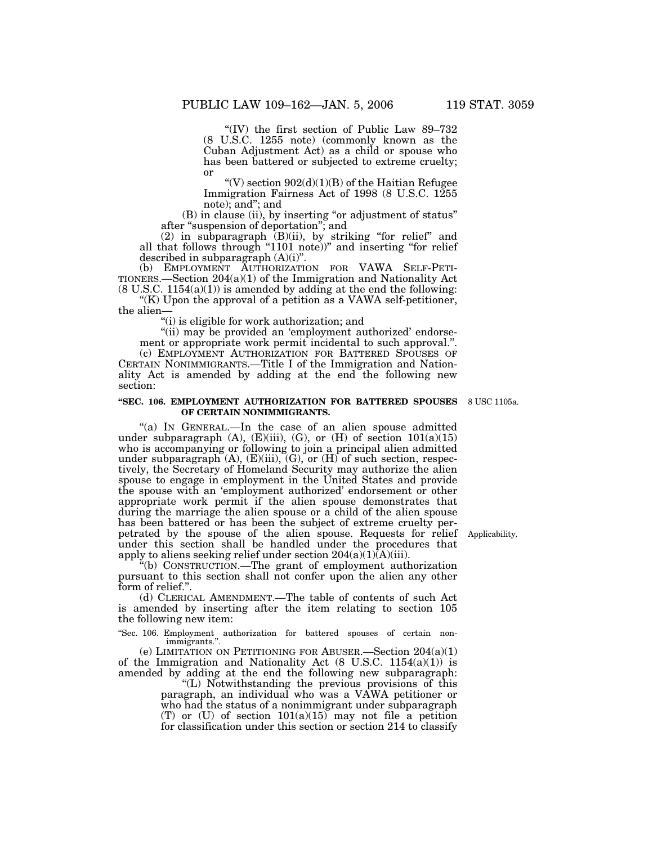"(IV) the first section of Public Law  $89-732$ (8 U.S.C. 1255 note) (commonly known as the Cuban Adjustment Act) as a child or spouse who has been battered or subjected to extreme cruelty; or

"(V) section  $902(d)(1)(B)$  of the Haitian Refugee Immigration Fairness Act of 1998 (8 U.S.C. 1255 note); and''; and

(B) in clause (ii), by inserting ''or adjustment of status'' after ''suspension of deportation''; and

(2) in subparagraph (B)(ii), by striking ''for relief'' and all that follows through "1101 note))" and inserting "for relief described in subparagraph  $(A)(i)$ ".<br>(b) EMPLOYMENT AUTHORIZATION FOR VAWA SELF-PETI-

TIONERS.—Section  $204(a)(1)$  of the Immigration and Nationality Act  $(8 \text{ U.S.C. } 1154(a)(1))$  is amended by adding at the end the following:

"(K) Upon the approval of a petition as a VAWA self-petitioner, the alien—

''(i) is eligible for work authorization; and

"(ii) may be provided an 'employment authorized' endorsement or appropriate work permit incidental to such approval.''.

(c) EMPLOYMENT AUTHORIZATION FOR BATTERED SPOUSES OF CERTAIN NONIMMIGRANTS.—Title I of the Immigration and Nationality Act is amended by adding at the end the following new section:

#### **''SEC. 106. EMPLOYMENT AUTHORIZATION FOR BATTERED SPOUSES** 8 USC 1105a. **OF CERTAIN NONIMMIGRANTS.**

"(a) IN GENERAL.—In the case of an alien spouse admitted under subparagraph  $(A)$ ,  $(E)(iii)$ ,  $(G)$ , or  $(H)$  of section  $101(a)(15)$ who is accompanying or following to join a principal alien admitted under subparagraph  $(A)$ ,  $(E)(iii)$ ,  $(G)$ , or  $(H)$  of such section, respectively, the Secretary of Homeland Security may authorize the alien spouse to engage in employment in the United States and provide the spouse with an 'employment authorized' endorsement or other appropriate work permit if the alien spouse demonstrates that during the marriage the alien spouse or a child of the alien spouse has been battered or has been the subject of extreme cruelty perpetrated by the spouse of the alien spouse. Requests for relief under this section shall be handled under the procedures that apply to aliens seeking relief under section  $204(a)(1)(A)(iii)$ .

''(b) CONSTRUCTION.—The grant of employment authorization pursuant to this section shall not confer upon the alien any other form of relief.''.

(d) CLERICAL AMENDMENT.—The table of contents of such Act is amended by inserting after the item relating to section 105 the following new item:

''Sec. 106. Employment authorization for battered spouses of certain nonimmigrants.''.

(e) LIMITATION ON PETITIONING FOR ABUSER.—Section  $204(a)(1)$ of the Immigration and Nationality Act (8 U.S.C. 1154(a)(1)) is amended by adding at the end the following new subparagraph:

''(L) Notwithstanding the previous provisions of this paragraph, an individual who was a VAWA petitioner or who had the status of a nonimmigrant under subparagraph (T) or (U) of section  $101(a)(15)$  may not file a petition for classification under this section or section 214 to classify

Applicability.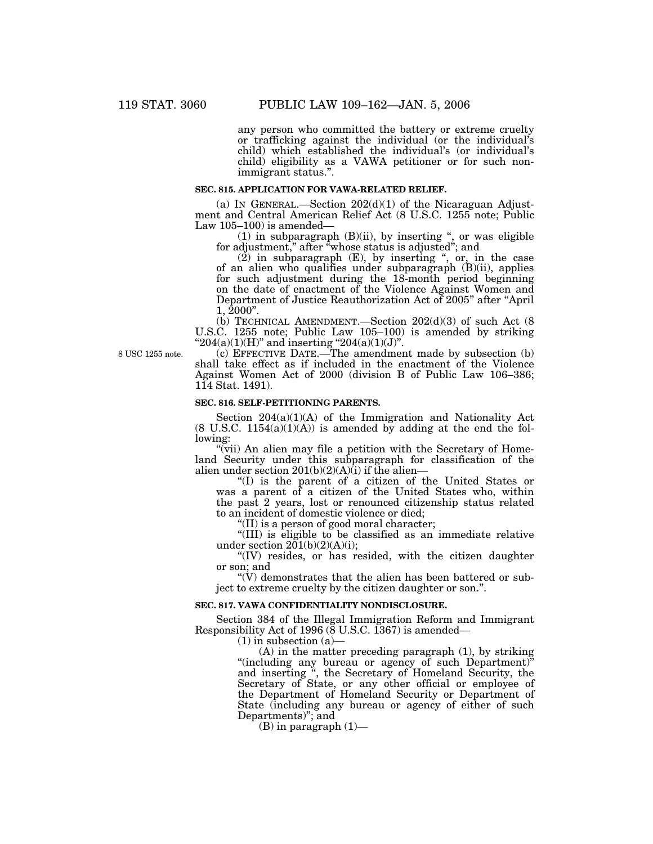any person who committed the battery or extreme cruelty or trafficking against the individual (or the individual's child) which established the individual's (or individual's child) eligibility as a VAWA petitioner or for such nonimmigrant status.''.

#### **SEC. 815. APPLICATION FOR VAWA-RELATED RELIEF.**

(a) IN GENERAL.—Section  $202(d)(1)$  of the Nicaraguan Adjustment and Central American Relief Act (8 U.S.C. 1255 note; Public Law 105–100) is amended—

 $(1)$  in subparagraph  $(B)(ii)$ , by inserting ", or was eligible for adjustment,'' after ''whose status is adjusted''; and

 $(2)$  in subparagraph  $(E)$ , by inserting ", or, in the case of an alien who qualifies under subparagraph (B)(ii), applies for such adjustment during the 18-month period beginning on the date of enactment of the Violence Against Women and Department of Justice Reauthorization Act of 2005'' after ''April 1, 2000''.

(b) TECHNICAL AMENDMENT.—Section  $202(d)(3)$  of such Act (8) U.S.C. 1255 note; Public Law 105–100) is amended by striking " $204(a)(1)(H)$ " and inserting " $204(a)(1)(J)$ ".

8 USC 1255 note.

(c) EFFECTIVE DATE.—The amendment made by subsection (b) shall take effect as if included in the enactment of the Violence Against Women Act of 2000 (division B of Public Law 106–386; 114 Stat. 1491).

#### **SEC. 816. SELF-PETITIONING PARENTS.**

Section 204(a)(1)(A) of the Immigration and Nationality Act  $(8 \text{ U.S.C. } 1154(a)(1)(\text{A}))$  is amended by adding at the end the following:

"(vii) An alien may file a petition with the Secretary of Homeland Security under this subparagraph for classification of the alien under section  $201(b)(2)(A)(i)$  if the alien-

''(I) is the parent of a citizen of the United States or was a parent of a citizen of the United States who, within the past 2 years, lost or renounced citizenship status related to an incident of domestic violence or died;

''(II) is a person of good moral character;

''(III) is eligible to be classified as an immediate relative under section  $201(b)(2)(A)(i);$ 

"(IV) resides, or has resided, with the citizen daughter or son; and

"(V) demonstrates that the alien has been battered or subject to extreme cruelty by the citizen daughter or son.''.

#### **SEC. 817. VAWA CONFIDENTIALITY NONDISCLOSURE.**

Section 384 of the Illegal Immigration Reform and Immigrant Responsibility Act of 1996 ( $\overline{8}$  U.S.C. 1367) is amended—

 $(1)$  in subsection  $(a)$ —

(A) in the matter preceding paragraph (1), by striking "(including any bureau or agency of such Department)" and inserting '', the Secretary of Homeland Security, the Secretary of State, or any other official or employee of the Department of Homeland Security or Department of State (including any bureau or agency of either of such Departments)''; and

 $(B)$  in paragraph  $(1)$ —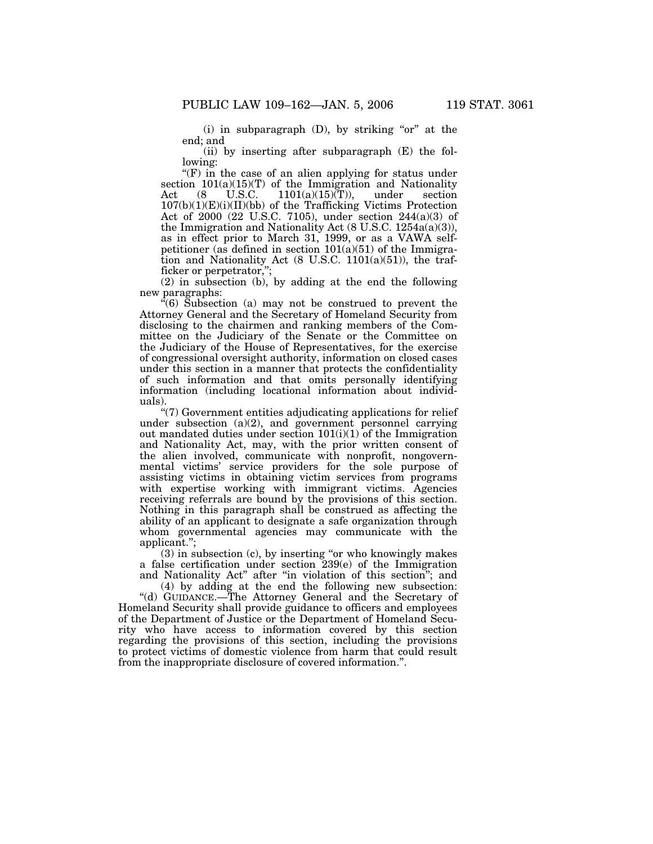(i) in subparagraph  $(D)$ , by striking "or" at the end; and

(ii) by inserting after subparagraph (E) the following:

" $(F)$  in the case of an alien applying for status under section  $101(a)(15)(T)$  of the Immigration and Nationality<br>Act (8 U.S.C. 1101(a)(15)(T)), under section Act  $(8$  U.S.C.  $1101(a)(15)(T)$ , under section 107(b)(1)(E)(i)(II)(bb) of the Trafficking Victims Protection Act of 2000 (22 U.S.C. 7105), under section 244(a)(3) of the Immigration and Nationality Act  $(8 \text{ U.S.C. } 1254a(a)(3)),$ as in effect prior to March 31, 1999, or as a VAWA selfpetitioner (as defined in section  $101(a)(51)$  of the Immigration and Nationality Act  $(8 \text{ U.S.C. } 1101(a)(51))$ , the trafficker or perpetrator,'';

(2) in subsection (b), by adding at the end the following new paragraphs:

''(6) Subsection (a) may not be construed to prevent the Attorney General and the Secretary of Homeland Security from disclosing to the chairmen and ranking members of the Committee on the Judiciary of the Senate or the Committee on the Judiciary of the House of Representatives, for the exercise of congressional oversight authority, information on closed cases under this section in a manner that protects the confidentiality of such information and that omits personally identifying information (including locational information about individuals).

''(7) Government entities adjudicating applications for relief under subsection  $(a)(2)$ , and government personnel carrying out mandated duties under section  $101(i)(1)$  of the Immigration and Nationality Act, may, with the prior written consent of the alien involved, communicate with nonprofit, nongovernmental victims' service providers for the sole purpose of assisting victims in obtaining victim services from programs with expertise working with immigrant victims. Agencies receiving referrals are bound by the provisions of this section. Nothing in this paragraph shall be construed as affecting the ability of an applicant to designate a safe organization through whom governmental agencies may communicate with the applicant.'';

(3) in subsection (c), by inserting "or who knowingly makes a false certification under section 239(e) of the Immigration and Nationality Act'' after ''in violation of this section''; and

(4) by adding at the end the following new subsection: ''(d) GUIDANCE.—The Attorney General and the Secretary of Homeland Security shall provide guidance to officers and employees of the Department of Justice or the Department of Homeland Security who have access to information covered by this section regarding the provisions of this section, including the provisions to protect victims of domestic violence from harm that could result from the inappropriate disclosure of covered information.''.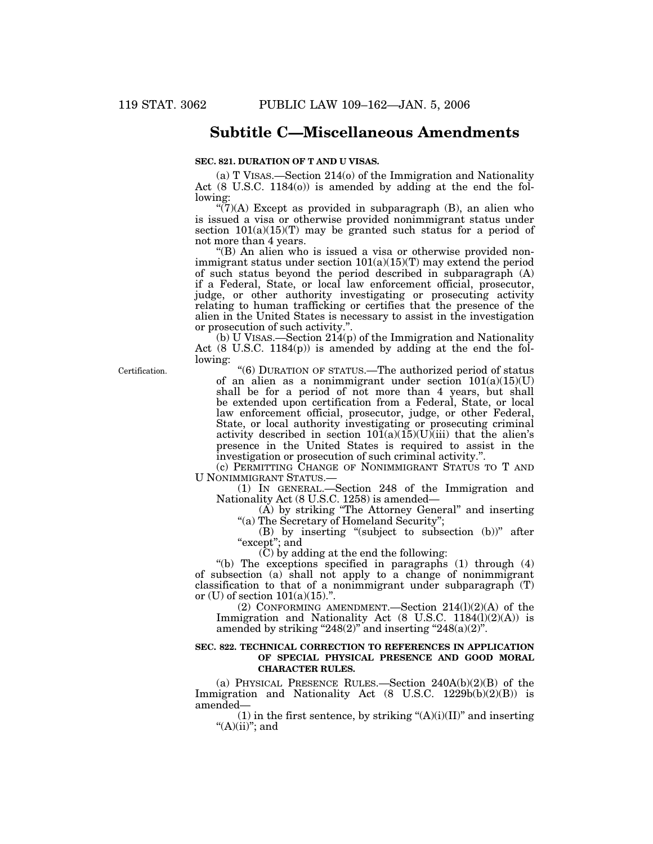### **Subtitle C—Miscellaneous Amendments**

#### **SEC. 821. DURATION OF T AND U VISAS.**

(a) T VISAS.—Section 214(o) of the Immigration and Nationality Act (8 U.S.C. 1184(o)) is amended by adding at the end the following:

 $\mathcal{L}(7)(A)$  Except as provided in subparagraph (B), an alien who is issued a visa or otherwise provided nonimmigrant status under section  $101(a)(15)(T)$  may be granted such status for a period of not more than 4 years.

''(B) An alien who is issued a visa or otherwise provided nonimmigrant status under section  $101(a)(15)(T)$  may extend the period of such status beyond the period described in subparagraph (A) if a Federal, State, or local law enforcement official, prosecutor, judge, or other authority investigating or prosecuting activity relating to human trafficking or certifies that the presence of the alien in the United States is necessary to assist in the investigation or prosecution of such activity.''.

(b) U VISAS.—Section 214(p) of the Immigration and Nationality Act (8 U.S.C. 1184(p)) is amended by adding at the end the following:

''(6) DURATION OF STATUS.—The authorized period of status of an alien as a nonimmigrant under section  $101(a)(15)(U)$ shall be for a period of not more than 4 years, but shall be extended upon certification from a Federal, State, or local law enforcement official, prosecutor, judge, or other Federal, State, or local authority investigating or prosecuting criminal activity described in section  $101(a)(15)(U)$ (iii) that the alien's presence in the United States is required to assist in the investigation or prosecution of such criminal activity.''.

(c) PERMITTING CHANGE OF NONIMMIGRANT STATUS TO T AND U NONIMMIGRANT STATUS.—

(1) IN GENERAL.—Section 248 of the Immigration and Nationality Act (8 U.S.C. 1258) is amended—

(A) by striking ''The Attorney General'' and inserting ''(a) The Secretary of Homeland Security'';

(B) by inserting "(subject to subsection  $(b)$ )" after "except"; and

(C) by adding at the end the following:

"(b) The exceptions specified in paragraphs  $(1)$  through  $(4)$ of subsection (a) shall not apply to a change of nonimmigrant classification to that of a nonimmigrant under subparagraph (T) or  $(U)$  of section  $101(a)(15)$ .".

(2) CONFORMING AMENDMENT.—Section 214(l)(2)(A) of the Immigration and Nationality Act (8 U.S.C. 1184(l)(2)(A)) is amended by striking "248(2)" and inserting "248(a)(2)".

#### **SEC. 822. TECHNICAL CORRECTION TO REFERENCES IN APPLICATION OF SPECIAL PHYSICAL PRESENCE AND GOOD MORAL CHARACTER RULES.**

(a) PHYSICAL PRESENCE RULES.—Section  $240A(b)(2)(B)$  of the Immigration and Nationality Act  $(8 \text{ U.S.C. } 1229b(b)(2)(B))$  is amended—

 $(1)$  in the first sentence, by striking " $(A)(i)(II)$ " and inserting " $(A)(ii)$ "; and

Certification.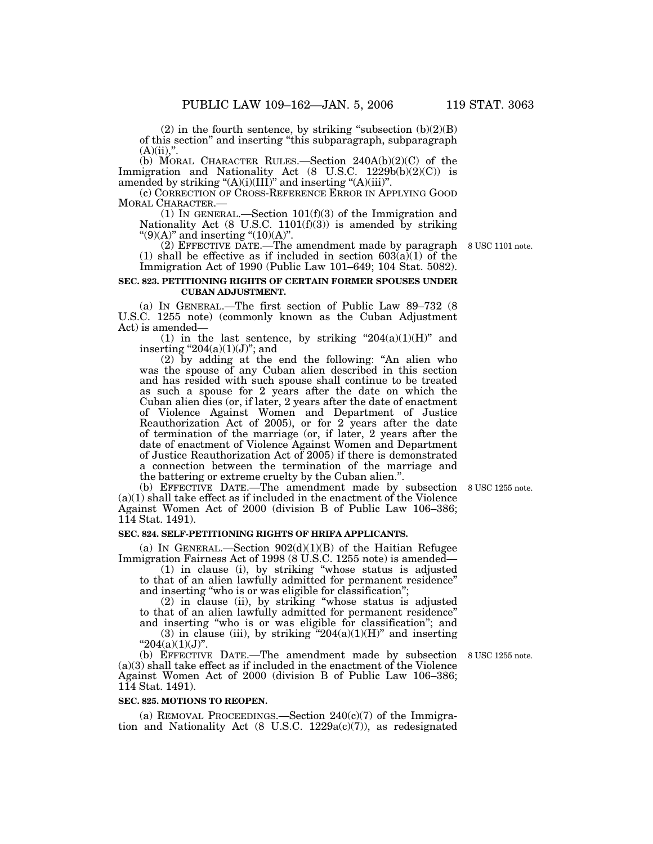(2) in the fourth sentence, by striking "subsection  $(b)(2)(B)$ of this section'' and inserting ''this subparagraph, subparagraph  $(A)(ii)$ ,"

(b) MORAL CHARACTER RULES.—Section 240A(b)(2)(C) of the Immigration and Nationality Act  $(8 \text{ U.S.C. } 1229b(b)(2)(C))$  is amended by striking " $(A)(i)(III)^"$  and inserting " $(A)(iii)$ ".

(c) CORRECTION OF CROSS-REFERENCE ERROR IN APPLYING GOOD MORAL CHARACTER.— (1) IN GENERAL.—Section 101(f)(3) of the Immigration and

Nationality Act (8 U.S.C. 1101(f)(3)) is amended by striking " $(9)(A)$ " and inserting " $(10)(A)$ ".

(2) EFFECTIVE DATE.—The amendment made by paragraph 8 USC 1101 note. (1) shall be effective as if included in section  $603(a)(1)$  of the Immigration Act of 1990 (Public Law 101–649; 104 Stat. 5082).

#### **SEC. 823. PETITIONING RIGHTS OF CERTAIN FORMER SPOUSES UNDER CUBAN ADJUSTMENT.**

(a) IN GENERAL.—The first section of Public Law 89–732 (8 U.S.C. 1255 note) (commonly known as the Cuban Adjustment Act) is amended—

(1) in the last sentence, by striking " $204(a)(1)(H)$ " and inserting  $"204(a)(1)(J)"$ ; and

(2) by adding at the end the following: ''An alien who was the spouse of any Cuban alien described in this section and has resided with such spouse shall continue to be treated as such a spouse for 2 years after the date on which the Cuban alien dies (or, if later, 2 years after the date of enactment of Violence Against Women and Department of Justice Reauthorization Act of 2005), or for 2 years after the date of termination of the marriage (or, if later, 2 years after the date of enactment of Violence Against Women and Department of Justice Reauthorization Act of 2005) if there is demonstrated a connection between the termination of the marriage and the battering or extreme cruelty by the Cuban alien.''.

(b) EFFECTIVE DATE.—The amendment made by subsection 8 USC 1255 note.  $(a)(1)$  shall take effect as if included in the enactment of the Violence Against Women Act of 2000 (division B of Public Law 106–386; 114 Stat. 1491).

#### **SEC. 824. SELF-PETITIONING RIGHTS OF HRIFA APPLICANTS.**

(a) IN GENERAL.—Section  $902(d)(1)(B)$  of the Haitian Refugee Immigration Fairness Act of 1998 (8 U.S.C. 1255 note) is amended—

(1) in clause (i), by striking ''whose status is adjusted to that of an alien lawfully admitted for permanent residence'' and inserting ''who is or was eligible for classification'';

(2) in clause (ii), by striking ''whose status is adjusted to that of an alien lawfully admitted for permanent residence'' and inserting ''who is or was eligible for classification''; and (3) in clause (iii), by striking " $204(a)(1)(H)$ " and inserting

 $"204(a)(1)(J)"$ .

(b) EFFECTIVE DATE.—The amendment made by subsection 8 USC 1255 note. (a)(3) shall take effect as if included in the enactment of the Violence Against Women Act of 2000 (division B of Public Law 106–386; 114 Stat. 1491).

#### **SEC. 825. MOTIONS TO REOPEN.**

(a) REMOVAL PROCEEDINGS.—Section  $240(c)(7)$  of the Immigration and Nationality Act (8 U.S.C. 1229a(c)(7)), as redesignated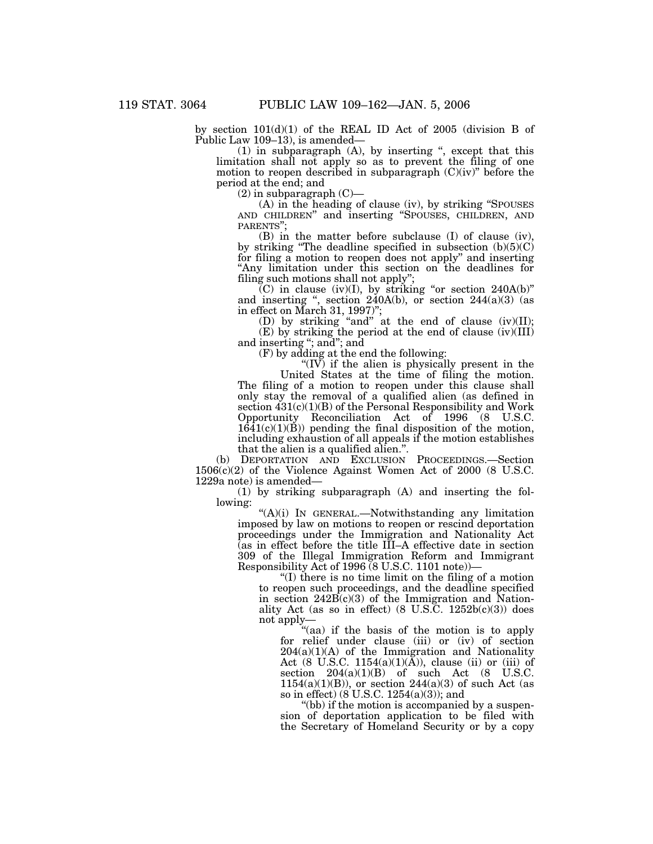by section 101(d)(1) of the REAL ID Act of 2005 (division B of Public Law 109–13), is amended—

 $(1)$  in subparagraph  $(A)$ , by inserting ", except that this limitation shall not apply so as to prevent the filing of one motion to reopen described in subparagraph (C)(iv)" before the period at the end; and

 $(2)$  in subparagraph  $(C)$ —

(A) in the heading of clause (iv), by striking ''SPOUSES AND CHILDREN'' and inserting ''SPOUSES, CHILDREN, AND PARENTS'';

(B) in the matter before subclause (I) of clause (iv), by striking "The deadline specified in subsection  $(b)(5)(C)$ for filing a motion to reopen does not apply'' and inserting ''Any limitation under this section on the deadlines for filing such motions shall not apply'';

 $(C)$  in clause (iv)(I), by striking "or section 240A(b)" and inserting ", section  $240A(b)$ , or section  $244(a)(3)$  (as in effect on March 31, 1997)'';

(D) by striking "and" at the end of clause  $(iv)(II);$ (E) by striking the period at the end of clause (iv)(III) and inserting ''; and''; and

(F) by adding at the end the following:

" $(IV)$  if the alien is physically present in the United States at the time of filing the motion. The filing of a motion to reopen under this clause shall only stay the removal of a qualified alien (as defined in section  $\overline{431(c)(1)(B)}$  of the Personal Responsibility and Work Opportunity Reconciliation Act of 1996 (8 U.S.C.  $1641(c)(1)(B)$  pending the final disposition of the motion, including exhaustion of all appeals if the motion establishes that the alien is a qualified alien.''.

(b) DEPORTATION AND EXCLUSION PROCEEDINGS.—Section  $1506(c)(2)$  of the Violence Against Women Act of 2000 (8 U.S.C. 1229a note) is amended—

(1) by striking subparagraph (A) and inserting the following:

''(A)(i) IN GENERAL.—Notwithstanding any limitation imposed by law on motions to reopen or rescind deportation proceedings under the Immigration and Nationality Act (as in effect before the title III–A effective date in section 309 of the Illegal Immigration Reform and Immigrant Responsibility Act of 1996 (8 U.S.C. 1101 note))—

''(I) there is no time limit on the filing of a motion to reopen such proceedings, and the deadline specified in section  $242\overline{B}(c)(3)$  of the Immigration and Nationality Act (as so in effect) (8 U.S.C.  $1252b(c)(3)$ ) does not apply—

"(aa) if the basis of the motion is to apply for relief under clause (iii) or (iv) of section 204(a)(1)(A) of the Immigration and Nationality Act  $(8 \text{ U.S.C. } 1154(a)(1)(\text{\AA}))$ , clause (ii) or (iii) of section  $204(a)(1)(B)$  of such Act  $(8$  U.S.C.  $1154(a)(1)(B)$ , or section  $244(a)(3)$  of such Act (as so in effect) (8 U.S.C. 1254(a)(3)); and

''(bb) if the motion is accompanied by a suspension of deportation application to be filed with the Secretary of Homeland Security or by a copy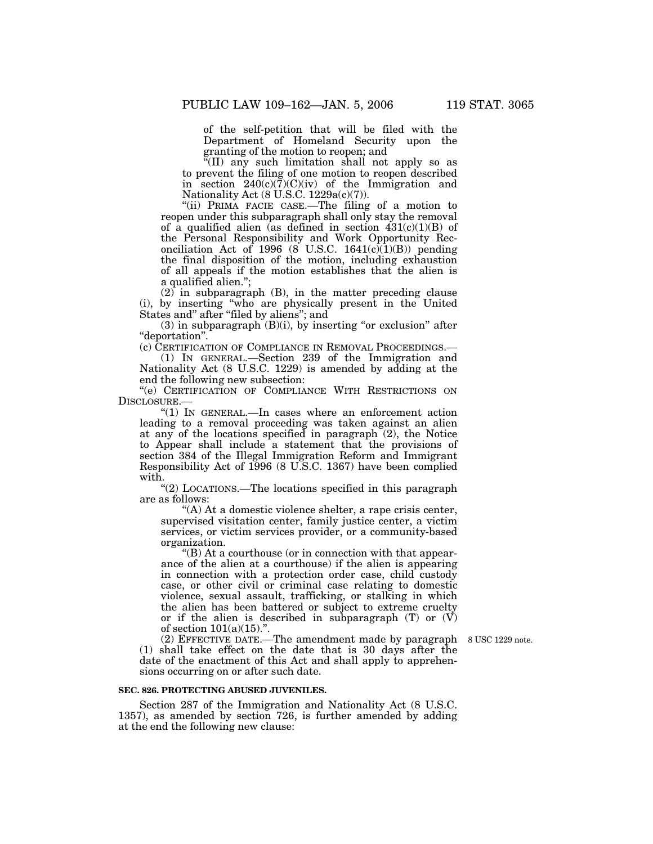of the self-petition that will be filed with the Department of Homeland Security upon the granting of the motion to reopen; and

''(II) any such limitation shall not apply so as to prevent the filing of one motion to reopen described in section  $240(c)(7)(C)(iv)$  of the Immigration and Nationality Act (8 U.S.C. 1229a(c)(7)).

''(ii) PRIMA FACIE CASE.—The filing of a motion to reopen under this subparagraph shall only stay the removal of a qualified alien (as defined in section  $431(c)(1)(B)$  of the Personal Responsibility and Work Opportunity Reconciliation Act of 1996 (8 U.S.C. 1641 $(c)(1)(B)$ ) pending the final disposition of the motion, including exhaustion of all appeals if the motion establishes that the alien is a qualified alien.'';

(2) in subparagraph (B), in the matter preceding clause (i), by inserting ''who are physically present in the United States and'' after ''filed by aliens''; and

(3) in subparagraph  $(B)(i)$ , by inserting "or exclusion" after "deportation".

(c) CERTIFICATION OF COMPLIANCE IN REMOVAL PROCEEDINGS.— (1) IN GENERAL.—Section 239 of the Immigration and Nationality Act (8 U.S.C. 1229) is amended by adding at the end the following new subsection:

''(e) CERTIFICATION OF COMPLIANCE WITH RESTRICTIONS ON DISCLOSURE.—

''(1) IN GENERAL.—In cases where an enforcement action leading to a removal proceeding was taken against an alien at any of the locations specified in paragraph (2), the Notice to Appear shall include a statement that the provisions of section 384 of the Illegal Immigration Reform and Immigrant Responsibility Act of 1996 (8 U.S.C. 1367) have been complied with.

''(2) LOCATIONS.—The locations specified in this paragraph are as follows:

''(A) At a domestic violence shelter, a rape crisis center, supervised visitation center, family justice center, a victim services, or victim services provider, or a community-based organization.

''(B) At a courthouse (or in connection with that appearance of the alien at a courthouse) if the alien is appearing in connection with a protection order case, child custody case, or other civil or criminal case relating to domestic violence, sexual assault, trafficking, or stalking in which the alien has been battered or subject to extreme cruelty or if the alien is described in subparagraph  $(T)$  or  $(V)$ of section  $101(a)(15)$ .".

(2) EFFECTIVE DATE.—The amendment made by paragraph 8 USC 1229 note. (1) shall take effect on the date that is 30 days after the date of the enactment of this Act and shall apply to apprehensions occurring on or after such date.

#### **SEC. 826. PROTECTING ABUSED JUVENILES.**

Section 287 of the Immigration and Nationality Act (8 U.S.C. 1357), as amended by section 726, is further amended by adding at the end the following new clause: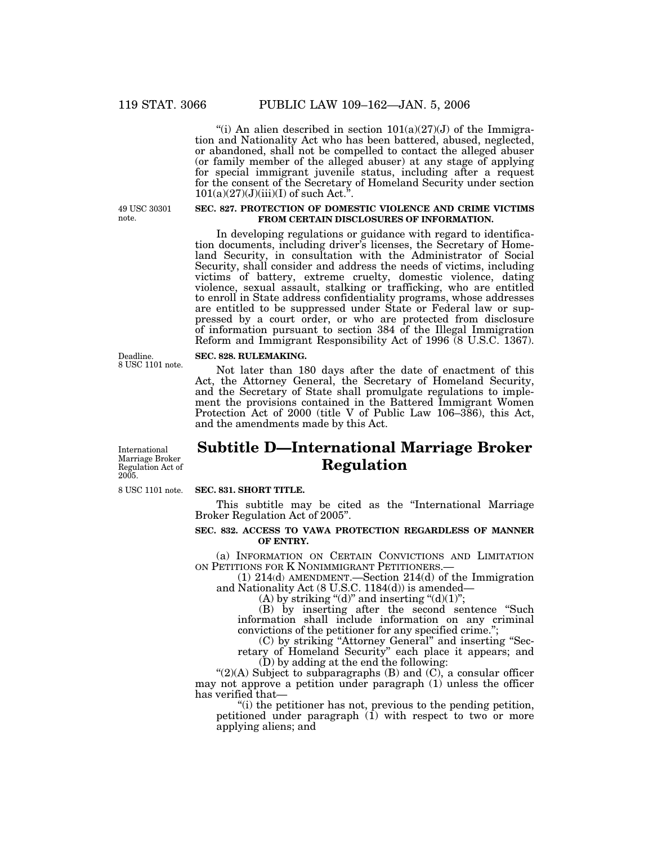"(i) An alien described in section  $101(a)(27)(J)$  of the Immigration and Nationality Act who has been battered, abused, neglected, or abandoned, shall not be compelled to contact the alleged abuser (or family member of the alleged abuser) at any stage of applying for special immigrant juvenile status, including after a request for the consent of the Secretary of Homeland Security under section  $101(a)(27)(J)(iii)(I)$  of such Act.".

49 USC 30301 note.

#### **SEC. 827. PROTECTION OF DOMESTIC VIOLENCE AND CRIME VICTIMS FROM CERTAIN DISCLOSURES OF INFORMATION.**

In developing regulations or guidance with regard to identification documents, including driver's licenses, the Secretary of Homeland Security, in consultation with the Administrator of Social Security, shall consider and address the needs of victims, including victims of battery, extreme cruelty, domestic violence, dating violence, sexual assault, stalking or trafficking, who are entitled to enroll in State address confidentiality programs, whose addresses are entitled to be suppressed under State or Federal law or suppressed by a court order, or who are protected from disclosure of information pursuant to section 384 of the Illegal Immigration Reform and Immigrant Responsibility Act of 1996 (8 U.S.C. 1367).

#### **SEC. 828. RULEMAKING.**

Not later than 180 days after the date of enactment of this Act, the Attorney General, the Secretary of Homeland Security, and the Secretary of State shall promulgate regulations to implement the provisions contained in the Battered Immigrant Women Protection Act of 2000 (title V of Public Law 106–386), this Act, and the amendments made by this Act.

International Marriage Broker Regulation Act of 2005.

Deadline. 8 USC 1101 note.

8 USC 1101 note.

# **Subtitle D—International Marriage Broker Regulation**

### **SEC. 831. SHORT TITLE.**

This subtitle may be cited as the "International Marriage Broker Regulation Act of 2005''.

#### **SEC. 832. ACCESS TO VAWA PROTECTION REGARDLESS OF MANNER OF ENTRY.**

(a) INFORMATION ON CERTAIN CONVICTIONS AND LIMITATION ON PETITIONS FOR K NONIMMIGRANT PETITIONERS.

(1) 214(d) AMENDMENT.—Section 214(d) of the Immigration and Nationality Act (8 U.S.C. 1184(d)) is amended—

(A) by striking "(d)" and inserting " $(d)(1)$ ";

(B) by inserting after the second sentence ''Such information shall include information on any criminal convictions of the petitioner for any specified crime.'';

(C) by striking ''Attorney General'' and inserting ''Secretary of Homeland Security'' each place it appears; and (D) by adding at the end the following:

" $(2)(A)$  Subject to subparagraphs  $(B)$  and  $(C)$ , a consular officer may not approve a petition under paragraph (1) unless the officer has verified that—

''(i) the petitioner has not, previous to the pending petition, petitioned under paragraph  $(I)$  with respect to two or more applying aliens; and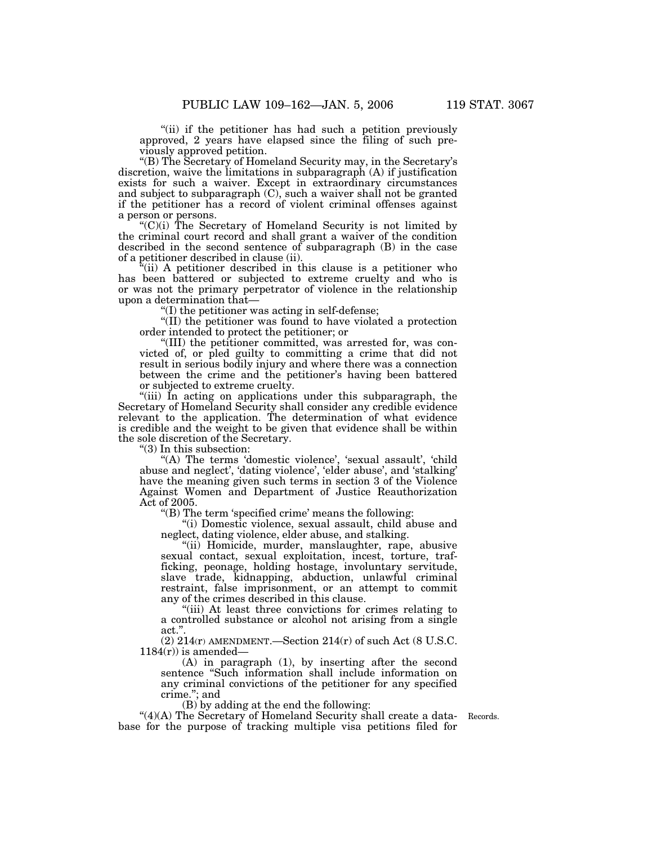"(ii) if the petitioner has had such a petition previously approved, 2 years have elapsed since the filing of such previously approved petition.

''(B) The Secretary of Homeland Security may, in the Secretary's discretion, waive the limitations in subparagraph (A) if justification exists for such a waiver. Except in extraordinary circumstances and subject to subparagraph (C), such a waiver shall not be granted if the petitioner has a record of violent criminal offenses against a person or persons.

''(C)(i) The Secretary of Homeland Security is not limited by the criminal court record and shall grant a waiver of the condition described in the second sentence of subparagraph (B) in the case of a petitioner described in clause (ii).

(ii) A petitioner described in this clause is a petitioner who has been battered or subjected to extreme cruelty and who is or was not the primary perpetrator of violence in the relationship upon a determination that—

 $f(T)$  the petitioner was acting in self-defense;

''(II) the petitioner was found to have violated a protection order intended to protect the petitioner; or

''(III) the petitioner committed, was arrested for, was convicted of, or pled guilty to committing a crime that did not result in serious bodily injury and where there was a connection between the crime and the petitioner's having been battered or subjected to extreme cruelty.

"(iii) In acting on applications under this subparagraph, the Secretary of Homeland Security shall consider any credible evidence relevant to the application. The determination of what evidence is credible and the weight to be given that evidence shall be within the sole discretion of the Secretary.

''(3) In this subsection:

"(A) The terms 'domestic violence', 'sexual assault', 'child abuse and neglect', 'dating violence', 'elder abuse', and 'stalking' have the meaning given such terms in section 3 of the Violence Against Women and Department of Justice Reauthorization Act of 2005.

''(B) The term 'specified crime' means the following:

''(i) Domestic violence, sexual assault, child abuse and neglect, dating violence, elder abuse, and stalking.

''(ii) Homicide, murder, manslaughter, rape, abusive sexual contact, sexual exploitation, incest, torture, trafficking, peonage, holding hostage, involuntary servitude, slave trade, kidnapping, abduction, unlawful criminal restraint, false imprisonment, or an attempt to commit any of the crimes described in this clause.

''(iii) At least three convictions for crimes relating to a controlled substance or alcohol not arising from a single act.''.

 $(2)$  214(r) AMENDMENT.—Section 214(r) of such Act (8 U.S.C.  $1184(r)$  is amended–

(A) in paragraph (1), by inserting after the second sentence "Such information shall include information on any criminal convictions of the petitioner for any specified crime.''; and

(B) by adding at the end the following:

"(4)(A) The Secretary of Homeland Security shall create a database for the purpose of tracking multiple visa petitions filed for

Records.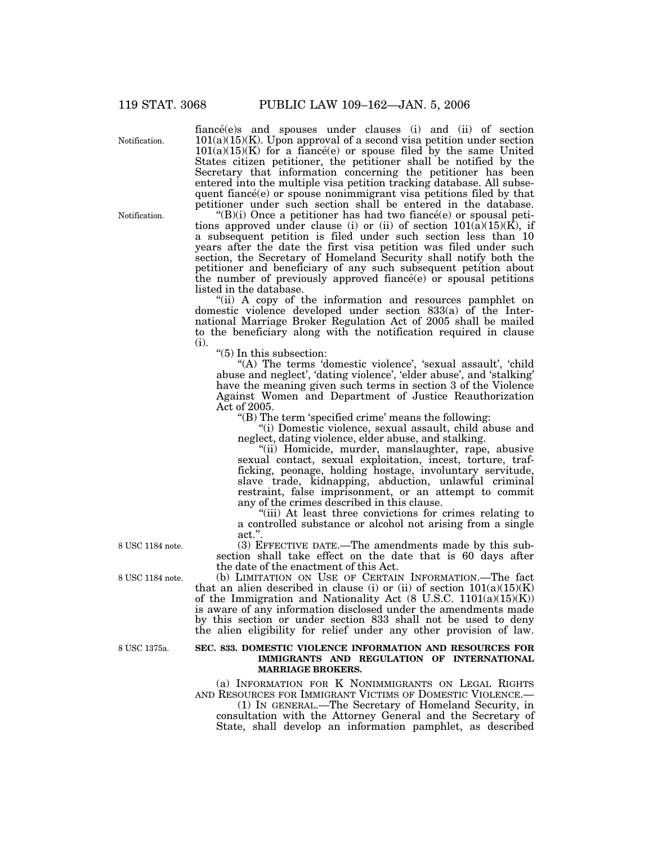Notification.

fiance(e)s and spouses under clauses (i) and (ii) of section  $101(a)(15)(K)$ . Upon approval of a second visa petition under section  $101(a)(15)(K)$  for a fiance $(e)$  or spouse filed by the same United States citizen petitioner, the petitioner shall be notified by the Secretary that information concerning the petitioner has been entered into the multiple visa petition tracking database. All subsequent fiance $(e)$  or spouse nonimmigrant visa petitions filed by that petitioner under such section shall be entered in the database. " $(B)(i)$  Once a petitioner has had two fiance $(e)$  or spousal peti-

tions approved under clause (i) or (ii) of section  $101(a)(15)(K)$ , if a subsequent petition is filed under such section less than 10 years after the date the first visa petition was filed under such section, the Secretary of Homeland Security shall notify both the petitioner and beneficiary of any such subsequent petition about the number of previously approved fiance $(e)$  or spousal petitions listed in the database.

''(ii) A copy of the information and resources pamphlet on domestic violence developed under section 833(a) of the International Marriage Broker Regulation Act of 2005 shall be mailed to the beneficiary along with the notification required in clause (i).

''(5) In this subsection:

"(A) The terms 'domestic violence', 'sexual assault', 'child abuse and neglect', 'dating violence', 'elder abuse', and 'stalking' have the meaning given such terms in section 3 of the Violence Against Women and Department of Justice Reauthorization Act of 2005.

''(B) The term 'specified crime' means the following:

''(i) Domestic violence, sexual assault, child abuse and neglect, dating violence, elder abuse, and stalking.

''(ii) Homicide, murder, manslaughter, rape, abusive sexual contact, sexual exploitation, incest, torture, trafficking, peonage, holding hostage, involuntary servitude, slave trade, kidnapping, abduction, unlawful criminal restraint, false imprisonment, or an attempt to commit any of the crimes described in this clause.

''(iii) At least three convictions for crimes relating to a controlled substance or alcohol not arising from a single act.''.

(3) EFFECTIVE DATE.—The amendments made by this subsection shall take effect on the date that is 60 days after the date of the enactment of this Act.

(b) LIMITATION ON USE OF CERTAIN INFORMATION.—The fact that an alien described in clause (i) or (ii) of section  $101(a)(15)(K)$ of the Immigration and Nationality Act  $(8 \text{ U.S.C. } 1101(a)(15)(K))$ is aware of any information disclosed under the amendments made by this section or under section 833 shall not be used to deny the alien eligibility for relief under any other provision of law.

#### **SEC. 833. DOMESTIC VIOLENCE INFORMATION AND RESOURCES FOR IMMIGRANTS AND REGULATION OF INTERNATIONAL MARRIAGE BROKERS.**

(a) INFORMATION FOR K NONIMMIGRANTS ON LEGAL RIGHTS AND RESOURCES FOR IMMIGRANT VICTIMS OF DOMESTIC VIOLENCE.—

(1) IN GENERAL.—The Secretary of Homeland Security, in consultation with the Attorney General and the Secretary of State, shall develop an information pamphlet, as described

Notification.

8 USC 1184 note.

8 USC 1184 note.

8 USC 1375a.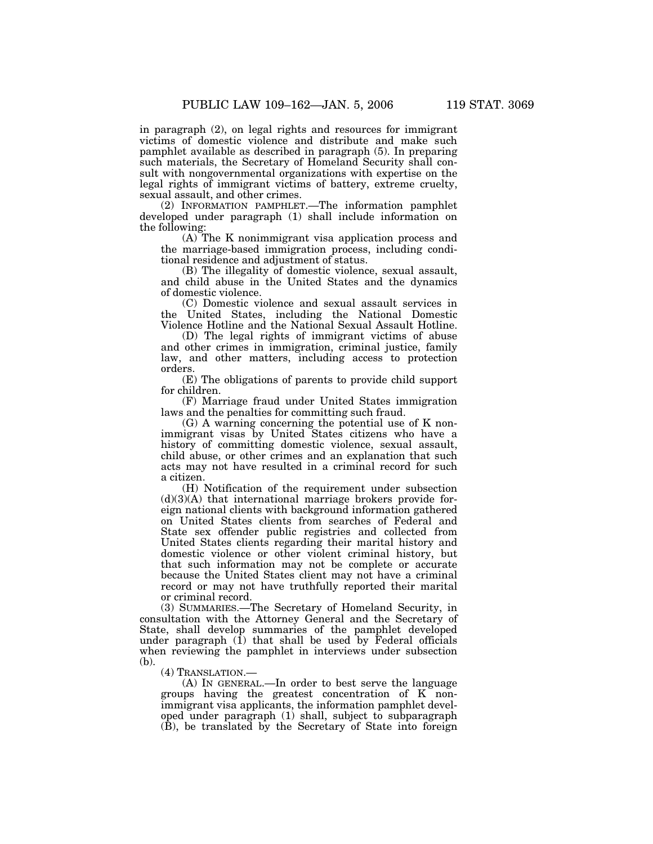in paragraph (2), on legal rights and resources for immigrant victims of domestic violence and distribute and make such pamphlet available as described in paragraph (5). In preparing such materials, the Secretary of Homeland Security shall consult with nongovernmental organizations with expertise on the legal rights of immigrant victims of battery, extreme cruelty, sexual assault, and other crimes.

(2) INFORMATION PAMPHLET.—The information pamphlet developed under paragraph (1) shall include information on the following:

(A) The K nonimmigrant visa application process and the marriage-based immigration process, including conditional residence and adjustment of status.

(B) The illegality of domestic violence, sexual assault, and child abuse in the United States and the dynamics of domestic violence.

(C) Domestic violence and sexual assault services in the United States, including the National Domestic Violence Hotline and the National Sexual Assault Hotline.

(D) The legal rights of immigrant victims of abuse and other crimes in immigration, criminal justice, family law, and other matters, including access to protection orders.

(E) The obligations of parents to provide child support for children.

(F) Marriage fraud under United States immigration laws and the penalties for committing such fraud.

(G) A warning concerning the potential use of K nonimmigrant visas by United States citizens who have a history of committing domestic violence, sexual assault, child abuse, or other crimes and an explanation that such acts may not have resulted in a criminal record for such a citizen.

(H) Notification of the requirement under subsection  $(d)(3)(A)$  that international marriage brokers provide foreign national clients with background information gathered on United States clients from searches of Federal and State sex offender public registries and collected from United States clients regarding their marital history and domestic violence or other violent criminal history, but that such information may not be complete or accurate because the United States client may not have a criminal record or may not have truthfully reported their marital or criminal record.

(3) SUMMARIES.—The Secretary of Homeland Security, in consultation with the Attorney General and the Secretary of State, shall develop summaries of the pamphlet developed under paragraph (1) that shall be used by Federal officials when reviewing the pamphlet in interviews under subsection (b).

(4) TRANSLATION.—

(A) IN GENERAL.—In order to best serve the language groups having the greatest concentration of  $K$  nonimmigrant visa applicants, the information pamphlet developed under paragraph (1) shall, subject to subparagraph (B), be translated by the Secretary of State into foreign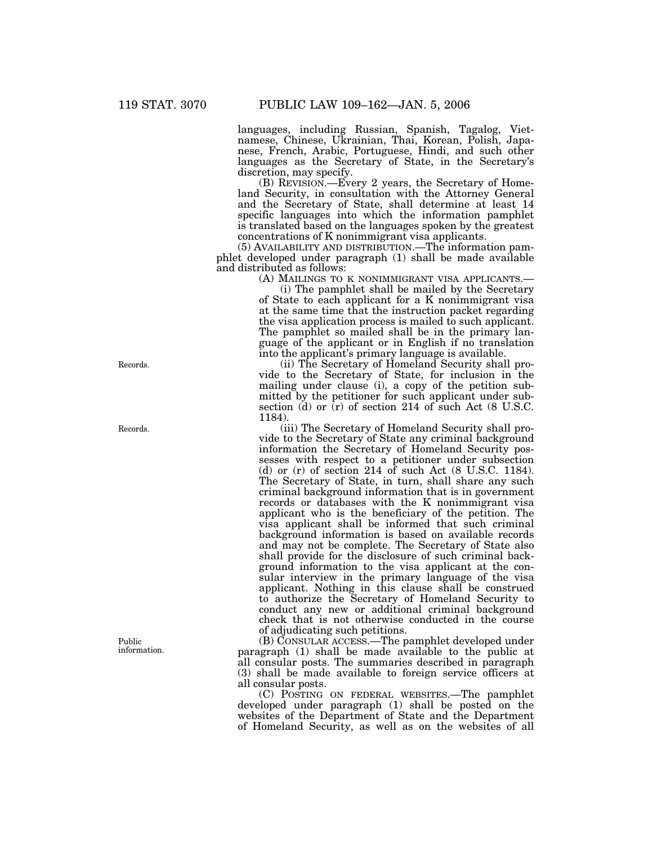languages, including Russian, Spanish, Tagalog, Vietnamese, Chinese, Ukrainian, Thai, Korean, Polish, Japanese, French, Arabic, Portuguese, Hindi, and such other languages as the Secretary of State, in the Secretary's discretion, may specify.

(B) REVISION.—Every 2 years, the Secretary of Homeland Security, in consultation with the Attorney General and the Secretary of State, shall determine at least 14 specific languages into which the information pamphlet is translated based on the languages spoken by the greatest concentrations of K nonimmigrant visa applicants.

(5) AVAILABILITY AND DISTRIBUTION.—The information pamphlet developed under paragraph (1) shall be made available and distributed as follows:

(A) MAILINGS TO K NONIMMIGRANT VISA APPLICANTS.— (i) The pamphlet shall be mailed by the Secretary

of State to each applicant for a K nonimmigrant visa at the same time that the instruction packet regarding the visa application process is mailed to such applicant. The pamphlet so mailed shall be in the primary language of the applicant or in English if no translation into the applicant's primary language is available.

(ii) The Secretary of Homeland Security shall provide to the Secretary of State, for inclusion in the mailing under clause (i), a copy of the petition submitted by the petitioner for such applicant under subsection  $(d)$  or  $(r)$  of section 214 of such Act  $(8 \text{ U.S.C.})$ 1184).

(iii) The Secretary of Homeland Security shall provide to the Secretary of State any criminal background information the Secretary of Homeland Security possesses with respect to a petitioner under subsection (d) or (r) of section 214 of such Act (8 U.S.C. 1184). The Secretary of State, in turn, shall share any such criminal background information that is in government records or databases with the K nonimmigrant visa applicant who is the beneficiary of the petition. The visa applicant shall be informed that such criminal background information is based on available records and may not be complete. The Secretary of State also shall provide for the disclosure of such criminal background information to the visa applicant at the consular interview in the primary language of the visa applicant. Nothing in this clause shall be construed to authorize the Secretary of Homeland Security to conduct any new or additional criminal background check that is not otherwise conducted in the course of adjudicating such petitions.

(B) CONSULAR ACCESS.—The pamphlet developed under paragraph (1) shall be made available to the public at all consular posts. The summaries described in paragraph (3) shall be made available to foreign service officers at all consular posts.

(C) POSTING ON FEDERAL WEBSITES.—The pamphlet developed under paragraph (1) shall be posted on the websites of the Department of State and the Department of Homeland Security, as well as on the websites of all

Records.

Records.

Public information.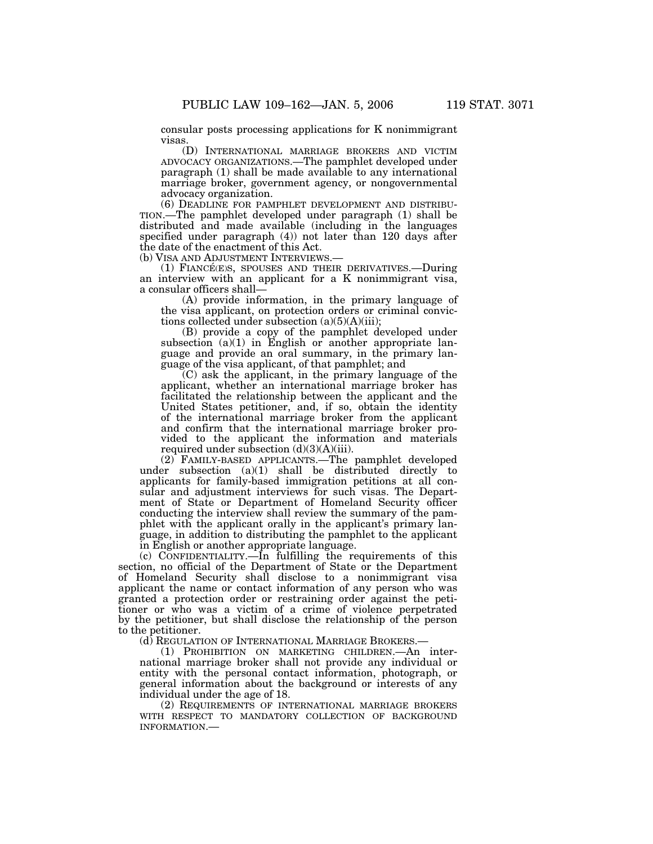consular posts processing applications for K nonimmigrant visas

(D) INTERNATIONAL MARRIAGE BROKERS AND VICTIM ADVOCACY ORGANIZATIONS.—The pamphlet developed under paragraph (1) shall be made available to any international marriage broker, government agency, or nongovernmental advocacy organization.<br>(6) DEADLINE FOR PAMPHLET DEVELOPMENT AND DISTRIBU-

TION.—The pamphlet developed under paragraph (1) shall be distributed and made available (including in the languages specified under paragraph (4)) not later than 120 days after the date of the enactment of this Act.<br>(b) VISA AND ADJUSTMENT INTERVIEWS.—

(1) FIANCÉ(E)S, SPOUSES AND THEIR DERIVATIVES.—During an interview with an applicant for a K nonimmigrant visa, a consular officers shall—

(A) provide information, in the primary language of the visa applicant, on protection orders or criminal convictions collected under subsection  $(a)(5)(A)(iii)$ ;

(B) provide a copy of the pamphlet developed under subsection  $(a)(1)$  in English or another appropriate language and provide an oral summary, in the primary language of the visa applicant, of that pamphlet; and

(C) ask the applicant, in the primary language of the applicant, whether an international marriage broker has facilitated the relationship between the applicant and the United States petitioner, and, if so, obtain the identity of the international marriage broker from the applicant and confirm that the international marriage broker provided to the applicant the information and materials required under subsection  $(d)(3)(A)(iii)$ .

(2) FAMILY-BASED APPLICANTS.—The pamphlet developed under subsection (a)(1) shall be distributed directly to applicants for family-based immigration petitions at all consular and adjustment interviews for such visas. The Department of State or Department of Homeland Security officer conducting the interview shall review the summary of the pamphlet with the applicant orally in the applicant's primary language, in addition to distributing the pamphlet to the applicant in English or another appropriate language.

(c) CONFIDENTIALITY.—In fulfilling the requirements of this section, no official of the Department of State or the Department of Homeland Security shall disclose to a nonimmigrant visa applicant the name or contact information of any person who was granted a protection order or restraining order against the petitioner or who was a victim of a crime of violence perpetrated by the petitioner, but shall disclose the relationship of the person to the petitioner.

(d) REGULATION OF INTERNATIONAL MARRIAGE BROKERS.—

(1) PROHIBITION ON MARKETING CHILDREN.—An international marriage broker shall not provide any individual or entity with the personal contact information, photograph, or general information about the background or interests of any individual under the age of 18.

(2) REQUIREMENTS OF INTERNATIONAL MARRIAGE BROKERS WITH RESPECT TO MANDATORY COLLECTION OF BACKGROUND INFORMATION.—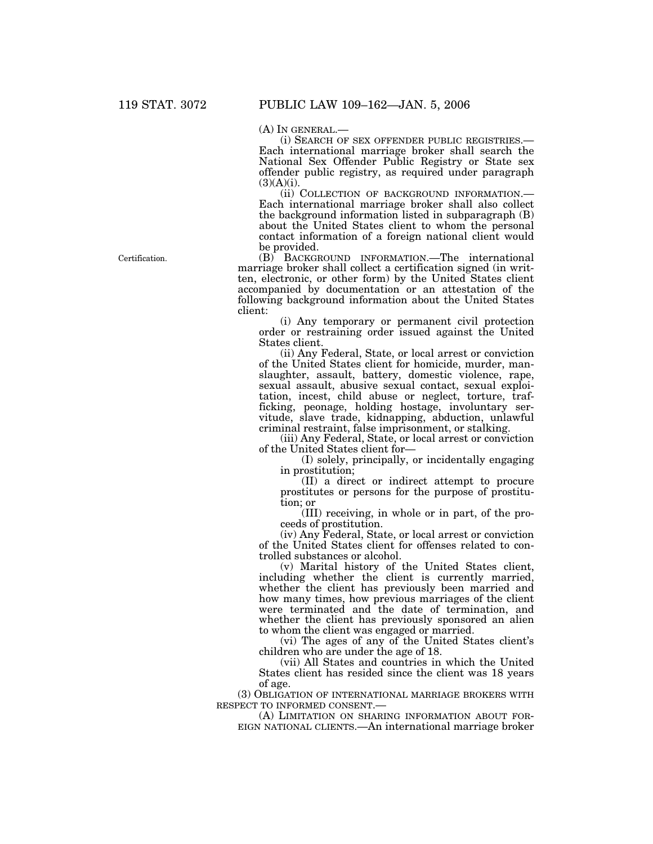(A) IN GENERAL.— (i) SEARCH OF SEX OFFENDER PUBLIC REGISTRIES.— Each international marriage broker shall search the National Sex Offender Public Registry or State sex offender public registry, as required under paragraph  $(3)(A)(i).$ <br>(ii) COLLECTION OF BACKGROUND INFORMATION.—

Each international marriage broker shall also collect the background information listed in subparagraph (B) about the United States client to whom the personal contact information of a foreign national client would be provided.

(B) BACKGROUND INFORMATION.—The international marriage broker shall collect a certification signed (in written, electronic, or other form) by the United States client accompanied by documentation or an attestation of the following background information about the United States client:

(i) Any temporary or permanent civil protection order or restraining order issued against the United States client.

(ii) Any Federal, State, or local arrest or conviction of the United States client for homicide, murder, manslaughter, assault, battery, domestic violence, rape, sexual assault, abusive sexual contact, sexual exploitation, incest, child abuse or neglect, torture, trafficking, peonage, holding hostage, involuntary servitude, slave trade, kidnapping, abduction, unlawful criminal restraint, false imprisonment, or stalking.

(iii) Any Federal, State, or local arrest or conviction of the United States client for—

(I) solely, principally, or incidentally engaging in prostitution;

(II) a direct or indirect attempt to procure prostitutes or persons for the purpose of prostitution; or

(III) receiving, in whole or in part, of the proceeds of prostitution.

(iv) Any Federal, State, or local arrest or conviction of the United States client for offenses related to controlled substances or alcohol.

(v) Marital history of the United States client, including whether the client is currently married, whether the client has previously been married and how many times, how previous marriages of the client were terminated and the date of termination, and whether the client has previously sponsored an alien to whom the client was engaged or married.

(vi) The ages of any of the United States client's children who are under the age of 18.

(vii) All States and countries in which the United States client has resided since the client was 18 years of age.

(3) OBLIGATION OF INTERNATIONAL MARRIAGE BROKERS WITH

RESPECT TO INFORMED CONSENT.—<br>(A) LIMITATION ON SHARING INFORMATION ABOUT FOR-<br>EIGN NATIONAL CLIENTS.—An international marriage broker

Certification.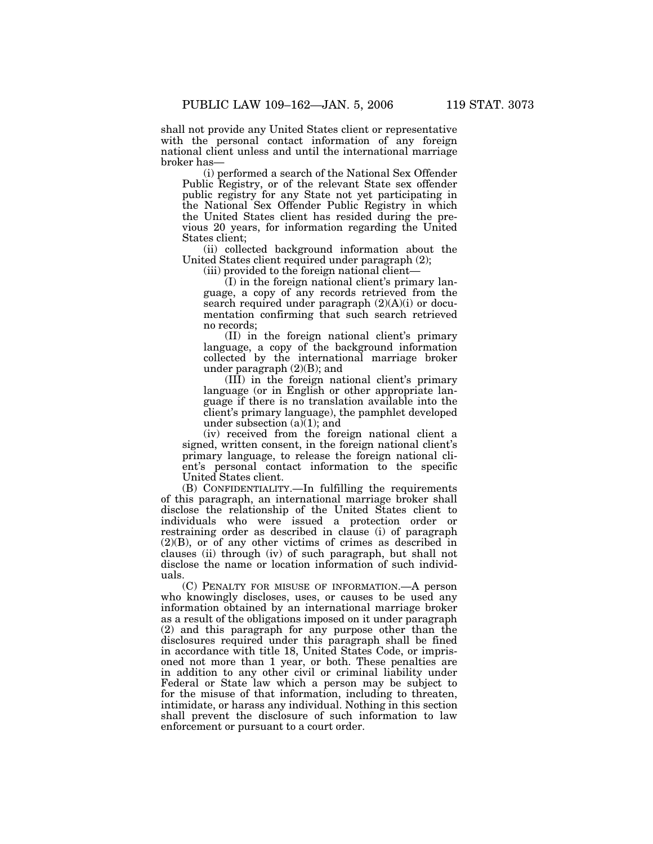shall not provide any United States client or representative with the personal contact information of any foreign national client unless and until the international marriage broker has—

(i) performed a search of the National Sex Offender Public Registry, or of the relevant State sex offender public registry for any State not yet participating in the National Sex Offender Public Registry in which the United States client has resided during the previous 20 years, for information regarding the United States client;

(ii) collected background information about the United States client required under paragraph (2);

(iii) provided to the foreign national client—

(I) in the foreign national client's primary language, a copy of any records retrieved from the search required under paragraph  $(2)(A)(i)$  or documentation confirming that such search retrieved no records;

(II) in the foreign national client's primary language, a copy of the background information collected by the international marriage broker under paragraph (2)(B); and

(III) in the foreign national client's primary language (or in English or other appropriate language if there is no translation available into the client's primary language), the pamphlet developed under subsection (a)(1); and

(iv) received from the foreign national client a signed, written consent, in the foreign national client's primary language, to release the foreign national client's personal contact information to the specific United States client.

(B) CONFIDENTIALITY.—In fulfilling the requirements of this paragraph, an international marriage broker shall disclose the relationship of the United States client to individuals who were issued a protection order or restraining order as described in clause (i) of paragraph (2)(B), or of any other victims of crimes as described in clauses (ii) through (iv) of such paragraph, but shall not disclose the name or location information of such individuals.

(C) PENALTY FOR MISUSE OF INFORMATION.—A person who knowingly discloses, uses, or causes to be used any information obtained by an international marriage broker as a result of the obligations imposed on it under paragraph (2) and this paragraph for any purpose other than the disclosures required under this paragraph shall be fined in accordance with title 18, United States Code, or imprisoned not more than 1 year, or both. These penalties are in addition to any other civil or criminal liability under Federal or State law which a person may be subject to for the misuse of that information, including to threaten, intimidate, or harass any individual. Nothing in this section shall prevent the disclosure of such information to law enforcement or pursuant to a court order.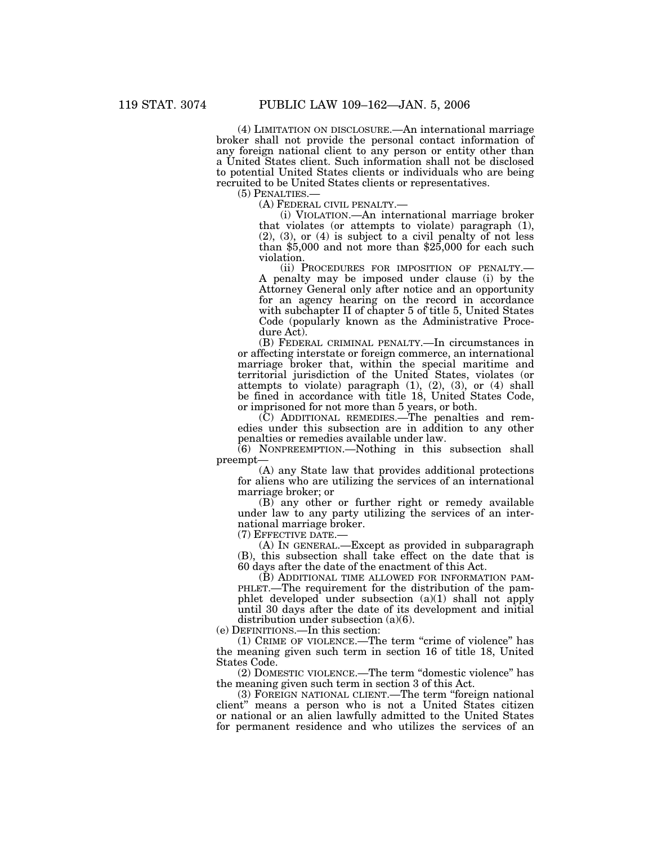(4) LIMITATION ON DISCLOSURE.—An international marriage broker shall not provide the personal contact information of any foreign national client to any person or entity other than a United States client. Such information shall not be disclosed to potential United States clients or individuals who are being recruited to be United States clients or representatives.

(5) PENALTIES.— (A) FEDERAL CIVIL PENALTY.— (i) VIOLATION.—An international marriage broker that violates (or attempts to violate) paragraph (1), (2), (3), or (4) is subject to a civil penalty of not less than \$5,000 and not more than \$25,000 for each such violation.<br>(ii) Procedures for imposition of penalty.

A penalty may be imposed under clause (i) by the Attorney General only after notice and an opportunity for an agency hearing on the record in accordance with subchapter II of chapter 5 of title 5, United States Code (popularly known as the Administrative Procedure Act).

(B) FEDERAL CRIMINAL PENALTY.—In circumstances in or affecting interstate or foreign commerce, an international marriage broker that, within the special maritime and territorial jurisdiction of the United States, violates (or attempts to violate) paragraph (1), (2), (3), or (4) shall be fined in accordance with title 18, United States Code, or imprisoned for not more than 5 years, or both.

(C) ADDITIONAL REMEDIES.—The penalties and remedies under this subsection are in addition to any other penalties or remedies available under law.

(6) NONPREEMPTION.—Nothing in this subsection shall preempt—

(A) any State law that provides additional protections for aliens who are utilizing the services of an international marriage broker; or

(B) any other or further right or remedy available under law to any party utilizing the services of an international marriage broker.

(7) EFFECTIVE DATE.—

(A) IN GENERAL.—Except as provided in subparagraph (B), this subsection shall take effect on the date that is 60 days after the date of the enactment of this Act.

(B) ADDITIONAL TIME ALLOWED FOR INFORMATION PAM-PHLET.—The requirement for the distribution of the pamphlet developed under subsection (a)(1) shall not apply until 30 days after the date of its development and initial distribution under subsection (a)(6).

(e) DEFINITIONS.—In this section:

(1) CRIME OF VIOLENCE.—The term ''crime of violence'' has the meaning given such term in section 16 of title 18, United States Code.

(2) DOMESTIC VIOLENCE.—The term ''domestic violence'' has the meaning given such term in section 3 of this Act.

(3) FOREIGN NATIONAL CLIENT.—The term ''foreign national client'' means a person who is not a United States citizen or national or an alien lawfully admitted to the United States for permanent residence and who utilizes the services of an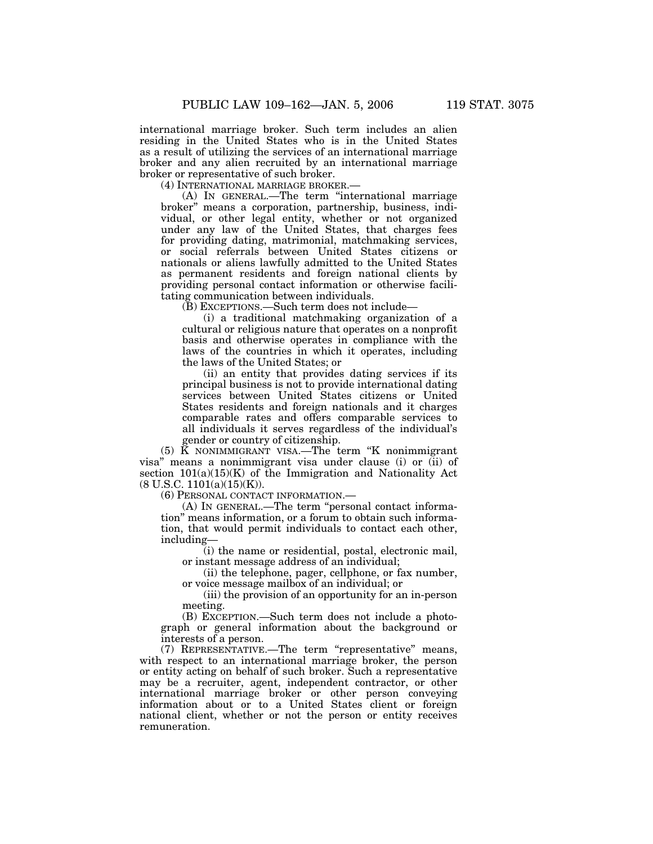international marriage broker. Such term includes an alien residing in the United States who is in the United States as a result of utilizing the services of an international marriage broker and any alien recruited by an international marriage broker or representative of such broker.

(4) INTERNATIONAL MARRIAGE BROKER.—

(A) IN GENERAL.—The term ''international marriage broker'' means a corporation, partnership, business, individual, or other legal entity, whether or not organized under any law of the United States, that charges fees for providing dating, matrimonial, matchmaking services, or social referrals between United States citizens or nationals or aliens lawfully admitted to the United States as permanent residents and foreign national clients by providing personal contact information or otherwise facilitating communication between individuals.

(B) EXCEPTIONS.—Such term does not include—

(i) a traditional matchmaking organization of a cultural or religious nature that operates on a nonprofit basis and otherwise operates in compliance with the laws of the countries in which it operates, including the laws of the United States; or

(ii) an entity that provides dating services if its principal business is not to provide international dating services between United States citizens or United States residents and foreign nationals and it charges comparable rates and offers comparable services to all individuals it serves regardless of the individual's gender or country of citizenship.

 $(5)$  K NONIMMIGRANT VISA.—The term "K nonimmigrant visa'' means a nonimmigrant visa under clause (i) or (ii) of section 101(a)(15)(K) of the Immigration and Nationality Act  $(8 \text{ U.S.C. } 1101(a)(15)(K)).$ 

(6) PERSONAL CONTACT INFORMATION.—

(A) IN GENERAL.—The term ''personal contact information'' means information, or a forum to obtain such information, that would permit individuals to contact each other, including—

(i) the name or residential, postal, electronic mail, or instant message address of an individual;

(ii) the telephone, pager, cellphone, or fax number, or voice message mailbox of an individual; or

(iii) the provision of an opportunity for an in-person meeting.

(B) EXCEPTION.—Such term does not include a photograph or general information about the background or interests of a person.

(7) REPRESENTATIVE.—The term ''representative'' means, with respect to an international marriage broker, the person or entity acting on behalf of such broker. Such a representative may be a recruiter, agent, independent contractor, or other international marriage broker or other person conveying information about or to a United States client or foreign national client, whether or not the person or entity receives remuneration.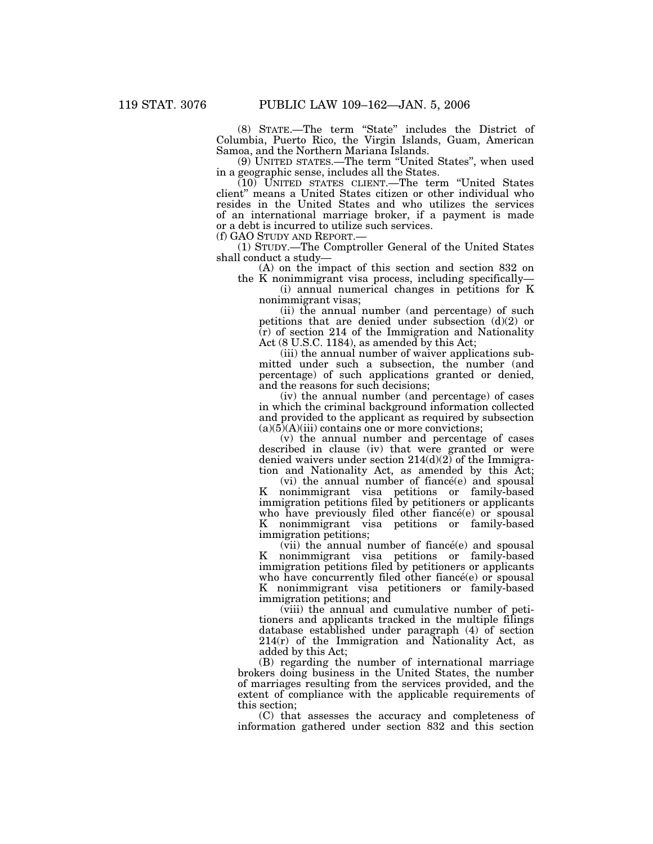(8) STATE.—The term ''State'' includes the District of Columbia, Puerto Rico, the Virgin Islands, Guam, American Samoa, and the Northern Mariana Islands.

(9) UNITED STATES.—The term ''United States'', when used in a geographic sense, includes all the States.

(10) UNITED STATES CLIENT.—The term ''United States client'' means a United States citizen or other individual who resides in the United States and who utilizes the services of an international marriage broker, if a payment is made or a debt is incurred to utilize such services.<br>(f) GAO STUDY AND REPORT.—

(1) STUDY.—The Comptroller General of the United States shall conduct a study—

(A) on the impact of this section and section 832 on the K nonimmigrant visa process, including specifically—

(i) annual numerical changes in petitions for K nonimmigrant visas;

(ii) the annual number (and percentage) of such petitions that are denied under subsection  $(d)(2)$  or  $\bar{r}(r)$  of section 214 of the Immigration and Nationality Act (8 U.S.C. 1184), as amended by this Act;

(iii) the annual number of waiver applications submitted under such a subsection, the number (and percentage) of such applications granted or denied, and the reasons for such decisions;

(iv) the annual number (and percentage) of cases in which the criminal background information collected and provided to the applicant as required by subsection  $(a)(5)(A)(iii)$  contains one or more convictions;

(v) the annual number and percentage of cases described in clause (iv) that were granted or were denied waivers under section 214(d)(2) of the Immigration and Nationality Act, as amended by this Act;

 $(vi)$  the annual number of fiance $(e)$  and spousal K nonimmigrant visa petitions or family-based immigration petitions filed by petitioners or applicants who have previously filed other fiance $(e)$  or spousal K nonimmigrant visa petitions or family-based immigration petitions;

 $(vii)$  the annual number of fiance $(e)$  and spousal K nonimmigrant visa petitions or family-based immigration petitions filed by petitioners or applicants who have concurrently filed other fiance $(e)$  or spousal K nonimmigrant visa petitioners or family-based immigration petitions; and

(viii) the annual and cumulative number of petitioners and applicants tracked in the multiple filings database established under paragraph (4) of section 214(r) of the Immigration and Nationality Act, as added by this Act;

(B) regarding the number of international marriage brokers doing business in the United States, the number of marriages resulting from the services provided, and the extent of compliance with the applicable requirements of this section;

(C) that assesses the accuracy and completeness of information gathered under section 832 and this section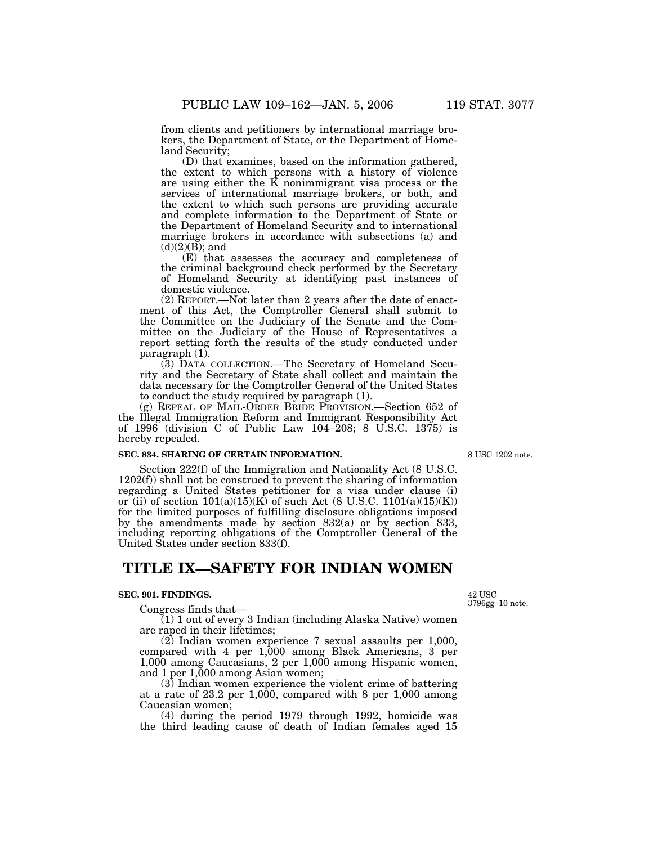from clients and petitioners by international marriage brokers, the Department of State, or the Department of Homeland Security;

(D) that examines, based on the information gathered, the extent to which persons with a history of violence are using either the  $\overline{K}$  nonimmigrant visa process or the services of international marriage brokers, or both, and the extent to which such persons are providing accurate and complete information to the Department of State or the Department of Homeland Security and to international marriage brokers in accordance with subsections (a) and  $(d)(2)(B)$ ; and

(E) that assesses the accuracy and completeness of the criminal background check performed by the Secretary of Homeland Security at identifying past instances of domestic violence.

(2) REPORT.—Not later than 2 years after the date of enactment of this Act, the Comptroller General shall submit to the Committee on the Judiciary of the Senate and the Committee on the Judiciary of the House of Representatives a report setting forth the results of the study conducted under paragraph (1).

(3) DATA COLLECTION.—The Secretary of Homeland Security and the Secretary of State shall collect and maintain the data necessary for the Comptroller General of the United States to conduct the study required by paragraph (1).

(g) REPEAL OF MAIL-ORDER BRIDE PROVISION.—Section 652 of the Illegal Immigration Reform and Immigrant Responsibility Act of 1996 (division C of Public Law 104–208; 8 U.S.C. 1375) is hereby repealed.

#### **SEC. 834. SHARING OF CERTAIN INFORMATION.**

Section 222(f) of the Immigration and Nationality Act (8 U.S.C. 1202(f)) shall not be construed to prevent the sharing of information regarding a United States petitioner for a visa under clause (i) or (ii) of section  $101(a)(15)(K)$  of such Act (8 U.S.C.  $1101(a)(15)(K)$ ) for the limited purposes of fulfilling disclosure obligations imposed by the amendments made by section 832(a) or by section 833, including reporting obligations of the Comptroller General of the United States under section 833(f).

# **TITLE IX—SAFETY FOR INDIAN WOMEN**

#### **SEC. 901. FINDINGS.**

Congress finds that—

(1) 1 out of every 3 Indian (including Alaska Native) women are raped in their lifetimes;

(2) Indian women experience 7 sexual assaults per 1,000, compared with 4 per 1,000 among Black Americans, 3 per 1,000 among Caucasians, 2 per 1,000 among Hispanic women, and 1 per 1,000 among Asian women;

(3) Indian women experience the violent crime of battering at a rate of  $23.2$  per 1,000, compared with 8 per 1,000 among Caucasian women;

(4) during the period 1979 through 1992, homicide was the third leading cause of death of Indian females aged 15

42 USC 3796gg–10 note.

8 USC 1202 note.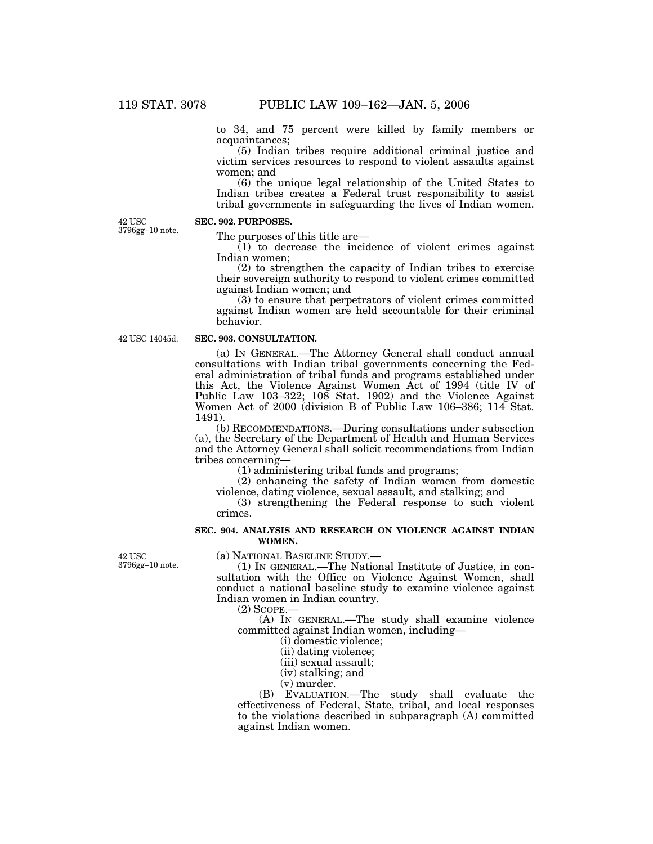to 34, and 75 percent were killed by family members or acquaintances;

(5) Indian tribes require additional criminal justice and victim services resources to respond to violent assaults against women; and

(6) the unique legal relationship of the United States to Indian tribes creates a Federal trust responsibility to assist tribal governments in safeguarding the lives of Indian women.

42 USC 3796gg–10 note.

## **SEC. 902. PURPOSES.**

The purposes of this title are—

 $(1)$  to decrease the incidence of violent crimes against Indian women;

(2) to strengthen the capacity of Indian tribes to exercise their sovereign authority to respond to violent crimes committed against Indian women; and

(3) to ensure that perpetrators of violent crimes committed against Indian women are held accountable for their criminal behavior.

42 USC 14045d.

#### **SEC. 903. CONSULTATION.**

(a) IN GENERAL.—The Attorney General shall conduct annual consultations with Indian tribal governments concerning the Federal administration of tribal funds and programs established under this Act, the Violence Against Women Act of 1994 (title IV of Public Law 103–322; 108 Stat. 1902) and the Violence Against Women Act of 2000 (division B of Public Law 106–386; 114 Stat. 1491).

(b) RECOMMENDATIONS.—During consultations under subsection (a), the Secretary of the Department of Health and Human Services and the Attorney General shall solicit recommendations from Indian tribes concerning—

(1) administering tribal funds and programs;

(2) enhancing the safety of Indian women from domestic violence, dating violence, sexual assault, and stalking; and

(3) strengthening the Federal response to such violent crimes.

#### **SEC. 904. ANALYSIS AND RESEARCH ON VIOLENCE AGAINST INDIAN WOMEN.**

42 USC 3796gg–10 note. (a) NATIONAL BASELINE STUDY.—

(1) IN GENERAL.—The National Institute of Justice, in consultation with the Office on Violence Against Women, shall conduct a national baseline study to examine violence against Indian women in Indian country.

(2) SCOPE.—

(A) IN GENERAL.—The study shall examine violence committed against Indian women, including—

(i) domestic violence;

(ii) dating violence;

(iii) sexual assault;

(iv) stalking; and

(v) murder.

(B) EVALUATION.—The study shall evaluate the effectiveness of Federal, State, tribal, and local responses to the violations described in subparagraph (A) committed against Indian women.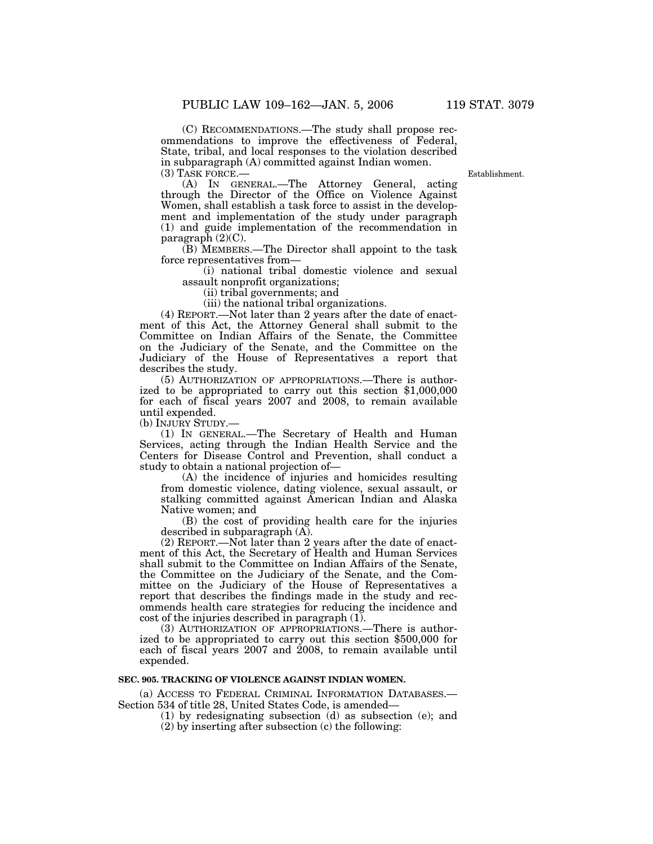(C) RECOMMENDATIONS.—The study shall propose recommendations to improve the effectiveness of Federal, State, tribal, and local responses to the violation described in subparagraph (A) committed against Indian women. (3) TASK FORCE.—

Establishment.

(A) IN GENERAL.—The Attorney General, acting through the Director of the Office on Violence Against Women, shall establish a task force to assist in the development and implementation of the study under paragraph (1) and guide implementation of the recommendation in paragraph  $(2)(C)$ .

(B) MEMBERS.—The Director shall appoint to the task force representatives from—

(i) national tribal domestic violence and sexual assault nonprofit organizations;

(ii) tribal governments; and

(iii) the national tribal organizations.

(4) REPORT.—Not later than 2 years after the date of enactment of this Act, the Attorney General shall submit to the Committee on Indian Affairs of the Senate, the Committee on the Judiciary of the Senate, and the Committee on the Judiciary of the House of Representatives a report that describes the study.

(5) AUTHORIZATION OF APPROPRIATIONS.—There is authorized to be appropriated to carry out this section \$1,000,000 for each of fiscal years 2007 and 2008, to remain available until expended.

(b) INJURY STUDY.—

(1) IN GENERAL.—The Secretary of Health and Human Services, acting through the Indian Health Service and the Centers for Disease Control and Prevention, shall conduct a study to obtain a national projection of—

(A) the incidence of injuries and homicides resulting from domestic violence, dating violence, sexual assault, or stalking committed against American Indian and Alaska Native women; and

(B) the cost of providing health care for the injuries described in subparagraph (A).

(2) REPORT.—Not later than 2 years after the date of enactment of this Act, the Secretary of Health and Human Services shall submit to the Committee on Indian Affairs of the Senate, the Committee on the Judiciary of the Senate, and the Committee on the Judiciary of the House of Representatives a report that describes the findings made in the study and recommends health care strategies for reducing the incidence and cost of the injuries described in paragraph (1).

(3) AUTHORIZATION OF APPROPRIATIONS.—There is authorized to be appropriated to carry out this section \$500,000 for each of fiscal years 2007 and 2008, to remain available until expended.

#### **SEC. 905. TRACKING OF VIOLENCE AGAINST INDIAN WOMEN.**

(a) ACCESS TO FEDERAL CRIMINAL INFORMATION DATABASES.— Section 534 of title 28, United States Code, is amended—

(1) by redesignating subsection (d) as subsection (e); and

(2) by inserting after subsection (c) the following: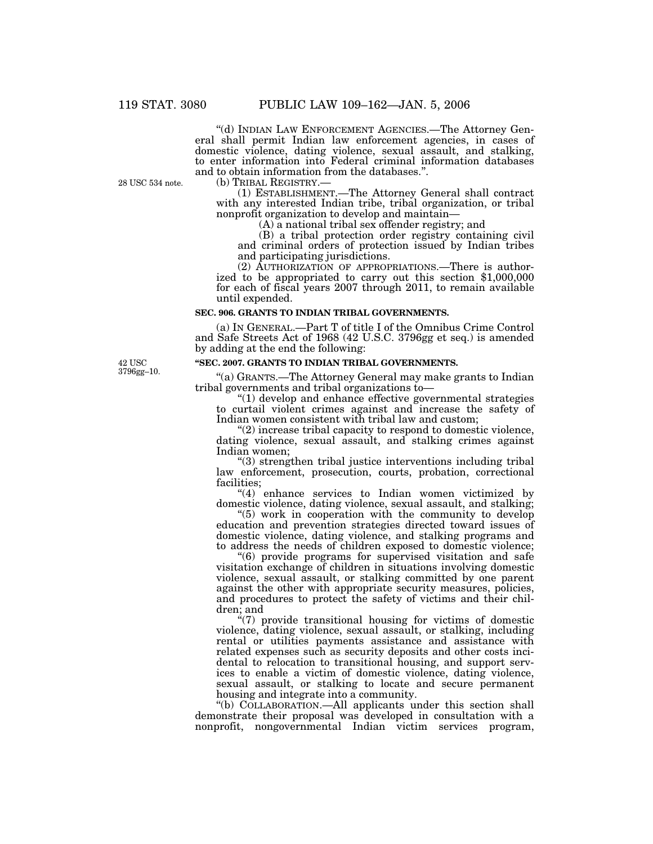''(d) INDIAN LAW ENFORCEMENT AGENCIES.—The Attorney General shall permit Indian law enforcement agencies, in cases of domestic violence, dating violence, sexual assault, and stalking, to enter information into Federal criminal information databases and to obtain information from the databases.''.

28 USC 534 note.

(1) ESTABLISHMENT.—The Attorney General shall contract with any interested Indian tribe, tribal organization, or tribal nonprofit organization to develop and maintain—

(A) a national tribal sex offender registry; and

(B) a tribal protection order registry containing civil and criminal orders of protection issued by Indian tribes and participating jurisdictions.

(2) AUTHORIZATION OF APPROPRIATIONS.—There is authorized to be appropriated to carry out this section \$1,000,000 for each of fiscal years 2007 through 2011, to remain available until expended.

#### **SEC. 906. GRANTS TO INDIAN TRIBAL GOVERNMENTS.**

(a) IN GENERAL.—Part T of title I of the Omnibus Crime Control and Safe Streets Act of 1968 (42 U.S.C. 3796gg et seq.) is amended by adding at the end the following:

**''SEC. 2007. GRANTS TO INDIAN TRIBAL GOVERNMENTS.**

''(a) GRANTS.—The Attorney General may make grants to Indian tribal governments and tribal organizations to—

''(1) develop and enhance effective governmental strategies to curtail violent crimes against and increase the safety of Indian women consistent with tribal law and custom;

"(2) increase tribal capacity to respond to domestic violence, dating violence, sexual assault, and stalking crimes against Indian women;

''(3) strengthen tribal justice interventions including tribal law enforcement, prosecution, courts, probation, correctional facilities;

 $''(4)$  enhance services to Indian women victimized by domestic violence, dating violence, sexual assault, and stalking;

''(5) work in cooperation with the community to develop education and prevention strategies directed toward issues of domestic violence, dating violence, and stalking programs and to address the needs of children exposed to domestic violence;

(6) provide programs for supervised visitation and safe visitation exchange of children in situations involving domestic violence, sexual assault, or stalking committed by one parent against the other with appropriate security measures, policies, and procedures to protect the safety of victims and their children; and

 $\degree$ (7) provide transitional housing for victims of domestic violence, dating violence, sexual assault, or stalking, including rental or utilities payments assistance and assistance with related expenses such as security deposits and other costs incidental to relocation to transitional housing, and support services to enable a victim of domestic violence, dating violence, sexual assault, or stalking to locate and secure permanent housing and integrate into a community.

''(b) COLLABORATION.—All applicants under this section shall demonstrate their proposal was developed in consultation with a nonprofit, nongovernmental Indian victim services program,

42 USC 3796gg–10.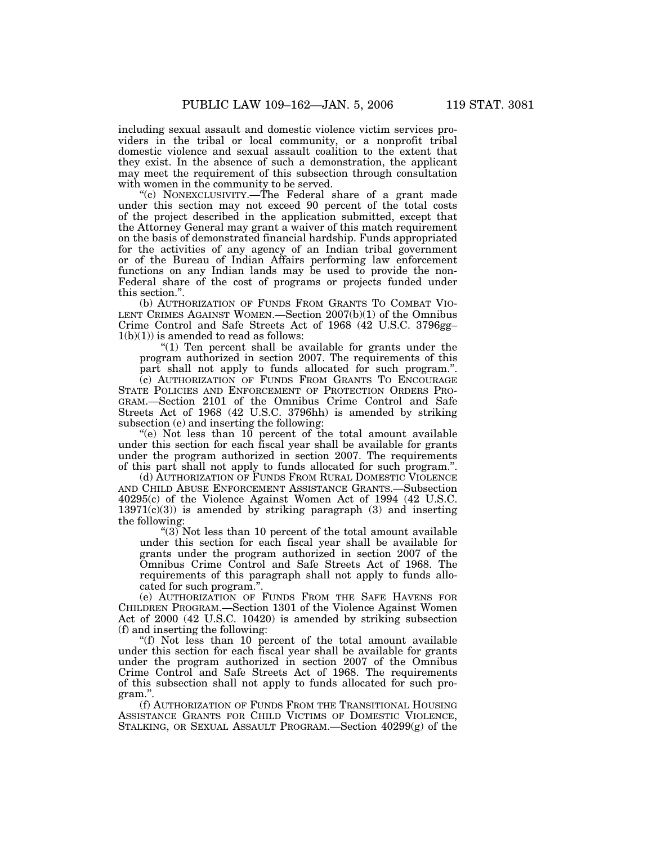including sexual assault and domestic violence victim services providers in the tribal or local community, or a nonprofit tribal domestic violence and sexual assault coalition to the extent that they exist. In the absence of such a demonstration, the applicant may meet the requirement of this subsection through consultation with women in the community to be served.

"(c) NONEXCLUSIVITY.—The Federal share of a grant made under this section may not exceed 90 percent of the total costs of the project described in the application submitted, except that the Attorney General may grant a waiver of this match requirement on the basis of demonstrated financial hardship. Funds appropriated for the activities of any agency of an Indian tribal government or of the Bureau of Indian Affairs performing law enforcement functions on any Indian lands may be used to provide the non-Federal share of the cost of programs or projects funded under this section.''.

(b) AUTHORIZATION OF FUNDS FROM GRANTS TO COMBAT VIO-LENT CRIMES AGAINST WOMEN.—Section 2007(b)(1) of the Omnibus Crime Control and Safe Streets Act of 1968 (42 U.S.C. 3796gg–  $1(b)(1)$  is amended to read as follows:

"(1) Ten percent shall be available for grants under the program authorized in section 2007. The requirements of this

part shall not apply to funds allocated for such program.". (c) AUTHORIZATION OF FUNDS FROM GRANTS TO ENCOURAGE STATE POLICIES AND ENFORCEMENT OF PROTECTION ORDERS PRO-GRAM.—Section 2101 of the Omnibus Crime Control and Safe Streets Act of 1968 (42 U.S.C. 3796hh) is amended by striking subsection (e) and inserting the following:

''(e) Not less than 10 percent of the total amount available under this section for each fiscal year shall be available for grants under the program authorized in section 2007. The requirements of this part shall not apply to funds allocated for such program.''.

(d) AUTHORIZATION OF FUNDS FROM RURAL DOMESTIC VIOLENCE AND CHILD ABUSE ENFORCEMENT ASSISTANCE GRANTS.—Subsection 40295(c) of the Violence Against Women Act of 1994 (42 U.S.C.  $13971(c)(3)$  is amended by striking paragraph (3) and inserting the following:

" $(3)$  Not less than 10 percent of the total amount available under this section for each fiscal year shall be available for grants under the program authorized in section 2007 of the Omnibus Crime Control and Safe Streets Act of 1968. The requirements of this paragraph shall not apply to funds allocated for such program.''.

(e) AUTHORIZATION OF FUNDS FROM THE SAFE HAVENS FOR CHILDREN PROGRAM.—Section 1301 of the Violence Against Women Act of 2000 (42 U.S.C. 10420) is amended by striking subsection (f) and inserting the following:

''(f) Not less than 10 percent of the total amount available under this section for each fiscal year shall be available for grants under the program authorized in section 2007 of the Omnibus Crime Control and Safe Streets Act of 1968. The requirements of this subsection shall not apply to funds allocated for such program.''.

(f) AUTHORIZATION OF FUNDS FROM THE TRANSITIONAL HOUSING ASSISTANCE GRANTS FOR CHILD VICTIMS OF DOMESTIC VIOLENCE, STALKING, OR SEXUAL ASSAULT PROGRAM.—Section 40299(g) of the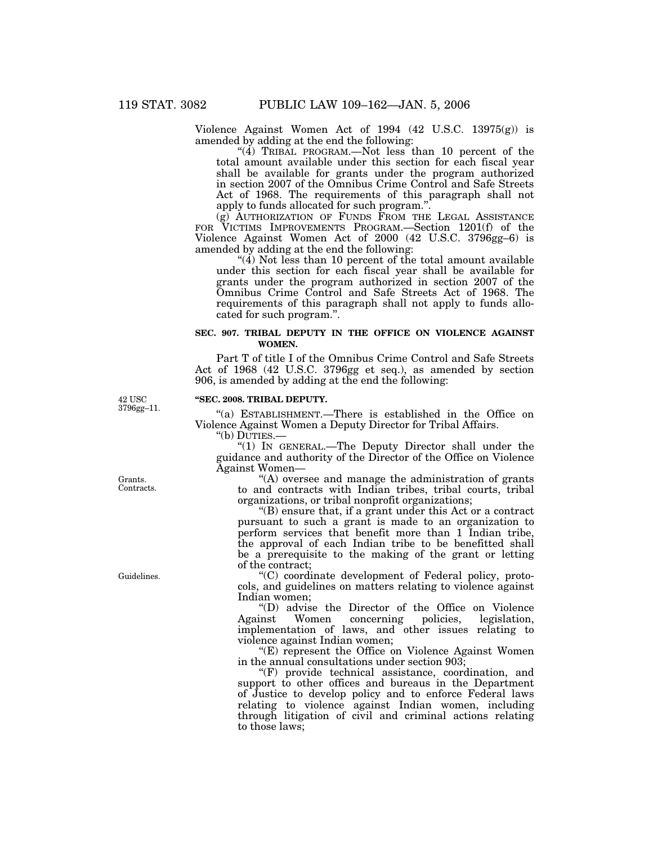Violence Against Women Act of 1994 (42 U.S.C. 13975(g)) is amended by adding at the end the following:

"(4) TRIBAL PROGRAM.—Not less than 10 percent of the total amount available under this section for each fiscal year shall be available for grants under the program authorized in section 2007 of the Omnibus Crime Control and Safe Streets Act of 1968. The requirements of this paragraph shall not apply to funds allocated for such program.''.

(g) AUTHORIZATION OF FUNDS FROM THE LEGAL ASSISTANCE FOR VICTIMS IMPROVEMENTS PROGRAM.—Section 1201(f) of the Violence Against Women Act of 2000 (42 U.S.C. 3796gg–6) is amended by adding at the end the following:

 $\mathcal{H}(4)$  Not less than 10 percent of the total amount available under this section for each fiscal year shall be available for grants under the program authorized in section 2007 of the Omnibus Crime Control and Safe Streets Act of 1968. The requirements of this paragraph shall not apply to funds allocated for such program.''.

#### **SEC. 907. TRIBAL DEPUTY IN THE OFFICE ON VIOLENCE AGAINST WOMEN.**

Part T of title I of the Omnibus Crime Control and Safe Streets Act of 1968 (42 U.S.C. 3796gg et seq.), as amended by section 906, is amended by adding at the end the following:

42 USC 3796gg–11.

#### **''SEC. 2008. TRIBAL DEPUTY.**

''(a) ESTABLISHMENT.—There is established in the Office on Violence Against Women a Deputy Director for Tribal Affairs.

''(b) DUTIES.—

''(1) IN GENERAL.—The Deputy Director shall under the guidance and authority of the Director of the Office on Violence Against Women—

''(A) oversee and manage the administration of grants to and contracts with Indian tribes, tribal courts, tribal organizations, or tribal nonprofit organizations;

''(B) ensure that, if a grant under this Act or a contract pursuant to such a grant is made to an organization to perform services that benefit more than 1 Indian tribe, the approval of each Indian tribe to be benefitted shall be a prerequisite to the making of the grant or letting of the contract;

''(C) coordinate development of Federal policy, protocols, and guidelines on matters relating to violence against Indian women;

"(D) advise the Director of the Office on Violence<br>Against Women concerning policies, legislation, concerning policies, legislation, implementation of laws, and other issues relating to violence against Indian women;

"(E) represent the Office on Violence Against Women in the annual consultations under section 903;

''(F) provide technical assistance, coordination, and support to other offices and bureaus in the Department of Justice to develop policy and to enforce Federal laws relating to violence against Indian women, including through litigation of civil and criminal actions relating to those laws;

Grants. **Contracts** 

Guidelines.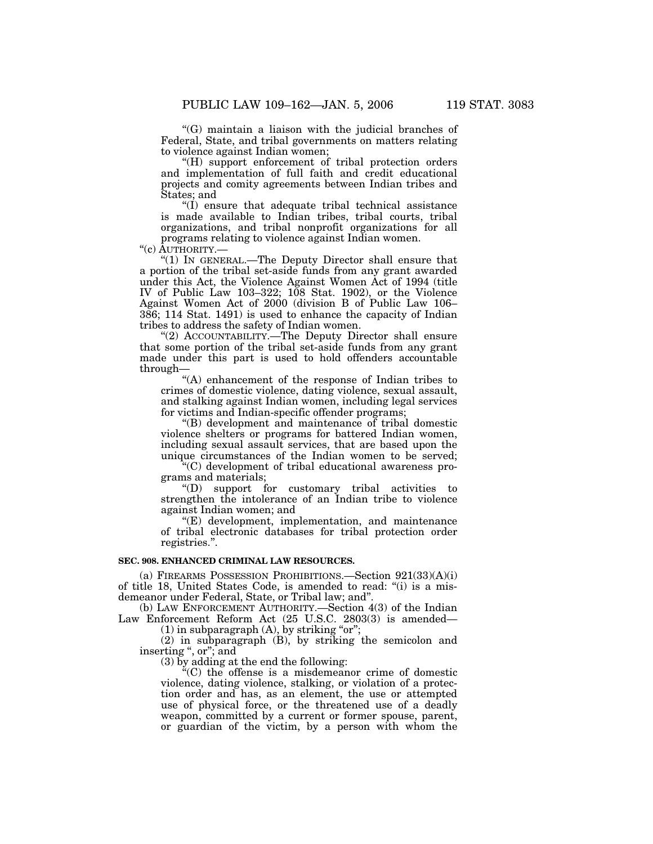''(G) maintain a liaison with the judicial branches of Federal, State, and tribal governments on matters relating to violence against Indian women;

''(H) support enforcement of tribal protection orders and implementation of full faith and credit educational projects and comity agreements between Indian tribes and States; and

''(I) ensure that adequate tribal technical assistance is made available to Indian tribes, tribal courts, tribal organizations, and tribal nonprofit organizations for all programs relating to violence against Indian women.

"(c) AUTHORITY.-

"(1) IN GENERAL.—The Deputy Director shall ensure that a portion of the tribal set-aside funds from any grant awarded under this Act, the Violence Against Women Act of 1994 (title IV of Public Law 103–322; 108 Stat. 1902), or the Violence Against Women Act of 2000 (division B of Public Law 106– 386; 114 Stat. 1491) is used to enhance the capacity of Indian tribes to address the safety of Indian women.

"(2) ACCOUNTABILITY.—The Deputy Director shall ensure that some portion of the tribal set-aside funds from any grant made under this part is used to hold offenders accountable through—

''(A) enhancement of the response of Indian tribes to crimes of domestic violence, dating violence, sexual assault, and stalking against Indian women, including legal services for victims and Indian-specific offender programs;

''(B) development and maintenance of tribal domestic violence shelters or programs for battered Indian women, including sexual assault services, that are based upon the unique circumstances of the Indian women to be served;

''(C) development of tribal educational awareness programs and materials;

''(D) support for customary tribal activities to strengthen the intolerance of an Indian tribe to violence against Indian women; and

''(E) development, implementation, and maintenance of tribal electronic databases for tribal protection order registries.''.

# **SEC. 908. ENHANCED CRIMINAL LAW RESOURCES.**

(a) FIREARMS POSSESSION PROHIBITIONS.—Section 921(33)(A)(i) of title 18, United States Code, is amended to read: ''(i) is a misdemeanor under Federal, State, or Tribal law; and''.

(b) LAW ENFORCEMENT AUTHORITY.—Section 4(3) of the Indian Law Enforcement Reform Act (25 U.S.C. 2803(3) is amended—

 $(1)$  in subparagraph  $(A)$ , by striking "or";

(2) in subparagraph (B), by striking the semicolon and inserting '', or''; and

(3) by adding at the end the following:

''(C) the offense is a misdemeanor crime of domestic violence, dating violence, stalking, or violation of a protection order and has, as an element, the use or attempted use of physical force, or the threatened use of a deadly weapon, committed by a current or former spouse, parent, or guardian of the victim, by a person with whom the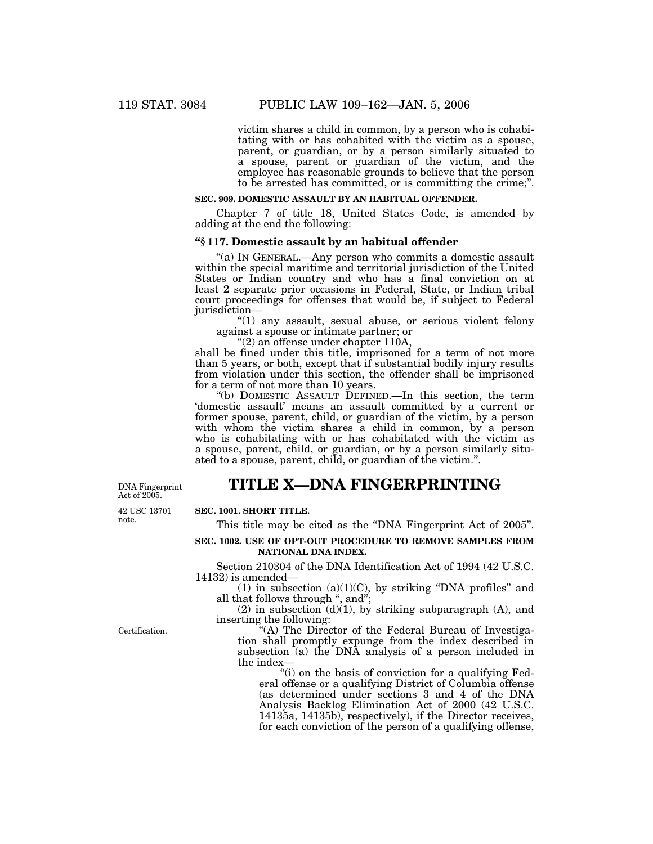victim shares a child in common, by a person who is cohabitating with or has cohabited with the victim as a spouse, parent, or guardian, or by a person similarly situated to a spouse, parent or guardian of the victim, and the employee has reasonable grounds to believe that the person to be arrested has committed, or is committing the crime;''.

#### **SEC. 909. DOMESTIC ASSAULT BY AN HABITUAL OFFENDER.**

Chapter 7 of title 18, United States Code, is amended by adding at the end the following:

#### **''§ 117. Domestic assault by an habitual offender**

''(a) IN GENERAL.—Any person who commits a domestic assault within the special maritime and territorial jurisdiction of the United States or Indian country and who has a final conviction on at least 2 separate prior occasions in Federal, State, or Indian tribal court proceedings for offenses that would be, if subject to Federal jurisdiction—

''(1) any assault, sexual abuse, or serious violent felony against a spouse or intimate partner; or

''(2) an offense under chapter 110A,

shall be fined under this title, imprisoned for a term of not more than 5 years, or both, except that if substantial bodily injury results from violation under this section, the offender shall be imprisoned for a term of not more than 10 years.

''(b) DOMESTIC ASSAULT DEFINED.—In this section, the term 'domestic assault' means an assault committed by a current or former spouse, parent, child, or guardian of the victim, by a person with whom the victim shares a child in common, by a person who is cohabitating with or has cohabitated with the victim as a spouse, parent, child, or guardian, or by a person similarly situated to a spouse, parent, child, or guardian of the victim.''.

DNA Fingerprint Act of 2005.

# **TITLE X—DNA FINGERPRINTING**

42 USC 13701 note.

# **SEC. 1001. SHORT TITLE.**

This title may be cited as the "DNA Fingerprint Act of 2005".

#### **SEC. 1002. USE OF OPT-OUT PROCEDURE TO REMOVE SAMPLES FROM NATIONAL DNA INDEX.**

Section 210304 of the DNA Identification Act of 1994 (42 U.S.C. 14132) is amended—

 $(1)$  in subsection  $(a)(1)(C)$ , by striking "DNA profiles" and all that follows through ", and";

 $(2)$  in subsection  $(d)(1)$ , by striking subparagraph  $(A)$ , and inserting the following:

 $(A)$  The Director of the Federal Bureau of Investigation shall promptly expunge from the index described in subsection  $(a)$  the DNA analysis of a person included in the index—

"(i) on the basis of conviction for a qualifying Federal offense or a qualifying District of Columbia offense (as determined under sections 3 and 4 of the DNA Analysis Backlog Elimination Act of 2000 (42 U.S.C. 14135a, 14135b), respectively), if the Director receives, for each conviction of the person of a qualifying offense,

Certification.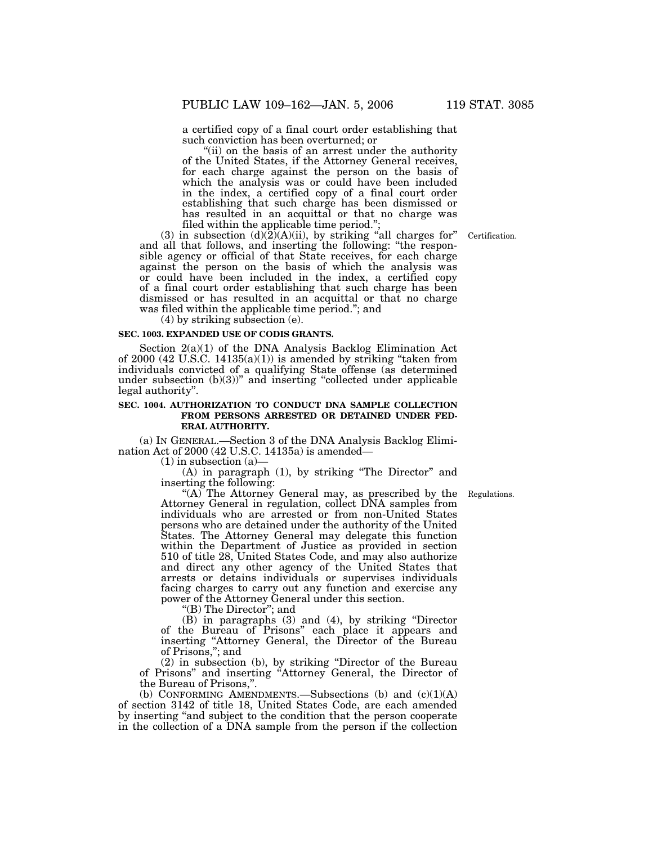a certified copy of a final court order establishing that such conviction has been overturned; or

"(ii) on the basis of an arrest under the authority" of the United States, if the Attorney General receives, for each charge against the person on the basis of which the analysis was or could have been included in the index, a certified copy of a final court order establishing that such charge has been dismissed or has resulted in an acquittal or that no charge was filed within the applicable time period.'';

(3) in subsection  $(d)(2)(A)(ii)$ , by striking "all charges for" and all that follows, and inserting the following: ''the responsible agency or official of that State receives, for each charge against the person on the basis of which the analysis was or could have been included in the index, a certified copy of a final court order establishing that such charge has been dismissed or has resulted in an acquittal or that no charge was filed within the applicable time period.''; and

(4) by striking subsection (e).

#### **SEC. 1003. EXPANDED USE OF CODIS GRANTS.**

Section 2(a)(1) of the DNA Analysis Backlog Elimination Act of 2000 (42 U.S.C. 14135(a)(1)) is amended by striking "taken from individuals convicted of a qualifying State offense (as determined under subsection (b)(3))" and inserting "collected under applicable legal authority''.

#### **SEC. 1004. AUTHORIZATION TO CONDUCT DNA SAMPLE COLLECTION FROM PERSONS ARRESTED OR DETAINED UNDER FED-ERAL AUTHORITY.**

(a) IN GENERAL.—Section 3 of the DNA Analysis Backlog Elimination Act of 2000 (42 U.S.C. 14135a) is amended—

 $(1)$  in subsection  $(a)$ 

(A) in paragraph (1), by striking ''The Director'' and inserting the following:

Regulations.

"(A) The Attorney General may, as prescribed by the Attorney General in regulation, collect DNA samples from individuals who are arrested or from non-United States persons who are detained under the authority of the United States. The Attorney General may delegate this function within the Department of Justice as provided in section 510 of title 28, United States Code, and may also authorize and direct any other agency of the United States that arrests or detains individuals or supervises individuals facing charges to carry out any function and exercise any power of the Attorney General under this section.

''(B) The Director''; and

(B) in paragraphs (3) and (4), by striking ''Director of the Bureau of Prisons'' each place it appears and inserting ''Attorney General, the Director of the Bureau of Prisons,''; and

(2) in subsection (b), by striking ''Director of the Bureau of Prisons'' and inserting ''Attorney General, the Director of the Bureau of Prisons,''.

(b) CONFORMING AMENDMENTS.—Subsections (b) and  $(c)(1)(A)$ of section 3142 of title 18, United States Code, are each amended by inserting ''and subject to the condition that the person cooperate in the collection of a DNA sample from the person if the collection

Certification.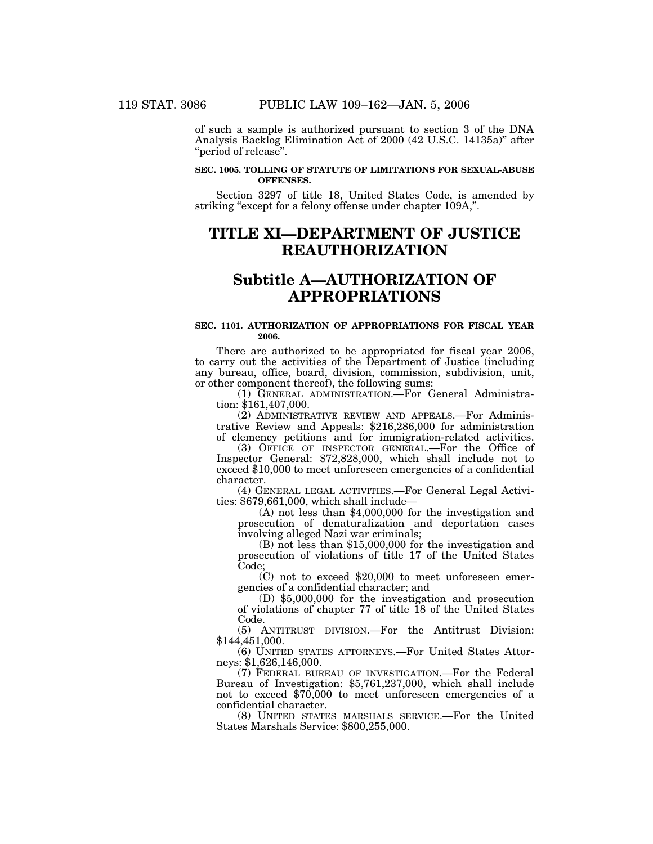of such a sample is authorized pursuant to section 3 of the DNA Analysis Backlog Elimination Act of 2000 (42 U.S.C. 14135a)'' after ''period of release''.

## **SEC. 1005. TOLLING OF STATUTE OF LIMITATIONS FOR SEXUAL-ABUSE OFFENSES.**

Section 3297 of title 18, United States Code, is amended by striking "except for a felony offense under chapter 109A,".

# **TITLE XI—DEPARTMENT OF JUSTICE REAUTHORIZATION**

# **Subtitle A—AUTHORIZATION OF APPROPRIATIONS**

## **SEC. 1101. AUTHORIZATION OF APPROPRIATIONS FOR FISCAL YEAR 2006.**

There are authorized to be appropriated for fiscal year 2006, to carry out the activities of the Department of Justice (including any bureau, office, board, division, commission, subdivision, unit, or other component thereof), the following sums:

(1) GENERAL ADMINISTRATION.—For General Administration: \$161,407,000.

(2) ADMINISTRATIVE REVIEW AND APPEALS.—For Administrative Review and Appeals: \$216,286,000 for administration of clemency petitions and for immigration-related activities.

(3) OFFICE OF INSPECTOR GENERAL.—For the Office of Inspector General: \$72,828,000, which shall include not to exceed \$10,000 to meet unforeseen emergencies of a confidential character.

(4) GENERAL LEGAL ACTIVITIES.—For General Legal Activities: \$679,661,000, which shall include—

(A) not less than \$4,000,000 for the investigation and prosecution of denaturalization and deportation cases involving alleged Nazi war criminals;

(B) not less than \$15,000,000 for the investigation and prosecution of violations of title 17 of the United States Code;

(C) not to exceed \$20,000 to meet unforeseen emergencies of a confidential character; and

(D) \$5,000,000 for the investigation and prosecution of violations of chapter 77 of title 18 of the United States Code.

(5) ANTITRUST DIVISION.—For the Antitrust Division: \$144,451,000.

(6) UNITED STATES ATTORNEYS.—For United States Attorneys: \$1,626,146,000.

(7) FEDERAL BUREAU OF INVESTIGATION.—For the Federal Bureau of Investigation: \$5,761,237,000, which shall include not to exceed \$70,000 to meet unforeseen emergencies of a confidential character.

(8) UNITED STATES MARSHALS SERVICE.—For the United States Marshals Service: \$800,255,000.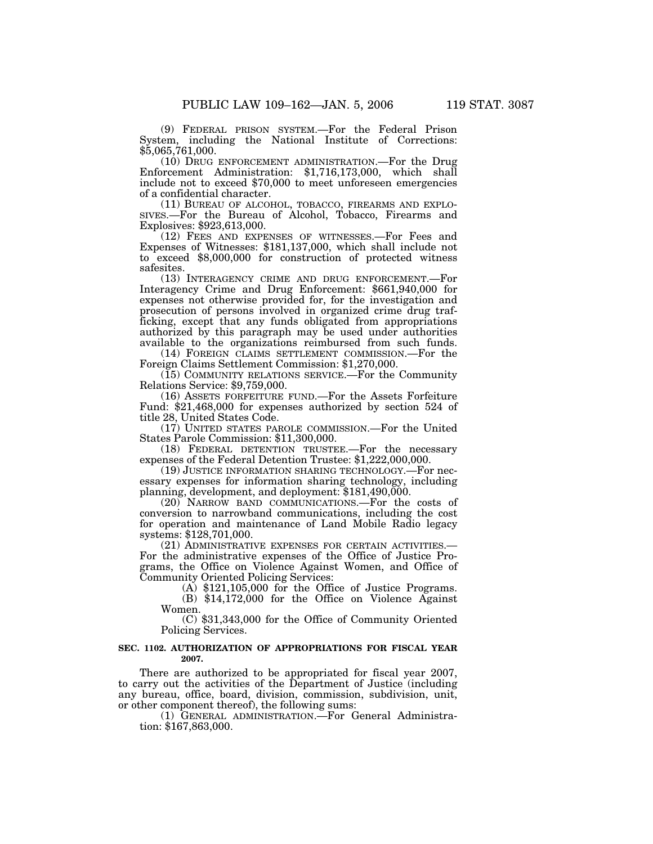(9) FEDERAL PRISON SYSTEM.—For the Federal Prison System, including the National Institute of Corrections: \$5,065,761,000.

(10) DRUG ENFORCEMENT ADMINISTRATION.—For the Drug Enforcement Administration: \$1,716,173,000, which shall include not to exceed \$70,000 to meet unforeseen emergencies of a confidential character.

(11) BUREAU OF ALCOHOL, TOBACCO, FIREARMS AND EXPLO- SIVES.—For the Bureau of Alcohol, Tobacco, Firearms and Explosives: \$923,613,000.

(12) FEES AND EXPENSES OF WITNESSES.—For Fees and Expenses of Witnesses: \$181,137,000, which shall include not to exceed \$8,000,000 for construction of protected witness safesites.

(13) INTERAGENCY CRIME AND DRUG ENFORCEMENT.—For Interagency Crime and Drug Enforcement: \$661,940,000 for expenses not otherwise provided for, for the investigation and prosecution of persons involved in organized crime drug trafficking, except that any funds obligated from appropriations authorized by this paragraph may be used under authorities available to the organizations reimbursed from such funds.

(14) FOREIGN CLAIMS SETTLEMENT COMMISSION.—For the Foreign Claims Settlement Commission: \$1,270,000.

(15) COMMUNITY RELATIONS SERVICE.—For the Community Relations Service: \$9,759,000.

(16) ASSETS FORFEITURE FUND.—For the Assets Forfeiture Fund: \$21,468,000 for expenses authorized by section 524 of title 28, United States Code.

(17) UNITED STATES PAROLE COMMISSION.—For the United States Parole Commission: \$11,300,000.

(18) FEDERAL DETENTION TRUSTEE.—For the necessary expenses of the Federal Detention Trustee: \$1,222,000,000.

(19) JUSTICE INFORMATION SHARING TECHNOLOGY.—For necessary expenses for information sharing technology, including planning, development, and deployment: \$181,490,000.

(20) NARROW BAND COMMUNICATIONS.—For the costs of conversion to narrowband communications, including the cost for operation and maintenance of Land Mobile Radio legacy systems: \$128,701,000.

(21) ADMINISTRATIVE EXPENSES FOR CERTAIN ACTIVITIES.— For the administrative expenses of the Office of Justice Programs, the Office on Violence Against Women, and Office of Community Oriented Policing Services:

(A) \$121,105,000 for the Office of Justice Programs. (B) \$14,172,000 for the Office on Violence Against Women.

(C) \$31,343,000 for the Office of Community Oriented Policing Services.

#### **SEC. 1102. AUTHORIZATION OF APPROPRIATIONS FOR FISCAL YEAR 2007.**

There are authorized to be appropriated for fiscal year 2007, to carry out the activities of the Department of Justice (including any bureau, office, board, division, commission, subdivision, unit, or other component thereof), the following sums:

(1) GENERAL ADMINISTRATION.—For General Administration: \$167,863,000.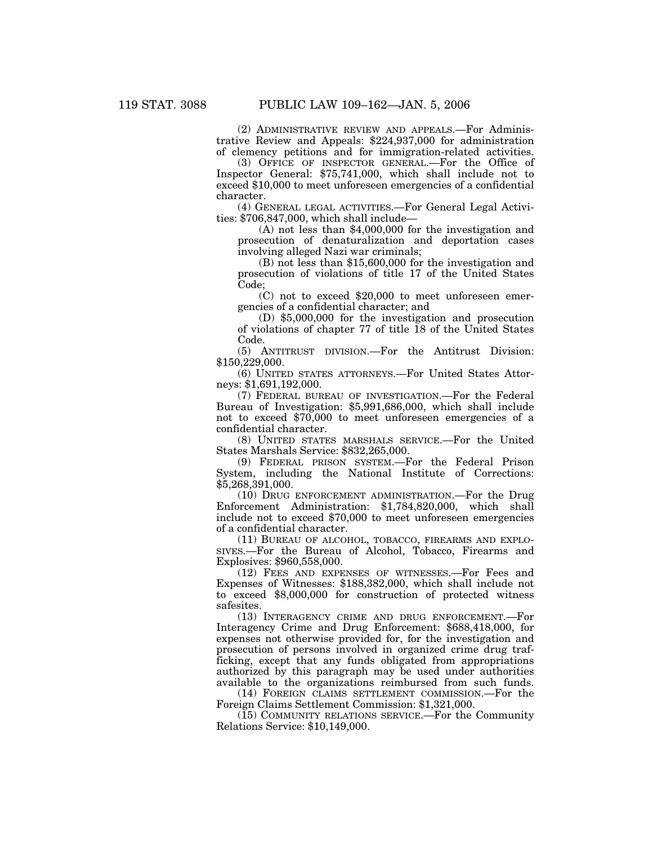(2) ADMINISTRATIVE REVIEW AND APPEALS.—For Administrative Review and Appeals: \$224,937,000 for administration of clemency petitions and for immigration-related activities.

(3) OFFICE OF INSPECTOR GENERAL.—For the Office of Inspector General: \$75,741,000, which shall include not to exceed \$10,000 to meet unforeseen emergencies of a confidential character.

(4) GENERAL LEGAL ACTIVITIES.—For General Legal Activities: \$706,847,000, which shall include—

(A) not less than \$4,000,000 for the investigation and prosecution of denaturalization and deportation cases involving alleged Nazi war criminals;

(B) not less than \$15,600,000 for the investigation and prosecution of violations of title 17 of the United States Code;

(C) not to exceed \$20,000 to meet unforeseen emergencies of a confidential character; and

(D) \$5,000,000 for the investigation and prosecution of violations of chapter 77 of title 18 of the United States Code.

(5) ANTITRUST DIVISION.—For the Antitrust Division: \$150,229,000.

(6) UNITED STATES ATTORNEYS.—For United States Attorneys: \$1,691,192,000.

(7) FEDERAL BUREAU OF INVESTIGATION.—For the Federal Bureau of Investigation: \$5,991,686,000, which shall include not to exceed \$70,000 to meet unforeseen emergencies of a confidential character.

(8) UNITED STATES MARSHALS SERVICE.—For the United States Marshals Service: \$832,265,000.

(9) FEDERAL PRISON SYSTEM.—For the Federal Prison System, including the National Institute of Corrections: \$5,268,391,000.

(10) DRUG ENFORCEMENT ADMINISTRATION.—For the Drug Enforcement Administration: \$1,784,820,000, which shall include not to exceed \$70,000 to meet unforeseen emergencies of a confidential character.

(11) BUREAU OF ALCOHOL, TOBACCO, FIREARMS AND EXPLO-SIVES.—For the Bureau of Alcohol, Tobacco, Firearms and Explosives: \$960,558,000.

(12) FEES AND EXPENSES OF WITNESSES.—For Fees and Expenses of Witnesses: \$188,382,000, which shall include not to exceed \$8,000,000 for construction of protected witness safesites.

(13) INTERAGENCY CRIME AND DRUG ENFORCEMENT.—For Interagency Crime and Drug Enforcement: \$688,418,000, for expenses not otherwise provided for, for the investigation and prosecution of persons involved in organized crime drug trafficking, except that any funds obligated from appropriations authorized by this paragraph may be used under authorities available to the organizations reimbursed from such funds.

(14) FOREIGN CLAIMS SETTLEMENT COMMISSION.—For the Foreign Claims Settlement Commission: \$1,321,000.

(15) COMMUNITY RELATIONS SERVICE.—For the Community Relations Service: \$10,149,000.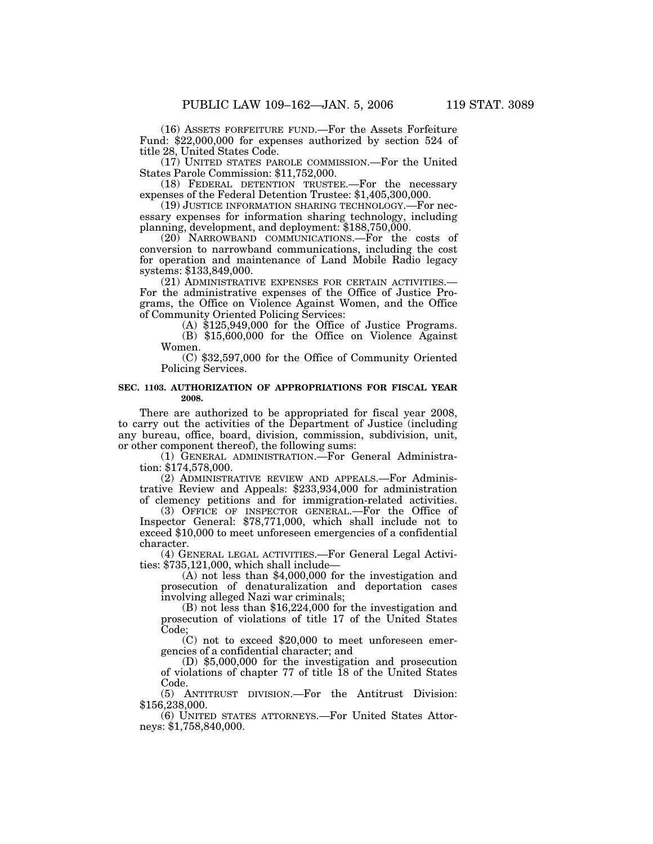(16) ASSETS FORFEITURE FUND.—For the Assets Forfeiture Fund: \$22,000,000 for expenses authorized by section 524 of title 28, United States Code.

(17) UNITED STATES PAROLE COMMISSION.—For the United States Parole Commission: \$11,752,000.

(18) FEDERAL DETENTION TRUSTEE.—For the necessary expenses of the Federal Detention Trustee: \$1,405,300,000.

(19) JUSTICE INFORMATION SHARING TECHNOLOGY.—For necessary expenses for information sharing technology, including planning, development, and deployment: \$188,750,000.

(20) NARROWBAND COMMUNICATIONS.—For the costs of conversion to narrowband communications, including the cost for operation and maintenance of Land Mobile Radio legacy systems: \$133,849,000.

(21) ADMINISTRATIVE EXPENSES FOR CERTAIN ACTIVITIES.— For the administrative expenses of the Office of Justice Programs, the Office on Violence Against Women, and the Office of Community Oriented Policing Services:

(A) \$125,949,000 for the Office of Justice Programs. (B) \$15,600,000 for the Office on Violence Against

Women. (C) \$32,597,000 for the Office of Community Oriented

Policing Services.

#### **SEC. 1103. AUTHORIZATION OF APPROPRIATIONS FOR FISCAL YEAR 2008.**

There are authorized to be appropriated for fiscal year 2008, to carry out the activities of the Department of Justice (including any bureau, office, board, division, commission, subdivision, unit, or other component thereof), the following sums:

(1) GENERAL ADMINISTRATION.—For General Administration: \$174,578,000.

(2) ADMINISTRATIVE REVIEW AND APPEALS.—For Administrative Review and Appeals: \$233,934,000 for administration of clemency petitions and for immigration-related activities.

(3) OFFICE OF INSPECTOR GENERAL.—For the Office of Inspector General: \$78,771,000, which shall include not to exceed \$10,000 to meet unforeseen emergencies of a confidential character.

(4) GENERAL LEGAL ACTIVITIES.—For General Legal Activities: \$735,121,000, which shall include—

(A) not less than \$4,000,000 for the investigation and prosecution of denaturalization and deportation cases involving alleged Nazi war criminals;

(B) not less than \$16,224,000 for the investigation and prosecution of violations of title 17 of the United States Code;

(C) not to exceed \$20,000 to meet unforeseen emergencies of a confidential character; and

(D) \$5,000,000 for the investigation and prosecution of violations of chapter 77 of title 18 of the United States Code.

(5) ANTITRUST DIVISION.—For the Antitrust Division: \$156,238,000.

(6) UNITED STATES ATTORNEYS.—For United States Attorneys: \$1,758,840,000.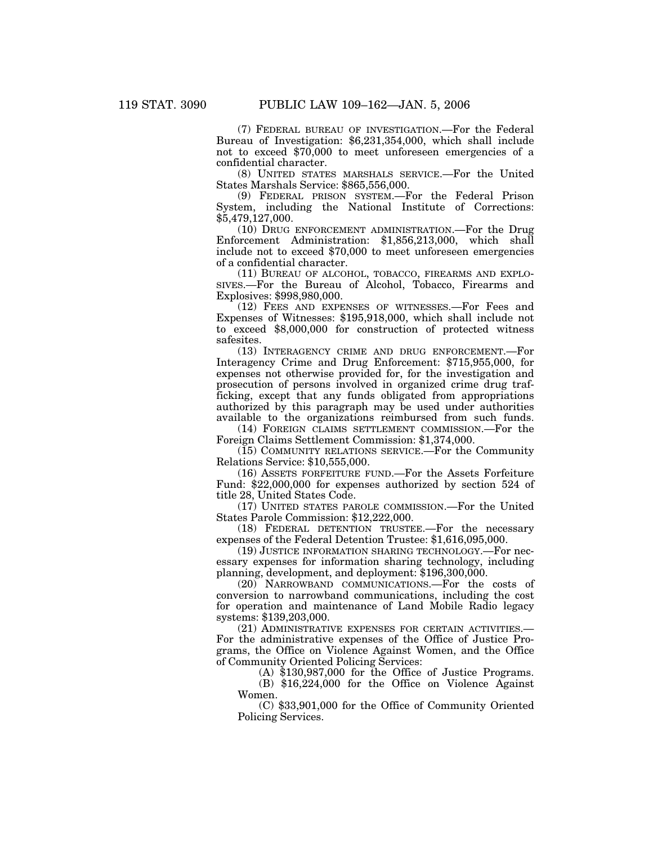(7) FEDERAL BUREAU OF INVESTIGATION.—For the Federal Bureau of Investigation: \$6,231,354,000, which shall include not to exceed \$70,000 to meet unforeseen emergencies of a confidential character.

(8) UNITED STATES MARSHALS SERVICE.—For the United States Marshals Service: \$865,556,000.

(9) FEDERAL PRISON SYSTEM.—For the Federal Prison System, including the National Institute of Corrections: \$5,479,127,000.

(10) DRUG ENFORCEMENT ADMINISTRATION.—For the Drug Enforcement Administration: \$1,856,213,000, which shall include not to exceed \$70,000 to meet unforeseen emergencies of a confidential character.

(11) BUREAU OF ALCOHOL, TOBACCO, FIREARMS AND EXPLO-SIVES.—For the Bureau of Alcohol, Tobacco, Firearms and Explosives: \$998,980,000.

(12) FEES AND EXPENSES OF WITNESSES.—For Fees and Expenses of Witnesses: \$195,918,000, which shall include not to exceed \$8,000,000 for construction of protected witness safesites.

(13) INTERAGENCY CRIME AND DRUG ENFORCEMENT.—For Interagency Crime and Drug Enforcement: \$715,955,000, for expenses not otherwise provided for, for the investigation and prosecution of persons involved in organized crime drug trafficking, except that any funds obligated from appropriations authorized by this paragraph may be used under authorities available to the organizations reimbursed from such funds.

(14) FOREIGN CLAIMS SETTLEMENT COMMISSION.—For the Foreign Claims Settlement Commission: \$1,374,000.

(15) COMMUNITY RELATIONS SERVICE.—For the Community Relations Service: \$10,555,000.

(16) ASSETS FORFEITURE FUND.—For the Assets Forfeiture Fund: \$22,000,000 for expenses authorized by section 524 of title 28, United States Code.

(17) UNITED STATES PAROLE COMMISSION.—For the United States Parole Commission: \$12,222,000.

(18) FEDERAL DETENTION TRUSTEE.—For the necessary expenses of the Federal Detention Trustee: \$1,616,095,000.

(19) JUSTICE INFORMATION SHARING TECHNOLOGY.—For necessary expenses for information sharing technology, including planning, development, and deployment: \$196,300,000.

(20) NARROWBAND COMMUNICATIONS.—For the costs of conversion to narrowband communications, including the cost for operation and maintenance of Land Mobile Radio legacy systems: \$139,203,000.

(21) ADMINISTRATIVE EXPENSES FOR CERTAIN ACTIVITIES.— For the administrative expenses of the Office of Justice Programs, the Office on Violence Against Women, and the Office of Community Oriented Policing Services:

 $(A)$  \$130,987,000 for the Office of Justice Programs.

(B) \$16,224,000 for the Office on Violence Against Women.

(C) \$33,901,000 for the Office of Community Oriented Policing Services.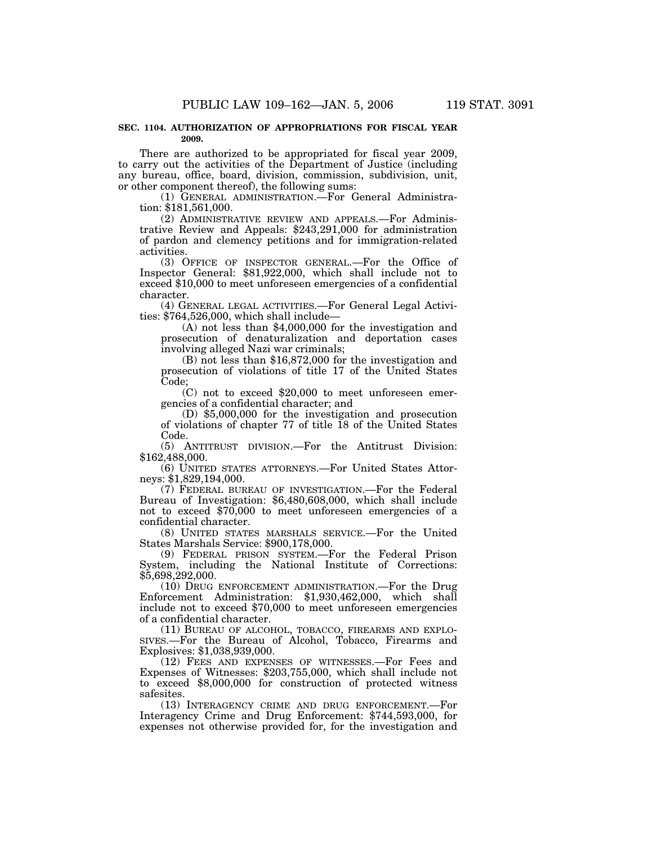#### **SEC. 1104. AUTHORIZATION OF APPROPRIATIONS FOR FISCAL YEAR 2009.**

There are authorized to be appropriated for fiscal year 2009, to carry out the activities of the Department of Justice (including any bureau, office, board, division, commission, subdivision, unit, or other component thereof), the following sums:

(1) GENERAL ADMINISTRATION.—For General Administration: \$181,561,000.

(2) ADMINISTRATIVE REVIEW AND APPEALS.—For Administrative Review and Appeals: \$243,291,000 for administration of pardon and clemency petitions and for immigration-related activities.

(3) OFFICE OF INSPECTOR GENERAL.—For the Office of Inspector General: \$81,922,000, which shall include not to exceed \$10,000 to meet unforeseen emergencies of a confidential character.

(4) GENERAL LEGAL ACTIVITIES.—For General Legal Activities: \$764,526,000, which shall include—

(A) not less than \$4,000,000 for the investigation and prosecution of denaturalization and deportation cases involving alleged Nazi war criminals;

(B) not less than \$16,872,000 for the investigation and prosecution of violations of title 17 of the United States Code;

(C) not to exceed \$20,000 to meet unforeseen emergencies of a confidential character; and

(D) \$5,000,000 for the investigation and prosecution of violations of chapter 77 of title 18 of the United States Code.

(5) ANTITRUST DIVISION.—For the Antitrust Division: \$162,488,000.

(6) UNITED STATES ATTORNEYS.—For United States Attorneys: \$1,829,194,000.

(7) FEDERAL BUREAU OF INVESTIGATION.—For the Federal Bureau of Investigation: \$6,480,608,000, which shall include not to exceed \$70,000 to meet unforeseen emergencies of a confidential character.

(8) UNITED STATES MARSHALS SERVICE.—For the United States Marshals Service: \$900,178,000.

(9) FEDERAL PRISON SYSTEM.—For the Federal Prison System, including the National Institute of Corrections: \$5,698,292,000.

(10) DRUG ENFORCEMENT ADMINISTRATION.—For the Drug Enforcement Administration: \$1,930,462,000, which shall include not to exceed \$70,000 to meet unforeseen emergencies of a confidential character.

(11) BUREAU OF ALCOHOL, TOBACCO, FIREARMS AND EXPLO-SIVES.—For the Bureau of Alcohol, Tobacco, Firearms and Explosives: \$1,038,939,000.

(12) FEES AND EXPENSES OF WITNESSES.—For Fees and Expenses of Witnesses: \$203,755,000, which shall include not to exceed \$8,000,000 for construction of protected witness safesites.

(13) INTERAGENCY CRIME AND DRUG ENFORCEMENT.—For Interagency Crime and Drug Enforcement: \$744,593,000, for expenses not otherwise provided for, for the investigation and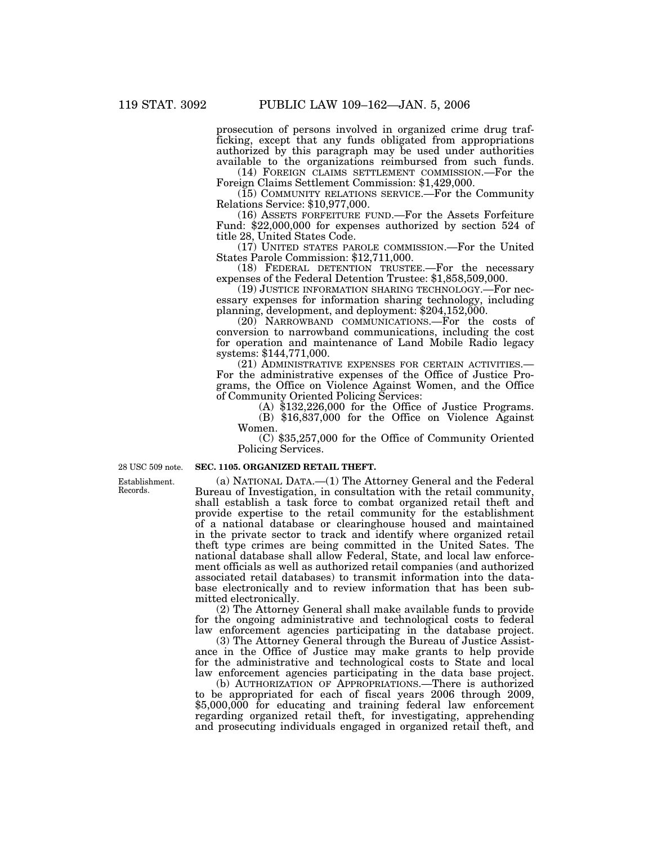prosecution of persons involved in organized crime drug trafficking, except that any funds obligated from appropriations authorized by this paragraph may be used under authorities available to the organizations reimbursed from such funds.

(14) FOREIGN CLAIMS SETTLEMENT COMMISSION.—For the Foreign Claims Settlement Commission: \$1,429,000.

(15) COMMUNITY RELATIONS SERVICE.—For the Community Relations Service: \$10,977,000.

(16) ASSETS FORFEITURE FUND.—For the Assets Forfeiture Fund: \$22,000,000 for expenses authorized by section 524 of title 28, United States Code.

(17) UNITED STATES PAROLE COMMISSION.—For the United States Parole Commission: \$12,711,000.<br>(18) FEDERAL DETENTION TRUSTEE.—For the necessary

expenses of the Federal Detention Trustee: \$1,858,509,000.

(19) JUSTICE INFORMATION SHARING TECHNOLOGY.—For necessary expenses for information sharing technology, including planning, development, and deployment: \$204,152,000.

(20) NARROWBAND COMMUNICATIONS.—For the costs of conversion to narrowband communications, including the cost for operation and maintenance of Land Mobile Radio legacy systems: \$144,771,000.

(21) ADMINISTRATIVE EXPENSES FOR CERTAIN ACTIVITIES.— For the administrative expenses of the Office of Justice Programs, the Office on Violence Against Women, and the Office of Community Oriented Policing Services:

(A) \$132,226,000 for the Office of Justice Programs. (B) \$16,837,000 for the Office on Violence Against Women.

(C) \$35,257,000 for the Office of Community Oriented Policing Services.

28 USC 509 note.

Establishment. Records.

#### **SEC. 1105. ORGANIZED RETAIL THEFT.**

(a) NATIONAL DATA.—(1) The Attorney General and the Federal Bureau of Investigation, in consultation with the retail community, shall establish a task force to combat organized retail theft and provide expertise to the retail community for the establishment of a national database or clearinghouse housed and maintained in the private sector to track and identify where organized retail theft type crimes are being committed in the United Sates. The national database shall allow Federal, State, and local law enforcement officials as well as authorized retail companies (and authorized associated retail databases) to transmit information into the database electronically and to review information that has been submitted electronically.

(2) The Attorney General shall make available funds to provide for the ongoing administrative and technological costs to federal law enforcement agencies participating in the database project.

(3) The Attorney General through the Bureau of Justice Assistance in the Office of Justice may make grants to help provide for the administrative and technological costs to State and local law enforcement agencies participating in the data base project.

(b) AUTHORIZATION OF APPROPRIATIONS.—There is authorized to be appropriated for each of fiscal years 2006 through 2009, \$5,000,000 for educating and training federal law enforcement regarding organized retail theft, for investigating, apprehending and prosecuting individuals engaged in organized retail theft, and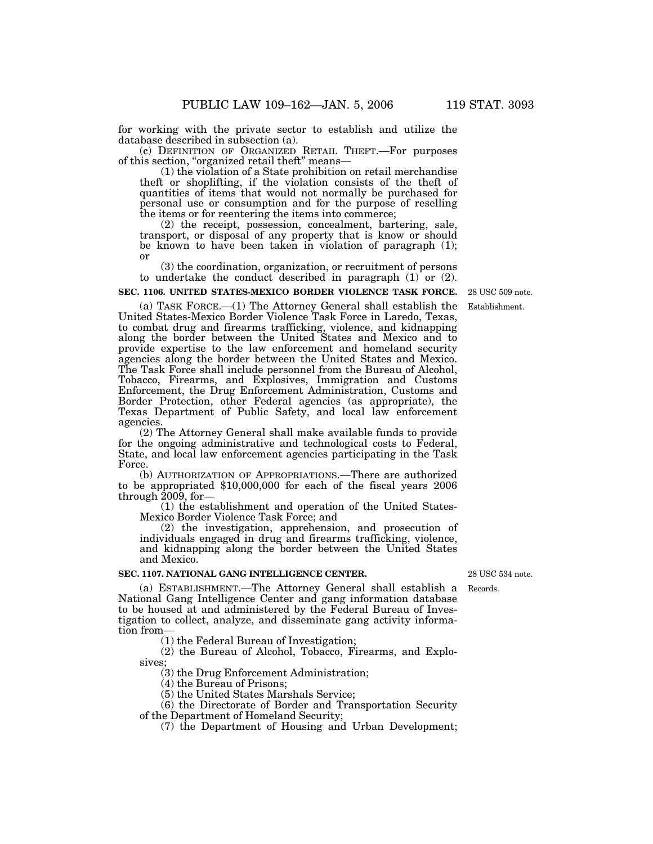for working with the private sector to establish and utilize the database described in subsection (a).

(c) DEFINITION OF ORGANIZED RETAIL THEFT.—For purposes of this section, "organized retail theft" means-

(1) the violation of a State prohibition on retail merchandise theft or shoplifting, if the violation consists of the theft of quantities of items that would not normally be purchased for personal use or consumption and for the purpose of reselling the items or for reentering the items into commerce;

(2) the receipt, possession, concealment, bartering, sale, transport, or disposal of any property that is know or should be known to have been taken in violation of paragraph (1); or

(3) the coordination, organization, or recruitment of persons to undertake the conduct described in paragraph (1) or (2).

## **SEC. 1106. UNITED STATES-MEXICO BORDER VIOLENCE TASK FORCE.**

(a) TASK FORCE.—(1) The Attorney General shall establish the United States-Mexico Border Violence Task Force in Laredo, Texas, to combat drug and firearms trafficking, violence, and kidnapping along the border between the United States and Mexico and to provide expertise to the law enforcement and homeland security agencies along the border between the United States and Mexico. The Task Force shall include personnel from the Bureau of Alcohol, Tobacco, Firearms, and Explosives, Immigration and Customs Enforcement, the Drug Enforcement Administration, Customs and Border Protection, other Federal agencies (as appropriate), the Texas Department of Public Safety, and local law enforcement agencies.

(2) The Attorney General shall make available funds to provide for the ongoing administrative and technological costs to Federal, State, and local law enforcement agencies participating in the Task Force.

(b) AUTHORIZATION OF APPROPRIATIONS.—There are authorized to be appropriated \$10,000,000 for each of the fiscal years 2006 through  $\bar{2}00\overline{9}$ , for-

(1) the establishment and operation of the United States-Mexico Border Violence Task Force; and

(2) the investigation, apprehension, and prosecution of individuals engaged in drug and firearms trafficking, violence, and kidnapping along the border between the United States and Mexico.

#### **SEC. 1107. NATIONAL GANG INTELLIGENCE CENTER.**

28 USC 534 note.

Records.

(a) ESTABLISHMENT.—The Attorney General shall establish a National Gang Intelligence Center and gang information database to be housed at and administered by the Federal Bureau of Investigation to collect, analyze, and disseminate gang activity information from—

(1) the Federal Bureau of Investigation;

(2) the Bureau of Alcohol, Tobacco, Firearms, and Explosives;

(3) the Drug Enforcement Administration;

(4) the Bureau of Prisons;

(5) the United States Marshals Service;

(6) the Directorate of Border and Transportation Security of the Department of Homeland Security;

(7) the Department of Housing and Urban Development;

Establishment. 28 USC 509 note.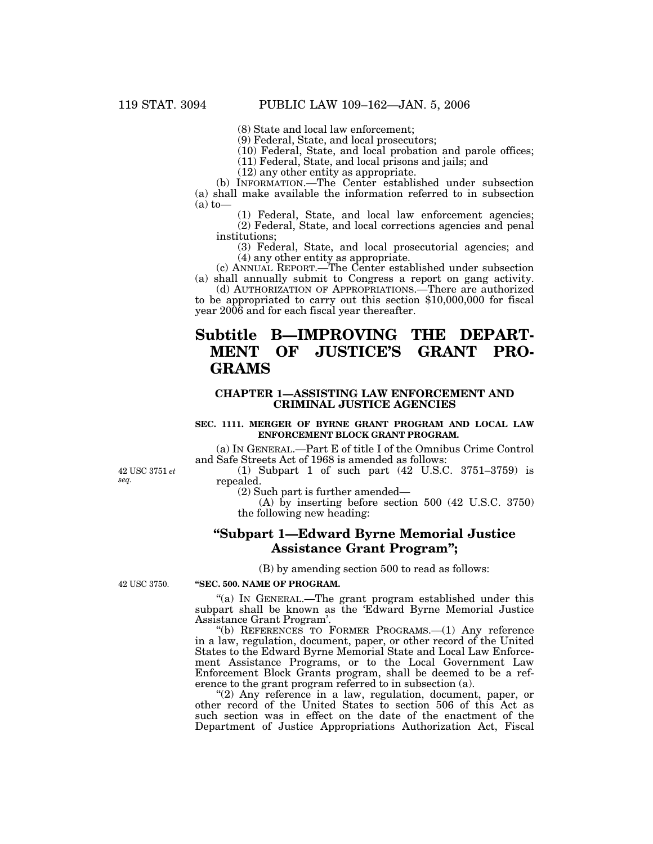(8) State and local law enforcement;

(9) Federal, State, and local prosecutors;

(10) Federal, State, and local probation and parole offices;

(11) Federal, State, and local prisons and jails; and

(12) any other entity as appropriate.

(b) INFORMATION.—The Center established under subsection (a) shall make available the information referred to in subsection  $(a)$  to-

(1) Federal, State, and local law enforcement agencies; (2) Federal, State, and local corrections agencies and penal institutions;

(3) Federal, State, and local prosecutorial agencies; and (4) any other entity as appropriate.

(c) ANNUAL REPORT.—The Center established under subsection (a) shall annually submit to Congress a report on gang activity.

(d) AUTHORIZATION OF APPROPRIATIONS.—There are authorized to be appropriated to carry out this section \$10,000,000 for fiscal year 2006 and for each fiscal year thereafter.

# **Subtitle B—IMPROVING THE DEPART-MENT OF JUSTICE'S GRANT PRO-GRAMS**

## **CHAPTER 1—ASSISTING LAW ENFORCEMENT AND CRIMINAL JUSTICE AGENCIES**

#### **SEC. 1111. MERGER OF BYRNE GRANT PROGRAM AND LOCAL LAW ENFORCEMENT BLOCK GRANT PROGRAM.**

(a) IN GENERAL.—Part E of title I of the Omnibus Crime Control and Safe Streets Act of 1968 is amended as follows: (1) Subpart 1 of such part (42 U.S.C. 3751–3759) is

42 USC 3751 *et seq.*

(2) Such part is further amended—

(A) by inserting before section 500 (42 U.S.C. 3750) the following new heading:

# **''Subpart 1—Edward Byrne Memorial Justice Assistance Grant Program'';**

(B) by amending section 500 to read as follows:

42 USC 3750.

#### **''SEC. 500. NAME OF PROGRAM.**

repealed.

"(a) IN GENERAL.—The grant program established under this subpart shall be known as the 'Edward Byrne Memorial Justice Assistance Grant Program'.

''(b) REFERENCES TO FORMER PROGRAMS.—(1) Any reference in a law, regulation, document, paper, or other record of the United States to the Edward Byrne Memorial State and Local Law Enforcement Assistance Programs, or to the Local Government Law Enforcement Block Grants program, shall be deemed to be a reference to the grant program referred to in subsection (a).

"(2) Any reference in a law, regulation, document, paper, or other record of the United States to section 506 of this Act as such section was in effect on the date of the enactment of the Department of Justice Appropriations Authorization Act, Fiscal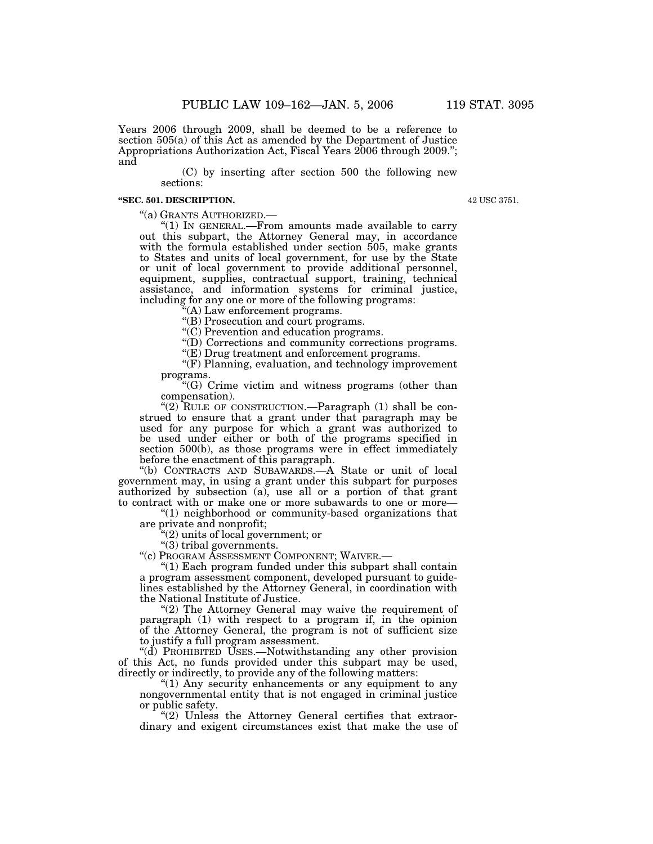Years 2006 through 2009, shall be deemed to be a reference to section 505(a) of this Act as amended by the Department of Justice Appropriations Authorization Act, Fiscal Years 2006 through 2009.''; and

> (C) by inserting after section 500 the following new sections:

#### **''SEC. 501. DESCRIPTION.**

''(a) GRANTS AUTHORIZED.— ''(1) IN GENERAL.—From amounts made available to carry out this subpart, the Attorney General may, in accordance with the formula established under section 505, make grants to States and units of local government, for use by the State or unit of local government to provide additional personnel, equipment, supplies, contractual support, training, technical assistance, and information systems for criminal justice, including for any one or more of the following programs:

''(A) Law enforcement programs.

''(B) Prosecution and court programs.

''(C) Prevention and education programs.

''(D) Corrections and community corrections programs.

''(E) Drug treatment and enforcement programs.

"(F) Planning, evaluation, and technology improvement programs.

''(G) Crime victim and witness programs (other than compensation).

"(2) RULE OF CONSTRUCTION.—Paragraph (1) shall be construed to ensure that a grant under that paragraph may be used for any purpose for which a grant was authorized to be used under either or both of the programs specified in section 500(b), as those programs were in effect immediately before the enactment of this paragraph.

''(b) CONTRACTS AND SUBAWARDS.—A State or unit of local government may, in using a grant under this subpart for purposes authorized by subsection (a), use all or a portion of that grant to contract with or make one or more subawards to one or more—

''(1) neighborhood or community-based organizations that are private and nonprofit;

 $(2)$  units of local government; or

''(3) tribal governments.

''(c) PROGRAM ASSESSMENT COMPONENT; WAIVER.—

''(1) Each program funded under this subpart shall contain a program assessment component, developed pursuant to guidelines established by the Attorney General, in coordination with the National Institute of Justice.

"(2) The Attorney General may waive the requirement of paragraph (1) with respect to a program if, in the opinion of the Attorney General, the program is not of sufficient size to justify a full program assessment.

"(d) PROHIBITED USES.—Notwithstanding any other provision of this Act, no funds provided under this subpart may be used, directly or indirectly, to provide any of the following matters:

''(1) Any security enhancements or any equipment to any nongovernmental entity that is not engaged in criminal justice or public safety.

"(2) Unless the Attorney General certifies that extraordinary and exigent circumstances exist that make the use of

42 USC 3751.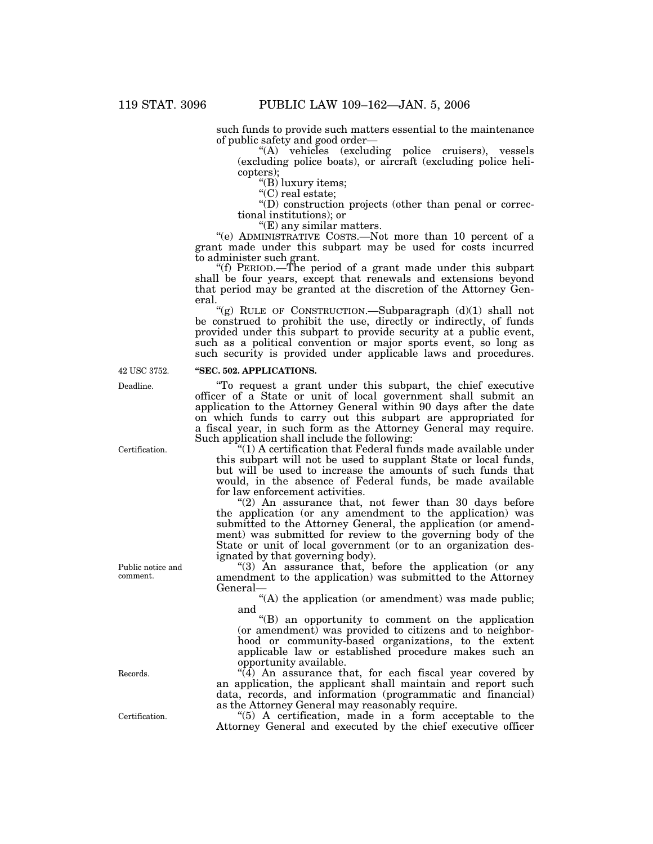such funds to provide such matters essential to the maintenance of public safety and good order—

''(A) vehicles (excluding police cruisers), vessels (excluding police boats), or aircraft (excluding police helicopters);

''(B) luxury items;

''(C) real estate;

''(D) construction projects (other than penal or correctional institutions); or

''(E) any similar matters.

''(e) ADMINISTRATIVE COSTS.—Not more than 10 percent of a grant made under this subpart may be used for costs incurred to administer such grant.

''(f) PERIOD.—The period of a grant made under this subpart shall be four years, except that renewals and extensions beyond that period may be granted at the discretion of the Attorney General.

''(g) RULE OF CONSTRUCTION.—Subparagraph (d)(1) shall not be construed to prohibit the use, directly or indirectly, of funds provided under this subpart to provide security at a public event, such as a political convention or major sports event, so long as such security is provided under applicable laws and procedures.

#### **''SEC. 502. APPLICATIONS.**

''To request a grant under this subpart, the chief executive officer of a State or unit of local government shall submit an application to the Attorney General within 90 days after the date on which funds to carry out this subpart are appropriated for a fiscal year, in such form as the Attorney General may require. Such application shall include the following:

''(1) A certification that Federal funds made available under this subpart will not be used to supplant State or local funds, but will be used to increase the amounts of such funds that would, in the absence of Federal funds, be made available for law enforcement activities.

" $(2)$  An assurance that, not fewer than 30 days before the application (or any amendment to the application) was submitted to the Attorney General, the application (or amendment) was submitted for review to the governing body of the State or unit of local government (or to an organization designated by that governing body).

''(3) An assurance that, before the application (or any amendment to the application) was submitted to the Attorney General—

"(A) the application (or amendment) was made public; and

 $H(B)$  an opportunity to comment on the application (or amendment) was provided to citizens and to neighborhood or community-based organizations, to the extent applicable law or established procedure makes such an opportunity available.

 $\sqrt[4]{4}$  An assurance that, for each fiscal year covered by an application, the applicant shall maintain and report such data, records, and information (programmatic and financial) as the Attorney General may reasonably require.

''(5) A certification, made in a form acceptable to the Attorney General and executed by the chief executive officer

42 USC 3752.

Deadline.

Certification.

Public notice and comment.

Records.

Certification.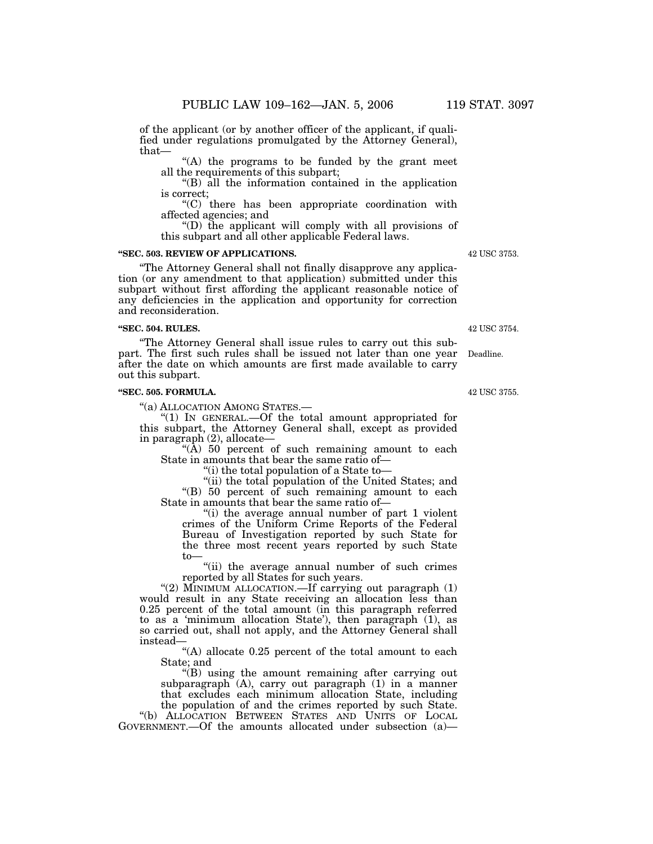of the applicant (or by another officer of the applicant, if qualified under regulations promulgated by the Attorney General), that—

''(A) the programs to be funded by the grant meet all the requirements of this subpart;

''(B) all the information contained in the application is correct;

''(C) there has been appropriate coordination with affected agencies; and

''(D) the applicant will comply with all provisions of this subpart and all other applicable Federal laws.

#### **''SEC. 503. REVIEW OF APPLICATIONS.**

''The Attorney General shall not finally disapprove any application (or any amendment to that application) submitted under this subpart without first affording the applicant reasonable notice of any deficiencies in the application and opportunity for correction and reconsideration.

#### **''SEC. 504. RULES.**

''The Attorney General shall issue rules to carry out this subpart. The first such rules shall be issued not later than one year after the date on which amounts are first made available to carry out this subpart.

## **''SEC. 505. FORMULA.**

''(a) ALLOCATION AMONG STATES.—

''(1) IN GENERAL.—Of the total amount appropriated for this subpart, the Attorney General shall, except as provided in paragraph (2), allocate—

"( $\overline{A}$ ) 50 percent of such remaining amount to each State in amounts that bear the same ratio of—

''(i) the total population of a State to—

"(ii) the total population of the United States; and ''(B) 50 percent of such remaining amount to each State in amounts that bear the same ratio of—

''(i) the average annual number of part 1 violent crimes of the Uniform Crime Reports of the Federal Bureau of Investigation reported by such State for the three most recent years reported by such State to—

''(ii) the average annual number of such crimes reported by all States for such years.

"(2) MINIMUM ALLOCATION.—If carrying out paragraph (1) would result in any State receiving an allocation less than 0.25 percent of the total amount (in this paragraph referred to as a 'minimum allocation State'), then paragraph (1), as so carried out, shall not apply, and the Attorney General shall instead—

"(A) allocate 0.25 percent of the total amount to each State; and

"(B) using the amount remaining after carrying out subparagraph (A), carry out paragraph (1) in a manner that excludes each minimum allocation State, including the population of and the crimes reported by such State.

''(b) ALLOCATION BETWEEN STATES AND UNITS OF LOCAL GOVERNMENT.—Of the amounts allocated under subsection (a)—

42 USC 3754.

Deadline.

42 USC 3755.

42 USC 3753.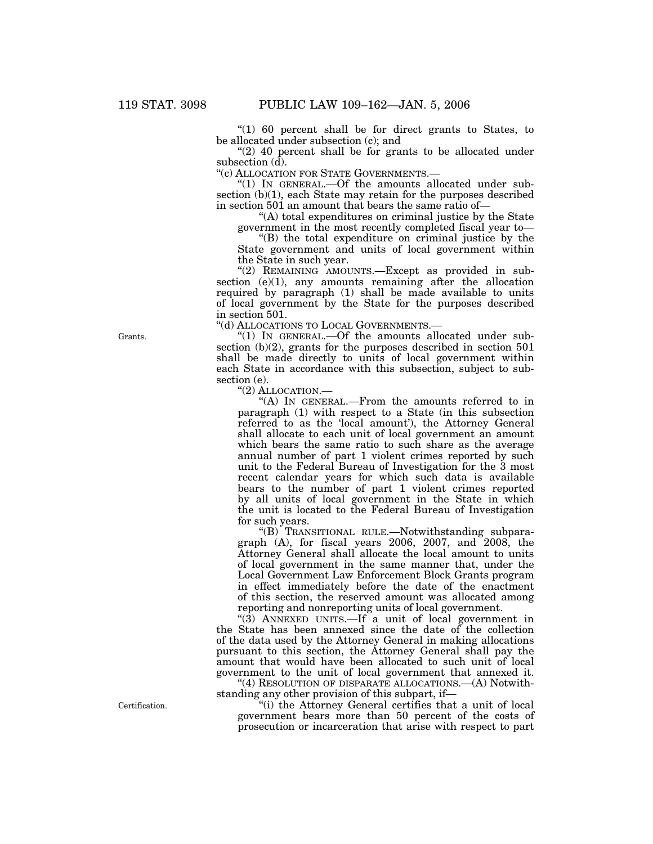" $(1)$  60 percent shall be for direct grants to States, to be allocated under subsection (c); and

" $(2)$  40 percent shall be for grants to be allocated under subsection (d).

''(c) ALLOCATION FOR STATE GOVERNMENTS.—

''(1) IN GENERAL.—Of the amounts allocated under subsection (b)(1), each State may retain for the purposes described in section 501 an amount that bears the same ratio of—

''(A) total expenditures on criminal justice by the State government in the most recently completed fiscal year to—

''(B) the total expenditure on criminal justice by the State government and units of local government within the State in such year.

"(2) REMAINING AMOUNTS.—Except as provided in subsection (e)(1), any amounts remaining after the allocation required by paragraph (1) shall be made available to units of local government by the State for the purposes described in section 501.

''(d) ALLOCATIONS TO LOCAL GOVERNMENTS.—

" $(1)$  IN GENERAL.—Of the amounts allocated under subsection (b)(2), grants for the purposes described in section 501 shall be made directly to units of local government within each State in accordance with this subsection, subject to subsection (e).

''(2) ALLOCATION.—

''(A) IN GENERAL.—From the amounts referred to in paragraph (1) with respect to a State (in this subsection referred to as the 'local amount'), the Attorney General shall allocate to each unit of local government an amount which bears the same ratio to such share as the average annual number of part 1 violent crimes reported by such unit to the Federal Bureau of Investigation for the 3 most recent calendar years for which such data is available bears to the number of part 1 violent crimes reported by all units of local government in the State in which the unit is located to the Federal Bureau of Investigation for such years.

''(B) TRANSITIONAL RULE.—Notwithstanding subparagraph  $(A)$ , for fiscal years 2006, 2007, and 2008, the Attorney General shall allocate the local amount to units of local government in the same manner that, under the Local Government Law Enforcement Block Grants program in effect immediately before the date of the enactment of this section, the reserved amount was allocated among reporting and nonreporting units of local government.

''(3) ANNEXED UNITS.—If a unit of local government in the State has been annexed since the date of the collection of the data used by the Attorney General in making allocations pursuant to this section, the Attorney General shall pay the amount that would have been allocated to such unit of local government to the unit of local government that annexed it.

"(4) RESOLUTION OF DISPARATE ALLOCATIONS.—(A) Notwithstanding any other provision of this subpart, if—

''(i) the Attorney General certifies that a unit of local government bears more than 50 percent of the costs of prosecution or incarceration that arise with respect to part

Grants.

Certification.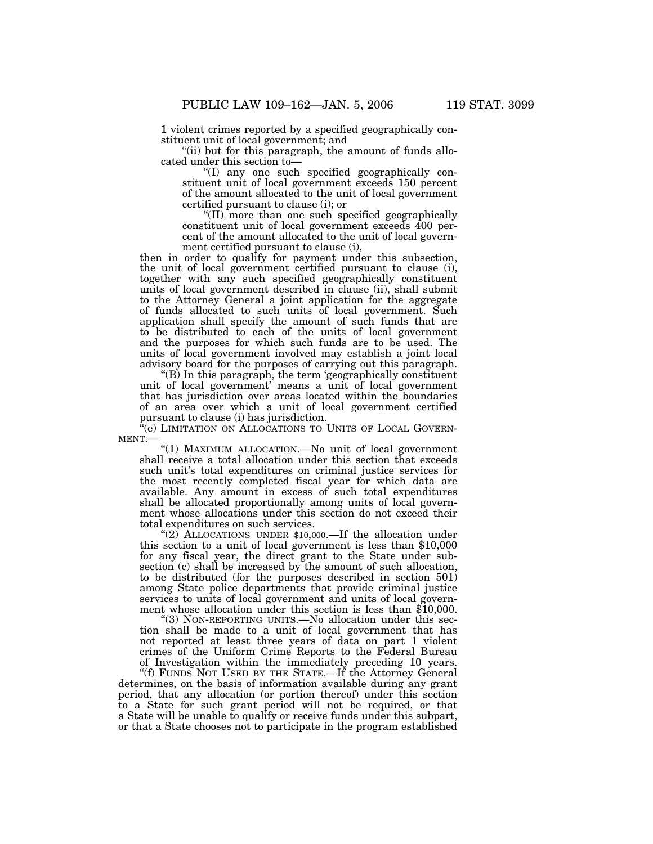1 violent crimes reported by a specified geographically constituent unit of local government; and

"(ii) but for this paragraph, the amount of funds allocated under this section to—

''(I) any one such specified geographically constituent unit of local government exceeds 150 percent of the amount allocated to the unit of local government certified pursuant to clause (i); or

''(II) more than one such specified geographically constituent unit of local government exceeds 400 percent of the amount allocated to the unit of local government certified pursuant to clause (i),

then in order to qualify for payment under this subsection, the unit of local government certified pursuant to clause (i), together with any such specified geographically constituent units of local government described in clause (ii), shall submit to the Attorney General a joint application for the aggregate of funds allocated to such units of local government. Such application shall specify the amount of such funds that are to be distributed to each of the units of local government and the purposes for which such funds are to be used. The units of local government involved may establish a joint local advisory board for the purposes of carrying out this paragraph.

"(B) In this paragraph, the term 'geographically constituent unit of local government' means a unit of local government that has jurisdiction over areas located within the boundaries of an area over which a unit of local government certified pursuant to clause (i) has jurisdiction.

<sup>'(e)</sup> LIMITATION ON ALLOCATIONS TO UNITS OF LOCAL GOVERN-MENT.—

''(1) MAXIMUM ALLOCATION.—No unit of local government shall receive a total allocation under this section that exceeds such unit's total expenditures on criminal justice services for the most recently completed fiscal year for which data are available. Any amount in excess of such total expenditures shall be allocated proportionally among units of local government whose allocations under this section do not exceed their total expenditures on such services.

" $(2)$  ALLOCATIONS UNDER \$10,000.—If the allocation under this section to a unit of local government is less than \$10,000 for any fiscal year, the direct grant to the State under subsection (c) shall be increased by the amount of such allocation, to be distributed (for the purposes described in section 501) among State police departments that provide criminal justice services to units of local government and units of local government whose allocation under this section is less than \$10,000.

''(3) NON-REPORTING UNITS.—No allocation under this section shall be made to a unit of local government that has not reported at least three years of data on part 1 violent crimes of the Uniform Crime Reports to the Federal Bureau of Investigation within the immediately preceding 10 years.

''(f) FUNDS NOT USED BY THE STATE.—If the Attorney General determines, on the basis of information available during any grant period, that any allocation (or portion thereof) under this section to a State for such grant period will not be required, or that a State will be unable to qualify or receive funds under this subpart, or that a State chooses not to participate in the program established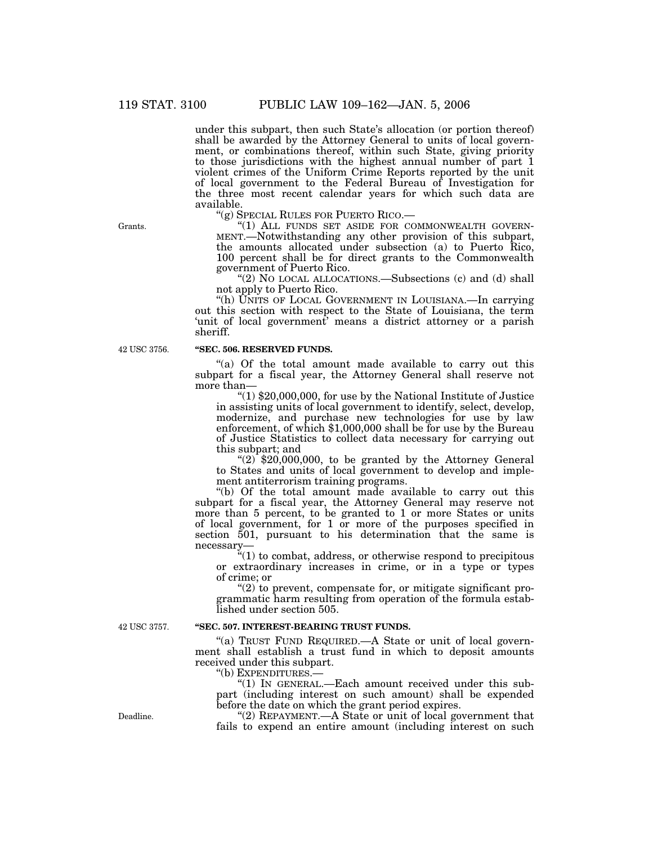under this subpart, then such State's allocation (or portion thereof) shall be awarded by the Attorney General to units of local government, or combinations thereof, within such State, giving priority to those jurisdictions with the highest annual number of part 1 violent crimes of the Uniform Crime Reports reported by the unit of local government to the Federal Bureau of Investigation for the three most recent calendar years for which such data are available.<br>"(g) SPECIAL RULES FOR PUERTO RICO.—

"(1) ALL FUNDS SET ASIDE FOR COMMONWEALTH GOVERNMENT.—Notwithstanding any other provision of this subpart, the amounts allocated under subsection (a) to Puerto Rico, 100 percent shall be for direct grants to the Commonwealth government of Puerto Rico.

''(2) NO LOCAL ALLOCATIONS.—Subsections (c) and (d) shall not apply to Puerto Rico.

"(h) UNITS OF LOCAL GOVERNMENT IN LOUISIANA.—In carrying out this section with respect to the State of Louisiana, the term 'unit of local government' means a district attorney or a parish sheriff.

#### **''SEC. 506. RESERVED FUNDS.**

"(a) Of the total amount made available to carry out this subpart for a fiscal year, the Attorney General shall reserve not more than-

" $(1)$  \$20,000,000, for use by the National Institute of Justice" in assisting units of local government to identify, select, develop, modernize, and purchase new technologies for use by law enforcement, of which \$1,000,000 shall be for use by the Bureau of Justice Statistics to collect data necessary for carrying out this subpart; and

" $(2)$  \$20,000,000, to be granted by the Attorney General to States and units of local government to develop and implement antiterrorism training programs.

''(b) Of the total amount made available to carry out this subpart for a fiscal year, the Attorney General may reserve not more than 5 percent, to be granted to 1 or more States or units of local government, for 1 or more of the purposes specified in section 501, pursuant to his determination that the same is necessary—

''(1) to combat, address, or otherwise respond to precipitous or extraordinary increases in crime, or in a type or types of crime; or

 $(2)$  to prevent, compensate for, or mitigate significant programmatic harm resulting from operation of the formula established under section 505.

42 USC 3757.

Deadline.

#### **''SEC. 507. INTEREST-BEARING TRUST FUNDS.**

"(a) TRUST FUND REQUIRED.—A State or unit of local government shall establish a trust fund in which to deposit amounts received under this subpart.

''(b) EXPENDITURES.—

"(1) IN GENERAL.—Each amount received under this subpart (including interest on such amount) shall be expended before the date on which the grant period expires.

"(2) REPAYMENT.—A State or unit of local government that fails to expend an entire amount (including interest on such

Grants.

42 USC 3756.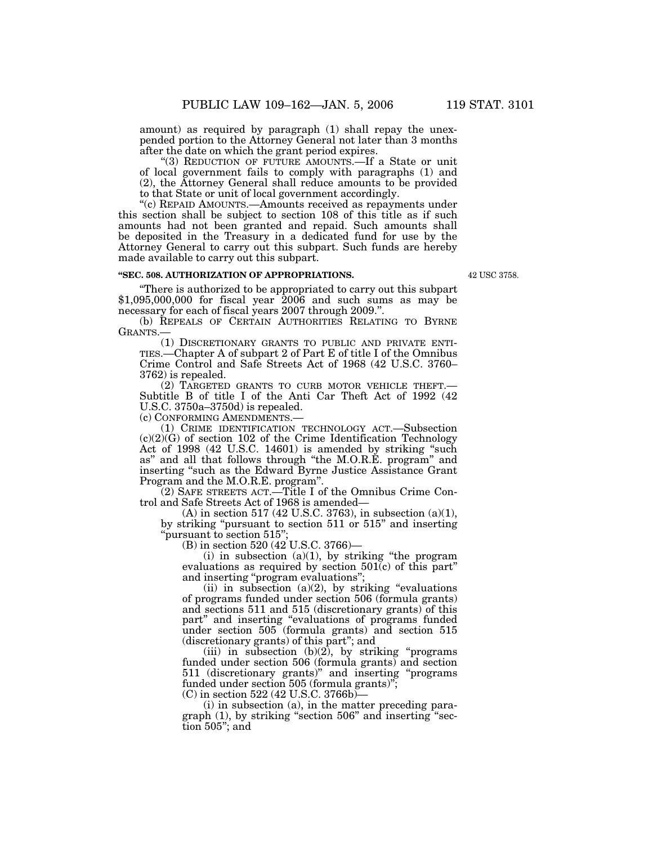amount) as required by paragraph (1) shall repay the unexpended portion to the Attorney General not later than 3 months after the date on which the grant period expires.

''(3) REDUCTION OF FUTURE AMOUNTS.—If a State or unit of local government fails to comply with paragraphs (1) and (2), the Attorney General shall reduce amounts to be provided to that State or unit of local government accordingly.

''(c) REPAID AMOUNTS.—Amounts received as repayments under this section shall be subject to section 108 of this title as if such amounts had not been granted and repaid. Such amounts shall be deposited in the Treasury in a dedicated fund for use by the Attorney General to carry out this subpart. Such funds are hereby made available to carry out this subpart.

#### **''SEC. 508. AUTHORIZATION OF APPROPRIATIONS.**

42 USC 3758.

''There is authorized to be appropriated to carry out this subpart \$1,095,000,000 for fiscal year 2006 and such sums as may be necessary for each of fiscal years 2007 through 2009.''.

(b) REPEALS OF CERTAIN AUTHORITIES RELATING TO BYRNE GRANTS.—

(1) DISCRETIONARY GRANTS TO PUBLIC AND PRIVATE ENTI-TIES.—Chapter A of subpart 2 of Part E of title I of the Omnibus Crime Control and Safe Streets Act of 1968 (42 U.S.C. 3760– 3762) is repealed.

(2) TARGETED GRANTS TO CURB MOTOR VEHICLE THEFT.— Subtitle B of title I of the Anti Car Theft Act of 1992 (42 U.S.C. 3750a–3750d) is repealed.

(c) CONFORMING AMENDMENTS.—

(1) CRIME IDENTIFICATION TECHNOLOGY ACT.—Subsection  $(c)(2)(G)$  of section 102 of the Crime Identification Technology Act of 1998 (42 U.S.C. 14601) is amended by striking "such as'' and all that follows through ''the M.O.R.E. program'' and inserting ''such as the Edward Byrne Justice Assistance Grant Program and the M.O.R.E. program''.

(2) SAFE STREETS ACT.—Title I of the Omnibus Crime Control and Safe Streets Act of 1968 is amended—

 $(A)$  in section 517 (42 U.S.C. 3763), in subsection (a)(1), by striking ''pursuant to section 511 or 515'' and inserting ''pursuant to section 515'';

(B) in section 520 (42 U.S.C. 3766)—

 $(i)$  in subsection  $(a)(1)$ , by striking "the program evaluations as required by section  $501(c)$  of this part" and inserting "program evaluations";

(ii) in subsection  $(a)(2)$ , by striking "evaluations" of programs funded under section 506 (formula grants) and sections 511 and 515 (discretionary grants) of this part'' and inserting ''evaluations of programs funded under section 505 (formula grants) and section 515 (discretionary grants) of this part''; and

(iii) in subsection (b)(2), by striking ''programs funded under section 506 (formula grants) and section 511 (discretionary grants)'' and inserting ''programs funded under section 505 (formula grants)'';

(C) in section 522 (42 U.S.C. 3766b)—

(i) in subsection (a), in the matter preceding paragraph (1), by striking "section 506" and inserting "section 505''; and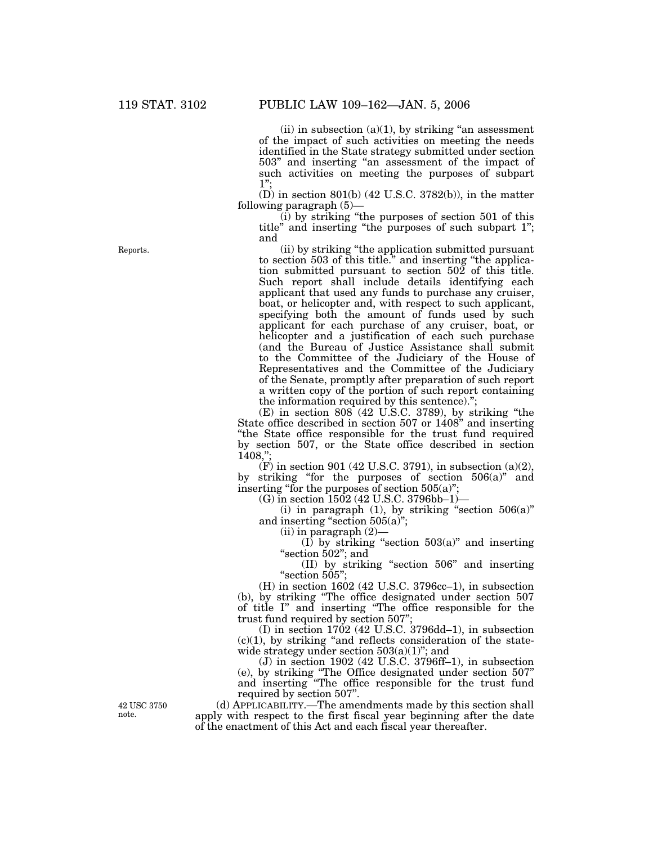$(ii)$  in subsection  $(a)(1)$ , by striking "an assessment" of the impact of such activities on meeting the needs identified in the State strategy submitted under section 503'' and inserting ''an assessment of the impact of such activities on meeting the purposes of subpart  $1$ ":

 $(D)$  in section 801(b) (42 U.S.C. 3782(b)), in the matter following paragraph (5)—

(i) by striking ''the purposes of section 501 of this title'' and inserting ''the purposes of such subpart 1''; and

(ii) by striking ''the application submitted pursuant to section 503 of this title.'' and inserting ''the application submitted pursuant to section 502 of this title. Such report shall include details identifying each applicant that used any funds to purchase any cruiser, boat, or helicopter and, with respect to such applicant, specifying both the amount of funds used by such applicant for each purchase of any cruiser, boat, or helicopter and a justification of each such purchase (and the Bureau of Justice Assistance shall submit to the Committee of the Judiciary of the House of Representatives and the Committee of the Judiciary of the Senate, promptly after preparation of such report a written copy of the portion of such report containing the information required by this sentence).'';

 $(E)$  in section 808 (42 U.S.C. 3789), by striking "the State office described in section 507 or 1408'' and inserting ''the State office responsible for the trust fund required by section 507, or the State office described in section 1408,'';

(F) in section 901 (42 U.S.C. 3791), in subsection (a)(2), by striking ''for the purposes of section 506(a)'' and inserting "for the purposes of section  $505(a)$ ";

(G) in section  $1502$  (42 U.S.C. 3796bb–1)–

(i) in paragraph  $(1)$ , by striking "section  $506(a)$ " and inserting "section 505(a)";

 $(ii)$  in paragraph  $(2)$ —

 $(I)$  by striking "section 503(a)" and inserting "section 502"; and

(II) by striking ''section 506'' and inserting "section 505"

(H) in section 1602 (42 U.S.C. 3796cc–1), in subsection (b), by striking ''The office designated under section 507 of title I'' and inserting ''The office responsible for the trust fund required by section 507'';

(I) in section 1702 (42 U.S.C. 3796dd–1), in subsection  $(c)(1)$ , by striking "and reflects consideration of the statewide strategy under section 503(a)(1)"; and

(J) in section 1902 (42 U.S.C. 3796ff–1), in subsection (e), by striking ''The Office designated under section 507'' and inserting ''The office responsible for the trust fund required by section 507''.

(d) APPLICABILITY.—The amendments made by this section shall apply with respect to the first fiscal year beginning after the date of the enactment of this Act and each fiscal year thereafter.

Reports.

42 USC 3750 note.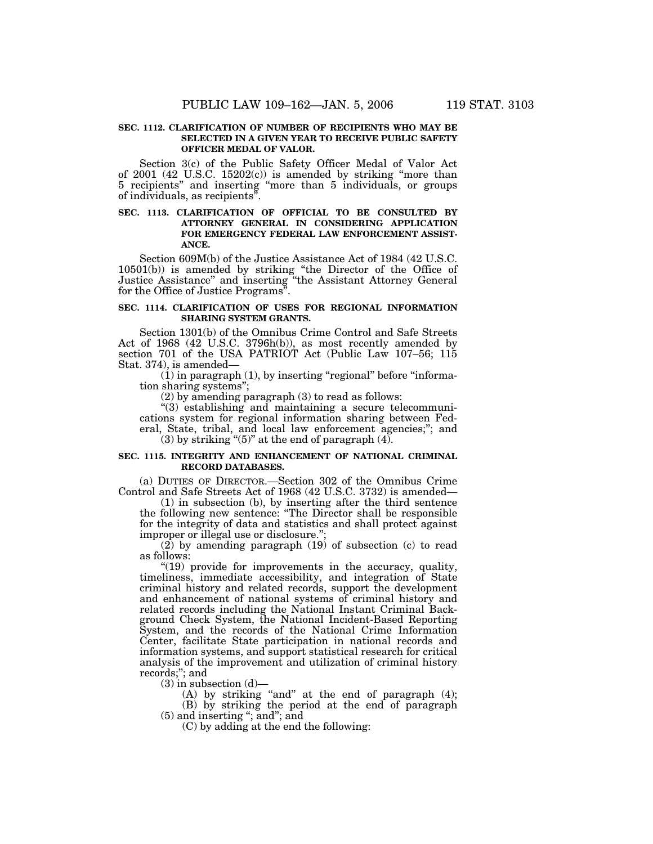### **SEC. 1112. CLARIFICATION OF NUMBER OF RECIPIENTS WHO MAY BE SELECTED IN A GIVEN YEAR TO RECEIVE PUBLIC SAFETY OFFICER MEDAL OF VALOR.**

Section 3(c) of the Public Safety Officer Medal of Valor Act of 2001 (42 U.S.C. 15202(c)) is amended by striking ''more than 5 recipients'' and inserting ''more than 5 individuals, or groups of individuals, as recipients''.

### **SEC. 1113. CLARIFICATION OF OFFICIAL TO BE CONSULTED BY ATTORNEY GENERAL IN CONSIDERING APPLICATION FOR EMERGENCY FEDERAL LAW ENFORCEMENT ASSIST-ANCE.**

Section 609M(b) of the Justice Assistance Act of 1984 (42 U.S.C. 10501(b)) is amended by striking ''the Director of the Office of Justice Assistance'' and inserting ''the Assistant Attorney General for the Office of Justice Programs''.

### **SEC. 1114. CLARIFICATION OF USES FOR REGIONAL INFORMATION SHARING SYSTEM GRANTS.**

Section 1301(b) of the Omnibus Crime Control and Safe Streets Act of 1968 (42 U.S.C. 3796h(b)), as most recently amended by section 701 of the USA PATRIOT Act (Public Law 107–56; 115 Stat. 374), is amended—

 $(1)$  in paragraph  $(1)$ , by inserting "regional" before "information sharing systems'';

(2) by amending paragraph (3) to read as follows:

"(3) establishing and maintaining a secure telecommunications system for regional information sharing between Federal, State, tribal, and local law enforcement agencies;''; and (3) by striking " $(5)$ " at the end of paragraph  $(4)$ .

### **SEC. 1115. INTEGRITY AND ENHANCEMENT OF NATIONAL CRIMINAL RECORD DATABASES.**

(a) DUTIES OF DIRECTOR.—Section 302 of the Omnibus Crime Control and Safe Streets Act of 1968 (42 U.S.C. 3732) is amended—

(1) in subsection (b), by inserting after the third sentence the following new sentence: ''The Director shall be responsible for the integrity of data and statistics and shall protect against improper or illegal use or disclosure.'';

(2) by amending paragraph (19) of subsection (c) to read as follows:

"(19) provide for improvements in the accuracy, quality, timeliness, immediate accessibility, and integration of State criminal history and related records, support the development and enhancement of national systems of criminal history and related records including the National Instant Criminal Background Check System, the National Incident-Based Reporting System, and the records of the National Crime Information Center, facilitate State participation in national records and information systems, and support statistical research for critical analysis of the improvement and utilization of criminal history records;''; and

 $(3)$  in subsection  $(d)$ —

 $(A)$  by striking "and" at the end of paragraph  $(4)$ ; (B) by striking the period at the end of paragraph

(5) and inserting ''; and''; and

(C) by adding at the end the following: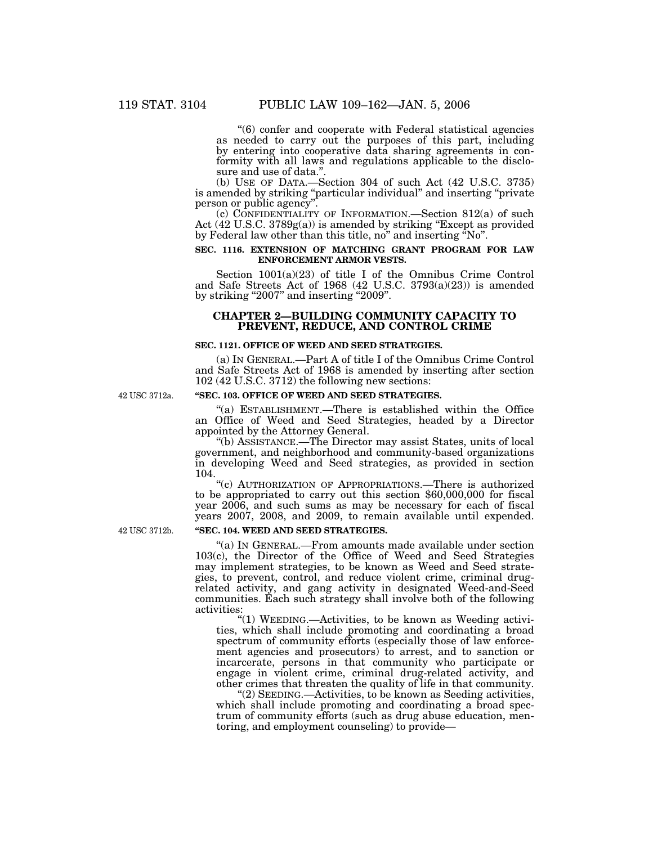''(6) confer and cooperate with Federal statistical agencies as needed to carry out the purposes of this part, including by entering into cooperative data sharing agreements in conformity with all laws and regulations applicable to the disclosure and use of data.".

(b) USE OF DATA.—Section 304 of such Act (42 U.S.C. 3735) is amended by striking "particular individual" and inserting "private person or public agency''.

(c) CONFIDENTIALITY OF INFORMATION.—Section 812(a) of such Act (42 U.S.C. 3789g(a)) is amended by striking ''Except as provided by Federal law other than this title, no'' and inserting ''No''.

### **SEC. 1116. EXTENSION OF MATCHING GRANT PROGRAM FOR LAW ENFORCEMENT ARMOR VESTS.**

Section 1001(a)(23) of title I of the Omnibus Crime Control and Safe Streets Act of 1968 (42 U.S.C. 3793(a)(23)) is amended by striking "2007" and inserting "2009".

### **CHAPTER 2—BUILDING COMMUNITY CAPACITY TO PREVENT, REDUCE, AND CONTROL CRIME**

#### **SEC. 1121. OFFICE OF WEED AND SEED STRATEGIES.**

(a) IN GENERAL.—Part A of title I of the Omnibus Crime Control and Safe Streets Act of 1968 is amended by inserting after section 102 (42 U.S.C. 3712) the following new sections:

42 USC 3712a.

#### **''SEC. 103. OFFICE OF WEED AND SEED STRATEGIES.**

"(a) ESTABLISHMENT.—There is established within the Office an Office of Weed and Seed Strategies, headed by a Director appointed by the Attorney General.

''(b) ASSISTANCE.—The Director may assist States, units of local government, and neighborhood and community-based organizations in developing Weed and Seed strategies, as provided in section 104.

''(c) AUTHORIZATION OF APPROPRIATIONS.—There is authorized to be appropriated to carry out this section \$60,000,000 for fiscal year 2006, and such sums as may be necessary for each of fiscal years 2007, 2008, and 2009, to remain available until expended.

#### **''SEC. 104. WEED AND SEED STRATEGIES.**

"(a) In GENERAL.—From amounts made available under section 103(c), the Director of the Office of Weed and Seed Strategies may implement strategies, to be known as Weed and Seed strategies, to prevent, control, and reduce violent crime, criminal drugrelated activity, and gang activity in designated Weed-and-Seed communities. Each such strategy shall involve both of the following activities:

''(1) WEEDING.—Activities, to be known as Weeding activities, which shall include promoting and coordinating a broad spectrum of community efforts (especially those of law enforcement agencies and prosecutors) to arrest, and to sanction or incarcerate, persons in that community who participate or engage in violent crime, criminal drug-related activity, and other crimes that threaten the quality of life in that community.

''(2) SEEDING.—Activities, to be known as Seeding activities, which shall include promoting and coordinating a broad spectrum of community efforts (such as drug abuse education, mentoring, and employment counseling) to provide—

42 USC 3712b.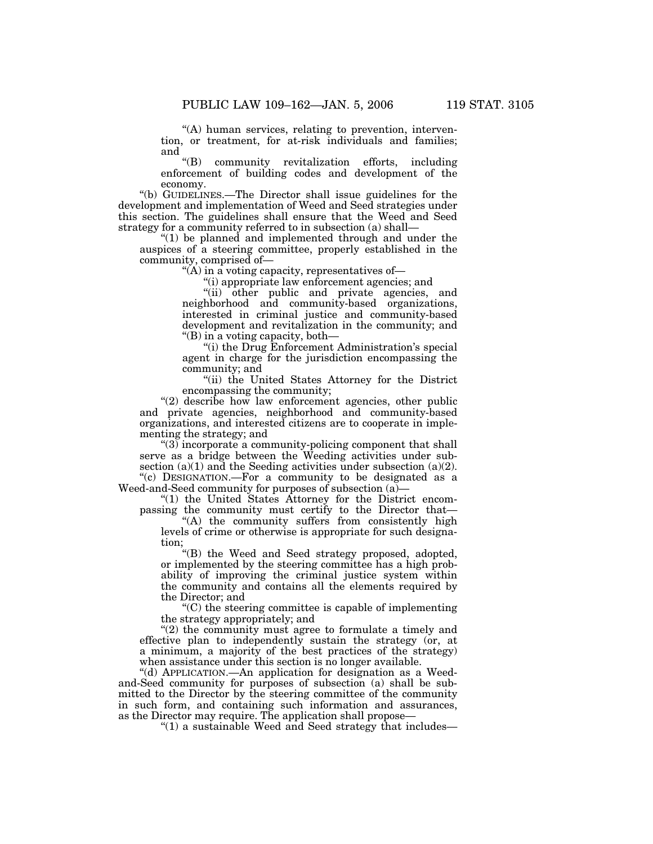"(A) human services, relating to prevention, intervention, or treatment, for at-risk individuals and families; and

''(B) community revitalization efforts, including enforcement of building codes and development of the economy.

''(b) GUIDELINES.—The Director shall issue guidelines for the development and implementation of Weed and Seed strategies under this section. The guidelines shall ensure that the Weed and Seed strategy for a community referred to in subsection (a) shall—

 $''(1)$  be planned and implemented through and under the auspices of a steering committee, properly established in the community, comprised of—

 $\widetilde{A}$ ) in a voting capacity, representatives of

''(i) appropriate law enforcement agencies; and

''(ii) other public and private agencies, and neighborhood and community-based organizations, interested in criminal justice and community-based development and revitalization in the community; and ''(B) in a voting capacity, both—

''(i) the Drug Enforcement Administration's special agent in charge for the jurisdiction encompassing the community; and

''(ii) the United States Attorney for the District encompassing the community;

"(2) describe how law enforcement agencies, other public and private agencies, neighborhood and community-based organizations, and interested citizens are to cooperate in implementing the strategy; and

''(3) incorporate a community-policing component that shall serve as a bridge between the Weeding activities under subsection  $(a)(1)$  and the Seeding activities under subsection  $(a)(2)$ . ''(c) DESIGNATION.—For a community to be designated as a Weed-and-Seed community for purposes of subsection  $(a)$ —

''(1) the United States Attorney for the District encompassing the community must certify to the Director that—

"(A) the community suffers from consistently high levels of crime or otherwise is appropriate for such designation;

''(B) the Weed and Seed strategy proposed, adopted, or implemented by the steering committee has a high probability of improving the criminal justice system within the community and contains all the elements required by the Director; and

''(C) the steering committee is capable of implementing the strategy appropriately; and

"(2) the community must agree to formulate a timely and effective plan to independently sustain the strategy (or, at a minimum, a majority of the best practices of the strategy) when assistance under this section is no longer available.

''(d) APPLICATION.—An application for designation as a Weedand-Seed community for purposes of subsection (a) shall be submitted to the Director by the steering committee of the community in such form, and containing such information and assurances, as the Director may require. The application shall propose—

 $''(1)$  a sustainable Weed and Seed strategy that includes—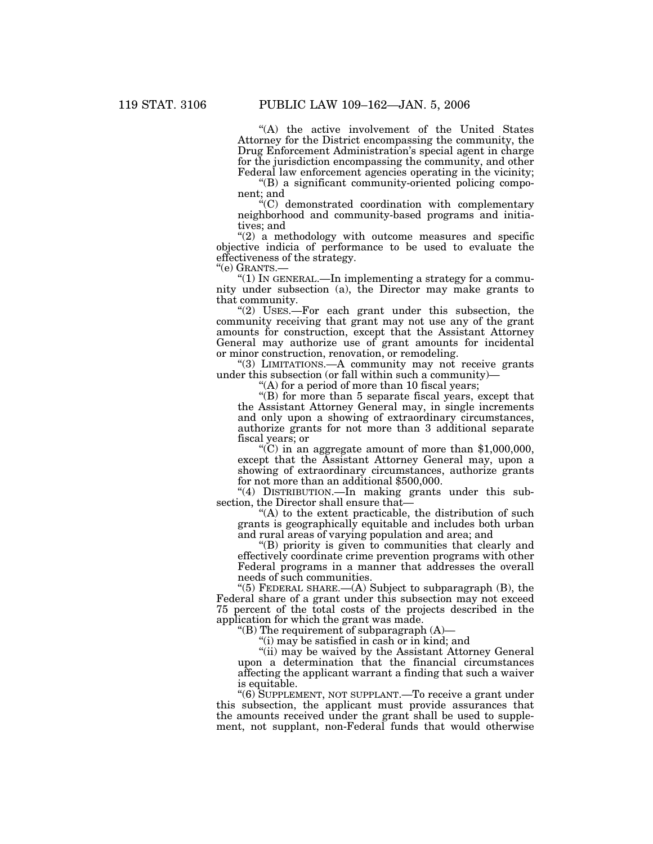''(A) the active involvement of the United States Attorney for the District encompassing the community, the Drug Enforcement Administration's special agent in charge for the jurisdiction encompassing the community, and other Federal law enforcement agencies operating in the vicinity;

''(B) a significant community-oriented policing component; and

''(C) demonstrated coordination with complementary neighborhood and community-based programs and initiatives; and

"(2) a methodology with outcome measures and specific objective indicia of performance to be used to evaluate the effectiveness of the strategy.<br>"(e) GRANTS.—

"(1) IN GENERAL.—In implementing a strategy for a community under subsection (a), the Director may make grants to that community.

" $(2)$  USES.—For each grant under this subsection, the community receiving that grant may not use any of the grant amounts for construction, except that the Assistant Attorney General may authorize use of grant amounts for incidental or minor construction, renovation, or remodeling.

''(3) LIMITATIONS.—A community may not receive grants under this subsection (or fall within such a community)—

''(A) for a period of more than 10 fiscal years;

''(B) for more than 5 separate fiscal years, except that the Assistant Attorney General may, in single increments and only upon a showing of extraordinary circumstances, authorize grants for not more than 3 additional separate fiscal years; or

 $(C)$  in an aggregate amount of more than \$1,000,000, except that the Assistant Attorney General may, upon a showing of extraordinary circumstances, authorize grants for not more than an additional \$500,000.

''(4) DISTRIBUTION.—In making grants under this subsection, the Director shall ensure that—

"(A) to the extent practicable, the distribution of such grants is geographically equitable and includes both urban and rural areas of varying population and area; and

''(B) priority is given to communities that clearly and effectively coordinate crime prevention programs with other Federal programs in a manner that addresses the overall needs of such communities.

"(5) FEDERAL SHARE.—(A) Subject to subparagraph  $(B)$ , the Federal share of a grant under this subsection may not exceed 75 percent of the total costs of the projects described in the application for which the grant was made.

''(B) The requirement of subparagraph (A)—

''(i) may be satisfied in cash or in kind; and

"(ii) may be waived by the Assistant Attorney General upon a determination that the financial circumstances affecting the applicant warrant a finding that such a waiver is equitable.

''(6) SUPPLEMENT, NOT SUPPLANT.—To receive a grant under this subsection, the applicant must provide assurances that the amounts received under the grant shall be used to supplement, not supplant, non-Federal funds that would otherwise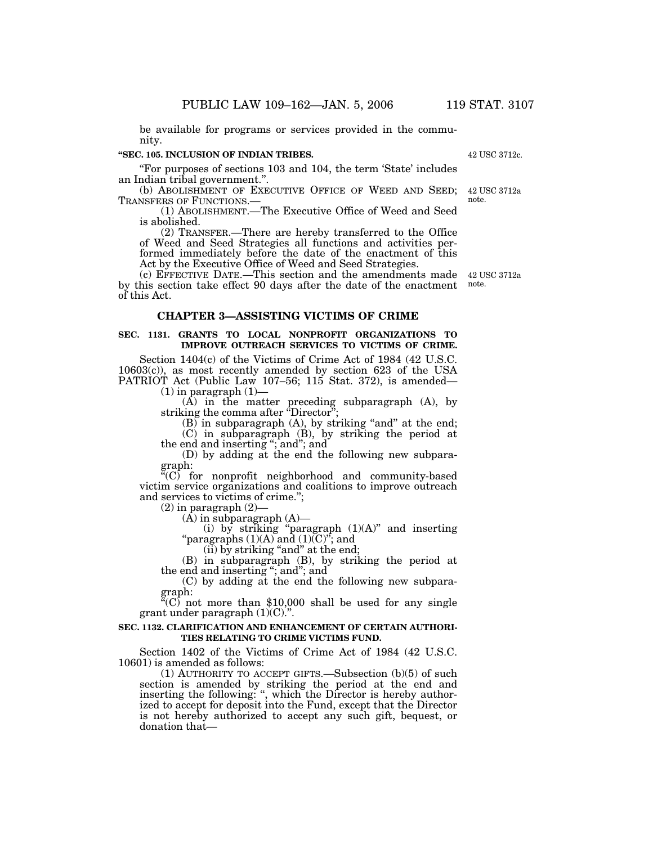be available for programs or services provided in the community.

#### **''SEC. 105. INCLUSION OF INDIAN TRIBES.**

''For purposes of sections 103 and 104, the term 'State' includes an Indian tribal government.''.

(b) ABOLISHMENT OF EXECUTIVE OFFICE OF WEED AND SEED; TRANSFERS OF FUNCTIONS.—

(1) ABOLISHMENT.—The Executive Office of Weed and Seed is abolished.

(2) TRANSFER.—There are hereby transferred to the Office of Weed and Seed Strategies all functions and activities performed immediately before the date of the enactment of this Act by the Executive Office of Weed and Seed Strategies.

(c) EFFECTIVE DATE.—This section and the amendments made 42 USC 3712a by this section take effect 90 days after the date of the enactment note. of this Act.

### **CHAPTER 3—ASSISTING VICTIMS OF CRIME**

#### **SEC. 1131. GRANTS TO LOCAL NONPROFIT ORGANIZATIONS TO IMPROVE OUTREACH SERVICES TO VICTIMS OF CRIME.**

Section 1404(c) of the Victims of Crime Act of 1984 (42 U.S.C. 10603(c)), as most recently amended by section 623 of the USA PATRIOT Act (Public Law 107–56; 115 Stat. 372), is amended—

 $(1)$  in paragraph  $(1)$ –

(A) in the matter preceding subparagraph (A), by striking the comma after "Director";

 $(B)$  in subparagraph  $(A)$ , by striking "and" at the end;

(C) in subparagraph (B), by striking the period at the end and inserting "; and"; and

(D) by adding at the end the following new subparagraph:

 $\sqrt[\alpha]{C}$  for nonprofit neighborhood and community-based victim service organizations and coalitions to improve outreach and services to victims of crime.'';

 $(2)$  in paragraph  $(2)$ 

(A) in subparagraph (A)—

(i) by striking "paragraph  $(1)(A)$ " and inserting "paragraphs  $(1)(A)$  and  $(1)(C)$ "; and

(ii) by striking "and" at the end;

(B) in subparagraph (B), by striking the period at the end and inserting ''; and''; and

(C) by adding at the end the following new subparagraph:

 $\sqrt{C}$  not more than \$10,000 shall be used for any single grant under paragraph  $(1)(C)$ .".

### **SEC. 1132. CLARIFICATION AND ENHANCEMENT OF CERTAIN AUTHORI-TIES RELATING TO CRIME VICTIMS FUND.**

Section 1402 of the Victims of Crime Act of 1984 (42 U.S.C. 10601) is amended as follows:

(1) AUTHORITY TO ACCEPT GIFTS.—Subsection (b)(5) of such section is amended by striking the period at the end and inserting the following: '', which the Director is hereby authorized to accept for deposit into the Fund, except that the Director is not hereby authorized to accept any such gift, bequest, or donation that—

42 USC 3712c.

42 USC 3712a note.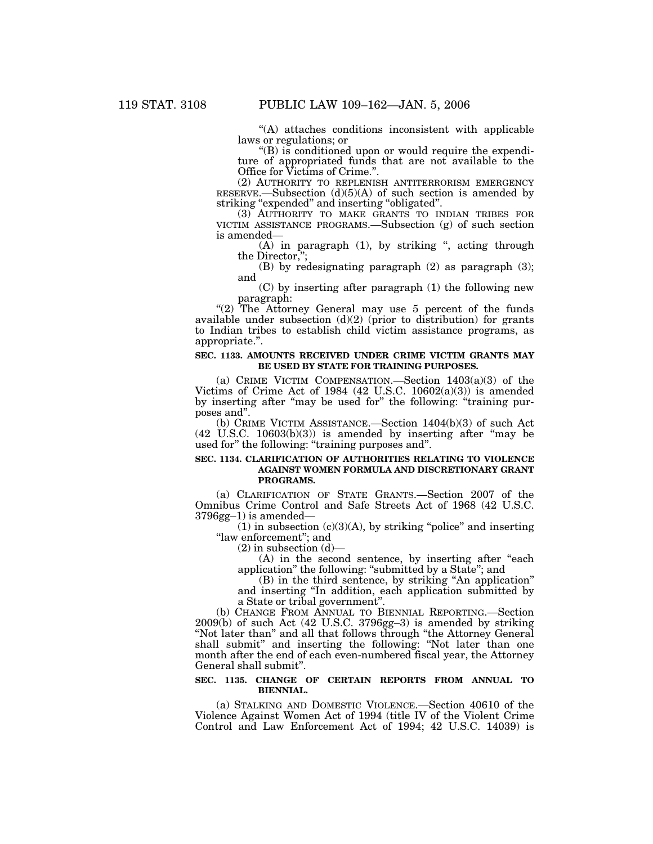''(A) attaches conditions inconsistent with applicable laws or regulations; or

 $'(B)$  is conditioned upon or would require the expenditure of appropriated funds that are not available to the Office for Victims of Crime.''.

(2) AUTHORITY TO REPLENISH ANTITERRORISM EMERGENCY RESERVE.—Subsection  $(d)(5)(A)$  of such section is amended by striking "expended" and inserting "obligated".

(3) AUTHORITY TO MAKE GRANTS TO INDIAN TRIBES FOR VICTIM ASSISTANCE PROGRAMS.—Subsection (g) of such section is amended—

(A) in paragraph (1), by striking ", acting through the Director,'';

(B) by redesignating paragraph (2) as paragraph (3); and

(C) by inserting after paragraph (1) the following new paragraph:

"(2) The Attorney General may use 5 percent of the funds available under subsection (d)(2) (prior to distribution) for grants to Indian tribes to establish child victim assistance programs, as appropriate.''.

#### **SEC. 1133. AMOUNTS RECEIVED UNDER CRIME VICTIM GRANTS MAY BE USED BY STATE FOR TRAINING PURPOSES.**

(a) CRIME VICTIM COMPENSATION.—Section 1403(a)(3) of the Victims of Crime Act of 1984 (42 U.S.C. 10602(a)(3)) is amended by inserting after "may be used for" the following: "training purposes and''.

(b) CRIME VICTIM ASSISTANCE.—Section 1404(b)(3) of such Act  $(42 \text{ U.S.C. } 10603(b)(3))$  is amended by inserting after "may be used for'' the following: ''training purposes and''.

### **SEC. 1134. CLARIFICATION OF AUTHORITIES RELATING TO VIOLENCE AGAINST WOMEN FORMULA AND DISCRETIONARY GRANT PROGRAMS.**

(a) CLARIFICATION OF STATE GRANTS.—Section 2007 of the Omnibus Crime Control and Safe Streets Act of 1968 (42 U.S.C. 3796gg–1) is amended—

 $(1)$  in subsection  $(c)(3)(A)$ , by striking "police" and inserting ''law enforcement''; and

 $(2)$  in subsection  $(d)$ 

(A) in the second sentence, by inserting after ''each application'' the following: ''submitted by a State''; and

(B) in the third sentence, by striking ''An application'' and inserting ''In addition, each application submitted by a State or tribal government''.

(b) CHANGE FROM ANNUAL TO BIENNIAL REPORTING.—Section 2009(b) of such Act (42 U.S.C. 3796gg–3) is amended by striking ''Not later than'' and all that follows through ''the Attorney General shall submit'' and inserting the following: ''Not later than one month after the end of each even-numbered fiscal year, the Attorney General shall submit''.

### **SEC. 1135. CHANGE OF CERTAIN REPORTS FROM ANNUAL TO BIENNIAL.**

(a) STALKING AND DOMESTIC VIOLENCE.—Section 40610 of the Violence Against Women Act of 1994 (title IV of the Violent Crime Control and Law Enforcement Act of 1994; 42 U.S.C. 14039) is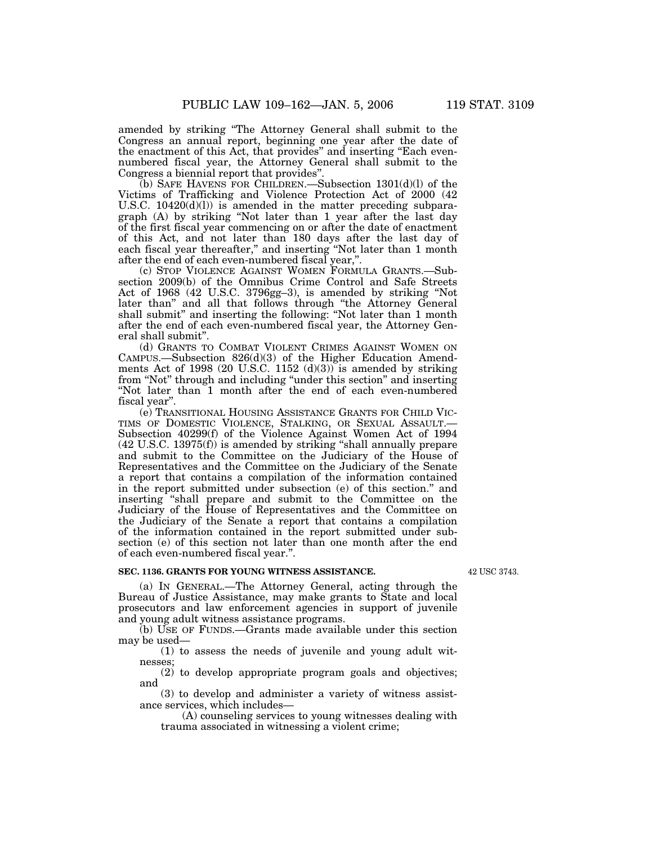amended by striking ''The Attorney General shall submit to the Congress an annual report, beginning one year after the date of the enactment of this Act, that provides'' and inserting ''Each evennumbered fiscal year, the Attorney General shall submit to the Congress a biennial report that provides''.

(b) SAFE HAVENS FOR CHILDREN.—Subsection 1301(d)(l) of the Victims of Trafficking and Violence Protection Act of 2000 (42 U.S.C. 10420(d)(l)) is amended in the matter preceding subparagraph (A) by striking ''Not later than 1 year after the last day of the first fiscal year commencing on or after the date of enactment of this Act, and not later than 180 days after the last day of each fiscal year thereafter,'' and inserting ''Not later than 1 month after the end of each even-numbered fiscal year,''.

(c) STOP VIOLENCE AGAINST WOMEN FORMULA GRANTS.—Subsection 2009(b) of the Omnibus Crime Control and Safe Streets Act of 1968 (42 U.S.C. 3796gg–3), is amended by striking ''Not later than'' and all that follows through ''the Attorney General shall submit'' and inserting the following: ''Not later than 1 month after the end of each even-numbered fiscal year, the Attorney General shall submit''.

(d) GRANTS TO COMBAT VIOLENT CRIMES AGAINST WOMEN ON CAMPUS.—Subsection 826(d)(3) of the Higher Education Amendments Act of 1998 (20 U.S.C. 1152  $(d)(3)$ ) is amended by striking from "Not" through and including "under this section" and inserting ''Not later than 1 month after the end of each even-numbered fiscal year''.

(e) TRANSITIONAL HOUSING ASSISTANCE GRANTS FOR CHILD VIC-TIMS OF DOMESTIC VIOLENCE, STALKING, OR SEXUAL ASSAULT.— Subsection 40299(f) of the Violence Against Women Act of 1994 (42 U.S.C. 13975(f)) is amended by striking ''shall annually prepare and submit to the Committee on the Judiciary of the House of Representatives and the Committee on the Judiciary of the Senate a report that contains a compilation of the information contained in the report submitted under subsection (e) of this section.'' and inserting ''shall prepare and submit to the Committee on the Judiciary of the House of Representatives and the Committee on the Judiciary of the Senate a report that contains a compilation of the information contained in the report submitted under subsection (e) of this section not later than one month after the end of each even-numbered fiscal year.''.

#### **SEC. 1136. GRANTS FOR YOUNG WITNESS ASSISTANCE.**

42 USC 3743.

(a) IN GENERAL.—The Attorney General, acting through the Bureau of Justice Assistance, may make grants to State and local prosecutors and law enforcement agencies in support of juvenile and young adult witness assistance programs.

(b) USE OF FUNDS.—Grants made available under this section may be used—

(1) to assess the needs of juvenile and young adult witnesses;

(2) to develop appropriate program goals and objectives; and

(3) to develop and administer a variety of witness assistance services, which includes—

(A) counseling services to young witnesses dealing with trauma associated in witnessing a violent crime;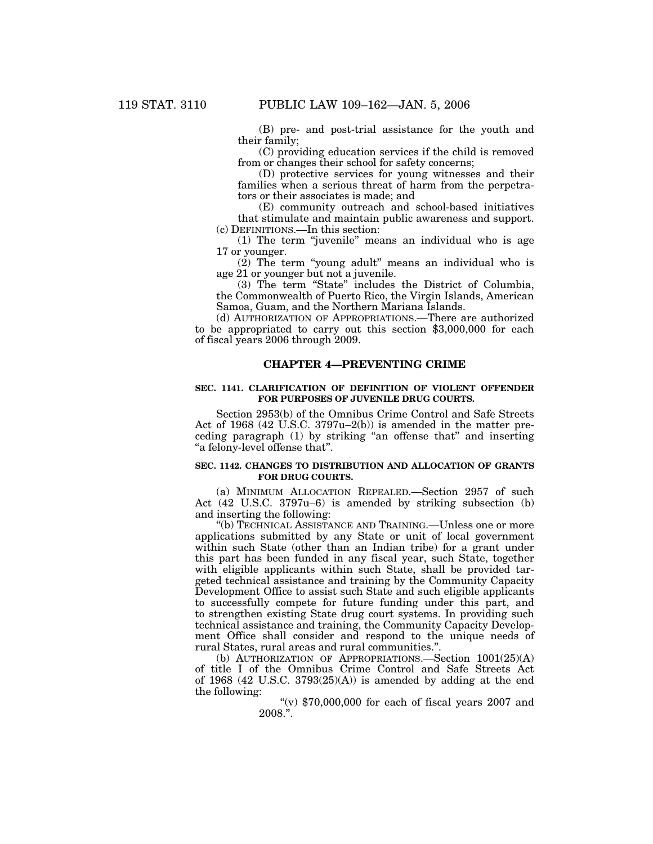(B) pre- and post-trial assistance for the youth and their family;

(C) providing education services if the child is removed from or changes their school for safety concerns;

(D) protective services for young witnesses and their families when a serious threat of harm from the perpetrators or their associates is made; and

(E) community outreach and school-based initiatives that stimulate and maintain public awareness and support. (c) DEFINITIONS.—In this section:

(1) The term ''juvenile'' means an individual who is age 17 or younger.

(2) The term ''young adult'' means an individual who is age 21 or younger but not a juvenile.

(3) The term ''State'' includes the District of Columbia, the Commonwealth of Puerto Rico, the Virgin Islands, American Samoa, Guam, and the Northern Mariana Islands.

(d) AUTHORIZATION OF APPROPRIATIONS.—There are authorized to be appropriated to carry out this section \$3,000,000 for each of fiscal years 2006 through 2009.

### **CHAPTER 4—PREVENTING CRIME**

### **SEC. 1141. CLARIFICATION OF DEFINITION OF VIOLENT OFFENDER FOR PURPOSES OF JUVENILE DRUG COURTS.**

Section 2953(b) of the Omnibus Crime Control and Safe Streets Act of 1968 (42 U.S.C. 3797u–2(b)) is amended in the matter preceding paragraph (1) by striking ''an offense that'' and inserting ''a felony-level offense that''.

### **SEC. 1142. CHANGES TO DISTRIBUTION AND ALLOCATION OF GRANTS FOR DRUG COURTS.**

(a) MINIMUM ALLOCATION REPEALED.—Section 2957 of such Act (42 U.S.C. 3797u–6) is amended by striking subsection (b) and inserting the following:

''(b) TECHNICAL ASSISTANCE AND TRAINING.—Unless one or more applications submitted by any State or unit of local government within such State (other than an Indian tribe) for a grant under this part has been funded in any fiscal year, such State, together with eligible applicants within such State, shall be provided targeted technical assistance and training by the Community Capacity Development Office to assist such State and such eligible applicants to successfully compete for future funding under this part, and to strengthen existing State drug court systems. In providing such technical assistance and training, the Community Capacity Development Office shall consider and respond to the unique needs of rural States, rural areas and rural communities.''.

(b) AUTHORIZATION OF APPROPRIATIONS.—Section 1001(25)(A) of title I of the Omnibus Crime Control and Safe Streets Act of 1968  $(42 \text{ U.S.C. } 3793(25)(\text{A}))$  is amended by adding at the end the following:

" $(v)$  \$70,000,000 for each of fiscal years 2007 and 2008.''.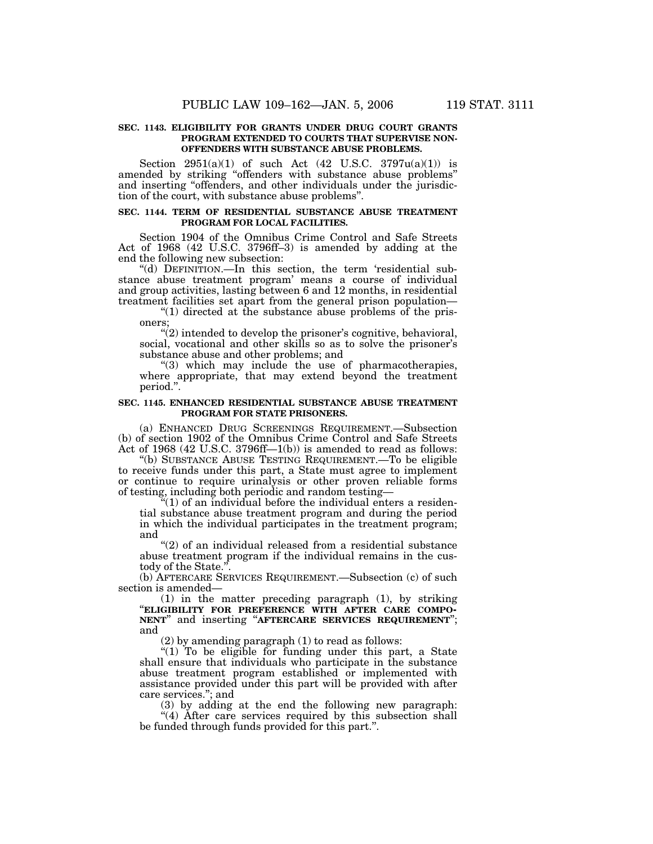### **SEC. 1143. ELIGIBILITY FOR GRANTS UNDER DRUG COURT GRANTS PROGRAM EXTENDED TO COURTS THAT SUPERVISE NON-OFFENDERS WITH SUBSTANCE ABUSE PROBLEMS.**

Section  $2951(a)(1)$  of such Act  $(42 \text{ U.S.C. } 3797u(a)(1))$  is amended by striking "offenders with substance abuse problems" and inserting ''offenders, and other individuals under the jurisdiction of the court, with substance abuse problems''.

### **SEC. 1144. TERM OF RESIDENTIAL SUBSTANCE ABUSE TREATMENT PROGRAM FOR LOCAL FACILITIES.**

Section 1904 of the Omnibus Crime Control and Safe Streets Act of 1968 (42 U.S.C. 3796ff–3) is amended by adding at the end the following new subsection:

"(d) DEFINITION.—In this section, the term 'residential substance abuse treatment program' means a course of individual and group activities, lasting between 6 and 12 months, in residential treatment facilities set apart from the general prison population—

''(1) directed at the substance abuse problems of the prisoners;

 $"(2)$  intended to develop the prisoner's cognitive, behavioral, social, vocational and other skills so as to solve the prisoner's substance abuse and other problems; and

''(3) which may include the use of pharmacotherapies, where appropriate, that may extend beyond the treatment period.''.

### **SEC. 1145. ENHANCED RESIDENTIAL SUBSTANCE ABUSE TREATMENT PROGRAM FOR STATE PRISONERS.**

(a) ENHANCED DRUG SCREENINGS REQUIREMENT.—Subsection (b) of section 1902 of the Omnibus Crime Control and Safe Streets Act of 1968 (42 U.S.C. 3796ff—1(b)) is amended to read as follows:

''(b) SUBSTANCE ABUSE TESTING REQUIREMENT.—To be eligible to receive funds under this part, a State must agree to implement or continue to require urinalysis or other proven reliable forms of testing, including both periodic and random testing—

 $(1)$  of an individual before the individual enters a residential substance abuse treatment program and during the period in which the individual participates in the treatment program; and

"(2) of an individual released from a residential substance abuse treatment program if the individual remains in the custody of the State.''.

(b) AFTERCARE SERVICES REQUIREMENT.—Subsection (c) of such section is amended—

(1) in the matter preceding paragraph (1), by striking "ELIGIBILITY FOR PREFERENCE WITH AFTER CARE COMPO-**NENT**'' and inserting ''**AFTERCARE SERVICES REQUIREMENT**''; and

(2) by amending paragraph (1) to read as follows:

"(1) To be eligible for funding under this part, a State shall ensure that individuals who participate in the substance abuse treatment program established or implemented with assistance provided under this part will be provided with after care services.''; and

(3) by adding at the end the following new paragraph:

 $*(4)$  After care services required by this subsection shall be funded through funds provided for this part.''.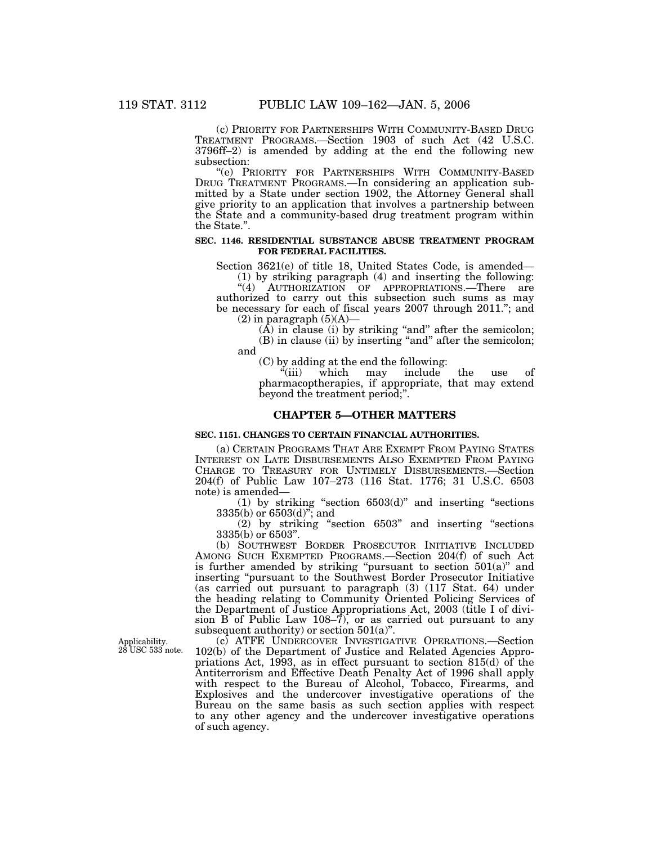(c) PRIORITY FOR PARTNERSHIPS WITH COMMUNITY-BASED DRUG TREATMENT PROGRAMS.—Section 1903 of such Act (42 U.S.C. 3796ff–2) is amended by adding at the end the following new subsection:

''(e) PRIORITY FOR PARTNERSHIPS WITH COMMUNITY-BASED DRUG TREATMENT PROGRAMS.—In considering an application submitted by a State under section 1902, the Attorney General shall give priority to an application that involves a partnership between the State and a community-based drug treatment program within the State.''.

### **SEC. 1146. RESIDENTIAL SUBSTANCE ABUSE TREATMENT PROGRAM FOR FEDERAL FACILITIES.**

Section 3621(e) of title 18, United States Code, is amended—

(1) by striking paragraph (4) and inserting the following: ''(4) AUTHORIZATION OF APPROPRIATIONS.—There are authorized to carry out this subsection such sums as may be necessary for each of fiscal years 2007 through 2011.''; and

 $(2)$  in paragraph  $(5)(A)$ —

 $(A)$  in clause (i) by striking "and" after the semicolon; (B) in clause (ii) by inserting "and" after the semicolon; and

(C) by adding at the end the following:

''(iii) which may include the use of pharmacoptherapies, if appropriate, that may extend beyond the treatment period;".

### **CHAPTER 5—OTHER MATTERS**

#### **SEC. 1151. CHANGES TO CERTAIN FINANCIAL AUTHORITIES.**

(a) CERTAIN PROGRAMS THAT ARE EXEMPT FROM PAYING STATES INTEREST ON LATE DISBURSEMENTS ALSO EXEMPTED FROM PAYING CHARGE TO TREASURY FOR UNTIMELY DISBURSEMENTS.—Section 204(f) of Public Law 107–273 (116 Stat. 1776; 31 U.S.C. 6503 note) is amended—

 $(1)$  by striking "section 6503 $(d)$ " and inserting "sections" 3335(b) or 6503(d)''; and

(2) by striking ''section 6503'' and inserting ''sections 3335(b) or 6503''.

(b) SOUTHWEST BORDER PROSECUTOR INITIATIVE INCLUDED AMONG SUCH EXEMPTED PROGRAMS.—Section 204(f) of such Act is further amended by striking "pursuant to section  $501(a)$ " and inserting ''pursuant to the Southwest Border Prosecutor Initiative (as carried out pursuant to paragraph (3) (117 Stat. 64) under the heading relating to Community Oriented Policing Services of the Department of Justice Appropriations Act, 2003 (title I of division B of Public Law 108–7), or as carried out pursuant to any subsequent authority) or section 501(a)''.

(c) ATFE UNDERCOVER INVESTIGATIVE OPERATIONS.—Section 102(b) of the Department of Justice and Related Agencies Appropriations Act, 1993, as in effect pursuant to section 815(d) of the Antiterrorism and Effective Death Penalty Act of 1996 shall apply with respect to the Bureau of Alcohol, Tobacco, Firearms, and Explosives and the undercover investigative operations of the Bureau on the same basis as such section applies with respect to any other agency and the undercover investigative operations of such agency.

Applicability. 28 USC 533 note.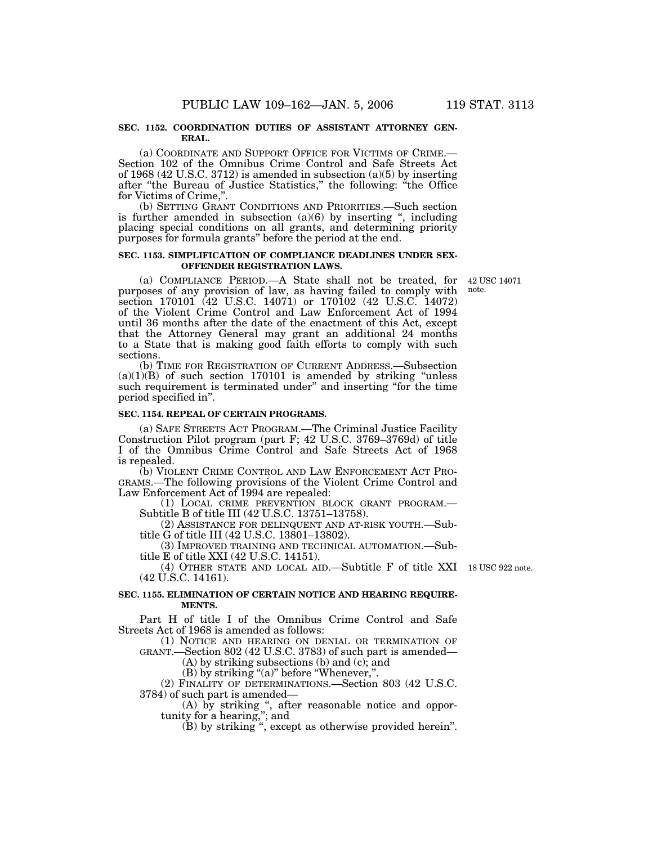### **SEC. 1152. COORDINATION DUTIES OF ASSISTANT ATTORNEY GEN-ERAL.**

(a) COORDINATE AND SUPPORT OFFICE FOR VICTIMS OF CRIME.— Section 102 of the Omnibus Crime Control and Safe Streets Act of 1968 (42 U.S.C. 3712) is amended in subsection (a)(5) by inserting after ''the Bureau of Justice Statistics,'' the following: ''the Office for Victims of Crime,"

(b) SETTING GRANT CONDITIONS AND PRIORITIES.—Such section is further amended in subsection (a)(6) by inserting '', including placing special conditions on all grants, and determining priority purposes for formula grants'' before the period at the end.

#### **SEC. 1153. SIMPLIFICATION OF COMPLIANCE DEADLINES UNDER SEX-OFFENDER REGISTRATION LAWS.**

(a) COMPLIANCE PERIOD.—A State shall not be treated, for 42 USC 14071 purposes of any provision of law, as having failed to comply with section 170101 (42 U.S.C. 14071) or 170102 (42 U.S.C. 14072) of the Violent Crime Control and Law Enforcement Act of 1994 until 36 months after the date of the enactment of this Act, except that the Attorney General may grant an additional 24 months to a State that is making good faith efforts to comply with such sections.

(b) TIME FOR REGISTRATION OF CURRENT ADDRESS.—Subsection  $(a)(1)(B)$  of such section 170101 is amended by striking "unless" such requirement is terminated under" and inserting "for the time period specified in''.

### **SEC. 1154. REPEAL OF CERTAIN PROGRAMS.**

(a) SAFE STREETS ACT PROGRAM.—The Criminal Justice Facility Construction Pilot program (part F; 42 U.S.C. 3769–3769d) of title I of the Omnibus Crime Control and Safe Streets Act of 1968 is repealed.

(b) VIOLENT CRIME CONTROL AND LAW ENFORCEMENT ACT PRO-GRAMS.—The following provisions of the Violent Crime Control and Law Enforcement Act of 1994 are repealed:

(1) LOCAL CRIME PREVENTION BLOCK GRANT PROGRAM.— Subtitle B of title III (42 U.S.C. 13751–13758).

(2) ASSISTANCE FOR DELINQUENT AND AT-RISK YOUTH.—Subtitle G of title III (42 U.S.C. 13801–13802).

(3) IMPROVED TRAINING AND TECHNICAL AUTOMATION.—Subtitle E of title XXI (42 U.S.C. 14151).

(4) OTHER STATE AND LOCAL AID.—Subtitle F of title XXI 18 USC 922 note. (42 U.S.C. 14161).

### **SEC. 1155. ELIMINATION OF CERTAIN NOTICE AND HEARING REQUIRE-MENTS.**

Part H of title I of the Omnibus Crime Control and Safe Streets Act of 1968 is amended as follows:

(1) NOTICE AND HEARING ON DENIAL OR TERMINATION OF GRANT.—Section 802 (42 U.S.C. 3783) of such part is amended—

(A) by striking subsections (b) and (c); and

(B) by striking "(a)" before "Whenever,".

(2) FINALITY OF DETERMINATIONS.—Section 803 (42 U.S.C. 3784) of such part is amended—

(A) by striking '', after reasonable notice and opportunity for a hearing,''; and

(B) by striking '', except as otherwise provided herein''.

note.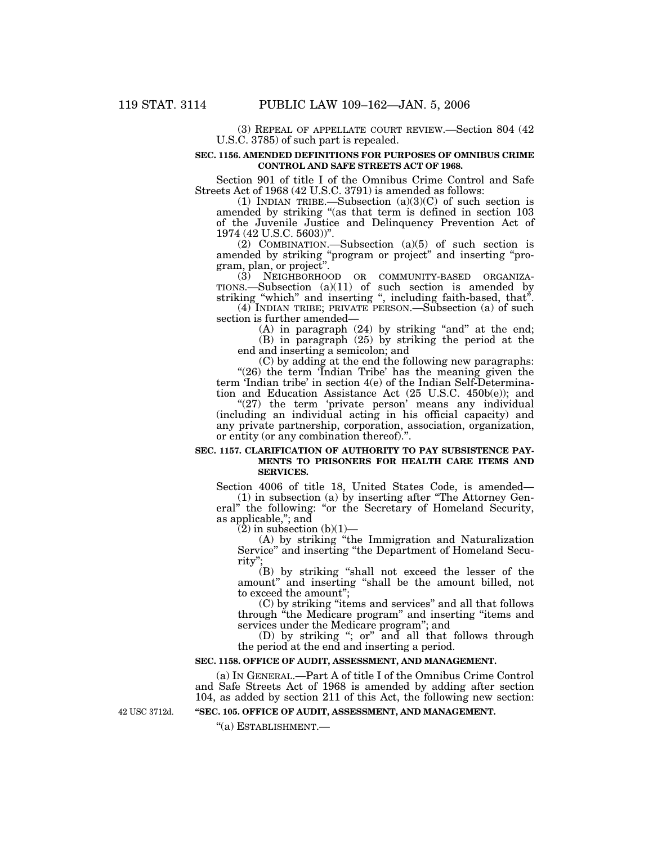(3) REPEAL OF APPELLATE COURT REVIEW.—Section 804 (42 U.S.C. 3785) of such part is repealed.

### **SEC. 1156. AMENDED DEFINITIONS FOR PURPOSES OF OMNIBUS CRIME CONTROL AND SAFE STREETS ACT OF 1968.**

Section 901 of title I of the Omnibus Crime Control and Safe Streets Act of 1968 (42 U.S.C. 3791) is amended as follows:

(1) INDIAN TRIBE.—Subsection  $(a)(3)(C)$  of such section is amended by striking ''(as that term is defined in section 103 of the Juvenile Justice and Delinquency Prevention Act of 1974 (42 U.S.C. 5603))''.

(2) COMBINATION.—Subsection (a)(5) of such section is amended by striking ''program or project'' and inserting ''program, plan, or project''.

(3) NEIGHBORHOOD OR COMMUNITY-BASED ORGANIZA- TIONS.—Subsection (a)(11) of such section is amended by striking ''which'' and inserting '', including faith-based, that''.

(4) INDIAN TRIBE; PRIVATE PERSON.—Subsection (a) of such section is further amended—

(A) in paragraph  $(24)$  by striking "and" at the end;

(B) in paragraph (25) by striking the period at the end and inserting a semicolon; and

(C) by adding at the end the following new paragraphs: "(26) the term 'Indian Tribe' has the meaning given the term 'Indian tribe' in section 4(e) of the Indian Self-Determina-

tion and Education Assistance Act (25 U.S.C. 450b(e)); and "(27) the term 'private person' means any individual (including an individual acting in his official capacity) and any private partnership, corporation, association, organization, or entity (or any combination thereof).''.

### **SEC. 1157. CLARIFICATION OF AUTHORITY TO PAY SUBSISTENCE PAY-MENTS TO PRISONERS FOR HEALTH CARE ITEMS AND SERVICES.**

Section 4006 of title 18, United States Code, is amended— (1) in subsection (a) by inserting after ''The Attorney Gen-

eral" the following: "or the Secretary of Homeland Security, as applicable,''; and

 $(2)$  in subsection  $(b)(1)$ —

(A) by striking ''the Immigration and Naturalization Service'' and inserting ''the Department of Homeland Security'';

(B) by striking ''shall not exceed the lesser of the amount'' and inserting ''shall be the amount billed, not to exceed the amount'';

(C) by striking ''items and services'' and all that follows through "the Medicare program" and inserting "items and services under the Medicare program''; and

(D) by striking ''; or'' and all that follows through the period at the end and inserting a period.

#### **SEC. 1158. OFFICE OF AUDIT, ASSESSMENT, AND MANAGEMENT.**

(a) IN GENERAL.—Part A of title I of the Omnibus Crime Control and Safe Streets Act of 1968 is amended by adding after section 104, as added by section 211 of this Act, the following new section:

**''SEC. 105. OFFICE OF AUDIT, ASSESSMENT, AND MANAGEMENT.**

''(a) ESTABLISHMENT.—

42 USC 3712d.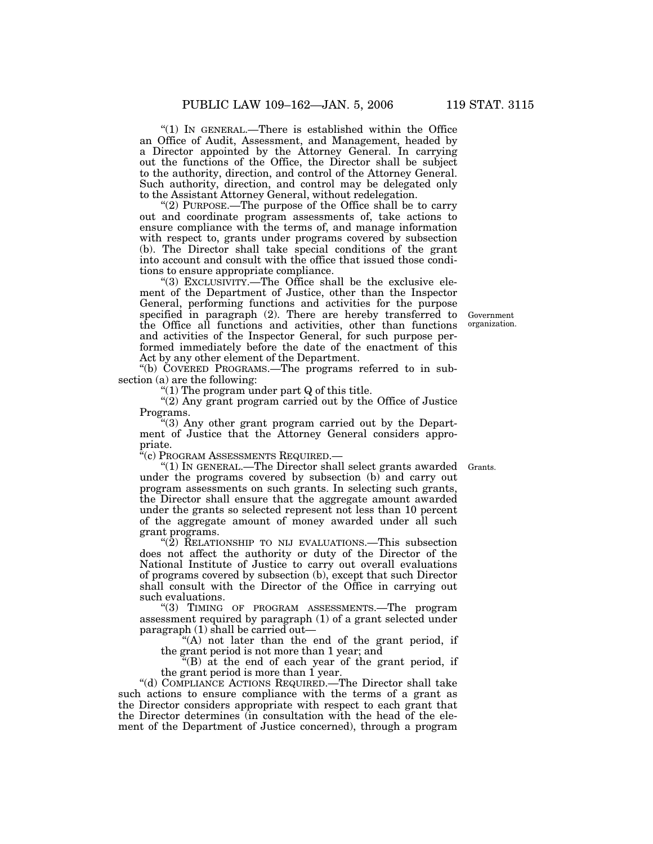''(1) IN GENERAL.—There is established within the Office an Office of Audit, Assessment, and Management, headed by a Director appointed by the Attorney General. In carrying out the functions of the Office, the Director shall be subject to the authority, direction, and control of the Attorney General. Such authority, direction, and control may be delegated only to the Assistant Attorney General, without redelegation.

"(2) PURPOSE.—The purpose of the Office shall be to carry out and coordinate program assessments of, take actions to ensure compliance with the terms of, and manage information with respect to, grants under programs covered by subsection (b). The Director shall take special conditions of the grant into account and consult with the office that issued those conditions to ensure appropriate compliance.

''(3) EXCLUSIVITY.—The Office shall be the exclusive element of the Department of Justice, other than the Inspector General, performing functions and activities for the purpose specified in paragraph (2). There are hereby transferred to the Office all functions and activities, other than functions and activities of the Inspector General, for such purpose performed immediately before the date of the enactment of this Act by any other element of the Department.

''(b) COVERED PROGRAMS.—The programs referred to in subsection (a) are the following:

"(1) The program under part  $Q$  of this title.

''(2) Any grant program carried out by the Office of Justice Programs.

"(3) Any other grant program carried out by the Department of Justice that the Attorney General considers appropriate.

'(c) Program Assessments Required.—

''(1) IN GENERAL.—The Director shall select grants awarded under the programs covered by subsection (b) and carry out program assessments on such grants. In selecting such grants, the Director shall ensure that the aggregate amount awarded under the grants so selected represent not less than 10 percent of the aggregate amount of money awarded under all such grant programs.

''(2) RELATIONSHIP TO NIJ EVALUATIONS.—This subsection does not affect the authority or duty of the Director of the National Institute of Justice to carry out overall evaluations of programs covered by subsection (b), except that such Director shall consult with the Director of the Office in carrying out such evaluations.

''(3) TIMING OF PROGRAM ASSESSMENTS.—The program assessment required by paragraph (1) of a grant selected under paragraph (1) shall be carried out—

''(A) not later than the end of the grant period, if the grant period is not more than 1 year; and

''(B) at the end of each year of the grant period, if the grant period is more than 1 year.

''(d) COMPLIANCE ACTIONS REQUIRED.—The Director shall take such actions to ensure compliance with the terms of a grant as the Director considers appropriate with respect to each grant that the Director determines (in consultation with the head of the element of the Department of Justice concerned), through a program

Grants.

Government organization.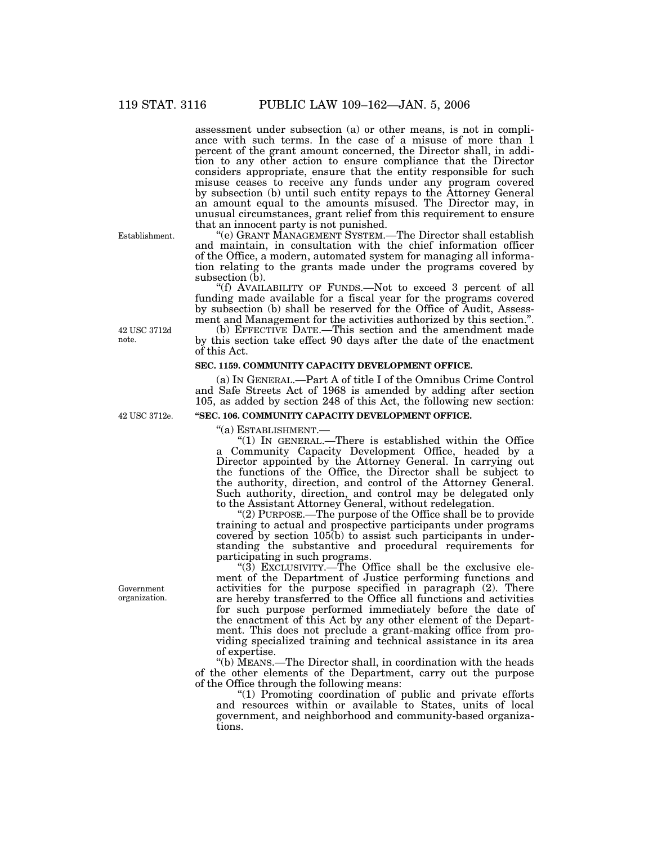assessment under subsection (a) or other means, is not in compliance with such terms. In the case of a misuse of more than 1 percent of the grant amount concerned, the Director shall, in addition to any other action to ensure compliance that the Director considers appropriate, ensure that the entity responsible for such misuse ceases to receive any funds under any program covered by subsection (b) until such entity repays to the Attorney General an amount equal to the amounts misused. The Director may, in unusual circumstances, grant relief from this requirement to ensure that an innocent party is not punished.

''(e) GRANT MANAGEMENT SYSTEM.—The Director shall establish and maintain, in consultation with the chief information officer of the Office, a modern, automated system for managing all information relating to the grants made under the programs covered by subsection  $(b)$ .

"(f) AVAILABILITY OF FUNDS.—Not to exceed 3 percent of all funding made available for a fiscal year for the programs covered by subsection (b) shall be reserved for the Office of Audit, Assessment and Management for the activities authorized by this section.''.

(b) EFFECTIVE DATE.—This section and the amendment made by this section take effect 90 days after the date of the enactment of this Act.

#### **SEC. 1159. COMMUNITY CAPACITY DEVELOPMENT OFFICE.**

(a) IN GENERAL.—Part A of title I of the Omnibus Crime Control and Safe Streets Act of 1968 is amended by adding after section 105, as added by section 248 of this Act, the following new section:

42 USC 3712e.

# **''SEC. 106. COMMUNITY CAPACITY DEVELOPMENT OFFICE.**

"(a) ESTABLISHMENT.—<br>"(1) IN GENERAL.—There is established within the Office" a Community Capacity Development Office, headed by a Director appointed by the Attorney General. In carrying out the functions of the Office, the Director shall be subject to the authority, direction, and control of the Attorney General. Such authority, direction, and control may be delegated only to the Assistant Attorney General, without redelegation.

''(2) PURPOSE.—The purpose of the Office shall be to provide training to actual and prospective participants under programs covered by section 105(b) to assist such participants in understanding the substantive and procedural requirements for participating in such programs.

''(3) EXCLUSIVITY.—The Office shall be the exclusive element of the Department of Justice performing functions and activities for the purpose specified in paragraph (2). There are hereby transferred to the Office all functions and activities for such purpose performed immediately before the date of the enactment of this Act by any other element of the Department. This does not preclude a grant-making office from providing specialized training and technical assistance in its area of expertise.

''(b) MEANS.—The Director shall, in coordination with the heads of the other elements of the Department, carry out the purpose of the Office through the following means:

''(1) Promoting coordination of public and private efforts and resources within or available to States, units of local government, and neighborhood and community-based organizations.

Government organization.

Establishment.

42 USC 3712d note.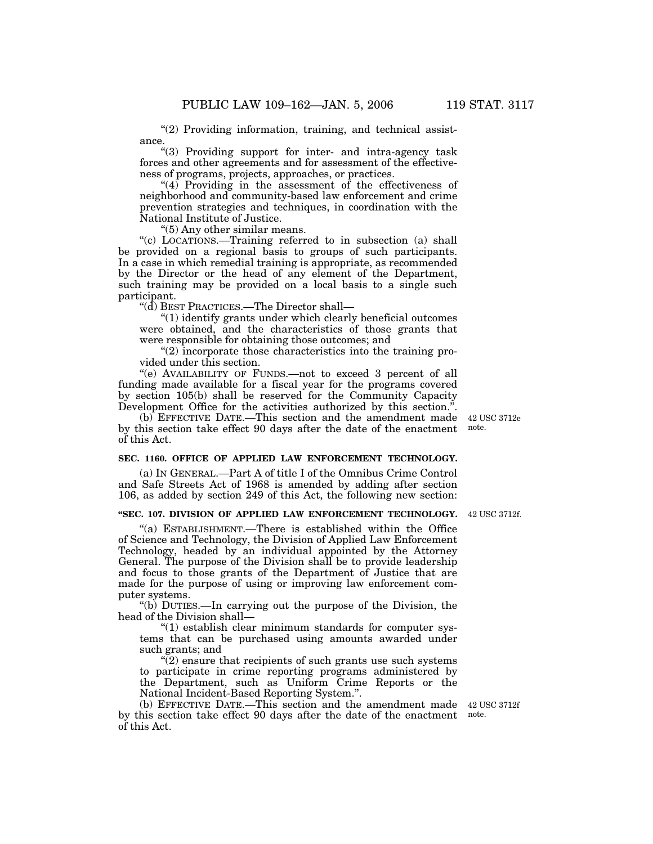"(2) Providing information, training, and technical assistance.

''(3) Providing support for inter- and intra-agency task forces and other agreements and for assessment of the effectiveness of programs, projects, approaches, or practices.

" $(4)$  Providing in the assessment of the effectiveness of neighborhood and community-based law enforcement and crime prevention strategies and techniques, in coordination with the National Institute of Justice.

''(5) Any other similar means.

"(c) LOCATIONS.—Training referred to in subsection (a) shall be provided on a regional basis to groups of such participants. In a case in which remedial training is appropriate, as recommended by the Director or the head of any element of the Department, such training may be provided on a local basis to a single such participant.

''(d) BEST PRACTICES.—The Director shall—

''(1) identify grants under which clearly beneficial outcomes were obtained, and the characteristics of those grants that were responsible for obtaining those outcomes; and

 $''(2)$  incorporate those characteristics into the training provided under this section.

"(e) AVAILABILITY OF FUNDS.—not to exceed 3 percent of all funding made available for a fiscal year for the programs covered by section 105(b) shall be reserved for the Community Capacity Development Office for the activities authorized by this section.''.

(b) EFFECTIVE DATE.—This section and the amendment made 42 USC 3712e by this section take effect 90 days after the date of the enactment note. of this Act.

### **SEC. 1160. OFFICE OF APPLIED LAW ENFORCEMENT TECHNOLOGY.**

(a) IN GENERAL.—Part A of title I of the Omnibus Crime Control and Safe Streets Act of 1968 is amended by adding after section 106, as added by section 249 of this Act, the following new section:

#### **''SEC. 107. DIVISION OF APPLIED LAW ENFORCEMENT TECHNOLOGY.** 42 USC 3712f.

''(a) ESTABLISHMENT.—There is established within the Office of Science and Technology, the Division of Applied Law Enforcement Technology, headed by an individual appointed by the Attorney General. The purpose of the Division shall be to provide leadership and focus to those grants of the Department of Justice that are made for the purpose of using or improving law enforcement computer systems.

''(b) DUTIES.—In carrying out the purpose of the Division, the head of the Division shall—

''(1) establish clear minimum standards for computer systems that can be purchased using amounts awarded under such grants; and

 $(2)$  ensure that recipients of such grants use such systems to participate in crime reporting programs administered by the Department, such as Uniform Crime Reports or the National Incident-Based Reporting System.''.

(b) EFFECTIVE DATE.—This section and the amendment made by this section take effect 90 days after the date of the enactment of this Act.

42 USC 3712f note.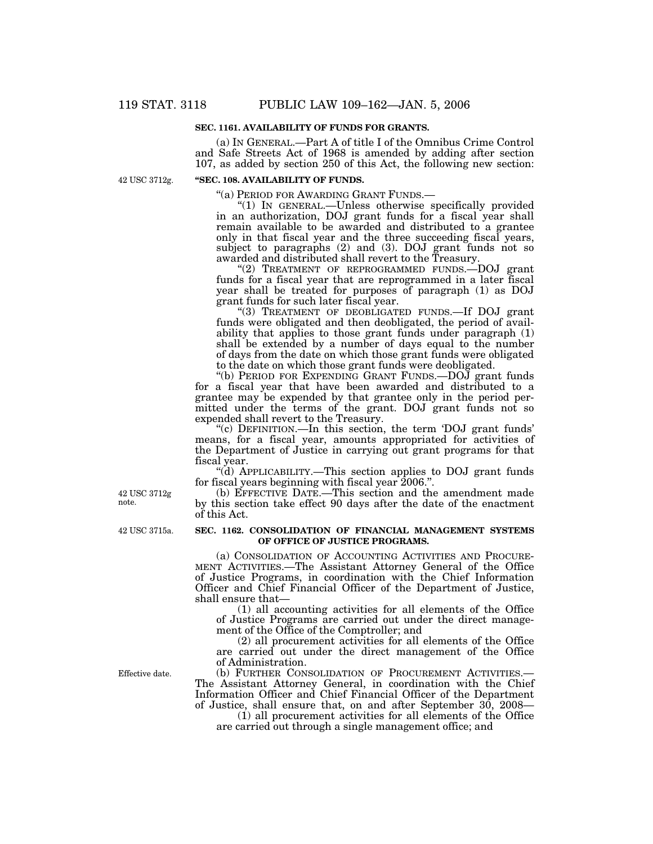### **SEC. 1161. AVAILABILITY OF FUNDS FOR GRANTS.**

(a) IN GENERAL.—Part A of title I of the Omnibus Crime Control and Safe Streets Act of 1968 is amended by adding after section 107, as added by section 250 of this Act, the following new section:

42 USC 3712g.

### **''SEC. 108. AVAILABILITY OF FUNDS.**

''(a) PERIOD FOR AWARDING GRANT FUNDS.— ''(1) IN GENERAL.—Unless otherwise specifically provided in an authorization, DOJ grant funds for a fiscal year shall remain available to be awarded and distributed to a grantee only in that fiscal year and the three succeeding fiscal years, subject to paragraphs (2) and (3). DOJ grant funds not so awarded and distributed shall revert to the Treasury.

"(2) TREATMENT OF REPROGRAMMED FUNDS. DOJ grant funds for a fiscal year that are reprogrammed in a later fiscal year shall be treated for purposes of paragraph (1) as DOJ grant funds for such later fiscal year.

"(3) TREATMENT OF DEOBLIGATED FUNDS.—If DOJ grant funds were obligated and then deobligated, the period of availability that applies to those grant funds under paragraph (1) shall be extended by a number of days equal to the number of days from the date on which those grant funds were obligated to the date on which those grant funds were deobligated.

"(b) PERIOD FOR EXPENDING GRANT FUNDS.—DOJ grant funds for a fiscal year that have been awarded and distributed to a grantee may be expended by that grantee only in the period permitted under the terms of the grant. DOJ grant funds not so expended shall revert to the Treasury.

"(c) DEFINITION.—In this section, the term 'DOJ grant funds' means, for a fiscal year, amounts appropriated for activities of the Department of Justice in carrying out grant programs for that fiscal year.

''(d) APPLICABILITY.—This section applies to DOJ grant funds for fiscal years beginning with fiscal year 2006."

(b) EFFECTIVE DATE.—This section and the amendment made by this section take effect 90 days after the date of the enactment of this Act.

#### **SEC. 1162. CONSOLIDATION OF FINANCIAL MANAGEMENT SYSTEMS OF OFFICE OF JUSTICE PROGRAMS.**

(a) CONSOLIDATION OF ACCOUNTING ACTIVITIES AND PROCURE-MENT ACTIVITIES.—The Assistant Attorney General of the Office of Justice Programs, in coordination with the Chief Information Officer and Chief Financial Officer of the Department of Justice, shall ensure that—

(1) all accounting activities for all elements of the Office of Justice Programs are carried out under the direct management of the Office of the Comptroller; and

(2) all procurement activities for all elements of the Office are carried out under the direct management of the Office of Administration.

(b) FURTHER CONSOLIDATION OF PROCUREMENT ACTIVITIES. The Assistant Attorney General, in coordination with the Chief Information Officer and Chief Financial Officer of the Department of Justice, shall ensure that, on and after September 30, 2008—

(1) all procurement activities for all elements of the Office are carried out through a single management office; and

42 USC 3712g note.

42 USC 3715a.

Effective date.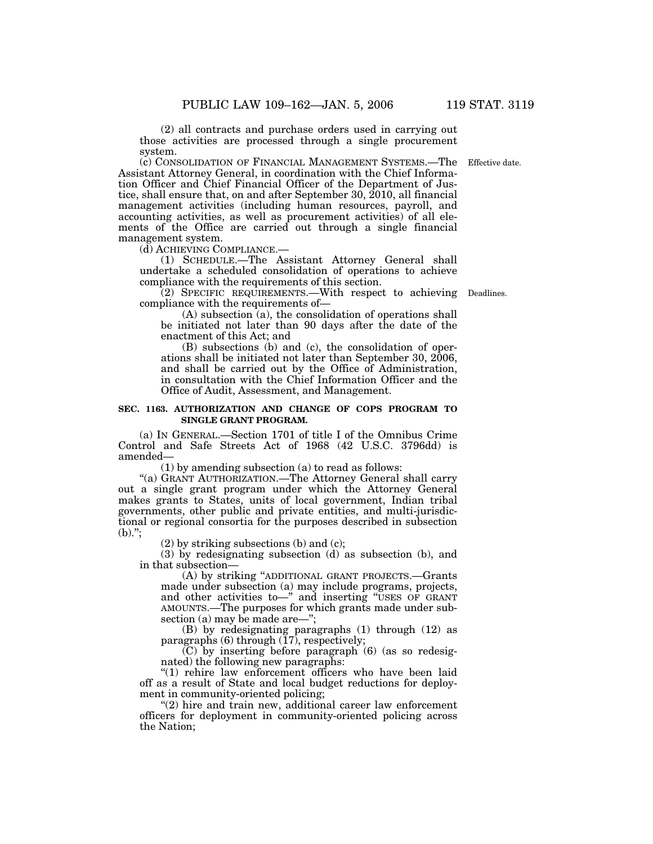(2) all contracts and purchase orders used in carrying out those activities are processed through a single procurement system.

(c) CONSOLIDATION OF FINANCIAL MANAGEMENT SYSTEMS.—The Effective date. Assistant Attorney General, in coordination with the Chief Information Officer and Chief Financial Officer of the Department of Justice, shall ensure that, on and after September 30, 2010, all financial management activities (including human resources, payroll, and accounting activities, as well as procurement activities) of all elements of the Office are carried out through a single financial management system.

(d) ACHIEVING COMPLIANCE.—

(1) SCHEDULE.—The Assistant Attorney General shall undertake a scheduled consolidation of operations to achieve compliance with the requirements of this section.

(2) SPECIFIC REQUIREMENTS.—With respect to achieving Deadlines. compliance with the requirements of—

 $(A)$  subsection  $\overline{a}$ , the consolidation of operations shall be initiated not later than 90 days after the date of the enactment of this Act; and

(B) subsections (b) and (c), the consolidation of operations shall be initiated not later than September 30, 2006, and shall be carried out by the Office of Administration, in consultation with the Chief Information Officer and the Office of Audit, Assessment, and Management.

### **SEC. 1163. AUTHORIZATION AND CHANGE OF COPS PROGRAM TO SINGLE GRANT PROGRAM.**

(a) IN GENERAL.—Section 1701 of title I of the Omnibus Crime Control and Safe Streets Act of 1968 (42 U.S.C. 3796dd) is amended—

(1) by amending subsection (a) to read as follows:

''(a) GRANT AUTHORIZATION.—The Attorney General shall carry out a single grant program under which the Attorney General makes grants to States, units of local government, Indian tribal governments, other public and private entities, and multi-jurisdictional or regional consortia for the purposes described in subsection  $(b)$ .";

(2) by striking subsections (b) and (c);

(3) by redesignating subsection (d) as subsection (b), and in that subsection—

(A) by striking ''ADDITIONAL GRANT PROJECTS.—Grants made under subsection (a) may include programs, projects, and other activities to—" and inserting "USES OF GRANT AMOUNTS.—The purposes for which grants made under subsection (a) may be made are—";

(B) by redesignating paragraphs (1) through (12) as paragraphs (6) through (17), respectively;

 $(C)$  by inserting before paragraph  $(6)$  (as so redesignated) the following new paragraphs:

"(1) rehire law enforcement officers who have been laid off as a result of State and local budget reductions for deployment in community-oriented policing;

''(2) hire and train new, additional career law enforcement officers for deployment in community-oriented policing across the Nation;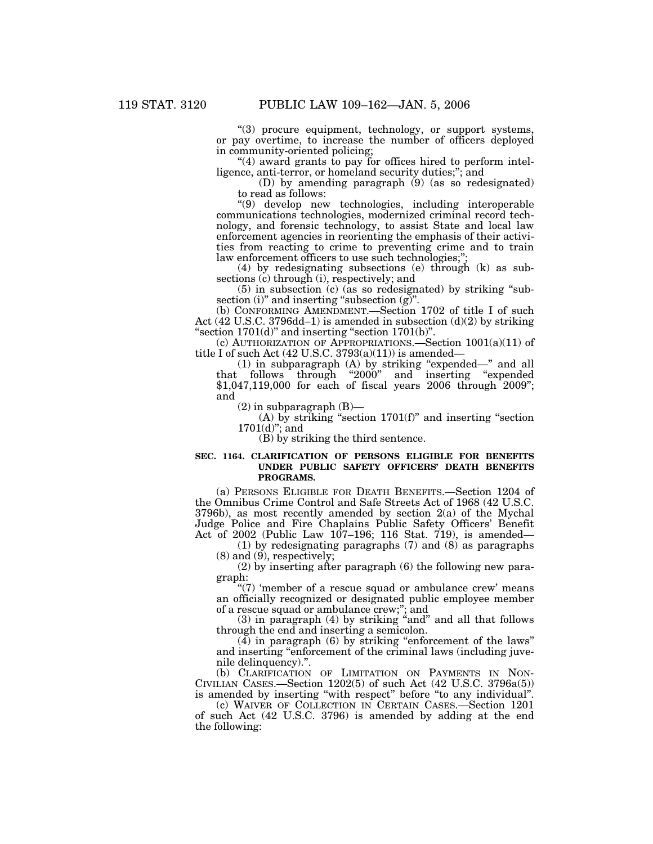"(3) procure equipment, technology, or support systems, or pay overtime, to increase the number of officers deployed in community-oriented policing;

"(4) award grants to pay for offices hired to perform intelligence, anti-terror, or homeland security duties;''; and

(D) by amending paragraph (9) (as so redesignated) to read as follows:

''(9) develop new technologies, including interoperable communications technologies, modernized criminal record technology, and forensic technology, to assist State and local law enforcement agencies in reorienting the emphasis of their activities from reacting to crime to preventing crime and to train law enforcement officers to use such technologies;'

(4) by redesignating subsections (e) through (k) as subsections (c) through (i), respectively; and

(5) in subsection (c) (as so redesignated) by striking ''subsection (i)" and inserting "subsection  $(g)$ ".

(b) CONFORMING AMENDMENT.—Section 1702 of title I of such Act (42 U.S.C. 3796dd–1) is amended in subsection (d)(2) by striking "section  $1701(d)$ " and inserting "section  $1701(b)$ ".

(c) AUTHORIZATION OF APPROPRIATIONS.—Section  $1001(a)(11)$  of title I of such Act  $(42 \text{ U.S.C. } 3793(a)(11))$  is amended—

(1) in subparagraph (A) by striking "expended—" and all that follows through "2000" and inserting "expended \$1,047,119,000 for each of fiscal years 2006 through 2009''; and

 $(2)$  in subparagraph  $(B)$ —

 $(A)$  by striking "section 1701 $(f)$ " and inserting "section 1701(d)''; and

(B) by striking the third sentence.

#### **SEC. 1164. CLARIFICATION OF PERSONS ELIGIBLE FOR BENEFITS UNDER PUBLIC SAFETY OFFICERS' DEATH BENEFITS PROGRAMS.**

(a) PERSONS ELIGIBLE FOR DEATH BENEFITS.—Section 1204 of the Omnibus Crime Control and Safe Streets Act of 1968 (42 U.S.C. 3796b), as most recently amended by section 2(a) of the Mychal Judge Police and Fire Chaplains Public Safety Officers' Benefit Act of 2002 (Public Law 107–196; 116 Stat. 719), is amended—

(1) by redesignating paragraphs (7) and (8) as paragraphs (8) and (9), respectively;

(2) by inserting after paragraph (6) the following new paragraph:

"(7) 'member of a rescue squad or ambulance crew' means an officially recognized or designated public employee member of a rescue squad or ambulance crew;''; and

(3) in paragraph (4) by striking "and" and all that follows through the end and inserting a semicolon.

 $(4)$  in paragraph  $(6)$  by striking "enforcement of the laws" and inserting "enforcement of the criminal laws (including juvenile delinquency).''.

(b) CLARIFICATION OF LIMITATION ON PAYMENTS IN NON-CIVILIAN CASES.—Section 1202(5) of such Act (42 U.S.C. 3796a(5)) is amended by inserting ''with respect'' before ''to any individual''.

(c) WAIVER OF COLLECTION IN CERTAIN CASES.—Section 1201 of such Act (42 U.S.C. 3796) is amended by adding at the end the following: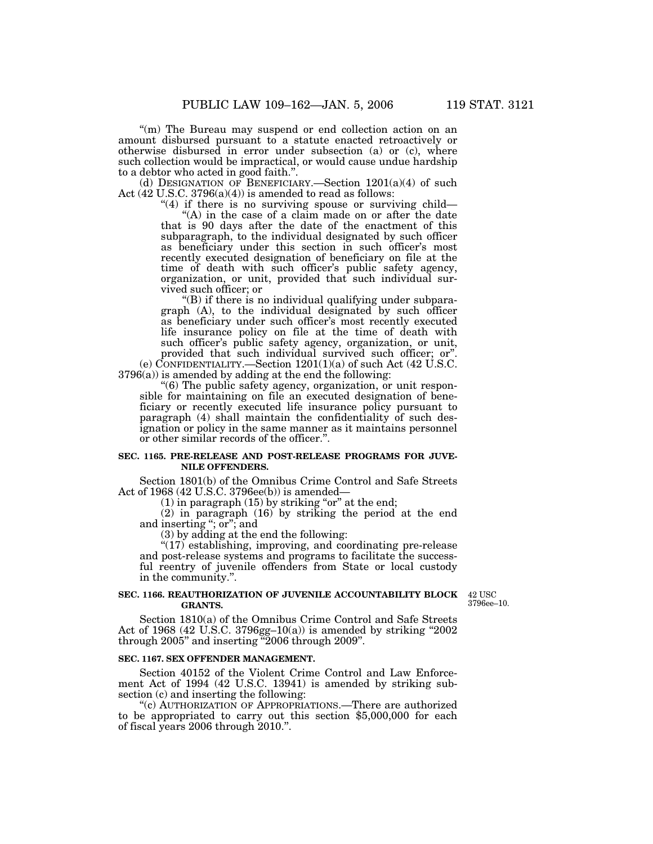"(m) The Bureau may suspend or end collection action on an amount disbursed pursuant to a statute enacted retroactively or otherwise disbursed in error under subsection (a) or (c), where such collection would be impractical, or would cause undue hardship to a debtor who acted in good faith.''.

(d) DESIGNATION OF BENEFICIARY.—Section  $1201(a)(4)$  of such Act  $(42 \text{ U.S.C. } 3796(a)(4))$  is amended to read as follows:

" $(4)$  if there is no surviving spouse or surviving child— " $(A)$  in the case of a claim made on or after the date that is 90 days after the date of the enactment of this subparagraph, to the individual designated by such officer as beneficiary under this section in such officer's most recently executed designation of beneficiary on file at the time of death with such officer's public safety agency, organization, or unit, provided that such individual survived such officer; or

''(B) if there is no individual qualifying under subparagraph (A), to the individual designated by such officer as beneficiary under such officer's most recently executed life insurance policy on file at the time of death with such officer's public safety agency, organization, or unit,

provided that such individual survived such officer; or''. (e) CONFIDENTIALITY.—Section  $1201(1)(a)$  of such Act (42 U.S.C.  $3796(a)$ ) is amended by adding at the end the following:

"(6) The public safety agency, organization, or unit responsible for maintaining on file an executed designation of beneficiary or recently executed life insurance policy pursuant to paragraph (4) shall maintain the confidentiality of such designation or policy in the same manner as it maintains personnel or other similar records of the officer.''.

### **SEC. 1165. PRE-RELEASE AND POST-RELEASE PROGRAMS FOR JUVE-NILE OFFENDERS.**

Section 1801(b) of the Omnibus Crime Control and Safe Streets Act of 1968 (42 U.S.C. 3796ee(b)) is amended—

 $(1)$  in paragraph  $(15)$  by striking "or" at the end;

(2) in paragraph (16) by striking the period at the end and inserting ''; or''; and

(3) by adding at the end the following:

 $\cdot$ (17) establishing, improving, and coordinating pre-release and post-release systems and programs to facilitate the successful reentry of juvenile offenders from State or local custody in the community.''.

### **SEC. 1166. REAUTHORIZATION OF JUVENILE ACCOUNTABILITY BLOCK GRANTS.**

42 USC 3796ee–10.

Section 1810(a) of the Omnibus Crime Control and Safe Streets Act of 1968 (42 U.S.C. 3796gg-10(a)) is amended by striking "2002 through 2005'' and inserting ''2006 through 2009''.

### **SEC. 1167. SEX OFFENDER MANAGEMENT.**

Section 40152 of the Violent Crime Control and Law Enforcement Act of 1994 (42 U.S.C. 13941) is amended by striking subsection (c) and inserting the following:

''(c) AUTHORIZATION OF APPROPRIATIONS.—There are authorized to be appropriated to carry out this section \$5,000,000 for each of fiscal years 2006 through 2010.''.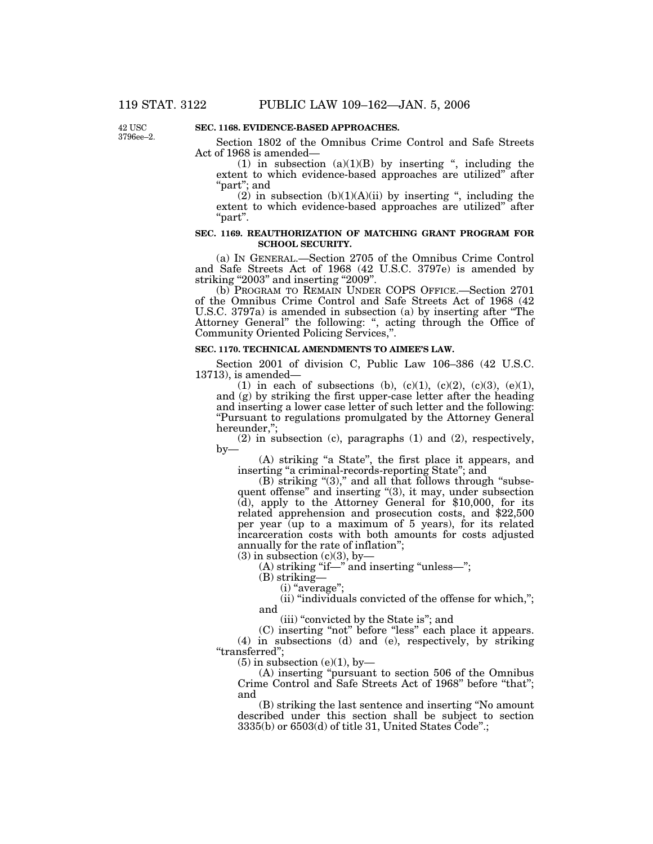42 USC 3796ee–2.

### **SEC. 1168. EVIDENCE-BASED APPROACHES.**

Section 1802 of the Omnibus Crime Control and Safe Streets Act of 1968 is amended—

(1) in subsection  $(a)(1)(B)$  by inserting ", including the extent to which evidence-based approaches are utilized'' after ''part''; and

(2) in subsection  $(b)(1)(A)(ii)$  by inserting ", including the extent to which evidence-based approaches are utilized'' after ''part''.

### **SEC. 1169. REAUTHORIZATION OF MATCHING GRANT PROGRAM FOR SCHOOL SECURITY.**

(a) IN GENERAL.—Section 2705 of the Omnibus Crime Control and Safe Streets Act of 1968 (42 U.S.C. 3797e) is amended by striking "2003" and inserting "2009".

(b) PROGRAM TO REMAIN UNDER COPS OFFICE.—Section 2701 of the Omnibus Crime Control and Safe Streets Act of 1968 (42 U.S.C. 3797a) is amended in subsection (a) by inserting after "The Attorney General" the following: ", acting through the Office of Community Oriented Policing Services,''.

### **SEC. 1170. TECHNICAL AMENDMENTS TO AIMEE'S LAW.**

Section 2001 of division C, Public Law 106–386 (42 U.S.C. 13713), is amended—

(1) in each of subsections (b),  $(c)(1)$ ,  $(c)(2)$ ,  $(c)(3)$ ,  $(e)(1)$ , and (g) by striking the first upper-case letter after the heading and inserting a lower case letter of such letter and the following: ''Pursuant to regulations promulgated by the Attorney General hereunder,'';

(2) in subsection (c), paragraphs (1) and (2), respectively,  $by-$ 

(A) striking ''a State'', the first place it appears, and inserting ''a criminal-records-reporting State''; and

 $(B)$  striking " $(3)$ ," and all that follows through "subsequent offense'' and inserting ''(3), it may, under subsection (d), apply to the Attorney General for \$10,000, for its related apprehension and prosecution costs, and \$22,500 per year (up to a maximum of 5 years), for its related incarceration costs with both amounts for costs adjusted annually for the rate of inflation'';

 $(3)$  in subsection  $(c)(3)$ , by-

(A) striking "if—" and inserting "unless—";

(B) striking—

 $(i)$  "average":

(ii) ''individuals convicted of the offense for which,''; and

(iii) ''convicted by the State is''; and

(C) inserting ''not'' before ''less'' each place it appears. (4) in subsections (d) and (e), respectively, by striking ''transferred'';

 $(5)$  in subsection (e)(1), by-

(A) inserting ''pursuant to section 506 of the Omnibus Crime Control and Safe Streets Act of 1968'' before ''that''; and

(B) striking the last sentence and inserting ''No amount described under this section shall be subject to section  $3335(b)$  or  $6503(d)$  of title 31, United States Code".;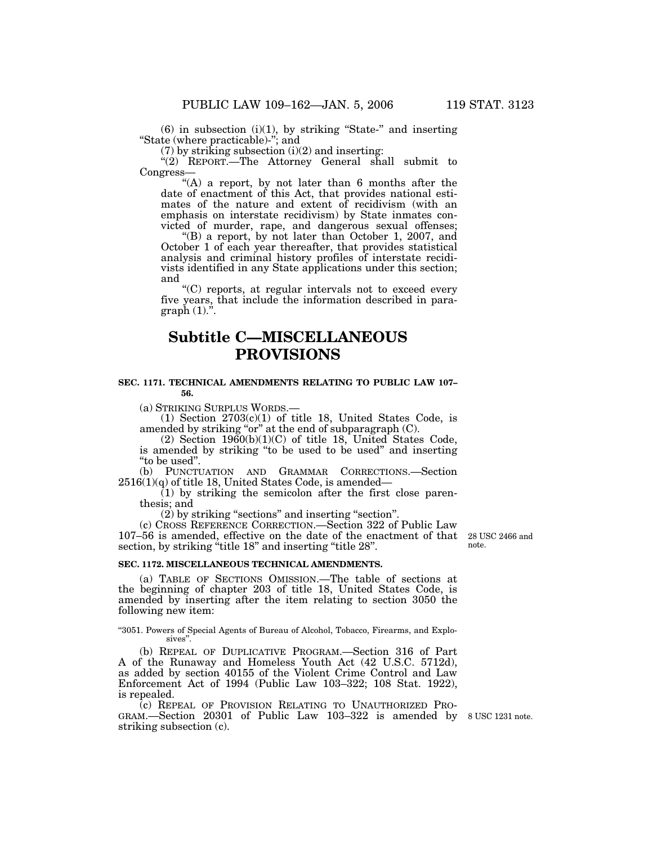$(6)$  in subsection  $(i)(1)$ , by striking "State-" and inserting ''State (where practicable)-''; and

 $(7)$  by striking subsection  $(i)(2)$  and inserting:

"(2) REPORT.—The Attorney General shall submit to Congress—

''(A) a report, by not later than 6 months after the date of enactment of this Act, that provides national estimates of the nature and extent of recidivism (with an emphasis on interstate recidivism) by State inmates convicted of murder, rape, and dangerous sexual offenses;

''(B) a report, by not later than October 1, 2007, and October 1 of each year thereafter, that provides statistical analysis and criminal history profiles of interstate recidivists identified in any State applications under this section; and

''(C) reports, at regular intervals not to exceed every five years, that include the information described in para $graph (1).$ ".

# **Subtitle C—MISCELLANEOUS PROVISIONS**

### **SEC. 1171. TECHNICAL AMENDMENTS RELATING TO PUBLIC LAW 107– 56.**

(a) STRIKING SURPLUS WORDS.—

(1) Section  $2703(c)(1)$  of title 18, United States Code, is amended by striking "or" at the end of subparagraph (C).

(2) Section  $1960(b)(1)(C)$  of title 18, United States Code, is amended by striking ''to be used to be used'' and inserting "to be used".

(b) PUNCTUATION AND GRAMMAR CORRECTIONS.—Section  $2516(1)(q)$  of title 18, United States Code, is amended-

(1) by striking the semicolon after the first close parenthesis; and

 $(2)$  by striking "sections" and inserting "section".

(c) CROSS REFERENCE CORRECTION.—Section 322 of Public Law 107–56 is amended, effective on the date of the enactment of that section, by striking "title 18" and inserting "title 28".

#### **SEC. 1172. MISCELLANEOUS TECHNICAL AMENDMENTS.**

(a) TABLE OF SECTIONS OMISSION.—The table of sections at the beginning of chapter 203 of title 18, United States Code, is amended by inserting after the item relating to section 3050 the following new item:

''3051. Powers of Special Agents of Bureau of Alcohol, Tobacco, Firearms, and Explosives''.

(b) REPEAL OF DUPLICATIVE PROGRAM.—Section 316 of Part A of the Runaway and Homeless Youth Act (42 U.S.C. 5712d), as added by section 40155 of the Violent Crime Control and Law Enforcement Act of 1994 (Public Law 103–322; 108 Stat. 1922), is repealed.

(c) REPEAL OF PROVISION RELATING TO UNAUTHORIZED PRO-GRAM.—Section 20301 of Public Law 103–322 is amended by 8 USC 1231 note. striking subsection (c).

28 USC 2466 and note.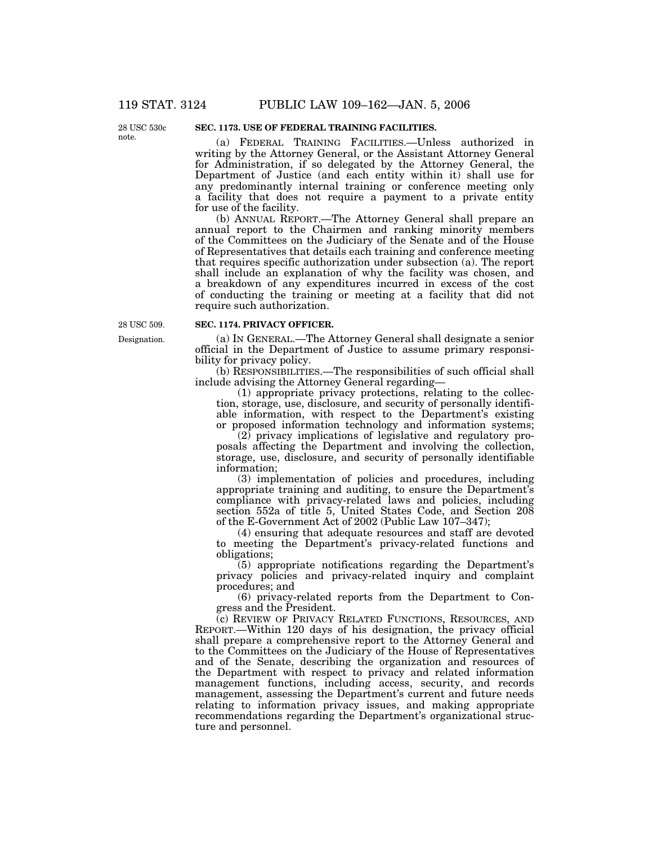28 USC 530c note.

### **SEC. 1173. USE OF FEDERAL TRAINING FACILITIES.**

(a) FEDERAL TRAINING FACILITIES.—Unless authorized in writing by the Attorney General, or the Assistant Attorney General for Administration, if so delegated by the Attorney General, the Department of Justice (and each entity within it) shall use for any predominantly internal training or conference meeting only a facility that does not require a payment to a private entity for use of the facility.

(b) ANNUAL REPORT.—The Attorney General shall prepare an annual report to the Chairmen and ranking minority members of the Committees on the Judiciary of the Senate and of the House of Representatives that details each training and conference meeting that requires specific authorization under subsection (a). The report shall include an explanation of why the facility was chosen, and a breakdown of any expenditures incurred in excess of the cost of conducting the training or meeting at a facility that did not require such authorization.

Designation. 28 USC 509.

#### **SEC. 1174. PRIVACY OFFICER.**

(a) IN GENERAL.—The Attorney General shall designate a senior official in the Department of Justice to assume primary responsibility for privacy policy.

(b) RESPONSIBILITIES.—The responsibilities of such official shall include advising the Attorney General regarding—

(1) appropriate privacy protections, relating to the collection, storage, use, disclosure, and security of personally identifiable information, with respect to the Department's existing or proposed information technology and information systems;

(2) privacy implications of legislative and regulatory proposals affecting the Department and involving the collection, storage, use, disclosure, and security of personally identifiable information;

(3) implementation of policies and procedures, including appropriate training and auditing, to ensure the Department's compliance with privacy-related laws and policies, including section 552a of title 5, United States Code, and Section 208 of the E-Government Act of 2002 (Public Law 107–347);

(4) ensuring that adequate resources and staff are devoted to meeting the Department's privacy-related functions and obligations;

(5) appropriate notifications regarding the Department's privacy policies and privacy-related inquiry and complaint procedures; and

(6) privacy-related reports from the Department to Congress and the President.

(c) REVIEW OF PRIVACY RELATED FUNCTIONS, RESOURCES, AND REPORT.—Within 120 days of his designation, the privacy official shall prepare a comprehensive report to the Attorney General and to the Committees on the Judiciary of the House of Representatives and of the Senate, describing the organization and resources of the Department with respect to privacy and related information management functions, including access, security, and records management, assessing the Department's current and future needs relating to information privacy issues, and making appropriate recommendations regarding the Department's organizational structure and personnel.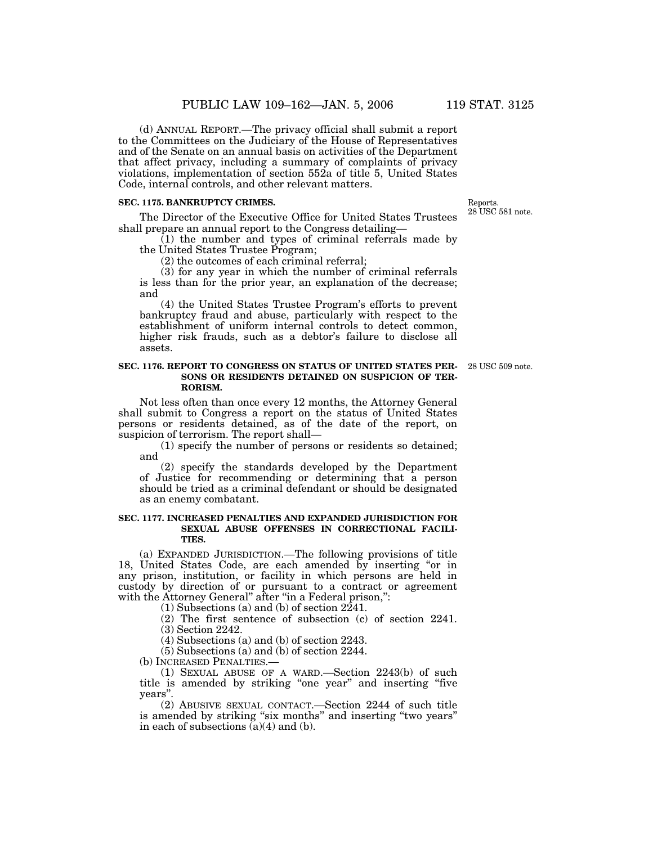(d) ANNUAL REPORT.—The privacy official shall submit a report to the Committees on the Judiciary of the House of Representatives and of the Senate on an annual basis on activities of the Department that affect privacy, including a summary of complaints of privacy violations, implementation of section 552a of title 5, United States Code, internal controls, and other relevant matters.

#### **SEC. 1175. BANKRUPTCY CRIMES.**

The Director of the Executive Office for United States Trustees shall prepare an annual report to the Congress detailing—

 $(1)$  the number and types of criminal referrals made by the United States Trustee Program;

(2) the outcomes of each criminal referral;

(3) for any year in which the number of criminal referrals is less than for the prior year, an explanation of the decrease; and

(4) the United States Trustee Program's efforts to prevent bankruptcy fraud and abuse, particularly with respect to the establishment of uniform internal controls to detect common, higher risk frauds, such as a debtor's failure to disclose all assets.

#### **SEC. 1176. REPORT TO CONGRESS ON STATUS OF UNITED STATES PER-**28 USC 509 note. **SONS OR RESIDENTS DETAINED ON SUSPICION OF TER-RORISM.**

Not less often than once every 12 months, the Attorney General shall submit to Congress a report on the status of United States persons or residents detained, as of the date of the report, on suspicion of terrorism. The report shall—

(1) specify the number of persons or residents so detained; and

(2) specify the standards developed by the Department of Justice for recommending or determining that a person should be tried as a criminal defendant or should be designated as an enemy combatant.

### **SEC. 1177. INCREASED PENALTIES AND EXPANDED JURISDICTION FOR SEXUAL ABUSE OFFENSES IN CORRECTIONAL FACILI-TIES.**

(a) EXPANDED JURISDICTION.—The following provisions of title 18, United States Code, are each amended by inserting "or in any prison, institution, or facility in which persons are held in custody by direction of or pursuant to a contract or agreement with the Attorney General" after "in a Federal prison,":

 $(1)$  Subsections (a) and (b) of section 2241.

(2) The first sentence of subsection (c) of section 2241. (3) Section 2242.

(4) Subsections (a) and (b) of section 2243. (5) Subsections (a) and (b) of section 2244.

(b) INCREASED PENALTIES.

(1) SEXUAL ABUSE OF A WARD.—Section 2243(b) of such title is amended by striking ''one year'' and inserting ''five years''.

(2) ABUSIVE SEXUAL CONTACT.—Section 2244 of such title is amended by striking "six months" and inserting "two years" in each of subsections  $(a)(4)$  and  $(b)$ .

Reports. 28 USC 581 note.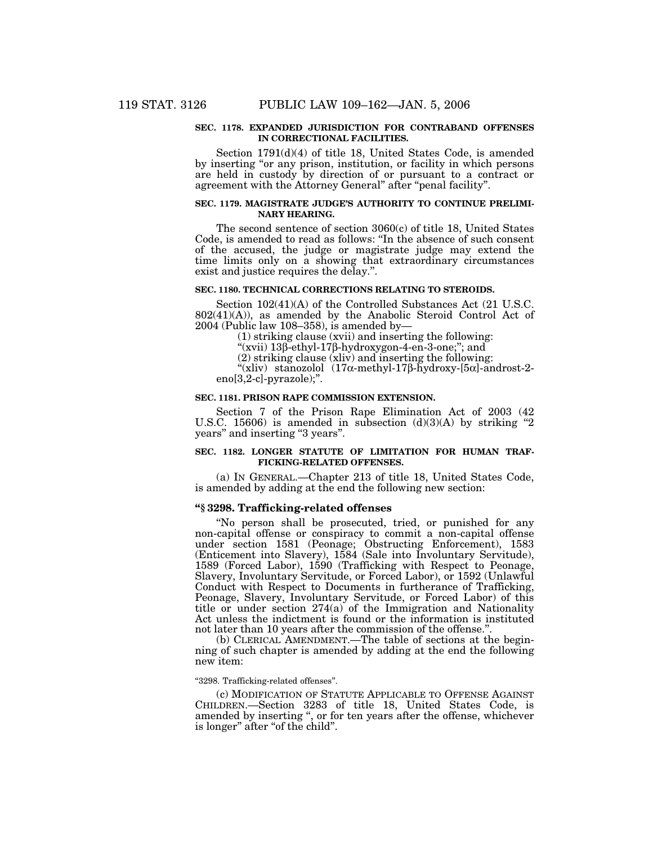### **SEC. 1178. EXPANDED JURISDICTION FOR CONTRABAND OFFENSES IN CORRECTIONAL FACILITIES.**

Section 1791(d)(4) of title 18, United States Code, is amended by inserting "or any prison, institution, or facility in which persons are held in custody by direction of or pursuant to a contract or agreement with the Attorney General'' after ''penal facility''.

### **SEC. 1179. MAGISTRATE JUDGE'S AUTHORITY TO CONTINUE PRELIMI-NARY HEARING.**

The second sentence of section 3060(c) of title 18, United States Code, is amended to read as follows: ''In the absence of such consent of the accused, the judge or magistrate judge may extend the time limits only on a showing that extraordinary circumstances exist and justice requires the delay.''.

### **SEC. 1180. TECHNICAL CORRECTIONS RELATING TO STEROIDS.**

Section 102(41)(A) of the Controlled Substances Act (21 U.S.C. 802(41)(A)), as amended by the Anabolic Steroid Control Act of 2004 (Public law 108–358), is amended by—

(1) striking clause (xvii) and inserting the following:

''(xvii) 13β-ethyl-17β-hydroxygon-4-en-3-one;''; and

(2) striking clause (xliv) and inserting the following:

''(xliv) stanozolol (17α-methyl-17β-hydroxy-[5α]-androst-2  $eno[3,2-c]$ -pyrazole);".

#### **SEC. 1181. PRISON RAPE COMMISSION EXTENSION.**

Section 7 of the Prison Rape Elimination Act of 2003 (42 U.S.C. 15606) is amended in subsection  $(d)(3)(A)$  by striking  $a^2$ years" and inserting "3 years".

### **SEC. 1182. LONGER STATUTE OF LIMITATION FOR HUMAN TRAF-FICKING-RELATED OFFENSES.**

(a) IN GENERAL.—Chapter 213 of title 18, United States Code, is amended by adding at the end the following new section:

### **''§ 3298. Trafficking-related offenses**

''No person shall be prosecuted, tried, or punished for any non-capital offense or conspiracy to commit a non-capital offense under section 1581 (Peonage; Obstructing Enforcement), 1583 (Enticement into Slavery), 1584 (Sale into Involuntary Servitude), 1589 (Forced Labor), 1590 (Trafficking with Respect to Peonage, Slavery, Involuntary Servitude, or Forced Labor), or 1592 (Unlawful Conduct with Respect to Documents in furtherance of Trafficking, Peonage, Slavery, Involuntary Servitude, or Forced Labor) of this title or under section 274(a) of the Immigration and Nationality Act unless the indictment is found or the information is instituted not later than 10 years after the commission of the offense.'

(b) CLERICAL AMENDMENT.—The table of sections at the beginning of such chapter is amended by adding at the end the following new item:

#### ''3298. Trafficking-related offenses''.

(c) MODIFICATION OF STATUTE APPLICABLE TO OFFENSE AGAINST CHILDREN.—Section 3283 of title 18, United States Code, is amended by inserting ", or for ten years after the offense, whichever is longer" after "of the child".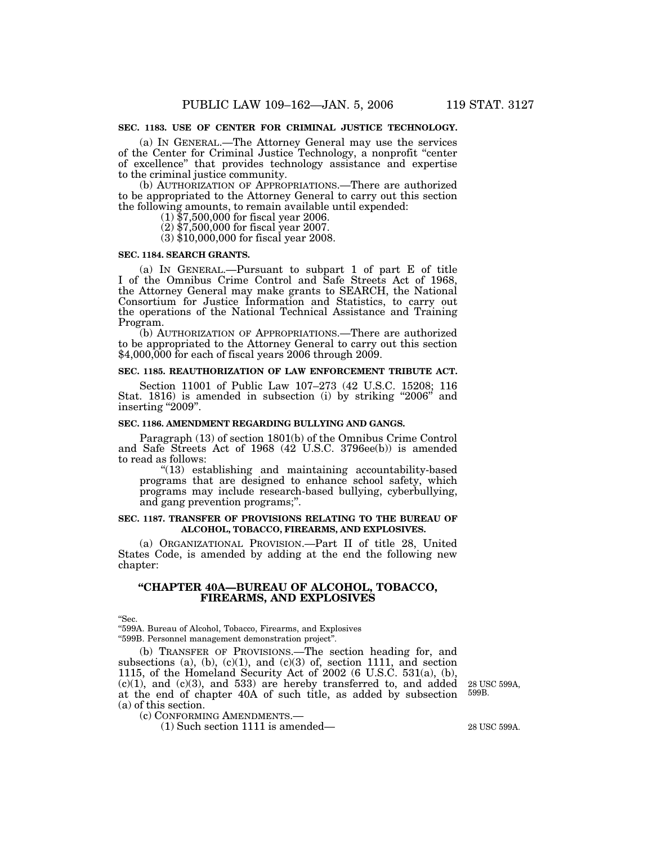### **SEC. 1183. USE OF CENTER FOR CRIMINAL JUSTICE TECHNOLOGY.**

(a) IN GENERAL.—The Attorney General may use the services of the Center for Criminal Justice Technology, a nonprofit ''center of excellence'' that provides technology assistance and expertise to the criminal justice community.

(b) AUTHORIZATION OF APPROPRIATIONS.—There are authorized to be appropriated to the Attorney General to carry out this section the following amounts, to remain available until expended:

(1) \$7,500,000 for fiscal year 2006.

(2) \$7,500,000 for fiscal year 2007.

(3) \$10,000,000 for fiscal year 2008.

#### **SEC. 1184. SEARCH GRANTS.**

(a) IN GENERAL.—Pursuant to subpart 1 of part E of title I of the Omnibus Crime Control and Safe Streets Act of 1968, the Attorney General may make grants to SEARCH, the National Consortium for Justice Information and Statistics, to carry out the operations of the National Technical Assistance and Training Program.

(b) AUTHORIZATION OF APPROPRIATIONS.—There are authorized to be appropriated to the Attorney General to carry out this section \$4,000,000 for each of fiscal years 2006 through 2009.

#### **SEC. 1185. REAUTHORIZATION OF LAW ENFORCEMENT TRIBUTE ACT.**

Section 11001 of Public Law 107–273 (42 U.S.C. 15208; 116 Stat. 1816) is amended in subsection (i) by striking "2006" and inserting "2009".

#### **SEC. 1186. AMENDMENT REGARDING BULLYING AND GANGS.**

Paragraph (13) of section 1801(b) of the Omnibus Crime Control and Safe Streets Act of 1968 (42 U.S.C. 3796ee(b)) is amended to read as follows:

''(13) establishing and maintaining accountability-based programs that are designed to enhance school safety, which programs may include research-based bullying, cyberbullying, and gang prevention programs;''.

#### **SEC. 1187. TRANSFER OF PROVISIONS RELATING TO THE BUREAU OF ALCOHOL, TOBACCO, FIREARMS, AND EXPLOSIVES.**

(a) ORGANIZATIONAL PROVISION.—Part II of title 28, United States Code, is amended by adding at the end the following new chapter:

### **''CHAPTER 40A—BUREAU OF ALCOHOL, TOBACCO, FIREARMS, AND EXPLOSIVES**

''Sec.

"599A. Bureau of Alcohol, Tobacco, Firearms, and Explosives ''599B. Personnel management demonstration project''.

(b) TRANSFER OF PROVISIONS.—The section heading for, and subsections (a), (b),  $(c)(1)$ , and  $(c)(3)$  of, section 1111, and section 1115, of the Homeland Security Act of 2002 (6 U.S.C. 531(a), (b),  $(c)(1)$ , and  $(c)(3)$ , and 533) are hereby transferred to, and added at the end of chapter 40A of such title, as added by subsection (a) of this section.

(c) CONFORMING AMENDMENTS.—

(1) Such section 1111 is amended— 28 USC 599A.

28 USC 599A, 599B.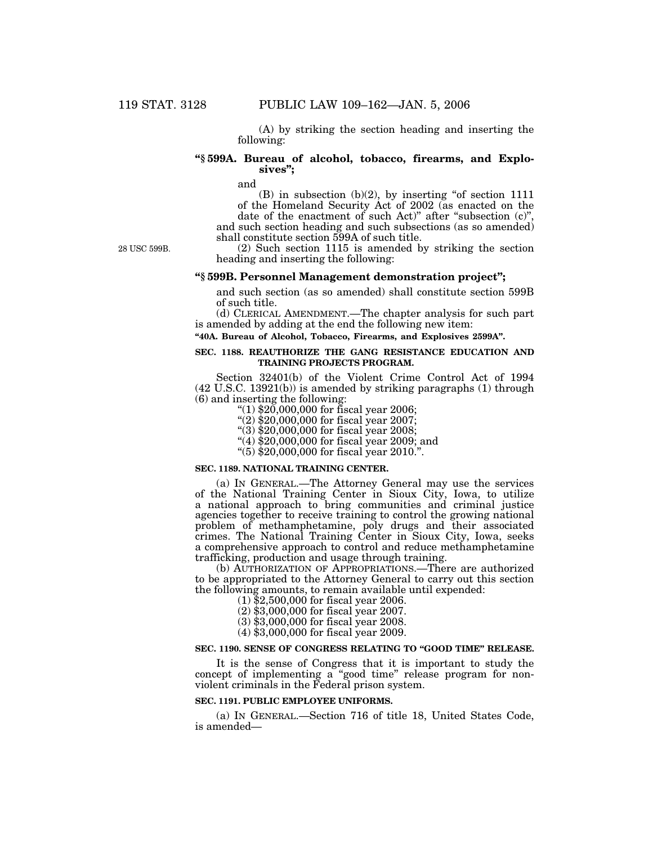(A) by striking the section heading and inserting the following:

### **''§ 599A. Bureau of alcohol, tobacco, firearms, and Explosives'';**

and

 $(B)$  in subsection  $(b)(2)$ , by inserting "of section 1111 of the Homeland Security Act of 2002 (as enacted on the date of the enactment of such Act)" after "subsection  $(c)$ ". and such section heading and such subsections (as so amended) shall constitute section 599A of such title.

(2) Such section 1115 is amended by striking the section

28 USC 599B.

# **''§ 599B. Personnel Management demonstration project'';**

and such section (as so amended) shall constitute section 599B of such title.

(d) CLERICAL AMENDMENT.—The chapter analysis for such part is amended by adding at the end the following new item:

**''40A. Bureau of Alcohol, Tobacco, Firearms, and Explosives 2599A''.**

### **SEC. 1188. REAUTHORIZE THE GANG RESISTANCE EDUCATION AND TRAINING PROJECTS PROGRAM.**

Section 32401(b) of the Violent Crime Control Act of 1994 (42 U.S.C. 13921(b)) is amended by striking paragraphs (1) through (6) and inserting the following:

"(1)  $$20,000,000$  for fiscal year 2006;

heading and inserting the following:

"(2)  $$20,000,000$  for fiscal year 2007;

 $'(3)$  \$20,000,000 for fiscal year 2008;

 $(4)$  \$20,000,000 for fiscal year 2009; and

 $\sqrt[4]{(5)}$  \$20,000,000 for fiscal year 2010.".

### **SEC. 1189. NATIONAL TRAINING CENTER.**

(a) IN GENERAL.—The Attorney General may use the services of the National Training Center in Sioux City, Iowa, to utilize a national approach to bring communities and criminal justice agencies together to receive training to control the growing national problem of methamphetamine, poly drugs and their associated crimes. The National Training Center in Sioux City, Iowa, seeks a comprehensive approach to control and reduce methamphetamine trafficking, production and usage through training.

(b) AUTHORIZATION OF APPROPRIATIONS.—There are authorized to be appropriated to the Attorney General to carry out this section the following amounts, to remain available until expended:

(1) \$2,500,000 for fiscal year 2006.

(2) \$3,000,000 for fiscal year 2007.

(3) \$3,000,000 for fiscal year 2008.

(4) \$3,000,000 for fiscal year 2009.

#### **SEC. 1190. SENSE OF CONGRESS RELATING TO ''GOOD TIME'' RELEASE.**

It is the sense of Congress that it is important to study the concept of implementing a ''good time'' release program for nonviolent criminals in the Federal prison system.

### **SEC. 1191. PUBLIC EMPLOYEE UNIFORMS.**

(a) IN GENERAL.—Section 716 of title 18, United States Code, is amended—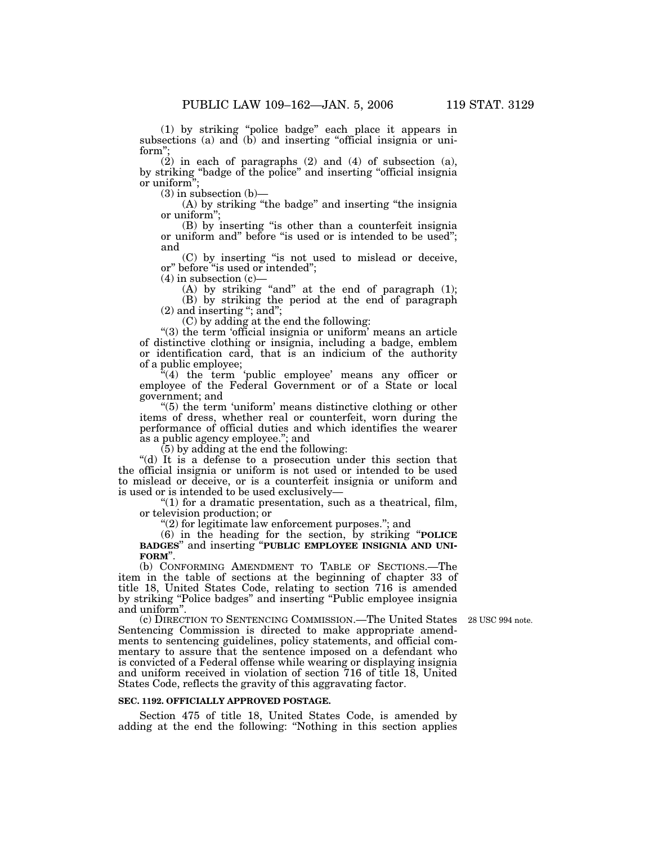(1) by striking ''police badge'' each place it appears in subsections (a) and (b) and inserting "official insignia or uniform"

(2) in each of paragraphs (2) and (4) of subsection (a), by striking ''badge of the police'' and inserting ''official insignia or uniform'';

 $(3)$  in subsection  $(b)$ —

(A) by striking ''the badge'' and inserting ''the insignia or uniform'';

(B) by inserting ''is other than a counterfeit insignia or uniform and'' before ''is used or is intended to be used''; and

(C) by inserting ''is not used to mislead or deceive, or" before "is used or intended";

 $(4)$  in subsection  $(c)$ –

(A) by striking "and" at the end of paragraph (1); (B) by striking the period at the end of paragraph

(2) and inserting ''; and'';

(C) by adding at the end the following:

"(3) the term 'official insignia or uniform' means an article of distinctive clothing or insignia, including a badge, emblem or identification card, that is an indicium of the authority of a public employee;

 $i(4)$  the term 'public employee' means any officer or employee of the Federal Government or of a State or local government; and

" $(5)$  the term 'uniform' means distinctive clothing or other items of dress, whether real or counterfeit, worn during the performance of official duties and which identifies the wearer as a public agency employee.''; and

(5) by adding at the end the following:

"(d) It is a defense to a prosecution under this section that the official insignia or uniform is not used or intended to be used to mislead or deceive, or is a counterfeit insignia or uniform and is used or is intended to be used exclusively—

" $(1)$  for a dramatic presentation, such as a theatrical, film, or television production; or

"(2) for legitimate law enforcement purposes."; and

(6) in the heading for the section, by striking ''**POLICE BADGES**'' and inserting ''**PUBLIC EMPLOYEE INSIGNIA AND UNI-FORM**''.

(b) CONFORMING AMENDMENT TO TABLE OF SECTIONS.—The item in the table of sections at the beginning of chapter 33 of title 18, United States Code, relating to section 716 is amended by striking ''Police badges'' and inserting ''Public employee insignia and uniform''.

28 USC 994 note.

(c) DIRECTION TO SENTENCING COMMISSION.—The United States Sentencing Commission is directed to make appropriate amendments to sentencing guidelines, policy statements, and official commentary to assure that the sentence imposed on a defendant who is convicted of a Federal offense while wearing or displaying insignia and uniform received in violation of section 716 of title 18, United States Code, reflects the gravity of this aggravating factor.

#### **SEC. 1192. OFFICIALLY APPROVED POSTAGE.**

Section 475 of title 18, United States Code, is amended by adding at the end the following: ''Nothing in this section applies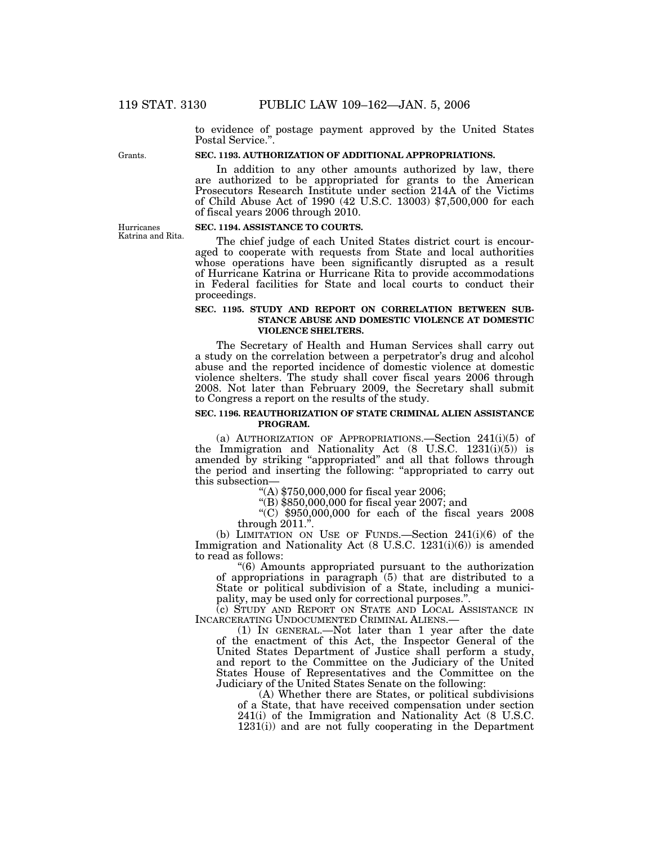to evidence of postage payment approved by the United States Postal Service.''.

Grants.

### **SEC. 1193. AUTHORIZATION OF ADDITIONAL APPROPRIATIONS.**

In addition to any other amounts authorized by law, there are authorized to be appropriated for grants to the American Prosecutors Research Institute under section 214A of the Victims of Child Abuse Act of 1990 (42 U.S.C. 13003) \$7,500,000 for each of fiscal years 2006 through 2010.

Hurricanes Katrina and Rita.

### **SEC. 1194. ASSISTANCE TO COURTS.**

The chief judge of each United States district court is encouraged to cooperate with requests from State and local authorities whose operations have been significantly disrupted as a result of Hurricane Katrina or Hurricane Rita to provide accommodations in Federal facilities for State and local courts to conduct their proceedings.

### **SEC. 1195. STUDY AND REPORT ON CORRELATION BETWEEN SUB-STANCE ABUSE AND DOMESTIC VIOLENCE AT DOMESTIC VIOLENCE SHELTERS.**

The Secretary of Health and Human Services shall carry out a study on the correlation between a perpetrator's drug and alcohol abuse and the reported incidence of domestic violence at domestic violence shelters. The study shall cover fiscal years 2006 through 2008. Not later than February 2009, the Secretary shall submit to Congress a report on the results of the study.

#### **SEC. 1196. REAUTHORIZATION OF STATE CRIMINAL ALIEN ASSISTANCE PROGRAM.**

(a) AUTHORIZATION OF APPROPRIATIONS.—Section 241(i)(5) of the Immigration and Nationality Act (8 U.S.C. 1231(i)(5)) is amended by striking ''appropriated'' and all that follows through the period and inserting the following: ''appropriated to carry out this subsection—

''(A) \$750,000,000 for fiscal year 2006;

''(B) \$850,000,000 for fiscal year 2007; and

" $(C)$  \$950,000,000 for each of the fiscal years 2008 through 2011.''.

(b) LIMITATION ON USE OF FUNDS.—Section 241(i)(6) of the Immigration and Nationality Act (8 U.S.C. 1231(i)(6)) is amended to read as follows:

''(6) Amounts appropriated pursuant to the authorization of appropriations in paragraph (5) that are distributed to a State or political subdivision of a State, including a municipality, may be used only for correctional purposes.''.

(c) STUDY AND REPORT ON STATE AND LOCAL ASSISTANCE IN INCARCERATING UNDOCUMENTED CRIMINAL ALIENS.—

(1) IN GENERAL.—Not later than 1 year after the date of the enactment of this Act, the Inspector General of the United States Department of Justice shall perform a study, and report to the Committee on the Judiciary of the United States House of Representatives and the Committee on the Judiciary of the United States Senate on the following:

(A) Whether there are States, or political subdivisions of a State, that have received compensation under section 241(i) of the Immigration and Nationality Act (8 U.S.C. 1231(i)) and are not fully cooperating in the Department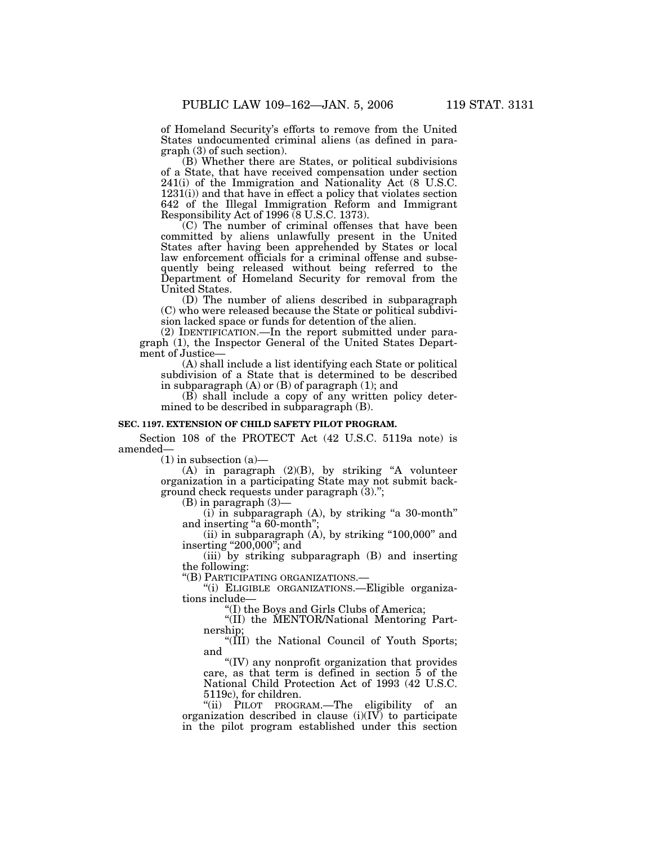of Homeland Security's efforts to remove from the United States undocumented criminal aliens (as defined in para-

graph (3) of such section). (B) Whether there are States, or political subdivisions of a State, that have received compensation under section 241(i) of the Immigration and Nationality Act (8 U.S.C. 1231(i)) and that have in effect a policy that violates section 642 of the Illegal Immigration Reform and Immigrant Responsibility Act of 1996 (8 U.S.C. 1373).

(C) The number of criminal offenses that have been committed by aliens unlawfully present in the United States after having been apprehended by States or local law enforcement officials for a criminal offense and subsequently being released without being referred to the Department of Homeland Security for removal from the United States.

(D) The number of aliens described in subparagraph (C) who were released because the State or political subdivision lacked space or funds for detention of the alien.

(2) IDENTIFICATION.—In the report submitted under paragraph (1), the Inspector General of the United States Department of Justice—

(A) shall include a list identifying each State or political subdivision of a State that is determined to be described in subparagraph (A) or (B) of paragraph (1); and

(B) shall include a copy of any written policy determined to be described in subparagraph (B).

#### **SEC. 1197. EXTENSION OF CHILD SAFETY PILOT PROGRAM.**

Section 108 of the PROTECT Act (42 U.S.C. 5119a note) is amended—

 $(1)$  in subsection  $(a)$ —

(A) in paragraph  $(2)(B)$ , by striking "A volunteer organization in a participating State may not submit background check requests under paragraph (3).'';

(B) in paragraph (3)—

(i) in subparagraph (A), by striking "a 30-month" and inserting ''a 60-month'';

(ii) in subparagraph  $(A)$ , by striking "100,000" and inserting ''200,000''; and

(iii) by striking subparagraph (B) and inserting the following:

''(B) PARTICIPATING ORGANIZATIONS.—

''(i) ELIGIBLE ORGANIZATIONS.—Eligible organizations include—

''(I) the Boys and Girls Clubs of America;

''(II) the MENTOR/National Mentoring Partnership;

''(III) the National Council of Youth Sports; and

''(IV) any nonprofit organization that provides care, as that term is defined in section 5 of the National Child Protection Act of 1993 (42 U.S.C. 5119c), for children.

''(ii) PILOT PROGRAM.—The eligibility of an organization described in clause  $(i)(IV)$  to participate in the pilot program established under this section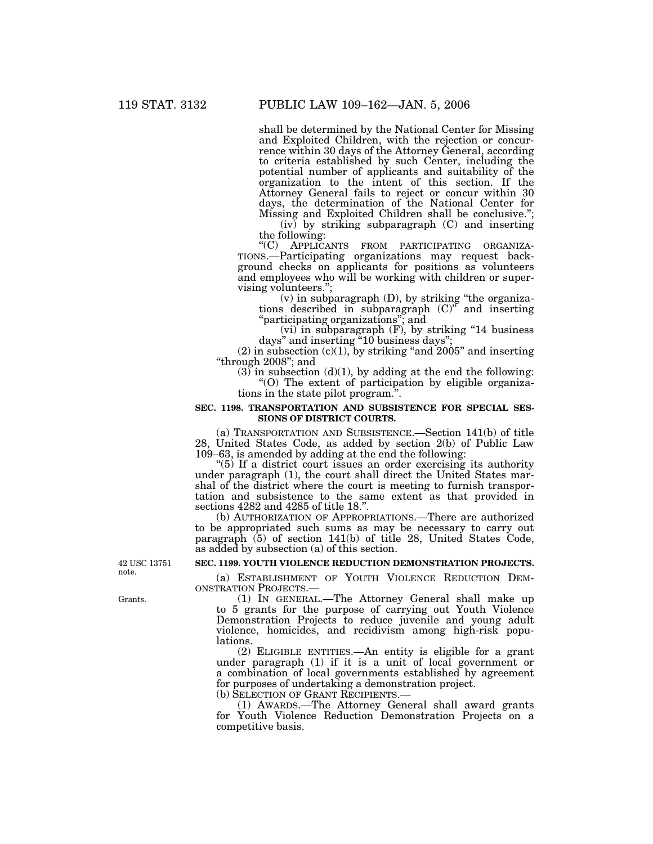shall be determined by the National Center for Missing and Exploited Children, with the rejection or concurrence within 30 days of the Attorney General, according to criteria established by such Center, including the potential number of applicants and suitability of the organization to the intent of this section. If the Attorney General fails to reject or concur within 30 days, the determination of the National Center for Missing and Exploited Children shall be conclusive.'';

(iv) by striking subparagraph (C) and inserting the following:<br>"(C) APPLICANTS FROM PARTICIPATING ORGANIZA-

TIONS.—Participating organizations may request background checks on applicants for positions as volunteers and employees who will be working with children or supervising volunteers.'';

(v) in subparagraph (D), by striking ''the organizations described in subparagraph (C)'' and inserting ''participating organizations''; and

 $(vi)$  in subparagraph  $(F)$ , by striking "14 business days'' and inserting ''10 business days'';

 $(2)$  in subsection  $(c)(1)$ , by striking "and 2005" and inserting ''through 2008''; and

 $(3)$  in subsection  $(d)(1)$ , by adding at the end the following: ''(O) The extent of participation by eligible organizations in the state pilot program.''.

### **SEC. 1198. TRANSPORTATION AND SUBSISTENCE FOR SPECIAL SES-SIONS OF DISTRICT COURTS.**

(a) TRANSPORTATION AND SUBSISTENCE.—Section 141(b) of title 28, United States Code, as added by section 2(b) of Public Law 109–63, is amended by adding at the end the following:

''(5) If a district court issues an order exercising its authority under paragraph (1), the court shall direct the United States marshal of the district where the court is meeting to furnish transportation and subsistence to the same extent as that provided in sections 4282 and 4285 of title 18.''.

(b) AUTHORIZATION OF APPROPRIATIONS.—There are authorized to be appropriated such sums as may be necessary to carry out paragraph (5) of section 141(b) of title 28, United States Code, as added by subsection (a) of this section.

### **SEC. 1199. YOUTH VIOLENCE REDUCTION DEMONSTRATION PROJECTS.**

(a) ESTABLISHMENT OF YOUTH VIOLENCE REDUCTION DEM-

(1) IN GENERAL.—The Attorney General shall make up to 5 grants for the purpose of carrying out Youth Violence Demonstration Projects to reduce juvenile and young adult violence, homicides, and recidivism among high-risk populations.

(2) ELIGIBLE ENTITIES.—An entity is eligible for a grant under paragraph (1) if it is a unit of local government or a combination of local governments established by agreement for purposes of undertaking a demonstration project.

(b) SELECTION OF GRANT RECIPIENTS.—

(1) AWARDS.—The Attorney General shall award grants for Youth Violence Reduction Demonstration Projects on a competitive basis.

42 USC 13751 note.

Grants.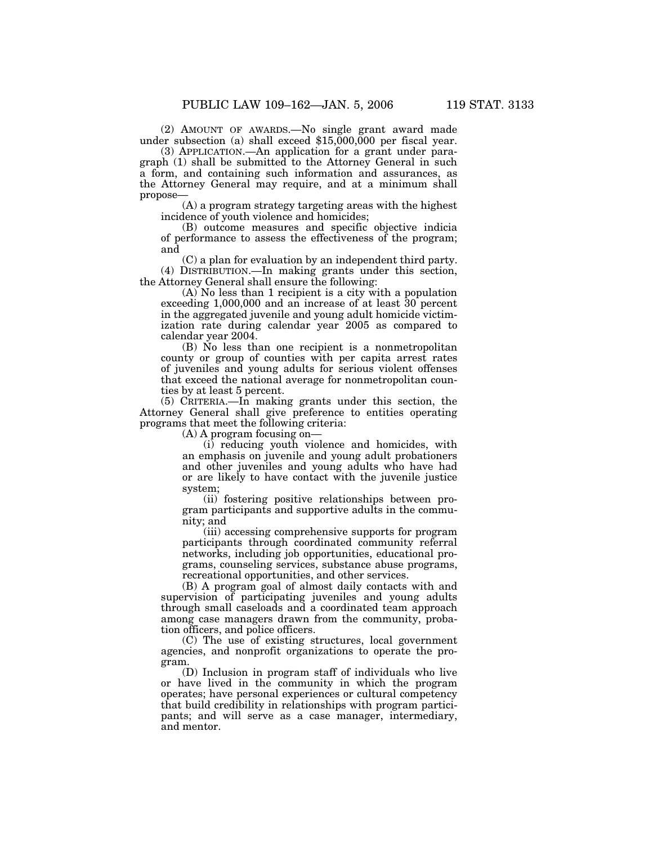(2) AMOUNT OF AWARDS.—No single grant award made under subsection (a) shall exceed \$15,000,000 per fiscal year.

(3) APPLICATION.—An application for a grant under paragraph (1) shall be submitted to the Attorney General in such a form, and containing such information and assurances, as the Attorney General may require, and at a minimum shall propose—

(A) a program strategy targeting areas with the highest incidence of youth violence and homicides;

(B) outcome measures and specific objective indicia of performance to assess the effectiveness of the program; and

(C) a plan for evaluation by an independent third party. (4) DISTRIBUTION.—In making grants under this section, the Attorney General shall ensure the following:

(A) No less than 1 recipient is a city with a population exceeding 1,000,000 and an increase of at least 30 percent in the aggregated juvenile and young adult homicide victimization rate during calendar year 2005 as compared to calendar year 2004.

(B) No less than one recipient is a nonmetropolitan county or group of counties with per capita arrest rates of juveniles and young adults for serious violent offenses that exceed the national average for nonmetropolitan counties by at least 5 percent.

(5) CRITERIA.—In making grants under this section, the Attorney General shall give preference to entities operating programs that meet the following criteria:

(A) A program focusing on—

(i) reducing youth violence and homicides, with an emphasis on juvenile and young adult probationers and other juveniles and young adults who have had or are likely to have contact with the juvenile justice system;

(ii) fostering positive relationships between program participants and supportive adults in the community; and

(iii) accessing comprehensive supports for program participants through coordinated community referral networks, including job opportunities, educational programs, counseling services, substance abuse programs, recreational opportunities, and other services.

(B) A program goal of almost daily contacts with and supervision of participating juveniles and young adults through small caseloads and a coordinated team approach among case managers drawn from the community, probation officers, and police officers.

(C) The use of existing structures, local government agencies, and nonprofit organizations to operate the program.

(D) Inclusion in program staff of individuals who live or have lived in the community in which the program operates; have personal experiences or cultural competency that build credibility in relationships with program participants; and will serve as a case manager, intermediary, and mentor.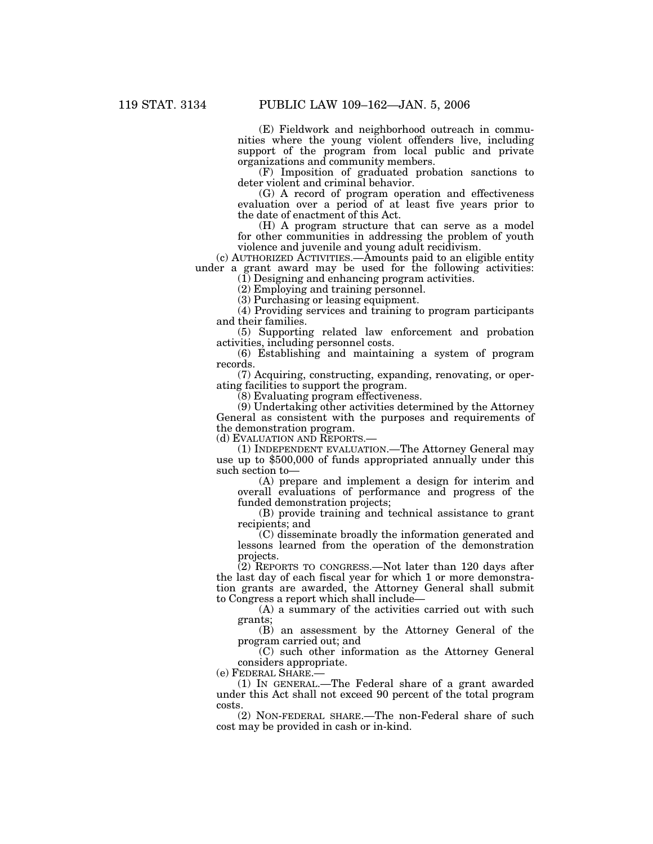(E) Fieldwork and neighborhood outreach in communities where the young violent offenders live, including support of the program from local public and private organizations and community members.

(F) Imposition of graduated probation sanctions to deter violent and criminal behavior.

(G) A record of program operation and effectiveness evaluation over a period of at least five years prior to the date of enactment of this Act.

(H) A program structure that can serve as a model for other communities in addressing the problem of youth violence and juvenile and young adult recidivism.

(c) AUTHORIZED ACTIVITIES.—Amounts paid to an eligible entity under a grant award may be used for the following activities:

 $(1)$  Designing and enhancing program activities.

(2) Employing and training personnel.

(3) Purchasing or leasing equipment.

(4) Providing services and training to program participants and their families.

(5) Supporting related law enforcement and probation activities, including personnel costs.

(6) Establishing and maintaining a system of program records.

(7) Acquiring, constructing, expanding, renovating, or operating facilities to support the program.

(8) Evaluating program effectiveness.

(9) Undertaking other activities determined by the Attorney General as consistent with the purposes and requirements of the demonstration program.

(d) EVALUATION AND REPORTS.—

(1) INDEPENDENT EVALUATION.—The Attorney General may use up to \$500,000 of funds appropriated annually under this such section to—

(A) prepare and implement a design for interim and overall evaluations of performance and progress of the funded demonstration projects;

(B) provide training and technical assistance to grant recipients; and

(C) disseminate broadly the information generated and lessons learned from the operation of the demonstration projects.

(2) REPORTS TO CONGRESS.—Not later than 120 days after the last day of each fiscal year for which 1 or more demonstration grants are awarded, the Attorney General shall submit to Congress a report which shall include—

(A) a summary of the activities carried out with such grants;

(B) an assessment by the Attorney General of the program carried out; and

(C) such other information as the Attorney General considers appropriate.

(e) FEDERAL SHARE.—

(1) IN GENERAL.—The Federal share of a grant awarded under this Act shall not exceed 90 percent of the total program costs.

(2) NON-FEDERAL SHARE.—The non-Federal share of such cost may be provided in cash or in-kind.